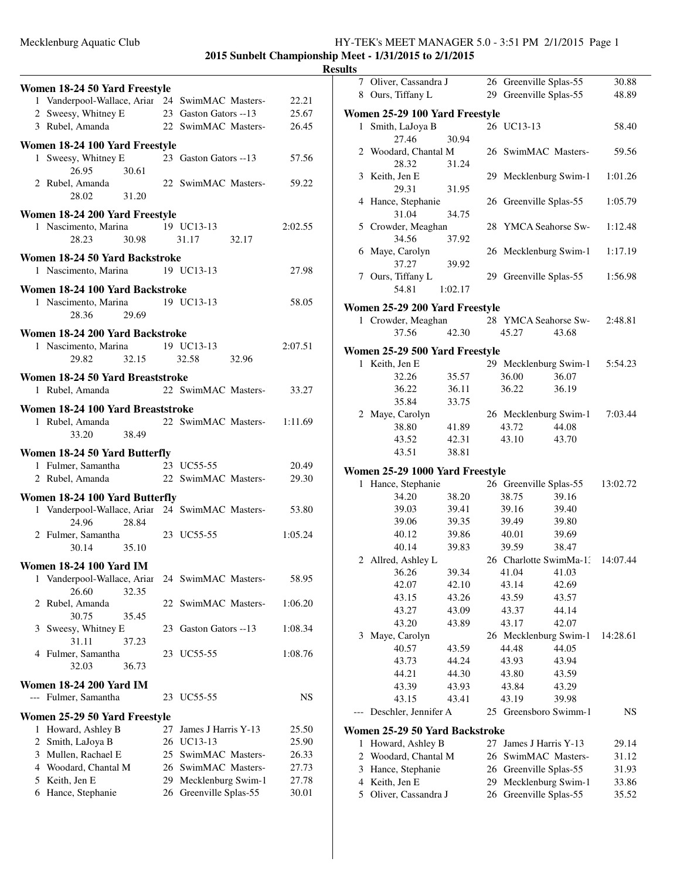**2015 Sunbelt Championship Meet - 1/31/2015 to 2/1/2015**

| Women 18-24 50 Yard Freestyle<br>1 Vanderpool-Wallace, Ariar 24 SwimMAC Masters- |       |           |                                           | 22.21          |
|----------------------------------------------------------------------------------|-------|-----------|-------------------------------------------|----------------|
| 2 Sweesy, Whitney E                                                              |       |           | 23 Gaston Gators --13                     | 25.67          |
| 3 Rubel, Amanda                                                                  |       |           | 22 SwimMAC Masters-                       | 26.45          |
|                                                                                  |       |           |                                           |                |
| Women 18-24 100 Yard Freestyle                                                   |       |           |                                           |                |
| 1 Sweesy, Whitney E                                                              |       |           | 23 Gaston Gators --13                     | 57.56          |
| 26.95                                                                            | 30.61 |           |                                           |                |
| 2 Rubel, Amanda                                                                  |       |           | 22 SwimMAC Masters-                       | 59.22          |
| 28.02                                                                            | 31.20 |           |                                           |                |
| Women 18-24 200 Yard Freestyle                                                   |       |           |                                           |                |
| 1 Nascimento, Marina                                                             |       |           | 19 UC13-13                                | 2:02.55        |
| 28.23                                                                            | 30.98 |           | 31.17<br>32.17                            |                |
| Women 18-24 50 Yard Backstroke                                                   |       |           |                                           |                |
| 1 Nascimento, Marina                                                             |       |           | 19 UC13-13                                | 27.98          |
|                                                                                  |       |           |                                           |                |
| Women 18-24 100 Yard Backstroke                                                  |       |           | 19 UC13-13                                | 58.05          |
| 1 Nascimento, Marina<br>28.36                                                    | 29.69 |           |                                           |                |
|                                                                                  |       |           |                                           |                |
| Women 18-24 200 Yard Backstroke                                                  |       |           |                                           |                |
| 1 Nascimento, Marina                                                             |       |           | 19 UC13-13                                | 2:07.51        |
| 29.82                                                                            | 32.15 |           | 32.58<br>32.96                            |                |
| Women 18-24 50 Yard Breaststroke                                                 |       |           |                                           |                |
| 1 Rubel, Amanda                                                                  |       |           | 22 SwimMAC Masters-                       | 33.27          |
|                                                                                  |       |           |                                           |                |
| Women 18-24 100 Yard Breaststroke<br>1 Rubel, Amanda                             |       |           | 22 SwimMAC Masters- 1:11.69               |                |
| 33.20                                                                            | 38.49 |           |                                           |                |
|                                                                                  |       |           |                                           |                |
|                                                                                  |       |           |                                           |                |
| Women 18-24 50 Yard Butterfly                                                    |       |           |                                           |                |
| 1 Fulmer, Samantha                                                               |       |           | 23 UC55-55                                | 20.49          |
| 2 Rubel, Amanda                                                                  |       |           | 22 SwimMAC Masters-                       | 29.30          |
| Women 18-24 100 Yard Butterfly                                                   |       |           |                                           |                |
| 1 Vanderpool-Wallace, Ariar                                                      |       |           | 24 SwimMAC Masters-                       | 53.80          |
| 24.96                                                                            | 28.84 |           |                                           |                |
| 2 Fulmer, Samantha                                                               |       |           | 23 UC55-55                                | 1:05.24        |
| 30.14                                                                            | 35.10 |           |                                           |                |
| <b>Women 18-24 100 Yard IM</b>                                                   |       |           |                                           |                |
| 1                                                                                |       |           |                                           |                |
| Vanderpool-Wallace, Ariar<br>26.60                                               | 32.35 |           | 24 SwimMAC Masters-                       | 58.95          |
| 2 Rubel, Amanda                                                                  |       |           | 22 SwimMAC Masters-                       | 1:06.20        |
| 30.75                                                                            | 35.45 |           |                                           |                |
| Sweesy, Whitney E<br>3                                                           |       |           | 23 Gaston Gators --13                     | 1:08.34        |
| 31.11                                                                            | 37.23 |           |                                           |                |
| 4 Fulmer, Samantha                                                               |       |           | 23 UC55-55                                | 1:08.76        |
| 32.03                                                                            | 36.73 |           |                                           |                |
| <b>Women 18-24 200 Yard IM</b>                                                   |       |           |                                           |                |
| --- Fulmer, Samantha                                                             |       |           | 23 UC55-55                                | NS             |
|                                                                                  |       |           |                                           |                |
| Women 25-29 50 Yard Freestyle                                                    |       |           |                                           |                |
| Howard, Ashley B<br>1                                                            |       | 27        | James J Harris Y-13                       | 25.50          |
| 2 Smith, LaJoya B                                                                |       |           | 26 UC13-13                                | 25.90          |
| 3 Mullen, Rachael E                                                              |       |           | 25 SwimMAC Masters-                       | 26.33          |
| 4 Woodard, Chantal M                                                             |       |           | 26 SwimMAC Masters-                       | 27.73          |
| 5 Keith, Jen E<br>6 Hance, Stephanie                                             |       | 29.<br>26 | Mecklenburg Swim-1<br>Greenville Splas-55 | 27.78<br>30.01 |

| 7            | Oliver, Cassandra J                                 |                |    |                      | 26 Greenville Splas-55 | 30.88    |
|--------------|-----------------------------------------------------|----------------|----|----------------------|------------------------|----------|
|              | 8 Ours, Tiffany L                                   |                |    |                      | 29 Greenville Splas-55 | 48.89    |
|              |                                                     |                |    |                      |                        |          |
|              | Women 25-29 100 Yard Freestyle                      |                |    |                      |                        |          |
| $\mathbf{1}$ | Smith, LaJoya B                                     |                |    | 26 UC13-13           |                        | 58.40    |
|              | 27.46                                               | 30.94          |    |                      |                        |          |
|              | 2 Woodard, Chantal M<br>28.32                       | 31.24          |    |                      | 26 SwimMAC Masters-    | 59.56    |
| 3            | Keith, Jen E                                        |                |    |                      | 29 Mecklenburg Swim-1  | 1:01.26  |
|              | 29.31                                               | 31.95          |    |                      |                        |          |
|              | 4 Hance, Stephanie                                  |                |    |                      | 26 Greenville Splas-55 | 1:05.79  |
|              | 31.04                                               | 34.75          |    |                      |                        |          |
|              | 5 Crowder, Meaghan                                  |                |    |                      | 28 YMCA Seahorse Sw-   | 1:12.48  |
|              | 34.56                                               | 37.92          |    |                      |                        |          |
|              | 6 Maye, Carolyn                                     |                |    |                      | 26 Mecklenburg Swim-1  | 1:17.19  |
|              | 37.27                                               | 39.92          |    |                      |                        |          |
|              | 7 Ours, Tiffany L                                   |                |    |                      | 29 Greenville Splas-55 | 1:56.98  |
|              | 54.81                                               | 1:02.17        |    |                      |                        |          |
|              |                                                     |                |    |                      |                        |          |
|              | Women 25-29 200 Yard Freestyle                      |                |    |                      |                        |          |
|              | 1 Crowder, Meaghan                                  |                |    |                      | 28 YMCA Seahorse Sw-   | 2:48.81  |
|              | 37.56                                               | 42.30          |    | 45.27                | 43.68                  |          |
|              | Women 25-29 500 Yard Freestyle                      |                |    |                      |                        |          |
|              | 1 Keith, Jen E                                      |                |    |                      | 29 Mecklenburg Swim-1  | 5:54.23  |
|              | 32.26                                               | 35.57          |    | 36.00                | 36.07                  |          |
|              | 36.22                                               | 36.11          |    | 36.22                | 36.19                  |          |
|              | 35.84                                               | 33.75          |    |                      |                        |          |
|              | 2 Maye, Carolyn                                     |                |    |                      | 26 Mecklenburg Swim-1  | 7:03.44  |
|              | 38.80                                               | 41.89          |    | 43.72                | 44.08                  |          |
|              | 43.52                                               | 42.31          |    | 43.10                | 43.70                  |          |
|              | 43.51                                               | 38.81          |    |                      |                        |          |
|              |                                                     |                |    |                      |                        |          |
| $\mathbf{1}$ | Women 25-29 1000 Yard Freestyle<br>Hance, Stephanie |                |    |                      | 26 Greenville Splas-55 | 13:02.72 |
|              | 34.20                                               | 38.20          |    | 38.75                | 39.16                  |          |
|              | 39.03                                               | 39.41          |    | 39.16                | 39.40                  |          |
|              | 39.06                                               | 39.35          |    | 39.49                | 39.80                  |          |
|              | 40.12                                               | 39.86          |    | 40.01                | 39.69                  |          |
|              | 40.14                                               | 39.83          |    | 39.59                | 38.47                  |          |
|              | 2 Allred, Ashley L                                  |                |    |                      | 26 Charlotte SwimMa-1: | 14:07.44 |
|              | 36.26 39.34                                         |                |    |                      |                        |          |
|              | 42.07                                               | 42.10          |    | 41.04 41.03<br>43.14 | 42.69                  |          |
|              |                                                     |                |    | 43.59                | 43.57                  |          |
|              | 43.15                                               | 43.26<br>43.09 |    |                      | 44.14                  |          |
|              | 43.27                                               |                |    | 43.37                |                        |          |
|              | 43.20                                               | 43.89          |    | 43.17                | 42.07                  |          |
| 3            | Maye, Carolyn                                       |                |    |                      | 26 Mecklenburg Swim-1  | 14:28.61 |
|              | 40.57                                               | 43.59          |    | 44.48                | 44.05                  |          |
|              | 43.73                                               | 44.24          |    | 43.93                | 43.94                  |          |
|              | 44.21                                               | 44.30          |    | 43.80                | 43.59                  |          |
|              | 43.39                                               | 43.93          |    | 43.84                | 43.29                  |          |
|              | 43.15                                               | 43.41          |    | 43.19                | 39.98                  |          |
|              | Deschler, Jennifer A                                |                |    |                      | 25 Greensboro Swimm-1  | NS       |
|              | Women 25-29 50 Yard Backstroke                      |                |    |                      |                        |          |
| 1            | Howard, Ashley B                                    |                | 27 |                      | James J Harris Y-13    | 29.14    |
| 2            | Woodard, Chantal M                                  |                | 26 |                      | SwimMAC Masters-       | 31.12    |
| 3            | Hance, Stephanie                                    |                | 26 |                      | Greenville Splas-55    | 31.93    |
| 4            | Keith, Jen E                                        |                | 29 |                      | Mecklenburg Swim-1     | 33.86    |
| 5            | Oliver, Cassandra J                                 |                | 26 |                      | Greenville Splas-55    | 35.52    |
|              |                                                     |                |    |                      |                        |          |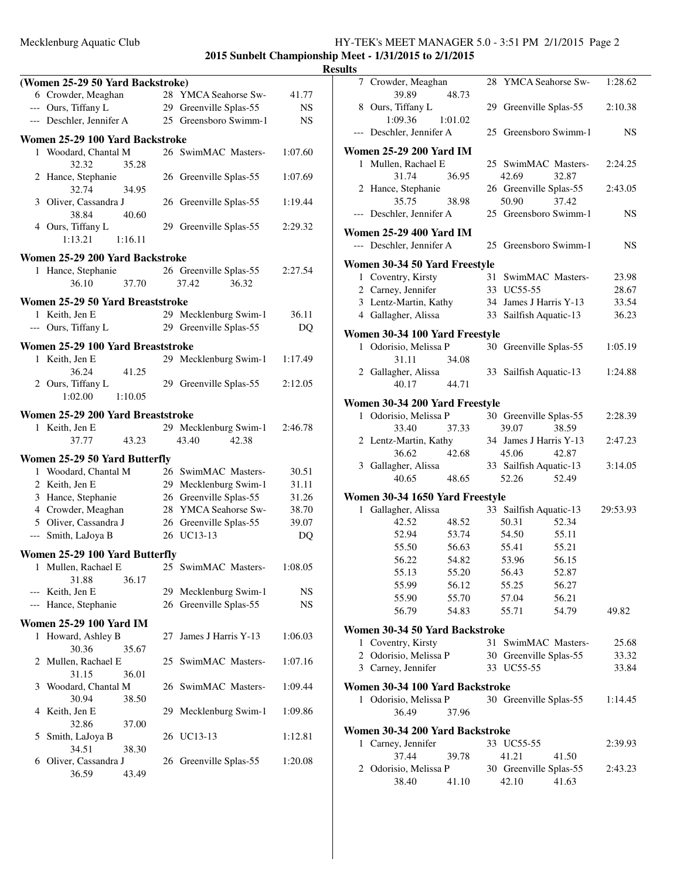|     | (Women 25-29 50 Yard Backstroke)     |         |    |                                                 |                |
|-----|--------------------------------------|---------|----|-------------------------------------------------|----------------|
|     | 6 Crowder, Meaghan                   |         |    | 28 YMCA Seahorse Sw-                            | 41.77          |
|     | --- Ours, Tiffany L                  |         |    | 29 Greenville Splas-55                          | NS             |
|     | --- Deschler, Jennifer A             |         |    | 25 Greensboro Swimm-1                           | NS             |
|     | Women 25-29 100 Yard Backstroke      |         |    |                                                 |                |
|     | 1 Woodard, Chantal M                 |         |    | 26 SwimMAC Masters-                             | 1:07.60        |
|     | 32.32                                | 35.28   |    |                                                 |                |
|     | 2 Hance, Stephanie                   |         |    | 26 Greenville Splas-55                          | 1:07.69        |
|     | 32.74                                | 34.95   |    |                                                 |                |
|     | 3 Oliver, Cassandra J                |         |    | 26 Greenville Splas-55                          | 1:19.44        |
|     | 38.84                                | 40.60   |    |                                                 |                |
|     | 4 Ours, Tiffany L<br>1:13.21         | 1:16.11 |    | 29 Greenville Splas-55                          | 2:29.32        |
|     |                                      |         |    |                                                 |                |
|     | Women 25-29 200 Yard Backstroke      |         |    |                                                 |                |
|     | 1 Hance, Stephanie                   |         |    | 26 Greenville Splas-55                          | 2:27.54        |
|     | 36.10                                | 37.70   |    | 37.42<br>36.32                                  |                |
|     | Women 25-29 50 Yard Breaststroke     |         |    |                                                 |                |
|     | 1 Keith, Jen E                       |         |    | 29 Mecklenburg Swim-1                           | 36.11          |
|     | --- Ours, Tiffany L                  |         |    | 29 Greenville Splas-55                          | DQ             |
|     | Women 25-29 100 Yard Breaststroke    |         |    |                                                 |                |
|     | 1 Keith, Jen E                       |         |    | 29 Mecklenburg Swim-1                           | 1:17.49        |
|     | 36.24                                | 41.25   |    |                                                 |                |
|     | 2 Ours, Tiffany L                    |         |    | 29 Greenville Splas-55                          | 2:12.05        |
|     | 1:02.00                              | 1:10.05 |    |                                                 |                |
|     | Women 25-29 200 Yard Breaststroke    |         |    |                                                 |                |
| 1   | Keith, Jen E                         |         |    | 29 Mecklenburg Swim-1                           | 2:46.78        |
|     | 37.77                                | 43.23   |    | 43.40<br>42.38                                  |                |
|     |                                      |         |    |                                                 |                |
|     | Women 25-29 50 Yard Butterfly        |         |    |                                                 |                |
|     | 1 Woodard, Chantal M                 |         |    | 26 SwimMAC Masters-                             | 30.51<br>31.11 |
|     | 2 Keith, Jen E<br>3 Hance, Stephanie |         |    | 29 Mecklenburg Swim-1<br>26 Greenville Splas-55 | 31.26          |
|     | 4 Crowder, Meaghan                   |         |    | 28 YMCA Seahorse Sw-                            | 38.70          |
|     | 5 Oliver, Cassandra J                |         |    | 26 Greenville Splas-55                          | 39.07          |
|     | --- Smith, LaJoya B                  |         |    | 26 UC13-13                                      | DQ             |
|     |                                      |         |    |                                                 |                |
|     | Women 25-29 100 Yard Butterfly       |         |    |                                                 |                |
| 1   | Mullen, Rachael E                    |         |    | 25 SwimMAC Masters-                             | 1:08.05        |
|     | 31.88<br>--- Keith, Jen E            | 36.17   |    | 29 Mecklenburg Swim-1                           | NS             |
| --- | Hance, Stephanie                     |         |    | 26 Greenville Splas-55                          | NS             |
|     |                                      |         |    |                                                 |                |
|     | <b>Women 25-29 100 Yard IM</b>       |         |    |                                                 |                |
| 1   | Howard, Ashley B                     |         | 27 | James J Harris Y-13                             | 1:06.03        |
|     | 30.36                                | 35.67   |    |                                                 |                |
| 2   | Mullen, Rachael E                    |         |    | 25 SwimMAC Masters-                             | 1:07.16        |
| 3   | 31.15<br>Woodard, Chantal M          | 36.01   |    | 26 SwimMAC Masters-                             | 1:09.44        |
|     | 30.94                                | 38.50   |    |                                                 |                |
| 4   | Keith, Jen E                         |         | 29 | Mecklenburg Swim-1                              | 1:09.86        |
|     | 32.86                                | 37.00   |    |                                                 |                |
| 5   | Smith, LaJoya B                      |         |    | 26 UC13-13                                      | 1:12.81        |
|     | 34.51                                | 38.30   |    |                                                 |                |
| 6   | Oliver, Cassandra J                  |         |    | 26 Greenville Splas-55                          | 1:20.08        |
|     | 36.59                                | 43.49   |    |                                                 |                |
|     |                                      |         |    |                                                 |                |

| ılts |                                 |         |                                 |       |             |
|------|---------------------------------|---------|---------------------------------|-------|-------------|
| 7    | Crowder, Meaghan<br>39.89       | 48.73   | 28 YMCA Seahorse Sw-            |       | 1:28.62     |
|      | 8 Ours, Tiffany L<br>1:09.36    | 1:01.02 | 29 Greenville Splas-55          |       | 2:10.38     |
|      | --- Deschler, Jennifer A        |         | 25 Greensboro Swimm-1           |       | NS          |
|      | Women 25-29 200 Yard IM         |         |                                 |       |             |
| 1.   | Mullen, Rachael E<br>31.74      | 36.95   | 25 SwimMAC Masters-<br>42.69    | 32.87 | 2:24.25     |
|      | 2 Hance, Stephanie<br>35.75     | 38.98   | 26 Greenville Splas-55<br>50.90 | 37.42 | 2:43.05     |
|      | --- Deschler, Jennifer A        |         | 25 Greensboro Swimm-1           |       | <b>NS</b>   |
|      | Women 25-29 400 Yard IM         |         |                                 |       |             |
|      | --- Deschler, Jennifer A        |         | 25 Greensboro Swimm-1           |       | $_{\rm NS}$ |
|      | Women 30-34 50 Yard Freestyle   |         |                                 |       |             |
|      | 1 Coventry, Kirsty              |         | 31 SwimMAC Masters-             |       | 23.98       |
|      | 2 Carney, Jennifer              |         | 33 UC55-55                      |       | 28.67       |
|      | 3 Lentz-Martin, Kathy           |         | 34 James J Harris Y-13          |       | 33.54       |
|      | 4 Gallagher, Alissa             |         | 33 Sailfish Aquatic-13          |       | 36.23       |
|      | Women 30-34 100 Yard Freestyle  |         |                                 |       |             |
| 1    | Odorisio, Melissa P<br>31.11    | 34.08   | 30 Greenville Splas-55          |       | 1:05.19     |
|      | 2 Gallagher, Alissa<br>40.17    | 44.71   | 33 Sailfish Aquatic-13          |       | 1:24.88     |
|      | Women 30-34 200 Yard Freestyle  |         |                                 |       |             |
|      | 1 Odorisio, Melissa P           |         | 30 Greenville Splas-55          |       | 2:28.39     |
|      |                                 |         |                                 |       |             |
|      | 33.40                           | 37.33   | 39.07                           | 38.59 |             |
|      | 2 Lentz-Martin, Kathy           |         | 34 James J Harris Y-13          |       | 2:47.23     |
|      | 36.62                           | 42.68   | 45.06                           | 42.87 |             |
|      | 3 Gallagher, Alissa<br>40.65    | 48.65   | 33 Sailfish Aquatic-13<br>52.26 | 52.49 | 3:14.05     |
|      | Women 30-34 1650 Yard Freestyle |         |                                 |       |             |
|      | 1 Gallagher, Alissa             |         | 33 Sailfish Aquatic-13          |       | 29:53.93    |
|      | 42.52                           | 48.52   | 50.31                           | 52.34 |             |
|      | 52.94                           | 53.74   | 54.50                           | 55.11 |             |
|      | 55.50                           | 56.63   | 55.41                           | 55.21 |             |
|      | 56.22                           | 54.82   | 53.96                           | 56.15 |             |
|      | 55.13                           | 55.20   | 56.43                           |       |             |
|      |                                 |         |                                 | 52.87 |             |
|      | 55.99                           | 56.12   | 55.25                           | 56.27 |             |
|      | 55.90                           | 55.70   | 57.04                           | 56.21 |             |
|      | 56.79                           | 54.83   | 55.71                           | 54.79 | 49.82       |
|      | Women 30-34 50 Yard Backstroke  |         |                                 |       |             |
| 1    | Coventry, Kirsty                |         | 31 SwimMAC Masters-             |       | 25.68       |
| 2    | Odorisio, Melissa P             |         | 30 Greenville Splas-55          |       | 33.32       |
|      | 3 Carney, Jennifer              |         | 33 UC55-55                      |       | 33.84       |
|      | Women 30-34 100 Yard Backstroke |         |                                 |       |             |
| 1    | Odorisio, Melissa P<br>36.49    | 37.96   | 30 Greenville Splas-55          |       | 1:14.45     |
|      |                                 |         |                                 |       |             |
|      | Women 30-34 200 Yard Backstroke |         |                                 |       |             |
|      | 1 Carney, Jennifer              |         | 33 UC55-55                      |       | 2:39.93     |
|      | 37.44                           | 39.78   | 41.21                           | 41.50 |             |
| 2    | Odorisio, Melissa P             |         | 30 Greenville Splas-55          |       | 2:43.23     |
|      | 38.40                           | 41.10   | 42.10                           | 41.63 |             |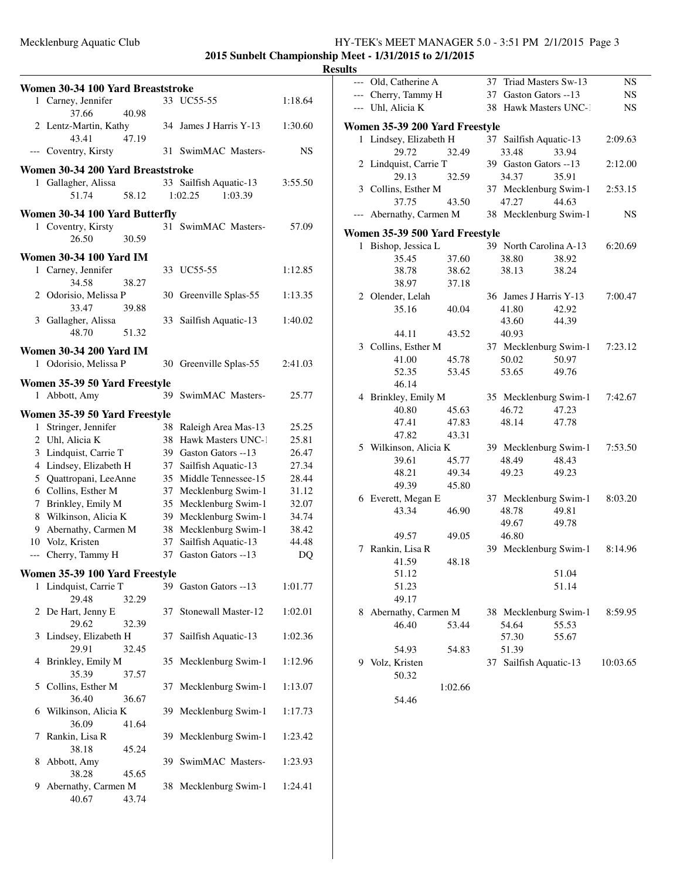|    | Women 30-34 100 Yard Breaststroke                |       |    |                                                  |                |
|----|--------------------------------------------------|-------|----|--------------------------------------------------|----------------|
|    | 1 Carney, Jennifer<br>37.66                      | 40.98 |    | 33 UC55-55                                       | 1:18.64        |
|    | 2 Lentz-Martin, Kathy<br>43.41                   | 47.19 |    | 34 James J Harris Y-13                           | 1:30.60        |
|    | --- Coventry, Kirsty                             |       |    | 31 SwimMAC Masters-                              | NS             |
|    | Women 30-34 200 Yard Breaststroke                |       |    |                                                  |                |
|    | 1 Gallagher, Alissa                              |       |    | 33 Sailfish Aquatic-13                           | 3:55.50        |
|    | 51.74                                            | 58.12 |    | 1:02.25<br>1:03.39                               |                |
|    | Women 30-34 100 Yard Butterfly                   |       |    |                                                  |                |
|    | 1 Coventry, Kirsty                               |       |    | 31 SwimMAC Masters-                              | 57.09          |
|    | 26.50                                            | 30.59 |    |                                                  |                |
|    | <b>Women 30-34 100 Yard IM</b>                   |       |    |                                                  |                |
|    | 1 Carney, Jennifer                               |       |    | 33 UC55-55                                       | 1:12.85        |
|    | 34.58                                            | 38.27 |    |                                                  |                |
|    | 2 Odorisio, Melissa P                            |       |    | 30 Greenville Splas-55                           | 1:13.35        |
|    | 33.47                                            | 39.88 |    |                                                  |                |
|    | 3 Gallagher, Alissa                              |       |    | 33 Sailfish Aquatic-13                           | 1:40.02        |
|    | 48.70                                            | 51.32 |    |                                                  |                |
|    | <b>Women 30-34 200 Yard IM</b>                   |       |    |                                                  |                |
|    | 1 Odorisio, Melissa P                            |       |    | 30 Greenville Splas-55                           | 2:41.03        |
|    | Women 35-39 50 Yard Freestyle                    |       |    |                                                  |                |
|    | 1 Abbott, Amy                                    |       | 39 | SwimMAC Masters-                                 | 25.77          |
|    |                                                  |       |    |                                                  |                |
|    | Women 35-39 50 Yard Freestyle                    |       |    |                                                  |                |
| 1  | Stringer, Jennifer                               |       |    | 38 Raleigh Area Mas-13                           | 25.25          |
|    | 2 Uhl, Alicia K                                  |       |    | 38 Hawk Masters UNC-1                            | 25.81          |
|    | 3 Lindquist, Carrie T                            |       |    | 39 Gaston Gators --13                            | 26.47          |
|    | 4 Lindsey, Elizabeth H<br>5 Quattropani, LeeAnne |       |    | 37 Sailfish Aquatic-13<br>35 Middle Tennessee-15 | 27.34<br>28.44 |
|    | 6 Collins, Esther M                              |       |    | 37 Mecklenburg Swim-1                            | 31.12          |
| 7  | Brinkley, Emily M                                |       |    | 35 Mecklenburg Swim-1                            | 32.07          |
|    | 8 Wilkinson, Alicia K                            |       |    | 39 Mecklenburg Swim-1                            | 34.74          |
| 9. | Abernathy, Carmen M                              |       |    | 38 Mecklenburg Swim-1                            | 38.42          |
|    | 10 Volz, Kristen                                 |       | 37 | Sailfish Aquatic-13                              | 44.48          |
|    | --- Cherry, Tammy H                              |       |    | 37 Gaston Gators --13                            | DQ             |
|    |                                                  |       |    |                                                  |                |
|    | Women 35-39 100 Yard Freestyle                   |       |    |                                                  |                |
|    | 1 Lindquist, Carrie T<br>29.48                   | 32.29 |    | 39 Gaston Gators --13                            | 1:01.77        |
| 2  | De Hart, Jenny E<br>29.62                        | 32.39 | 37 | Stonewall Master-12                              | 1:02.01        |
| 3  | Lindsey, Elizabeth H<br>29.91                    | 32.45 | 37 | Sailfish Aquatic-13                              | 1:02.36        |
| 4  | Brinkley, Emily M<br>35.39                       | 37.57 |    | 35 Mecklenburg Swim-1                            | 1:12.96        |
|    | 5 Collins, Esther M<br>36.40                     | 36.67 | 37 | Mecklenburg Swim-1                               | 1:13.07        |
| 6  | Wilkinson, Alicia K<br>36.09                     | 41.64 | 39 | Mecklenburg Swim-1                               | 1:17.73        |
| 7  | Rankin, Lisa R<br>38.18                          | 45.24 | 39 | Mecklenburg Swim-1                               | 1:23.42        |
| 8  | Abbott, Amy<br>38.28                             | 45.65 | 39 | SwimMAC Masters-                                 | 1:23.93        |
| 9  | Abernathy, Carmen M<br>40.67                     | 43.74 |    | 38 Mecklenburg Swim-1                            | 1:24.41        |
|    |                                                  |       |    |                                                  |                |

| படல   |                                |         |    |                        |       |          |
|-------|--------------------------------|---------|----|------------------------|-------|----------|
| $---$ | Old, Catherine A               |         |    | 37 Triad Masters Sw-13 |       | NS       |
|       | --- Cherry, Tammy H            |         |    | 37 Gaston Gators --13  |       | NS       |
|       | --- Uhl, Alicia K              |         |    | 38 Hawk Masters UNC-1  |       | NS       |
|       | Women 35-39 200 Yard Freestyle |         |    |                        |       |          |
| 1     | Lindsey, Elizabeth H           |         |    | 37 Sailfish Aquatic-13 |       | 2:09.63  |
|       | 29.72                          | 32.49   |    | 33.48                  | 33.94 |          |
|       | 2 Lindquist, Carrie T          |         |    | 39 Gaston Gators --13  |       | 2:12.00  |
|       | 29.13                          | 32.59   |    | 34.37                  | 35.91 |          |
|       | 3 Collins, Esther M            |         |    | 37 Mecklenburg Swim-1  |       | 2:53.15  |
|       | 37.75                          | 43.50   |    | 47.27                  | 44.63 |          |
| ---   | Abernathy, Carmen M            |         |    | 38 Mecklenburg Swim-1  |       | NS       |
|       |                                |         |    |                        |       |          |
|       | Women 35-39 500 Yard Freestyle |         |    |                        |       |          |
| 1     | Bishop, Jessica L              |         |    | 39 North Carolina A-13 |       | 6:20.69  |
|       | 35.45                          | 37.60   |    | 38.80                  | 38.92 |          |
|       | 38.78                          | 38.62   |    | 38.13                  | 38.24 |          |
|       | 38.97                          | 37.18   |    |                        |       |          |
|       | 2 Olender, Lelah               |         |    | 36 James J Harris Y-13 |       | 7:00.47  |
|       | 35.16                          | 40.04   |    | 41.80                  | 42.92 |          |
|       |                                |         |    | 43.60                  | 44.39 |          |
|       | 44.11                          | 43.52   |    | 40.93                  |       |          |
|       | 3 Collins, Esther M            |         |    | 37 Mecklenburg Swim-1  |       | 7:23.12  |
|       | 41.00                          | 45.78   |    | 50.02                  | 50.97 |          |
|       | 52.35                          | 53.45   |    | 53.65                  | 49.76 |          |
|       | 46.14                          |         |    |                        |       |          |
|       | 4 Brinkley, Emily M            |         |    | 35 Mecklenburg Swim-1  |       | 7:42.67  |
|       | 40.80                          | 45.63   |    | 46.72                  | 47.23 |          |
|       | 47.41                          | 47.83   |    | 48.14                  | 47.78 |          |
|       | 47.82                          | 43.31   |    |                        |       |          |
|       | 5 Wilkinson, Alicia K          |         |    | 39 Mecklenburg Swim-1  |       | 7:53.50  |
|       | 39.61                          | 45.77   |    | 48.49                  | 48.43 |          |
|       | 48.21                          | 49.34   |    | 49.23                  | 49.23 |          |
|       | 49.39                          | 45.80   |    |                        |       |          |
|       | 6 Everett, Megan E             |         |    | 37 Mecklenburg Swim-1  |       | 8:03.20  |
|       | 43.34                          | 46.90   |    | 48.78                  | 49.81 |          |
|       |                                |         |    | 49.67                  | 49.78 |          |
|       | 49.57                          | 49.05   |    | 46.80                  |       |          |
| 7     | Rankin, Lisa R                 |         |    | 39 Mecklenburg Swim-1  |       | 8:14.96  |
|       | 41.59                          | 48.18   |    |                        |       |          |
|       | 51.12                          |         |    |                        | 51.04 |          |
|       | 51.23                          |         |    |                        | 51.14 |          |
|       | 49.17                          |         |    |                        |       |          |
| 8     | Abernathy, Carmen M            |         |    | 38 Mecklenburg Swim-1  |       | 8:59.95  |
|       | 46.40                          | 53.44   |    | 54.64                  | 55.53 |          |
|       |                                |         |    | 57.30                  | 55.67 |          |
|       | 54.93                          | 54.83   |    | 51.39                  |       |          |
| 9     | Volz, Kristen                  |         | 37 | Sailfish Aquatic-13    |       | 10:03.65 |
|       | 50.32                          |         |    |                        |       |          |
|       |                                | 1:02.66 |    |                        |       |          |
|       | 54.46                          |         |    |                        |       |          |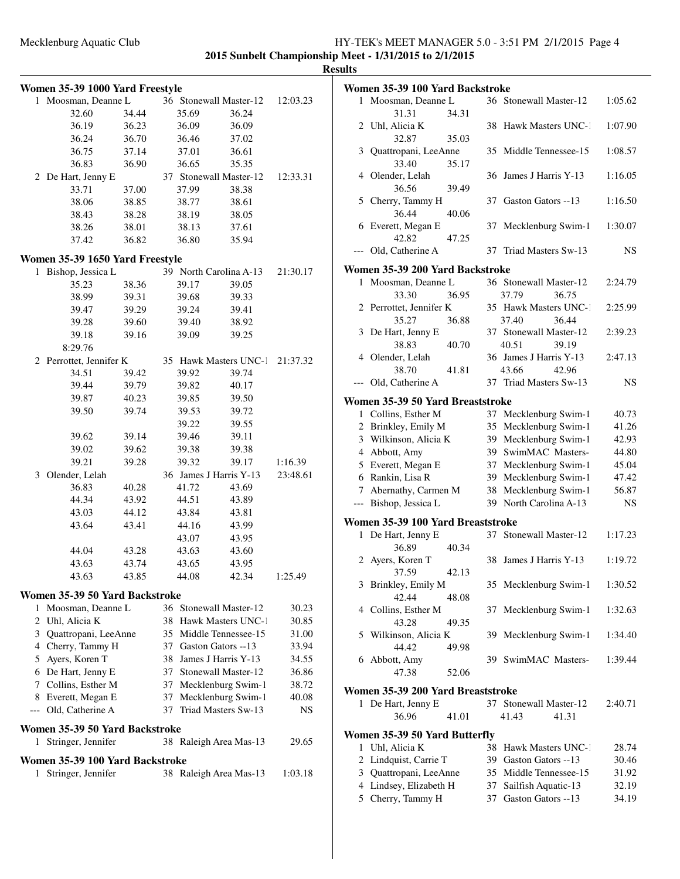|       | Women 35-39 1000 Yard Freestyle |       |    |       |                        |          |
|-------|---------------------------------|-------|----|-------|------------------------|----------|
| 1     | Moosman, Deanne L               |       |    |       | 36 Stonewall Master-12 | 12:03.23 |
|       | 32.60                           | 34.44 |    | 35.69 | 36.24                  |          |
|       | 36.19                           | 36.23 |    | 36.09 | 36.09                  |          |
|       | 36.24                           | 36.70 |    | 36.46 | 37.02                  |          |
|       | 36.75                           | 37.14 |    | 37.01 | 36.61                  |          |
|       | 36.83                           | 36.90 |    | 36.65 | 35.35                  |          |
|       | 2 De Hart, Jenny E              |       |    |       | 37 Stonewall Master-12 | 12:33.31 |
|       | 33.71                           | 37.00 |    | 37.99 | 38.38                  |          |
|       | 38.06                           | 38.85 |    | 38.77 | 38.61                  |          |
|       | 38.43                           | 38.28 |    | 38.19 | 38.05                  |          |
|       | 38.26                           | 38.01 |    | 38.13 | 37.61                  |          |
|       | 37.42                           | 36.82 |    | 36.80 | 35.94                  |          |
|       | Women 35-39 1650 Yard Freestyle |       |    |       |                        |          |
|       | 1 Bishop, Jessica L             |       |    |       | 39 North Carolina A-13 | 21:30.17 |
|       | 35.23                           | 38.36 |    | 39.17 | 39.05                  |          |
|       | 38.99                           | 39.31 |    | 39.68 | 39.33                  |          |
|       | 39.47                           | 39.29 |    | 39.24 | 39.41                  |          |
|       | 39.28                           | 39.60 |    | 39.40 | 38.92                  |          |
|       | 39.18                           | 39.16 |    | 39.09 | 39.25                  |          |
|       | 8:29.76                         |       |    |       |                        |          |
|       | 2 Perrottet, Jennifer K         |       |    |       | 35 Hawk Masters UNC-1  | 21:37.32 |
|       | 34.51                           | 39.42 |    | 39.92 | 39.74                  |          |
|       | 39.44                           | 39.79 |    | 39.82 | 40.17                  |          |
|       | 39.87                           | 40.23 |    | 39.85 | 39.50                  |          |
|       | 39.50                           | 39.74 |    | 39.53 | 39.72                  |          |
|       |                                 |       |    | 39.22 | 39.55                  |          |
|       | 39.62                           | 39.14 |    | 39.46 | 39.11                  |          |
|       | 39.02                           | 39.62 |    | 39.38 | 39.38                  |          |
|       | 39.21                           | 39.28 |    | 39.32 | 39.17                  | 1:16.39  |
| 3     | Olender, Lelah                  |       |    |       | 36 James J Harris Y-13 | 23:48.61 |
|       | 36.83                           | 40.28 |    | 41.72 | 43.69                  |          |
|       | 44.34                           | 43.92 |    | 44.51 | 43.89                  |          |
|       | 43.03                           | 44.12 |    | 43.84 | 43.81                  |          |
|       | 43.64                           | 43.41 |    | 44.16 | 43.99                  |          |
|       |                                 |       |    | 43.07 | 43.95                  |          |
|       | 44.04                           | 43.28 |    | 43.63 | 43.60                  |          |
|       | 43.63                           | 43.74 |    | 43.65 | 43.95                  |          |
|       | 43.63                           | 43.85 |    | 44.08 | 42.34                  | 1:25.49  |
|       |                                 |       |    |       |                        |          |
|       | Women 35-39 50 Yard Backstroke  |       |    |       |                        |          |
| 1     | Moosman, Deanne L               |       |    |       | 36 Stonewall Master-12 | 30.23    |
|       | 2 Uhl, Alicia K                 |       | 38 |       | Hawk Masters UNC-1     | 30.85    |
|       | 3 Quattropani, LeeAnne          |       | 35 |       | Middle Tennessee-15    | 31.00    |
|       | 4 Cherry, Tammy H               |       | 37 |       | Gaston Gators --13     | 33.94    |
|       | 5 Ayers, Koren T                |       | 38 |       | James J Harris Y-13    | 34.55    |
|       | 6 De Hart, Jenny E              |       | 37 |       | Stonewall Master-12    | 36.86    |
|       | 7 Collins, Esther M             |       | 37 |       | Mecklenburg Swim-1     | 38.72    |
|       | 8 Everett, Megan E              |       | 37 |       | Mecklenburg Swim-1     | 40.08    |
| $---$ | Old, Catherine A                |       | 37 |       | Triad Masters Sw-13    | NS       |
|       | Women 35-39 50 Yard Backstroke  |       |    |       |                        |          |
| 1     | Stringer, Jennifer              |       |    |       | 38 Raleigh Area Mas-13 | 29.65    |
|       |                                 |       |    |       |                        |          |
|       | Women 35-39 100 Yard Backstroke |       |    |       |                        |          |
| 1     | Stringer, Jennifer              |       |    |       | 38 Raleigh Area Mas-13 | 1:03.18  |

|   | Women 35-39 100 Yard Backstroke                |    |                        |                |
|---|------------------------------------------------|----|------------------------|----------------|
| 1 | Moosman, Deanne L                              |    | 36 Stonewall Master-12 | 1:05.62        |
|   | 31.31<br>34.31                                 |    |                        |                |
| 2 | Uhl, Alicia K                                  | 38 | Hawk Masters UNC-1     | 1:07.90        |
|   | 32.87<br>35.03                                 |    |                        |                |
| 3 | Quattropani, LeeAnne                           |    | 35 Middle Tennessee-15 | 1:08.57        |
|   | 33.40<br>35.17                                 |    |                        |                |
| 4 | Olender, Lelah                                 | 36 | James J Harris Y-13    | 1:16.05        |
|   | 36.56<br>39.49                                 |    |                        |                |
| 5 | Cherry, Tammy H                                | 37 | Gaston Gators --13     | 1:16.50        |
|   | 36.44<br>40.06                                 |    |                        |                |
| 6 | Everett, Megan E                               | 37 | Mecklenburg Swim-1     | 1:30.07        |
|   | 42.82<br>47.25                                 |    |                        |                |
|   | Old, Catherine A                               |    | 37 Triad Masters Sw-13 | <b>NS</b>      |
|   | Women 35-39 200 Yard Backstroke                |    |                        |                |
| 1 | Moosman, Deanne L                              |    | 36 Stonewall Master-12 | 2:24.79        |
|   | 33.30<br>36.95                                 |    | 37.79<br>36.75         |                |
|   | 2 Perrottet, Jennifer K                        |    | 35 Hawk Masters UNC-1  | 2:25.99        |
|   | 35.27<br>36.88                                 |    | 37.40<br>36.44         |                |
| 3 | De Hart, Jenny E                               |    | 37 Stonewall Master-12 | 2:39.23        |
|   | 38.83<br>40.70                                 |    | 40.51<br>39.19         |                |
|   | 4 Olender, Lelah                               |    | 36 James J Harris Y-13 | 2:47.13        |
|   | 38.70<br>41.81                                 |    | 43.66<br>42.96         |                |
|   | Old, Catherine A                               |    | 37 Triad Masters Sw-13 | NS             |
|   |                                                |    |                        |                |
|   | Women 35-39 50 Yard Breaststroke               |    |                        |                |
| 1 | Collins, Esther M                              |    | 37 Mecklenburg Swim-1  | 40.73          |
|   | 2 Brinkley, Emily M                            |    | 35 Mecklenburg Swim-1  | 41.26          |
|   | 3 Wilkinson, Alicia K                          |    | 39 Mecklenburg Swim-1  | 42.93          |
|   | 4 Abbott, Amy                                  |    | 39 SwimMAC Masters-    | 44.80          |
|   | 5 Everett, Megan E                             | 37 | Mecklenburg Swim-1     | 45.04          |
|   | 6 Rankin, Lisa R                               | 39 | Mecklenburg Swim-1     | 47.42          |
|   | 7 Abernathy, Carmen M                          | 38 | Mecklenburg Swim-1     | 56.87          |
|   | --- Bishop, Jessica L                          |    | 39 North Carolina A-13 | <b>NS</b>      |
|   | Women 35-39 100 Yard Breaststroke              |    |                        |                |
| 1 | De Hart, Jenny E                               | 37 | Stonewall Master-12    | 1:17.23        |
|   | 36.89<br>40.34                                 |    |                        |                |
|   | 2 Ayers, Koren T                               |    | 38 James J Harris Y-13 | 1:19.72        |
|   | 37.59<br>42.13                                 |    |                        |                |
| 3 | Brinkley, Emily M                              |    | 35 Mecklenburg Swim-1  | 1:30.52        |
|   | 42.44<br>48.08                                 |    |                        |                |
|   | 4 Collins, Esther M                            | 37 | Mecklenburg Swim-1     | 1:32.63        |
|   | 43.28<br>49.35                                 |    |                        |                |
| 5 | Wilkinson, Alicia K                            | 39 | Mecklenburg Swim-1     | 1:34.40        |
|   | 44.42<br>49.98                                 |    |                        |                |
| 6 | Abbott, Amy                                    |    | 39 SwimMAC Masters-    | 1:39.44        |
|   | 47.38<br>52.06                                 |    |                        |                |
|   | Women 35-39 200 Yard Breaststroke              |    |                        |                |
|   | 1 De Hart, Jenny E                             |    | 37 Stonewall Master-12 | 2:40.71        |
|   | 36.96<br>41.01                                 |    | 41.43<br>41.31         |                |
|   |                                                |    |                        |                |
| 1 | Women 35-39 50 Yard Butterfly<br>Uhl, Alicia K | 38 | Hawk Masters UNC-1     |                |
|   | 2 Lindquist, Carrie T                          |    | 39 Gaston Gators --13  | 28.74          |
| 3 | Quattropani, LeeAnne                           |    | 35 Middle Tennessee-15 | 30.46<br>31.92 |
|   | 4 Lindsey, Elizabeth H                         |    | Sailfish Aquatic-13    | 32.19          |
|   | 5 Cherry, Tammy H                              | 37 |                        |                |
|   |                                                | 37 | Gaston Gators --13     | 34.19          |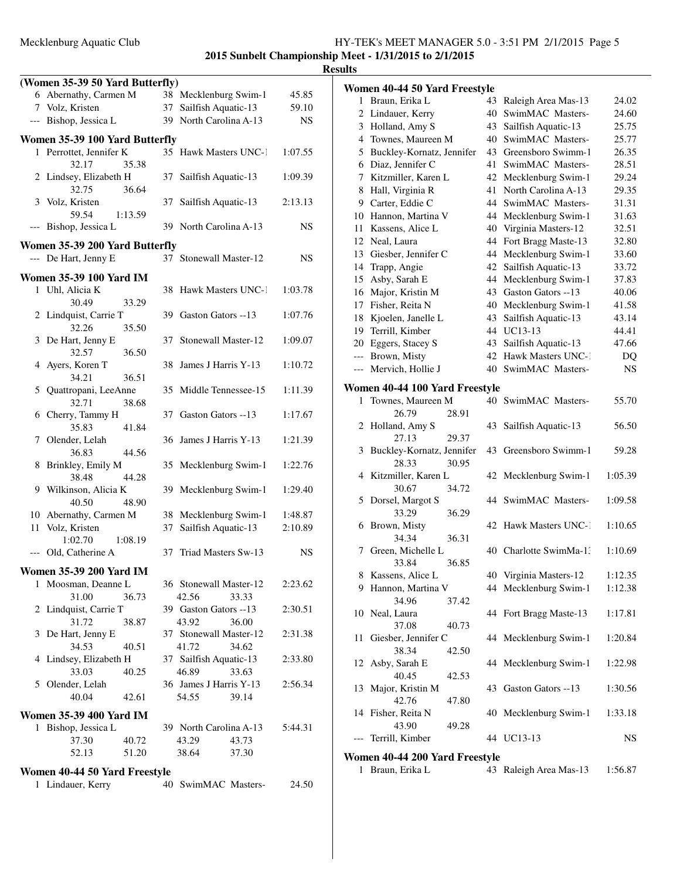|       |                                 |               |                        |       | - 1     |
|-------|---------------------------------|---------------|------------------------|-------|---------|
|       | (Women 35-39 50 Yard Butterfly) |               |                        |       |         |
|       | 6 Abernathy, Carmen M           |               | 38 Mecklenburg Swim-1  |       | 45.85   |
|       | 7 Volz, Kristen                 |               | 37 Sailfish Aquatic-13 |       | 59.10   |
|       | --- Bishop, Jessica L           |               | 39 North Carolina A-13 |       | NS      |
|       | Women 35-39 100 Yard Butterfly  |               |                        |       |         |
| 1     | Perrottet, Jennifer K           |               | 35 Hawk Masters UNC-1  |       | 1:07.55 |
|       | 32.17                           | 35.38         |                        |       |         |
|       | 2 Lindsey, Elizabeth H<br>32.75 | 37<br>36.64   | Sailfish Aquatic-13    |       | 1:09.39 |
| 3     | Volz, Kristen<br>59.54          | 37<br>1:13.59 | Sailfish Aquatic-13    |       | 2:13.13 |
| $---$ | Bishop, Jessica L               |               | 39 North Carolina A-13 |       | NS      |
|       | Women 35-39 200 Yard Butterfly  |               |                        |       |         |
|       | --- De Hart, Jenny E            |               | 37 Stonewall Master-12 |       | NS      |
|       |                                 |               |                        |       |         |
|       | <b>Women 35-39 100 Yard IM</b>  |               |                        |       |         |
|       | 1 Uhl, Alicia K<br>30.49        | 33.29         | 38 Hawk Masters UNC-1  |       | 1:03.78 |
|       | 2 Lindquist, Carrie T<br>32.26  | 35.50         | 39 Gaston Gators --13  |       | 1:07.76 |
| 3     | De Hart, Jenny E                | 37            | Stonewall Master-12    |       | 1:09.07 |
| 4     | 32.57<br>Ayers, Koren T         | 36.50<br>38   | James J Harris Y-13    |       | 1:10.72 |
|       | 34.21                           | 36.51         |                        |       |         |
| 5     | Quattropani, LeeAnne<br>32.71   | 35<br>38.68   | Middle Tennessee-15    |       | 1:11.39 |
| 6     | Cherry, Tammy H<br>35.83        | 37<br>41.84   | Gaston Gators --13     |       | 1:17.67 |
|       | 7 Olender, Lelah                | 36            | James J Harris Y-13    |       | 1:21.39 |
| 8     | 36.83<br>Brinkley, Emily M      | 44.56         | 35 Mecklenburg Swim-1  |       | 1:22.76 |
|       | 38.48                           | 44.28         |                        |       |         |
| 9     | Wilkinson, Alicia K<br>40.50    | 48.90         | 39 Mecklenburg Swim-1  |       | 1:29.40 |
|       | 10 Abernathy, Carmen M          |               | 38 Mecklenburg Swim-1  |       | 1:48.87 |
| 11    | Volz, Kristen                   | 37            | Sailfish Aquatic-13    |       | 2:10.89 |
|       | 1:02.70                         | 1:08.19       |                        |       |         |
|       | Old, Catherine A                | 37            | Triad Masters Sw-13    |       | NS      |
|       | <b>Women 35-39 200 Yard IM</b>  |               |                        |       |         |
| 1     | Moosman, Deanne L               |               | 36 Stonewall Master-12 |       | 2:23.62 |
|       | 31.00                           | 36.73         | 42.56                  | 33.33 |         |
|       | 2 Lindquist, Carrie T           |               | 39 Gaston Gators --13  |       | 2:30.51 |
|       | 31.72                           | 38.87         | 43.92                  | 36.00 |         |
| 3     | De Hart, Jenny E                |               | 37 Stonewall Master-12 |       | 2:31.38 |
|       | 34.53                           | 40.51         | 41.72                  | 34.62 |         |
| 4     | Lindsey, Elizabeth H            |               | 37 Sailfish Aquatic-13 |       | 2:33.80 |
|       | 33.03                           | 40.25         | 46.89                  | 33.63 |         |
|       | 5 Olender, Lelah                |               | 36 James J Harris Y-13 |       | 2:56.34 |
|       | 40.04                           | 42.61         | 54.55                  | 39.14 |         |
|       | <b>Women 35-39 400 Yard IM</b>  |               |                        |       |         |
|       | 1 Bishop, Jessica L             |               | 39 North Carolina A-13 |       | 5:44.31 |
|       | 37.30                           | 40.72         | 43.29                  | 43.73 |         |
|       | 52.13                           | 51.20         | 38.64                  | 37.30 |         |
|       |                                 |               |                        |       |         |
|       | Women 40-44 50 Yard Freestyle   |               |                        |       |         |
| 1     | Lindauer, Kerry                 | 40            | SwimMAC Masters-       |       | 24.50   |

|     | Women 40-44 50 Yard Freestyle               |    |                        |           |
|-----|---------------------------------------------|----|------------------------|-----------|
| 1   | Braun, Erika L                              | 43 | Raleigh Area Mas-13    | 24.02     |
|     | 2 Lindauer, Kerry                           | 40 | SwimMAC Masters-       | 24.60     |
|     | 3 Holland, Amy S                            | 43 | Sailfish Aquatic-13    | 25.75     |
|     | 4 Townes, Maureen M                         | 40 | SwimMAC Masters-       | 25.77     |
|     | 5 Buckley-Kornatz, Jennifer                 |    | 43 Greensboro Swimm-1  | 26.35     |
|     | 6 Diaz, Jennifer C                          | 41 | SwimMAC Masters-       | 28.51     |
|     | 7 Kitzmiller, Karen L                       | 42 | Mecklenburg Swim-1     | 29.24     |
| 8   | Hall, Virginia R                            | 41 | North Carolina A-13    | 29.35     |
| 9.  | Carter, Eddie C                             | 44 | SwimMAC Masters-       | 31.31     |
|     | 10 Hannon, Martina V                        | 44 | Mecklenburg Swim-1     | 31.63     |
| 11  | Kassens, Alice L                            | 40 | Virginia Masters-12    | 32.51     |
| 12  | Neal, Laura                                 | 44 | Fort Bragg Maste-13    | 32.80     |
| 13  | Giesber, Jennifer C                         | 44 | Mecklenburg Swim-1     | 33.60     |
|     | 14 Trapp, Angie                             | 42 | Sailfish Aquatic-13    | 33.72     |
| 15  | Asby, Sarah E                               | 44 | Mecklenburg Swim-1     | 37.83     |
| 16  | Major, Kristin M                            | 43 | Gaston Gators --13     | 40.06     |
|     | 17 Fisher, Reita N                          |    | 40 Mecklenburg Swim-1  | 41.58     |
| 18  | Kjoelen, Janelle L                          |    | 43 Sailfish Aquatic-13 | 43.14     |
|     | 19 Terrill, Kimber                          |    | 44 UC13-13             | 44.41     |
|     | 20 Eggers, Stacey S                         |    | 43 Sailfish Aquatic-13 | 47.66     |
|     | --- Brown, Misty                            |    | 42 Hawk Masters UNC-1  | DQ        |
|     | --- Mervich, Hollie J                       |    | 40 SwimMAC Masters-    | <b>NS</b> |
|     | Women 40-44 100 Yard Freestyle              |    |                        |           |
| 1   | Townes, Maureen M<br>26.79<br>28.91         |    | 40 SwimMAC Masters-    | 55.70     |
| 2   | Holland, Amy S<br>27.13<br>29.37            | 43 | Sailfish Aquatic-13    | 56.50     |
| 3   | Buckley-Kornatz, Jennifer<br>28.33<br>30.95 |    | 43 Greensboro Swimm-1  | 59.28     |
| 4   | Kitzmiller, Karen L<br>30.67<br>34.72       | 42 | Mecklenburg Swim-1     | 1:05.39   |
|     | 5 Dorsel, Margot S<br>33.29<br>36.29        |    | 44 SwimMAC Masters-    | 1:09.58   |
| 6   | Brown, Misty<br>34.34<br>36.31              |    | 42 Hawk Masters UNC-1  | 1:10.65   |
| 7   | Green, Michelle L<br>33.84<br>36.85         |    | 40 Charlotte SwimMa-1. | 1:10.69   |
| 8.  | Kassens, Alice L                            |    | 40 Virginia Masters-12 | 1:12.35   |
|     | 9 Hannon, Martina V                         |    | 44 Mecklenburg Swim-1  | 1:12.38   |
|     | 34.96<br>37.42                              |    |                        |           |
| 10  | Neal, Laura<br>37.08<br>40.73               |    | 44 Fort Bragg Maste-13 | 1:17.81   |
| 11  | Giesber, Jennifer C<br>38.34<br>42.50       |    | 44 Mecklenburg Swim-1  | 1:20.84   |
| 12  | Asby, Sarah E                               |    | 44 Mecklenburg Swim-1  | 1:22.98   |
|     | 40.45<br>42.53                              |    |                        |           |
| 13  | Major, Kristin M<br>42.76                   |    | 43 Gaston Gators --13  | 1:30.56   |
|     | 47.80<br>14 Fisher, Reita N                 |    | 40 Mecklenburg Swim-1  | 1:33.18   |
|     | 43.90<br>49.28                              |    |                        |           |
| --- | Terrill, Kimber                             |    | 44 UC13-13             | NS        |
|     | Women 40-44 200 Yard Freestyle              |    |                        |           |
| 1   | Braun, Erika L                              |    | 43 Raleigh Area Mas-13 | 1:56.87   |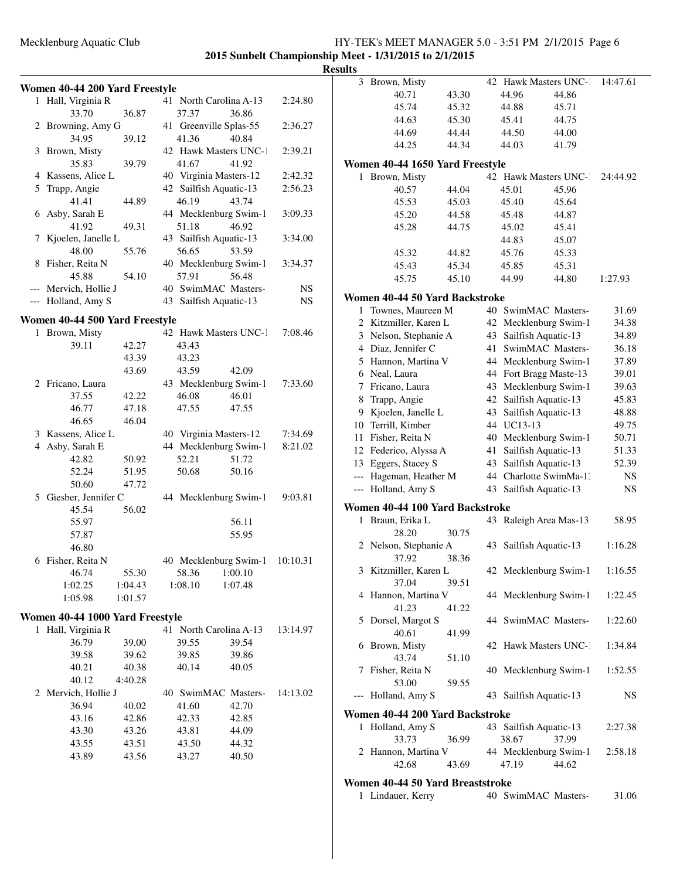### Mecklenburg Aquatic Club HY-TEK's MEET MANAGER 5.0 - 3:51 PM 2/1/2015 Page 6 **2015 Sunbelt Championship Meet - 1/31/2015 to 2/1/2015**

|   |                                 |         |                        |                                |           | <b>Results</b>           |
|---|---------------------------------|---------|------------------------|--------------------------------|-----------|--------------------------|
|   | Women 40-44 200 Yard Freestyle  |         |                        |                                |           |                          |
|   | 1 Hall, Virginia R              |         |                        | 41 North Carolina A-13         | 2:24.80   |                          |
|   | 33.70                           | 36.87   | 37.37                  | 36.86                          |           |                          |
|   | 2 Browning, Amy G               |         | 41 Greenville Splas-55 |                                | 2:36.27   |                          |
|   | 34.95                           | 39.12   | 41.36                  | 40.84                          |           |                          |
|   | 3 Brown, Misty                  |         |                        | 42 Hawk Masters UNC-1          | 2:39.21   |                          |
|   | 35.83                           | 39.79   | 41.67                  | 41.92                          |           | Wo                       |
|   | 4 Kassens, Alice L              |         | 40 Virginia Masters-12 |                                | 2:42.32   |                          |
|   | 5 Trapp, Angie                  |         | 42 Sailfish Aquatic-13 |                                | 2:56.23   |                          |
|   | 41.41                           | 44.89   | 46.19                  | 43.74                          |           |                          |
|   | 6 Asby, Sarah E                 |         |                        | 44 Mecklenburg Swim-1          | 3:09.33   |                          |
|   | 41.92                           | 49.31   | 51.18                  | 46.92                          |           |                          |
|   | 7 Kjoelen, Janelle L            |         | 43 Sailfish Aquatic-13 |                                | 3:34.00   |                          |
|   | 48.00                           | 55.76   | 56.65                  | 53.59                          |           |                          |
|   | 8 Fisher, Reita N               |         |                        | 40 Mecklenburg Swim-1          | 3:34.37   |                          |
|   | 45.88                           | 54.10   | 57.91                  | 56.48                          |           |                          |
|   | --- Mervich, Hollie J           |         |                        | 40 SwimMAC Masters-            | <b>NS</b> |                          |
|   | --- Holland, Amy S              |         | 43 Sailfish Aquatic-13 |                                | NS        | Wo                       |
|   |                                 |         |                        |                                |           |                          |
|   | Women 40-44 500 Yard Freestyle  |         |                        |                                |           |                          |
|   | 1 Brown, Misty                  |         |                        | 42 Hawk Masters UNC-1          | 7:08.46   |                          |
|   | 39.11                           | 42.27   | 43.43                  |                                |           |                          |
|   |                                 | 43.39   | 43.23                  |                                |           |                          |
|   |                                 | 43.69   | 43.59                  | 42.09                          |           |                          |
|   | 2 Fricano, Laura                |         |                        | 43 Mecklenburg Swim-1          | 7:33.60   |                          |
|   | 37.55                           | 42.22   | 46.08                  | 46.01                          |           |                          |
|   | 46.77                           | 47.18   | 47.55                  | 47.55                          |           |                          |
|   | 46.65                           | 46.04   |                        |                                |           | $\mathbf{1}$             |
|   | 3 Kassens, Alice L              |         | 40 Virginia Masters-12 |                                | 7:34.69   | $\mathbf{1}$             |
|   | 4 Asby, Sarah E                 |         |                        | 44 Mecklenburg Swim-1          | 8:21.02   | $\mathbf{1}$             |
|   | 42.82                           | 50.92   | 52.21                  | 51.72                          |           | 1                        |
|   | 52.24                           | 51.95   | 50.68                  | 50.16                          |           |                          |
|   | 50.60                           | 47.72   |                        |                                |           | $\overline{\phantom{a}}$ |
|   | 5 Giesber, Jennifer C           |         |                        | 44 Mecklenburg Swim-1          | 9:03.81   |                          |
|   | 45.54                           | 56.02   |                        |                                |           | Wo                       |
|   | 55.97                           |         |                        | 56.11                          |           |                          |
|   | 57.87                           |         |                        | 55.95                          |           |                          |
|   | 46.80                           |         |                        |                                |           |                          |
|   | 6 Fisher, Reita N               |         |                        | 40 Mecklenburg Swim-1 10:10.31 |           |                          |
|   | 46.74                           | 55.30   | 58.36                  | 1:00.10                        |           |                          |
|   | 1:02.25                         | 1:04.43 | 1:08.10                | 1:07.48                        |           |                          |
|   | 1:05.98                         | 1:01.57 |                        |                                |           |                          |
|   | Women 40-44 1000 Yard Freestyle |         |                        |                                |           |                          |
| 1 | Hall, Virginia R                |         | 41 North Carolina A-13 |                                | 13:14.97  |                          |
|   | 36.79                           | 39.00   | 39.55                  | 39.54                          |           |                          |
|   | 39.58                           | 39.62   | 39.85                  | 39.86                          |           |                          |
|   | 40.21                           | 40.38   | 40.14                  | 40.05                          |           |                          |

40.12 4:40.28

2 Mervich, Hollie J 40 SwimMAC Masters-14:13.02 36.94 40.02 41.60 42.70 43.16 42.86 42.33 42.85 43.30 43.26 43.81 44.09 43.55 43.51 43.50 44.32 43.89 43.56 43.27 40.50

| 3 Brown, Misty                               |       |          | 42 Hawk Masters UNC-1                      |       | 14:47.61       |
|----------------------------------------------|-------|----------|--------------------------------------------|-------|----------------|
| 40.71                                        | 43.30 |          | 44.96                                      | 44.86 |                |
| 45.74                                        | 45.32 |          | 44.88                                      | 45.71 |                |
| 44.63                                        | 45.30 |          | 45.41                                      | 44.75 |                |
| 44.69                                        | 44.44 |          | 44.50                                      | 44.00 |                |
| 44.25                                        | 44.34 |          | 44.03                                      | 41.79 |                |
| Women 40-44 1650 Yard Freestyle              |       |          |                                            |       |                |
| Brown, Misty<br>1                            |       |          | 42 Hawk Masters UNC-1                      |       | 24:44.92       |
| 40.57                                        | 44.04 |          | 45.01                                      | 45.96 |                |
| 45.53                                        | 45.03 |          | 45.40                                      | 45.64 |                |
| 45.20                                        | 44.58 |          | 45.48                                      | 44.87 |                |
| 45.28                                        | 44.75 |          | 45.02                                      | 45.41 |                |
|                                              |       |          | 44.83                                      | 45.07 |                |
| 45.32                                        | 44.82 |          | 45.76                                      | 45.33 |                |
| 45.43                                        | 45.34 |          | 45.85                                      | 45.31 |                |
| 45.75                                        | 45.10 |          | 44.99                                      | 44.80 | 1:27.93        |
|                                              |       |          |                                            |       |                |
| Women 40-44 50 Yard Backstroke               |       |          |                                            |       |                |
| Townes, Maureen M<br>1                       |       |          | 40 SwimMAC Masters-                        |       | 31.69          |
| 2 Kitzmiller, Karen L                        |       |          | 42 Mecklenburg Swim-1                      |       | 34.38          |
| 3 Nelson, Stephanie A                        |       | 43       | Sailfish Aquatic-13                        |       | 34.89          |
| 4 Diaz, Jennifer C                           |       | 41       | SwimMAC Masters-                           |       | 36.18          |
| 5 Hannon, Martina V                          |       |          | 44 Mecklenburg Swim-1                      |       | 37.89          |
| 6 Neal, Laura                                |       |          | 44 Fort Bragg Maste-13                     |       | 39.01          |
| 7 Fricano, Laura                             |       |          | 43 Mecklenburg Swim-1                      |       | 39.63          |
| 8 Trapp, Angie                               |       | 42       | Sailfish Aquatic-13                        |       | 45.83          |
| 9 Kjoelen, Janelle L                         |       | 43       | Sailfish Aquatic-13                        |       | 48.88          |
| 10 Terrill, Kimber                           |       |          | 44 UC13-13                                 |       | 49.75          |
| 11 Fisher, Reita N                           |       | 40       | Mecklenburg Swim-1                         |       | 50.71          |
| 12 Federico, Alyssa A<br>13 Eggers, Stacey S |       | 41<br>43 | Sailfish Aquatic-13<br>Sailfish Aquatic-13 |       | 51.33<br>52.39 |
| --- Hageman, Heather M                       |       |          | 44 Charlotte SwimMa-1:                     |       | NS.            |
| Holland, Amy S<br>$---$                      |       | 43       | Sailfish Aquatic-13                        |       | <b>NS</b>      |
|                                              |       |          |                                            |       |                |
| Women 40-44 100 Yard Backstroke              |       |          |                                            |       |                |
| 1 Braun, Erika L                             |       |          | 43 Raleigh Area Mas-13                     |       | 58.95          |
| 28.20                                        | 30.75 |          |                                            |       |                |
| 2 Nelson, Stephanie A                        |       | 43       | Sailfish Aquatic-13                        |       | 1:16.28        |
| 37.92                                        | 38.36 |          |                                            |       |                |
| Kitzmiller, Karen L<br>3                     |       |          | 42 Mecklenburg Swim-1                      |       | 1:16.55        |
| 37.04<br>4 Hannon, Martina V                 | 39.51 |          |                                            |       | 1:22.45        |
| 41.23                                        | 41.22 |          | 44 Mecklenburg Swim-1                      |       |                |
| 5 Dorsel, Margot S                           |       |          | 44 SwimMAC Masters-                        |       | 1:22.60        |
| 40.61                                        | 41.99 |          |                                            |       |                |
| 6 Brown, Misty                               |       |          | 42 Hawk Masters UNC-1                      |       | 1:34.84        |
| 43.74                                        | 51.10 |          |                                            |       |                |
| 7 Fisher, Reita N                            |       |          | 40 Mecklenburg Swim-1                      |       | 1:52.55        |
| 53.00                                        | 59.55 |          |                                            |       |                |
| --- Holland, Amy S                           |       |          | 43 Sailfish Aquatic-13                     |       | NS             |
| Women 40-44 200 Yard Backstroke              |       |          |                                            |       |                |
| 1 Holland, Amy S                             |       |          | 43 Sailfish Aquatic-13                     |       | 2:27.38        |
| 33.73                                        | 36.99 |          | 38.67                                      | 37.99 |                |
| 2 Hannon, Martina V                          |       |          | 44 Mecklenburg Swim-1                      |       | 2:58.18        |
| 42.68                                        | 43.69 |          | 47.19                                      | 44.62 |                |
|                                              |       |          |                                            |       |                |
| Women 40-44 50 Yard Breaststroke             |       |          |                                            |       |                |
| 1 Lindauer, Kerry                            |       |          | 40 SwimMAC Masters-                        |       | 31.06          |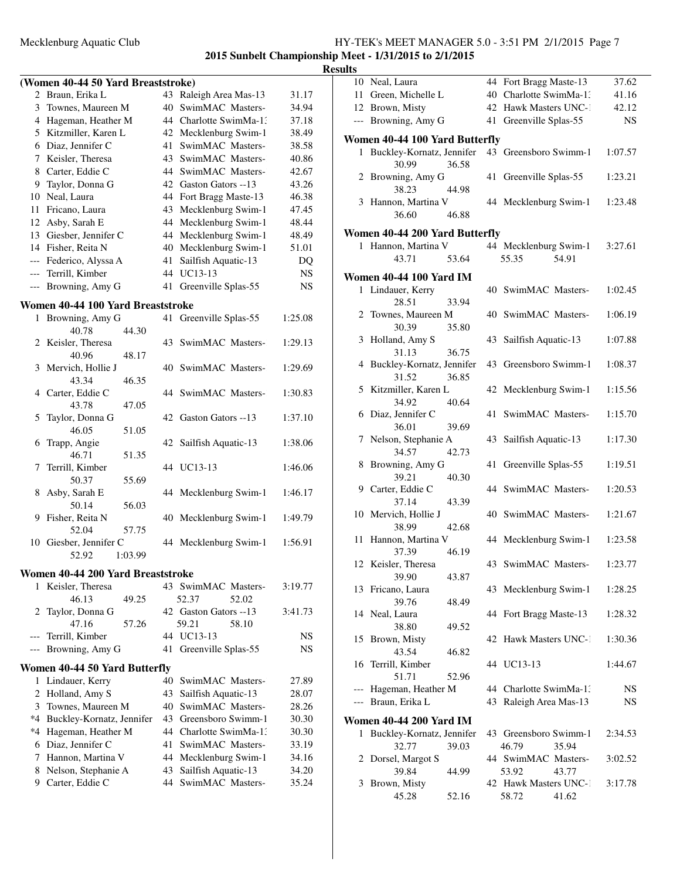### **2015 Sunbelt Championship Meet - 1/31/2015 to 2/1/2015 Results**

### **(Women 40-44 50 Yard Breaststroke)**

|     | wollieli 40-44 50 Taru dreasistroke) |    |                        |           |
|-----|--------------------------------------|----|------------------------|-----------|
|     | 2 Braun, Erika L                     |    | 43 Raleigh Area Mas-13 | 31.17     |
| 3   | Townes, Maureen M                    | 40 | SwimMAC Masters-       | 34.94     |
| 4   | Hageman, Heather M                   |    | 44 Charlotte SwimMa-1. | 37.18     |
| 5.  | Kitzmiller, Karen L                  |    | 42 Mecklenburg Swim-1  | 38.49     |
| 6   | Diaz, Jennifer C                     | 41 | SwimMAC Masters-       | 38.58     |
|     | 7 Keisler, Theresa                   |    | 43 SwimMAC Masters-    | 40.86     |
| 8   | Carter, Eddie C                      |    | 44 SwimMAC Masters-    | 42.67     |
| 9   | Taylor, Donna G                      |    | 42 Gaston Gators --13  | 43.26     |
| 10. | Neal, Laura                          |    | 44 Fort Bragg Maste-13 | 46.38     |
| 11  | Fricano, Laura                       |    | 43 Mecklenburg Swim-1  | 47.45     |
|     | 12 Asby, Sarah E                     |    | 44 Mecklenburg Swim-1  | 48.44     |
|     | 13 Giesber, Jennifer C               |    | 44 Mecklenburg Swim-1  | 48.49     |
|     | 14 Fisher, Reita N                   |    | 40 Mecklenburg Swim-1  | 51.01     |
|     | --- Federico, Alyssa A               | 41 | Sailfish Aquatic-13    | DQ        |
|     | --- Terrill, Kimber                  | 44 | UC13-13                | <b>NS</b> |
|     | --- Browning, Amy G                  |    | 41 Greenville Splas-55 | <b>NS</b> |

#### **Women 40-44 100 Yard Breaststroke**

| $\mathbf{1}$   | Browning, Amy G                   |    | 41 Greenville Splas-55 | 1:25.08   |
|----------------|-----------------------------------|----|------------------------|-----------|
|                | 40.78<br>44.30                    |    |                        |           |
| $\overline{c}$ | Keisler, Theresa                  | 43 | SwimMAC Masters-       | 1:29.13   |
|                | 40.96<br>48.17                    |    |                        |           |
| 3              | Mervich, Hollie J                 |    | 40 SwimMAC Masters-    | 1:29.69   |
|                | 43.34<br>46.35                    |    |                        |           |
| 4              | Carter, Eddie C                   |    | 44 SwimMAC Masters-    | 1:30.83   |
|                | 43.78<br>47.05                    |    |                        |           |
| 5              | Taylor, Donna G                   |    | 42 Gaston Gators --13  | 1:37.10   |
|                | 46.05<br>51.05                    |    |                        |           |
| 6              | Trapp, Angie                      | 42 | Sailfish Aquatic-13    | 1:38.06   |
|                | 46.71<br>51.35                    |    |                        |           |
| 7              | Terrill, Kimber                   |    | 44 UC13-13             | 1:46.06   |
| 8              | 50.37<br>55.69                    |    |                        |           |
|                | Asby, Sarah E<br>50.14<br>56.03   |    | 44 Mecklenburg Swim-1  | 1:46.17   |
| 9              | Fisher, Reita N                   | 40 | Mecklenburg Swim-1     | 1:49.79   |
|                | 52.04<br>57.75                    |    |                        |           |
|                | 10 Giesber, Jennifer C            |    | 44 Mecklenburg Swim-1  | 1:56.91   |
|                | 52.92<br>1:03.99                  |    |                        |           |
|                |                                   |    |                        |           |
|                | Women 40-44 200 Yard Breaststroke |    |                        |           |
| $\mathbf{1}$   | Keisler, Theresa                  |    | 43 SwimMAC Masters-    | 3:19.77   |
|                | 46.13<br>49.25                    |    | 52.37<br>52.02         |           |
| 2              | Taylor, Donna G                   |    | 42 Gaston Gators --13  | 3:41.73   |
|                | 47.16<br>57.26                    |    | 59.21<br>58.10         |           |
| $---$          | Terrill, Kimber                   |    | 44 UC13-13             | NS        |
| $---$          | Browning, Amy G                   | 41 | Greenville Splas-55    | <b>NS</b> |
|                | Women 40-44 50 Yard Butterfly     |    |                        |           |
| $\mathbf{1}$   | Lindauer, Kerry                   | 40 | SwimMAC Masters-       | 27.89     |
| $\overline{2}$ | Holland, Amy S                    | 43 | Sailfish Aquatic-13    | 28.07     |
| 3              | Townes, Maureen M                 |    | 40 SwimMAC Masters-    | 28.26     |
| $*4$           | Buckley-Kornatz, Jennifer         |    | 43 Greensboro Swimm-1  | 30.30     |
|                | *4 Hageman, Heather M             |    | 44 Charlotte SwimMa-1: | 30.30     |
| 6              | Diaz, Jennifer C                  | 41 | SwimMAC Masters-       | 33.19     |
|                | 7 Hannon, Martina V               |    | 44 Mecklenburg Swim-1  | 34.16     |
|                | $0.311 - 0.11$                    |    | $10.01011 + 11.01$     | 2.422     |

8 Nelson, Stephanie A 43 Sailfish Aquatic-13 34.20 9 Carter, Eddie C 44 SwimMAC Masters-135.24

| ults |                                               |    |                                                  |           |
|------|-----------------------------------------------|----|--------------------------------------------------|-----------|
|      | 10 Neal, Laura                                |    | 44 Fort Bragg Maste-13                           | 37.62     |
|      | 11 Green, Michelle L                          |    | 40 Charlotte SwimMa-1:                           | 41.16     |
|      | 12 Brown, Misty                               |    | 42 Hawk Masters UNC-1                            | 42.12     |
|      | --- Browning, Amy G                           | 41 | Greenville Splas-55                              | <b>NS</b> |
|      | Women 40-44 100 Yard Butterfly                |    |                                                  |           |
|      | 1 Buckley-Kornatz, Jennifer<br>30.99<br>36.58 |    | 43 Greensboro Swimm-1                            | 1:07.57   |
|      | 2 Browning, Amy G<br>38.23<br>44.98           |    | 41 Greenville Splas-55                           | 1:23.21   |
|      | 3 Hannon, Martina V<br>36.60<br>46.88         |    | 44 Mecklenburg Swim-1                            | 1:23.48   |
|      | Women 40-44 200 Yard Butterfly                |    |                                                  |           |
|      | 1 Hannon, Martina V                           |    | 44 Mecklenburg Swim-1                            | 3:27.61   |
|      | 43.71<br>53.64                                |    | 55.35<br>54.91                                   |           |
|      | <b>Women 40-44 100 Yard IM</b>                |    |                                                  |           |
|      | 1 Lindauer, Kerry<br>28.51<br>33.94           |    | 40 SwimMAC Masters-                              | 1:02.45   |
|      | 2 Townes, Maureen M<br>30.39<br>35.80         |    | 40 SwimMAC Masters-                              | 1:06.19   |
|      | 3 Holland, Amy S<br>31.13<br>36.75            |    | 43 Sailfish Aquatic-13                           | 1:07.88   |
|      | 4 Buckley-Kornatz, Jennifer<br>31.52<br>36.85 |    | 43 Greensboro Swimm-1                            | 1:08.37   |
|      | 5 Kitzmiller, Karen L                         |    | 42 Mecklenburg Swim-1                            | 1:15.56   |
|      | 34.92<br>40.64<br>6 Diaz, Jennifer C          | 41 | SwimMAC Masters-                                 | 1:15.70   |
|      | 36.01<br>39.69<br>7 Nelson, Stephanie A       |    | 43 Sailfish Aquatic-13                           | 1:17.30   |
|      | 34.57<br>42.73<br>8 Browning, Amy G           | 41 | Greenville Splas-55                              | 1:19.51   |
|      | 39.21<br>40.30<br>9 Carter, Eddie C           |    | 44 SwimMAC Masters-                              | 1:20.53   |
|      | 37.14<br>43.39<br>10 Mervich, Hollie J        |    | 40 SwimMAC Masters-                              | 1:21.67   |
|      | 38.99<br>42.68<br>11 Hannon, Martina V        |    | 44 Mecklenburg Swim-1                            | 1:23.58   |
|      | 37.39<br>46.19                                |    |                                                  |           |
|      | 12 Keisler, Theresa<br>39.90<br>43.87         |    | 43 SwimMAC Masters-                              | 1:23.77   |
|      | 13 Fricano, Laura<br>39.76<br>48.49           |    | 43 Mecklenburg Swim-1                            | 1:28.25   |
|      | 14 Neal, Laura<br>38.80                       |    | 44 Fort Bragg Maste-13                           | 1:28.32   |
| 15   | 49.52<br>Brown, Misty                         |    | 42 Hawk Masters UNC-1                            | 1:30.36   |
| 16   | 43.54<br>46.82<br>Terrill, Kimber             |    | 44 UC13-13                                       | 1:44.67   |
|      | 51.71<br>52.96                                |    |                                                  |           |
|      | Hageman, Heather M<br>--- Braun, Erika L      |    | 44 Charlotte SwimMa-1.<br>43 Raleigh Area Mas-13 | NS<br>NS. |
|      | <b>Women 40-44 200 Yard IM</b>                |    |                                                  |           |
| 1    | Buckley-Kornatz, Jennifer<br>32.77<br>39.03   |    | 43 Greensboro Swimm-1<br>46.79<br>35.94          | 2:34.53   |
|      | 2 Dorsel, Margot S<br>39.84<br>44.99          |    | 44 SwimMAC Masters-<br>53.92<br>43.77            | 3:02.52   |
| 3    | Brown, Misty<br>45.28<br>52.16                |    | 42 Hawk Masters UNC-1<br>58.72<br>41.62          | 3:17.78   |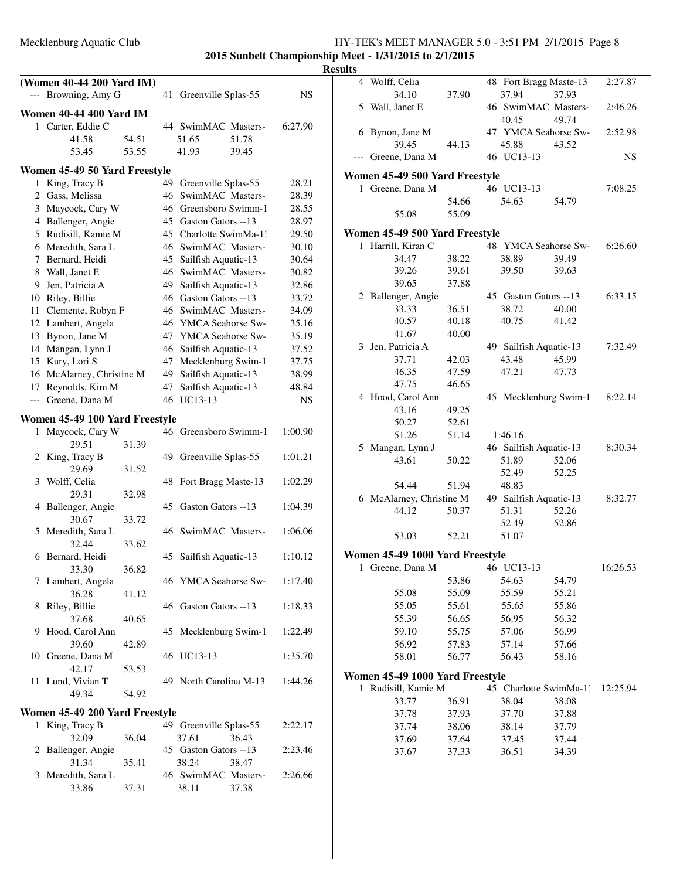### Mecklenburg Aquatic Club HY-TEK's MEET MANAGER 5.0 - 3:51 PM 2/1/2015 Page 8 **2015 Sunbelt Championship Meet - 1/31/2015 to 2/1/2015**

|              | (Women 40-44 200 Yard IM)<br>--- Browning, Amy G             |       |    | 41 Greenville Splas-55                          | NS             | 4 Wo             |
|--------------|--------------------------------------------------------------|-------|----|-------------------------------------------------|----------------|------------------|
|              |                                                              |       |    |                                                 |                | $5 W_8$          |
|              | <b>Women 40-44 400 Yard IM</b><br>1 Carter, Eddie C<br>41.58 | 54.51 |    | 44 SwimMAC Masters-<br>51.65<br>51.78           | 6:27.90        | $6$ By           |
|              | 53.45                                                        | 53.55 |    | 41.93<br>39.45                                  |                | --- Gro          |
|              | Women 45-49 50 Yard Freestyle                                |       |    |                                                 |                |                  |
|              | 1 King, Tracy B                                              |       |    | 49 Greenville Splas-55                          | 28.21          | Women<br>$1$ Gro |
|              | 2 Gass, Melissa                                              |       |    | 46 SwimMAC Masters-                             | 28.39          |                  |
|              | 3 Maycock, Cary W                                            |       |    | 46 Greensboro Swimm-1                           | 28.55          |                  |
|              | 4 Ballenger, Angie                                           |       |    | 45 Gaston Gators --13                           | 28.97          |                  |
|              | 5 Rudisill, Kamie M                                          |       |    | 45 Charlotte SwimMa-13                          | 29.50          | Women            |
|              | 6 Meredith, Sara L                                           |       |    | 46 SwimMAC Masters-                             | 30.10          | 1 Ha             |
|              | 7 Bernard, Heidi                                             |       |    | 45 Sailfish Aquatic-13                          | 30.64          |                  |
|              | 8 Wall, Janet E                                              |       |    | 46 SwimMAC Masters-                             | 30.82          |                  |
|              | 9 Jen, Patricia A<br>10 Riley, Billie                        |       |    | 49 Sailfish Aquatic-13<br>46 Gaston Gators --13 | 32.86<br>33.72 | 2 Ba             |
|              | 11 Clemente, Robyn F                                         |       |    | 46 SwimMAC Masters-                             | 34.09          |                  |
|              | 12 Lambert, Angela                                           |       |    | 46 YMCA Seahorse Sw-                            | 35.16          |                  |
|              | 13 Bynon, Jane M                                             |       |    | 47 YMCA Seahorse Sw-                            | 35.19          |                  |
|              | 14 Mangan, Lynn J                                            |       |    | 46 Sailfish Aquatic-13                          | 37.52          | 3 Jer            |
|              | 15 Kury, Lori S                                              |       |    | 47 Mecklenburg Swim-1                           | 37.75          |                  |
|              | 16 McAlarney, Christine M                                    |       |    | 49 Sailfish Aquatic-13                          | 38.99          |                  |
|              | 17 Reynolds, Kim M                                           |       |    | 47 Sailfish Aquatic-13                          | 48.84          |                  |
|              | --- Greene, Dana M                                           |       |    | 46 UC13-13                                      | NS             | 4 Ho             |
|              | Women 45-49 100 Yard Freestyle                               |       |    |                                                 |                |                  |
| $\mathbf{1}$ | Maycock, Cary W                                              |       |    | 46 Greensboro Swimm-1                           | 1:00.90        |                  |
|              | 29.51                                                        | 31.39 |    |                                                 |                | $5 \text{M}$     |
|              | 2 King, Tracy B                                              |       |    | 49 Greenville Splas-55                          | 1:01.21        |                  |
|              | 29.69                                                        | 31.52 |    |                                                 |                |                  |
|              | 3 Wolff, Celia                                               |       |    | 48 Fort Bragg Maste-13                          | 1:02.29        |                  |
|              | 29.31                                                        | 32.98 |    |                                                 |                | 6 M              |
|              | 4 Ballenger, Angie<br>30.67                                  |       |    | 45 Gaston Gators --13                           | 1:04.39        |                  |
|              | 5 Meredith, Sara L                                           | 33.72 |    | 46 SwimMAC Masters-                             | 1:06.06        |                  |
|              | 32.44                                                        | 33.62 |    |                                                 |                |                  |
|              | 6 Bernard, Heidi                                             |       | 45 | Sailfish Aquatic-13                             | 1:10.12        | Women            |
|              | 33.30                                                        | 36.82 |    |                                                 |                | $1$ Gro          |
|              | 7 Lambert, Angela                                            |       |    | 46 YMCA Seahorse Sw-                            | 1:17.40        |                  |
|              | 36.28                                                        | 41.12 |    |                                                 |                |                  |
| 8            | Riley, Billie                                                |       |    | 46 Gaston Gators --13                           | 1:18.33        |                  |
|              | 37.68                                                        | 40.65 |    |                                                 |                |                  |
|              | 9 Hood, Carol Ann                                            |       |    | 45 Mecklenburg Swim-1                           | 1:22.49        |                  |
|              | 39.60<br>10 Greene, Dana M                                   | 42.89 |    | 46 UC13-13                                      | 1:35.70        |                  |
|              | 42.17                                                        | 53.53 |    |                                                 |                |                  |
|              | 11 Lund, Vivian T                                            |       |    | 49 North Carolina M-13                          | 1:44.26        | Women            |
|              | 49.34                                                        | 54.92 |    |                                                 |                | 1 Ru             |
|              | Women 45-49 200 Yard Freestyle                               |       |    |                                                 |                |                  |
|              | 1 King, Tracy B                                              |       |    | 49 Greenville Splas-55                          | 2:22.17        |                  |
|              | 32.09                                                        | 36.04 |    | 37.61<br>36.43                                  |                |                  |
|              | 2 Ballenger, Angie                                           |       |    | 45 Gaston Gators --13                           | 2:23.46        |                  |
|              | 31.34                                                        | 35.41 |    | 38.24<br>38.47                                  |                |                  |
|              | 3 Meredith, Sara L                                           |       |    | 46 SwimMAC Masters-                             | 2:26.66        |                  |
|              | 33.86                                                        | 37.31 |    | 38.11<br>37.38                                  |                |                  |
|              |                                                              |       |    |                                                 |                |                  |

|   | 4 Wolff, Celia                    |                | 48 Fort Bragg Maste-13          |       | 2:27.87   |
|---|-----------------------------------|----------------|---------------------------------|-------|-----------|
|   | 34.10                             | 37.90          | 37.94                           | 37.93 |           |
|   | 5 Wall, Janet E                   |                | 46 SwimMAC Masters-<br>40.45    | 49.74 | 2:46.26   |
|   | 6 Bynon, Jane M                   |                | 47 YMCA Seahorse Sw-            |       | 2:52.98   |
|   | 39.45                             | 44.13          | 45.88                           | 43.52 |           |
|   | --- Greene, Dana M                |                | 46 UC13-13                      |       | <b>NS</b> |
|   |                                   |                |                                 |       |           |
|   | Women 45-49 500 Yard Freestyle    |                | 46 UC13-13                      |       |           |
|   | 1 Greene, Dana M                  |                |                                 |       | 7:08.25   |
|   |                                   | 54.66<br>55.09 | 54.63                           | 54.79 |           |
|   | 55.08                             |                |                                 |       |           |
|   | Women 45-49 500 Yard Freestyle    |                |                                 |       |           |
| 1 | Harrill, Kiran C                  |                | 48 YMCA Seahorse Sw-            |       | 6:26.60   |
|   | 34.47                             | 38.22          | 38.89                           | 39.49 |           |
|   | 39.26                             | 39.61          | 39.50                           | 39.63 |           |
|   | 39.65                             | 37.88          |                                 |       |           |
|   | 2 Ballenger, Angie                |                | 45 Gaston Gators --13           |       | 6:33.15   |
|   | 33.33                             | 36.51          | 38.72                           | 40.00 |           |
|   | 40.57                             | 40.18          | 40.75                           | 41.42 |           |
|   | 41.67                             | 40.00          |                                 |       |           |
|   | 3 Jen, Patricia A                 |                | 49 Sailfish Aquatic-13          |       | 7:32.49   |
|   | 37.71                             | 42.03          | 43.48                           | 45.99 |           |
|   | 46.35                             | 47.59          | 47.21                           | 47.73 |           |
|   | 47.75                             | 46.65          |                                 |       |           |
|   | 4 Hood, Carol Ann                 |                | 45 Mecklenburg Swim-1           |       | 8:22.14   |
|   | 43.16                             | 49.25          |                                 |       |           |
|   | 50.27                             | 52.61          |                                 |       |           |
|   | 51.26                             | 51.14          | 1:46.16                         |       |           |
|   | 5 Mangan, Lynn J                  |                | 46 Sailfish Aquatic-13          |       | 8:30.34   |
|   | 43.61                             | 50.22          | 51.89                           | 52.06 |           |
|   |                                   |                | 52.49                           | 52.25 |           |
|   | 54.44<br>6 McAlarney, Christine M | 51.94          | 48.83<br>49 Sailfish Aquatic-13 |       | 8:32.77   |
|   | 44.12                             | 50.37          | 51.31                           | 52.26 |           |
|   |                                   |                | 52.49                           | 52.86 |           |
|   | 53.03                             | 52.21          | 51.07                           |       |           |
|   |                                   |                |                                 |       |           |
|   | Women 45-49 1000 Yard Freestyle   |                |                                 |       |           |
|   | 1 Greene, Dana M                  |                | 46 UC13-13                      |       | 16:26.53  |
|   |                                   | 53.86          | 54.63                           | 54.79 |           |
|   | 55.08                             | 55.09          | 55.59                           | 55.21 |           |
|   | 55.05                             | 55.61          | 55.65                           | 55.86 |           |
|   | 55.39                             | 56.65          | 56.95                           | 56.32 |           |
|   | 59.10                             | 55.75          | 57.06                           | 56.99 |           |
|   | 56.92                             | 57.83          | 57.14                           | 57.66 |           |
|   | 58.01                             | 56.77          | 56.43                           | 58.16 |           |
|   | Women 45-49 1000 Yard Freestyle   |                |                                 |       |           |
| 1 | Rudisill, Kamie M                 |                | 45 Charlotte SwimMa-1:          |       | 12:25.94  |
|   | 33.77                             | 36.91          | 38.04                           | 38.08 |           |
|   | 37.78                             | 37.93          | 37.70                           | 37.88 |           |
|   | 37.74                             | 38.06          | 38.14                           | 37.79 |           |
|   | 37.69                             | 37.64          | 37.45                           | 37.44 |           |
|   | 37.67                             | 37.33          | 36.51                           | 34.39 |           |
|   |                                   |                |                                 |       |           |
|   |                                   |                |                                 |       |           |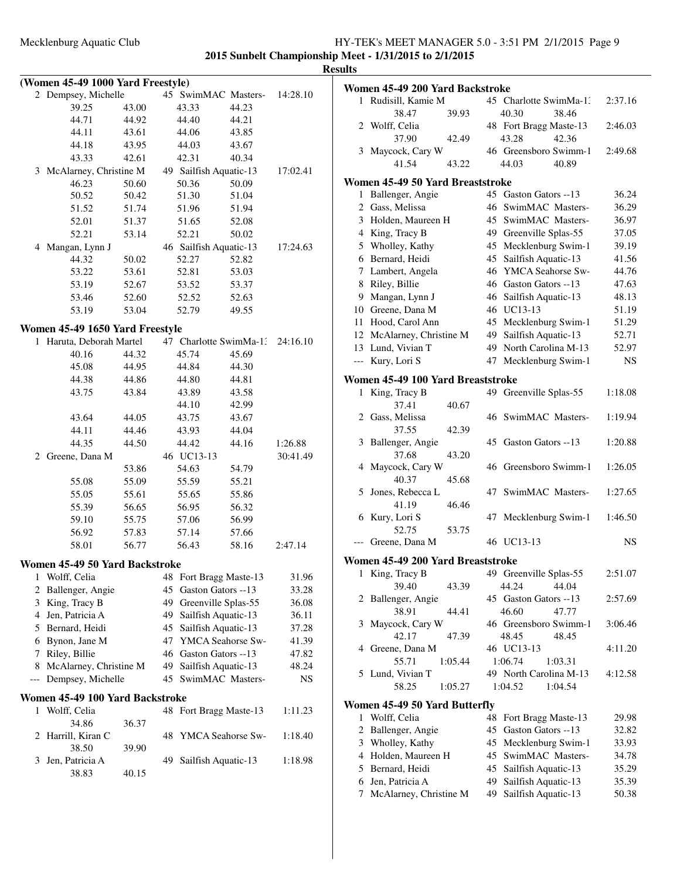|     | (Women 45-49 1000 Yard Freestyle) |       |    |                        |       |          |
|-----|-----------------------------------|-------|----|------------------------|-------|----------|
|     | 2 Dempsey, Michelle               |       |    | 45 SwimMAC Masters-    |       | 14:28.10 |
|     | 39.25                             | 43.00 |    | 43.33                  | 44.23 |          |
|     | 44.71                             | 44.92 |    | 44.40                  | 44.21 |          |
|     | 44.11                             | 43.61 |    | 44.06                  | 43.85 |          |
|     | 44.18                             | 43.95 |    | 44.03                  | 43.67 |          |
|     | 43.33                             | 42.61 |    | 42.31                  | 40.34 |          |
|     | 3 McAlarney, Christine M          |       |    | 49 Sailfish Aquatic-13 |       | 17:02.41 |
|     | 46.23                             | 50.60 |    | 50.36                  | 50.09 |          |
|     | 50.52                             | 50.42 |    | 51.30                  | 51.04 |          |
|     | 51.52                             | 51.74 |    | 51.96                  | 51.94 |          |
|     | 52.01                             | 51.37 |    | 51.65                  | 52.08 |          |
|     | 52.21                             | 53.14 |    | 52.21                  | 50.02 |          |
|     | 4 Mangan, Lynn J                  |       |    | 46 Sailfish Aquatic-13 |       | 17:24.63 |
|     | 44.32                             | 50.02 |    | 52.27                  | 52.82 |          |
|     | 53.22                             | 53.61 |    | 52.81                  | 53.03 |          |
|     | 53.19                             | 52.67 |    | 53.52                  | 53.37 |          |
|     | 53.46                             | 52.60 |    | 52.52                  | 52.63 |          |
|     | 53.19                             | 53.04 |    | 52.79                  | 49.55 |          |
|     | Women 45-49 1650 Yard Freestyle   |       |    |                        |       |          |
|     | 1 Haruta, Deborah Martel          |       |    | 47 Charlotte SwimMa-13 |       | 24:16.10 |
|     | 40.16                             | 44.32 |    | 45.74                  | 45.69 |          |
|     | 45.08                             | 44.95 |    | 44.84                  | 44.30 |          |
|     | 44.38                             | 44.86 |    | 44.80                  | 44.81 |          |
|     | 43.75                             | 43.84 |    | 43.89                  | 43.58 |          |
|     |                                   |       |    | 44.10                  | 42.99 |          |
|     | 43.64                             | 44.05 |    | 43.75                  | 43.67 |          |
|     | 44.11                             | 44.46 |    | 43.93                  | 44.04 |          |
|     | 44.35                             | 44.50 |    | 44.42                  | 44.16 | 1:26.88  |
|     | 2 Greene, Dana M                  |       |    | 46 UC13-13             |       | 30:41.49 |
|     |                                   | 53.86 |    | 54.63                  | 54.79 |          |
|     | 55.08                             | 55.09 |    | 55.59                  | 55.21 |          |
|     | 55.05                             | 55.61 |    | 55.65                  | 55.86 |          |
|     | 55.39                             | 56.65 |    | 56.95                  | 56.32 |          |
|     | 59.10                             | 55.75 |    | 57.06                  | 56.99 |          |
|     | 56.92                             | 57.83 |    | 57.14                  | 57.66 |          |
|     | 58.01                             | 56.77 |    | 56.43                  | 58.16 | 2:47.14  |
|     |                                   |       |    |                        |       |          |
|     | Women 45-49 50 Yard Backstroke    |       |    |                        |       |          |
| 1   | Wolff, Celia                      |       |    | 48 Fort Bragg Maste-13 |       | 31.96    |
| 2   | Ballenger, Angie                  |       | 45 | Gaston Gators --13     |       | 33.28    |
| 3   | King, Tracy B                     |       |    | 49 Greenville Splas-55 |       | 36.08    |
| 4   | Jen, Patricia A                   |       | 49 | Sailfish Aquatic-13    |       | 36.11    |
|     | 5 Bernard, Heidi                  |       |    | 45 Sailfish Aquatic-13 |       | 37.28    |
| 6   | Bynon, Jane M                     |       |    | 47 YMCA Seahorse Sw-   |       | 41.39    |
| 7   | Riley, Billie                     |       |    | 46 Gaston Gators --13  |       | 47.82    |
| 8   | McAlarney, Christine M            |       | 49 | Sailfish Aquatic-13    |       | 48.24    |
| --- | Dempsey, Michelle                 |       |    | 45 SwimMAC Masters-    |       | NS       |
|     | Women 45-49 100 Yard Backstroke   |       |    |                        |       |          |
| 1   | Wolff, Celia                      |       |    | 48 Fort Bragg Maste-13 |       | 1:11.23  |
|     | 34.86                             | 36.37 |    |                        |       |          |
| 2   | Harrill, Kiran C                  |       | 48 | YMCA Seahorse Sw-      |       | 1:18.40  |
|     | 38.50                             | 39.90 |    |                        |       |          |
| 3   | Jen, Patricia A                   |       | 49 | Sailfish Aquatic-13    |       | 1:18.98  |
|     | 38.83                             | 40.15 |    |                        |       |          |
|     |                                   |       |    |                        |       |          |

| ults |                                   |                            |           |
|------|-----------------------------------|----------------------------|-----------|
|      | Women 45-49 200 Yard Backstroke   |                            |           |
| 1    | Rudisill, Kamie M                 | 45 Charlotte SwimMa-1.     | 2:37.16   |
|      | 38.47<br>39.93                    | 40.30<br>38.46             |           |
|      | 2 Wolff, Celia                    | 48 Fort Bragg Maste-13     | 2:46.03   |
|      | 37.90<br>42.49                    | 42.36<br>43.28             |           |
| 3    | Maycock, Cary W                   | 46 Greensboro Swimm-1      | 2:49.68   |
|      | 41.54<br>43.22                    | 44.03<br>40.89             |           |
|      | Women 45-49 50 Yard Breaststroke  |                            |           |
| 1    | Ballenger, Angie                  | 45 Gaston Gators --13      | 36.24     |
|      | 2 Gass, Melissa                   | 46<br>SwimMAC Masters-     | 36.29     |
|      | 3 Holden, Maureen H               | SwimMAC Masters-<br>45     | 36.97     |
|      | 4 King, Tracy B                   | 49 Greenville Splas-55     | 37.05     |
|      | 5 Wholley, Kathy                  | 45 Mecklenburg Swim-1      | 39.19     |
|      | 6 Bernard, Heidi                  | 45 Sailfish Aquatic-13     | 41.56     |
|      | 7 Lambert, Angela                 | 46 YMCA Seahorse Sw-       | 44.76     |
|      | 8 Riley, Billie                   | 46 Gaston Gators --13      | 47.63     |
|      | 9 Mangan, Lynn J                  | 46 Sailfish Aquatic-13     | 48.13     |
|      | 10 Greene, Dana M                 | 46 UC13-13                 | 51.19     |
|      | 11 Hood, Carol Ann                | 45 Mecklenburg Swim-1      | 51.29     |
|      | 12 McAlarney, Christine M         | Sailfish Aquatic-13<br>49  | 52.71     |
|      | 13 Lund, Vivian T                 | North Carolina M-13<br>49  | 52.97     |
|      | --- Kury, Lori S                  | 47 Mecklenburg Swim-1      | <b>NS</b> |
|      | Women 45-49 100 Yard Breaststroke |                            |           |
| 1    | King, Tracy B                     | Greenville Splas-55<br>49. | 1:18.08   |
|      | 37.41<br>40.67                    |                            |           |
|      | 2 Gass, Melissa                   | 46 SwimMAC Masters-        | 1:19.94   |
|      | 37.55<br>42.39                    |                            |           |
| 3    | Ballenger, Angie                  | 45 Gaston Gators --13      | 1:20.88   |
|      | 37.68<br>43.20                    |                            |           |
|      | 4 Maycock, Cary W                 | 46 Greensboro Swimm-1      | 1:26.05   |
|      | 40.37<br>45.68                    |                            |           |
|      | 5 Jones, Rebecca L                | 47 SwimMAC Masters-        | 1:27.65   |
|      | 41.19<br>46.46                    |                            |           |
|      | 6 Kury, Lori S                    | 47 Mecklenburg Swim-1      | 1:46.50   |
|      | 52.75<br>53.75                    |                            |           |
|      | Greene, Dana M                    | 46 UC13-13                 | NS        |
|      | Women 45-49 200 Yard Breaststroke |                            |           |
| 1    | King, Tracy B                     | 49 Greenville Splas-55     | 2:51.07   |
|      | 39.40<br>43.39                    | 44.24<br>44.04             |           |
| 2    | Ballenger, Angie                  | 45 Gaston Gators --13      | 2:57.69   |
|      | 38.91<br>44.41                    | 46.60<br>47.77             |           |
| 3    | Maycock, Cary W                   | 46 Greensboro Swimm-1      | 3:06.46   |
|      | 42.17<br>47.39                    | 48.45<br>48.45             |           |
|      | 4 Greene, Dana M                  | 46 UC13-13                 | 4:11.20   |
|      | 55.71<br>1:05.44                  | 1:06.74<br>1:03.31         |           |
|      | 5 Lund, Vivian T                  | 49 North Carolina M-13     | 4:12.58   |
|      | 58.25<br>1:05.27                  | 1:04.54<br>1:04.52         |           |
|      | Women 45-49 50 Yard Butterfly     |                            |           |
| 1    | Wolff, Celia                      | 48 Fort Bragg Maste-13     | 29.98     |
| 2    | Ballenger, Angie                  | Gaston Gators --13<br>45   | 32.82     |
|      | 3 Wholley, Kathy                  | Mecklenburg Swim-1<br>45   | 33.93     |
|      | 4 Holden, Maureen H               | SwimMAC Masters-<br>45     | 34.78     |
|      | 5 Bernard, Heidi                  | 45<br>Sailfish Aquatic-13  | 35.29     |
|      | 6 Jen, Patricia A                 | Sailfish Aquatic-13<br>49  | 35.39     |
| 7    | McAlarney, Christine M            | Sailfish Aquatic-13<br>49  | 50.38     |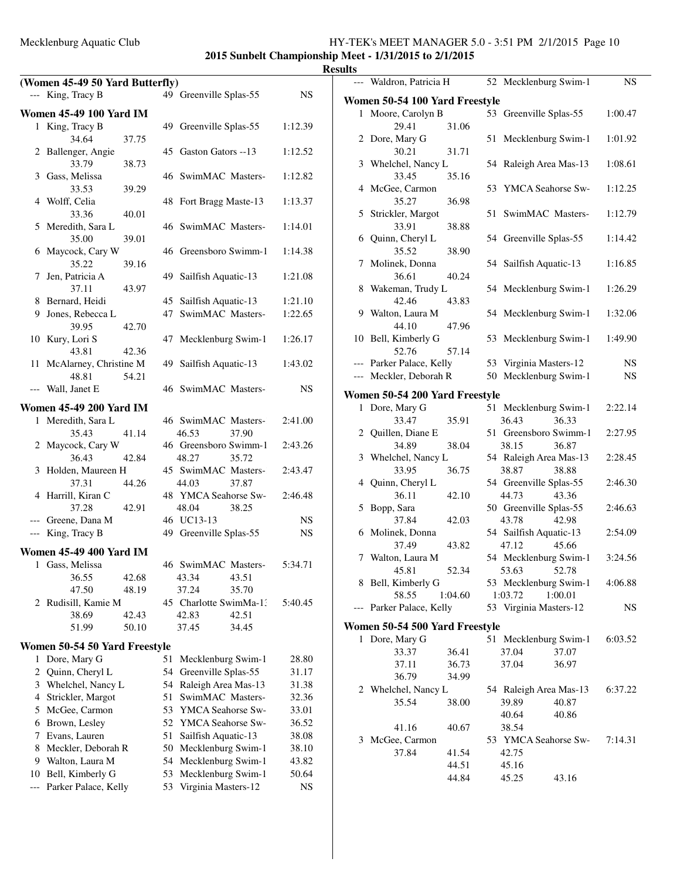**2015 Sunbelt Championship Meet - 1/31/2015 to 2/1/2015**

|       |                                                      |                                          |              | <b>Results</b>      |
|-------|------------------------------------------------------|------------------------------------------|--------------|---------------------|
|       | (Women 45-49 50 Yard Butterfly)<br>--- King, Tracy B | 49 Greenville Splas-55                   | NS.          | --- Wal<br>Women !  |
|       | <b>Women 45-49 100 Yard IM</b>                       |                                          |              | 1 Mo                |
|       | 1 King, Tracy B<br>34.64<br>37.75                    | 49 Greenville Splas-55                   | 1:12.39      | $2$ Do <sub>1</sub> |
|       | 2 Ballenger, Angie<br>33.79<br>38.73                 | 45 Gaston Gators --13                    | 1:12.52      | 3 Wh                |
|       | 3 Gass, Melissa<br>33.53<br>39.29                    | 46 SwimMAC Masters-                      | 1:12.82      | 4 Mc                |
|       | 4 Wolff, Celia<br>33.36<br>40.01                     | 48 Fort Bragg Maste-13                   | 1:13.37      | 5 Stri              |
|       | 5 Meredith, Sara L<br>35.00<br>39.01                 | 46 SwimMAC Masters-                      | 1:14.01      | 6 Qui               |
|       | 6 Maycock, Cary W<br>35.22<br>39.16                  | 46 Greensboro Swimm-1                    | 1:14.38      | 7 Mo                |
| 7     | Jen, Patricia A<br>37.11<br>43.97                    | 49 Sailfish Aquatic-13                   | 1:21.08      | 8 Wal               |
|       | 8 Bernard, Heidi                                     | 45 Sailfish Aquatic-13                   | 1:21.10      |                     |
|       | 9 Jones, Rebecca L<br>39.95<br>42.70                 | SwimMAC Masters-<br>47                   | 1:22.65      | 9 Wal               |
|       | 10 Kury, Lori S<br>43.81<br>42.36                    | 47 Mecklenburg Swim-1                    | 1:26.17      | 10 Bel              |
|       | 11 McAlarney, Christine M<br>54.21<br>48.81          | 49 Sailfish Aquatic-13                   | 1:43.02      | --- Par<br>--- Me   |
|       | --- Wall, Janet E                                    | 46 SwimMAC Masters-                      | NS           | Women !             |
|       | <b>Women 45-49 200 Yard IM</b>                       |                                          |              | $1$ D <sub>o1</sub> |
|       | 1 Meredith, Sara L<br>35.43<br>41.14                 | 46 SwimMAC Masters-<br>46.53<br>37.90    | 2:41.00      | 2 Qui               |
|       | 2 Maycock, Cary W<br>36.43<br>42.84                  | 46 Greensboro Swimm-1<br>48.27<br>35.72  | 2:43.26      | 3 Wh                |
|       | 3 Holden, Maureen H<br>37.31<br>44.26                | 45 SwimMAC Masters-<br>44.03<br>37.87    | 2:43.47      | 4 Qui               |
|       | 4 Harrill, Kiran C<br>37.28<br>42.91                 | 48 YMCA Seahorse Sw-<br>48.04<br>38.25   | 2:46.48      | 5 Bop               |
|       | --- Greene, Dana M                                   | 46 UC13-13                               | NS.          |                     |
|       | --- King, Tracy B                                    | 49 Greenville Splas-55                   | NS           | 6 Mo                |
|       | <b>Women 45-49 400 Yard IM</b>                       |                                          |              | 7 Wal               |
|       | 1 Gass, Melissa                                      | 46 SwimMAC Masters-                      | 5:34.71      |                     |
|       | 36.55<br>42.68<br>47.50<br>48.19                     | 43.34<br>43.51<br>37.24<br>35.70         |              | 8 Bel               |
|       | 2 Rudisill, Kamie M<br>38.69<br>42.43                | 45 Charlotte SwimMa-1:<br>42.83<br>42.51 | 5:40.45      | --- Par             |
|       | 51.99<br>50.10                                       | 37.45<br>34.45                           |              | Women !             |
|       | Women 50-54 50 Yard Freestyle                        |                                          |              | 1 Doi               |
| 1     | Dore, Mary G                                         | Mecklenburg Swim-1<br>51                 | 28.80        |                     |
| 2     | Quinn, Cheryl L                                      | 54 Greenville Splas-55                   | 31.17        |                     |
|       | 3 Whelchel, Nancy L                                  | 54 Raleigh Area Mas-13                   | 31.38        | 2 Wh                |
| 4     | Strickler, Margot                                    | SwimMAC Masters-<br>51                   | 32.36        |                     |
|       | 5 McGee, Carmon                                      | 53 YMCA Seahorse Sw-                     | 33.01        |                     |
|       | 6 Brown, Lesley                                      | 52 YMCA Seahorse Sw-                     | 36.52        |                     |
|       | 7 Evans, Lauren                                      | 51<br>Sailfish Aquatic-13                | 38.08        | $3$ Mc              |
| 8     | Meckler, Deborah R                                   | Mecklenburg Swim-1<br>50                 | 38.10        |                     |
|       | 9 Walton, Laura M                                    | Mecklenburg Swim-1<br>54                 | 43.82        |                     |
| 10    | Bell, Kimberly G                                     | Mecklenburg Swim-1<br>53<br>53           | 50.64<br>NS. |                     |
| $---$ | Parker Palace, Kelly                                 | Virginia Masters-12                      |              |                     |

| ᄖᄖ    |                                |         |    |                        |         |           |
|-------|--------------------------------|---------|----|------------------------|---------|-----------|
|       | --- Waldron, Patricia H        |         |    | 52 Mecklenburg Swim-1  |         | <b>NS</b> |
|       | Women 50-54 100 Yard Freestyle |         |    |                        |         |           |
| 1     | Moore, Carolyn B               |         |    | 53 Greenville Splas-55 |         | 1:00.47   |
|       | 29.41                          | 31.06   |    |                        |         |           |
|       | 2 Dore, Mary G                 |         | 51 | Mecklenburg Swim-1     |         | 1:01.92   |
|       | 30.21                          | 31.71   |    |                        |         |           |
|       | 3 Whelchel, Nancy L            |         |    | 54 Raleigh Area Mas-13 |         | 1:08.61   |
|       | 33.45                          | 35.16   |    |                        |         |           |
|       | 4 McGee, Carmon                |         |    | 53 YMCA Seahorse Sw-   |         | 1:12.25   |
|       | 35.27                          | 36.98   |    |                        |         |           |
| 5     | Strickler, Margot              |         | 51 | SwimMAC Masters-       |         | 1:12.79   |
|       | 33.91                          | 38.88   |    |                        |         |           |
|       | 6 Quinn, Cheryl L              |         |    | 54 Greenville Splas-55 |         | 1:14.42   |
|       | 35.52                          | 38.90   |    |                        |         |           |
| 7     | Molinek, Donna                 |         |    | 54 Sailfish Aquatic-13 |         | 1:16.85   |
|       | 36.61                          | 40.24   |    |                        |         |           |
| 8     | Wakeman, Trudy L               |         |    | 54 Mecklenburg Swim-1  |         | 1:26.29   |
|       | 42.46                          | 43.83   |    |                        |         |           |
|       | 9 Walton, Laura M              |         |    | 54 Mecklenburg Swim-1  |         | 1:32.06   |
|       | 44.10                          | 47.96   |    |                        |         |           |
|       | 10 Bell, Kimberly G            |         |    | 53 Mecklenburg Swim-1  |         | 1:49.90   |
|       | 52.76                          | 57.14   |    |                        |         |           |
|       | --- Parker Palace, Kelly       |         |    | 53 Virginia Masters-12 |         | NS        |
|       | --- Meckler, Deborah R         |         |    | 50 Mecklenburg Swim-1  |         | <b>NS</b> |
|       |                                |         |    |                        |         |           |
|       | Women 50-54 200 Yard Freestyle |         |    |                        |         |           |
|       | 1 Dore, Mary G                 |         |    | 51 Mecklenburg Swim-1  |         | 2:22.14   |
|       | 33.47                          | 35.91   |    | 36.43                  | 36.33   |           |
|       | 2 Quillen, Diane E             |         |    | 51 Greensboro Swimm-1  |         | 2:27.95   |
|       | 34.89                          | 38.04   |    | 38.15                  | 36.87   |           |
|       | 3 Whelchel, Nancy L            |         |    | 54 Raleigh Area Mas-13 |         | 2:28.45   |
|       | 33.95                          | 36.75   |    | 38.87                  | 38.88   |           |
| 4     | Quinn, Cheryl L                |         |    | 54 Greenville Splas-55 |         | 2:46.30   |
|       | 36.11                          | 42.10   |    | 44.73                  | 43.36   |           |
| 5     | Bopp, Sara                     |         |    | 50 Greenville Splas-55 |         | 2:46.63   |
|       | 37.84                          | 42.03   |    | 43.78                  | 42.98   |           |
|       | 6 Molinek, Donna               |         |    | 54 Sailfish Aquatic-13 |         | 2:54.09   |
|       | 37.49                          | 43.82   |    | 47.12                  | 45.66   |           |
|       | 7 Walton, Laura M              |         |    | 54 Mecklenburg Swim-1  |         | 3:24.56   |
|       | 45.81                          | 52.34   |    | 53.63 52.78            |         |           |
| 8     | Bell, Kimberly G               |         |    | 53 Mecklenburg Swim-1  |         | 4:06.88   |
|       | 58.55                          | 1:04.60 |    | 1:03.72                | 1:00.01 | NS        |
| $---$ | Parker Palace, Kelly           |         |    | 53 Virginia Masters-12 |         |           |
|       | Women 50-54 500 Yard Freestyle |         |    |                        |         |           |
| 1     | Dore, Mary G                   |         | 51 | Mecklenburg Swim-1     |         | 6:03.52   |
|       | 33.37                          | 36.41   |    | 37.04                  | 37.07   |           |
|       | 37.11                          | 36.73   |    | 37.04                  | 36.97   |           |
|       | 36.79                          | 34.99   |    |                        |         |           |
|       | 2 Whelchel, Nancy L            |         |    | 54 Raleigh Area Mas-13 |         | 6:37.22   |
|       | 35.54                          | 38.00   |    | 39.89                  | 40.87   |           |
|       |                                |         |    | 40.64                  | 40.86   |           |
|       | 41.16                          | 40.67   |    | 38.54                  |         |           |
| 3     | McGee, Carmon                  |         |    | 53 YMCA Seahorse Sw-   |         | 7:14.31   |
|       | 37.84                          | 41.54   |    | 42.75                  |         |           |
|       |                                | 44.51   |    | 45.16                  |         |           |
|       |                                | 44.84   |    | 45.25                  | 43.16   |           |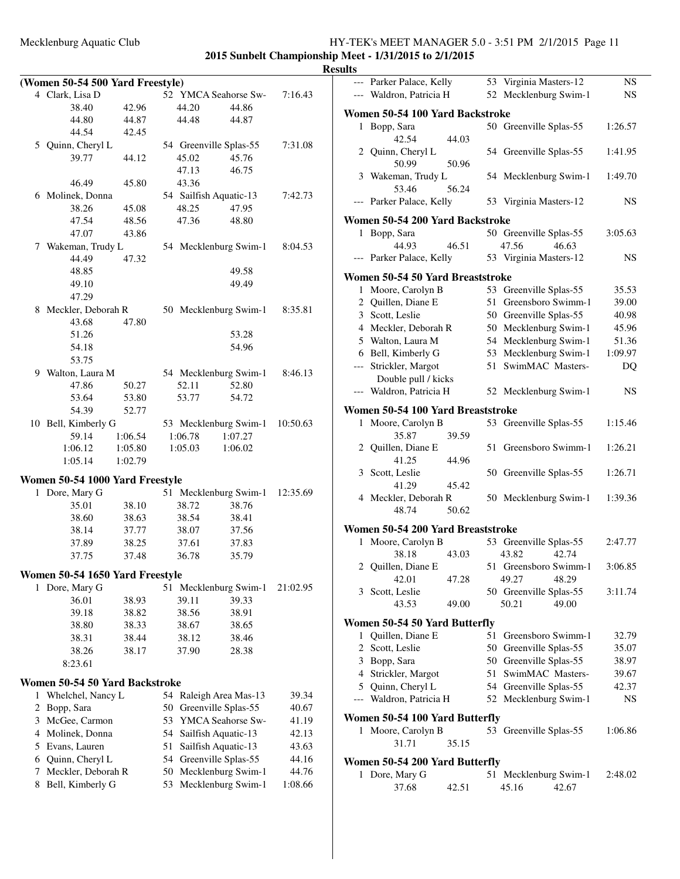|                | (Women 50-54 500 Yard Freestyle) |         |    |                    |                        |          |
|----------------|----------------------------------|---------|----|--------------------|------------------------|----------|
|                | 4 Clark, Lisa D                  |         |    |                    | 52 YMCA Seahorse Sw-   | 7:16.43  |
|                | 38.40                            | 42.96   |    | 44.20              | 44.86                  |          |
|                | 44.80                            | 44.87   |    | 44.48              | 44.87                  |          |
|                | 44.54                            | 42.45   |    |                    |                        |          |
|                | 5 Quinn, Cheryl L                |         |    |                    | 54 Greenville Splas-55 | 7:31.08  |
|                | 39.77                            | 44.12   |    | 45.02              | 45.76                  |          |
|                |                                  |         |    | 47.13              | 46.75                  |          |
|                | 46.49                            | 45.80   |    | 43.36              |                        |          |
|                | 6 Molinek, Donna                 |         |    |                    | 54 Sailfish Aquatic-13 | 7:42.73  |
|                | 38.26                            | 45.08   |    | 48.25              | 47.95                  |          |
|                | 47.54                            | 48.56   |    | 47.36              | 48.80                  |          |
|                | 47.07                            | 43.86   |    |                    |                        |          |
|                | 7 Wakeman, Trudy L               |         |    |                    | 54 Mecklenburg Swim-1  | 8:04.53  |
|                | 44.49                            | 47.32   |    |                    |                        |          |
|                | 48.85                            |         |    |                    | 49.58                  |          |
|                | 49.10                            |         |    |                    | 49.49                  |          |
|                | 47.29                            |         |    |                    |                        |          |
|                |                                  |         |    |                    |                        |          |
|                | 8 Meckler, Deborah R<br>43.68    | 47.80   |    |                    | 50 Mecklenburg Swim-1  | 8:35.81  |
|                | 51.26                            |         |    |                    | 53.28                  |          |
|                | 54.18                            |         |    |                    | 54.96                  |          |
|                | 53.75                            |         |    |                    |                        |          |
|                |                                  |         |    |                    |                        |          |
|                | 9 Walton, Laura M<br>47.86       |         |    |                    | 54 Mecklenburg Swim-1  | 8:46.13  |
|                |                                  | 50.27   |    | 52.11              | 52.80                  |          |
|                | 53.64                            | 53.80   |    | 53.77              | 54.72                  |          |
|                | 54.39                            | 52.77   |    |                    |                        |          |
|                | 10 Bell, Kimberly G              |         |    |                    | 53 Mecklenburg Swim-1  | 10:50.63 |
|                | 59.14<br>1:06.12                 | 1:06.54 |    | 1:06.78<br>1:05.03 | 1:07.27<br>1:06.02     |          |
|                |                                  | 1:05.80 |    |                    |                        |          |
|                | 1:05.14                          | 1:02.79 |    |                    |                        |          |
|                | Women 50-54 1000 Yard Freestyle  |         |    |                    |                        |          |
|                | 1 Dore, Mary G                   |         |    |                    | 51 Mecklenburg Swim-1  | 12:35.69 |
|                | 35.01                            | 38.10   |    | 38.72              | 38.76                  |          |
|                | 38.60                            | 38.63   |    | 38.54              | 38.41                  |          |
|                | 38.14                            | 37.77   |    | 38.07              | 37.56                  |          |
|                | 37.89                            | 38.25   |    | 37.61              | 37.83                  |          |
|                | 37.75                            | 37.48   |    | 36.78              | 35.79                  |          |
|                |                                  |         |    |                    |                        |          |
|                | Women 50-54 1650 Yard Freestyle  |         |    |                    |                        |          |
|                | 1 Dore, Mary G                   |         |    |                    | 51 Mecklenburg Swim-1  | 21:02.95 |
|                | 36.01                            | 38.93   |    | 39.11              | 39.33                  |          |
|                | 39.18                            | 38.82   |    | 38.56              | 38.91                  |          |
|                | 38.80                            | 38.33   |    | 38.67              | 38.65                  |          |
|                | 38.31                            | 38.44   |    | 38.12              | 38.46                  |          |
|                | 38.26                            | 38.17   |    | 37.90              | 28.38                  |          |
|                | 8:23.61                          |         |    |                    |                        |          |
|                | Women 50-54 50 Yard Backstroke   |         |    |                    |                        |          |
| 1              | Whelchel, Nancy L                |         |    |                    | 54 Raleigh Area Mas-13 | 39.34    |
| $\overline{c}$ | Bopp, Sara                       |         | 50 |                    | Greenville Splas-55    | 40.67    |
| 3              | McGee, Carmon                    |         |    |                    | 53 YMCA Seahorse Sw-   | 41.19    |
|                | 4 Molinek, Donna                 |         |    |                    | 54 Sailfish Aquatic-13 | 42.13    |
|                | 5 Evans, Lauren                  |         | 51 |                    | Sailfish Aquatic-13    | 43.63    |
| 6              | Quinn, Cheryl L                  |         |    |                    | 54 Greenville Splas-55 | 44.16    |
| 7              | Meckler, Deborah R               |         |    |                    | 50 Mecklenburg Swim-1  | 44.76    |
| 8              | Bell, Kimberly G                 |         | 53 |                    | Mecklenburg Swim-1     | 1:08.66  |
|                |                                  |         |    |                    |                        |          |
|                |                                  |         |    |                    |                        |          |

|              | --- Parker Palace, Kelly          |       |    | 53 Virginia Masters-12 | NS.     |
|--------------|-----------------------------------|-------|----|------------------------|---------|
|              | --- Waldron, Patricia H           |       |    | 52 Mecklenburg Swim-1  | NS.     |
|              |                                   |       |    |                        |         |
|              | Women 50-54 100 Yard Backstroke   |       |    |                        |         |
| 1            | Bopp, Sara                        |       |    | 50 Greenville Splas-55 | 1:26.57 |
|              | 42.54                             | 44.03 |    |                        |         |
|              | 2 Quinn, Cheryl L                 |       |    | 54 Greenville Splas-55 | 1:41.95 |
|              | 50.99                             | 50.96 |    |                        |         |
|              | 3 Wakeman, Trudy L                |       |    | 54 Mecklenburg Swim-1  | 1:49.70 |
|              | 53.46                             | 56.24 |    |                        |         |
|              | --- Parker Palace, Kelly          |       |    | 53 Virginia Masters-12 | NS      |
|              | Women 50-54 200 Yard Backstroke   |       |    |                        |         |
| 1            | Bopp, Sara                        |       |    | 50 Greenville Splas-55 | 3:05.63 |
|              | 44.93                             | 46.51 |    | 47.56<br>46.63         |         |
|              | --- Parker Palace, Kelly          |       |    | 53 Virginia Masters-12 | NS      |
|              |                                   |       |    |                        |         |
|              | Women 50-54 50 Yard Breaststroke  |       |    |                        |         |
|              | 1 Moore, Carolyn B                |       |    | 53 Greenville Splas-55 | 35.53   |
|              | 2 Quillen, Diane E                |       |    | 51 Greensboro Swimm-1  | 39.00   |
|              | 3 Scott, Leslie                   |       |    | 50 Greenville Splas-55 | 40.98   |
|              | 4 Meckler, Deborah R              |       |    | 50 Mecklenburg Swim-1  | 45.96   |
|              | 5 Walton, Laura M                 |       |    | 54 Mecklenburg Swim-1  | 51.36   |
|              | 6 Bell, Kimberly G                |       |    | 53 Mecklenburg Swim-1  | 1:09.97 |
|              | --- Strickler, Margot             |       | 51 | SwimMAC Masters-       | DQ      |
|              | Double pull / kicks               |       |    |                        |         |
| $---$        | Waldron, Patricia H               |       |    | 52 Mecklenburg Swim-1  | NS      |
|              |                                   |       |    |                        |         |
|              | Women 50-54 100 Yard Breaststroke |       |    |                        |         |
|              | 1 Moore, Carolyn B                |       |    | 53 Greenville Splas-55 | 1:15.46 |
|              | 35.87                             | 39.59 |    |                        |         |
|              | 2 Quillen, Diane E                |       | 51 | Greensboro Swimm-1     | 1:26.21 |
|              | 41.25                             | 44.96 |    |                        |         |
|              | 3 Scott, Leslie                   |       |    | 50 Greenville Splas-55 | 1:26.71 |
|              | 41.29                             | 45.42 |    |                        |         |
|              | 4 Meckler, Deborah R              |       |    | 50 Mecklenburg Swim-1  | 1:39.36 |
|              | 48.74                             | 50.62 |    |                        |         |
|              | Women 50-54 200 Yard Breaststroke |       |    |                        |         |
|              | 1 Moore, Carolyn B                |       |    | 53 Greenville Splas-55 | 2:47.77 |
|              | 38.18                             | 43.03 |    | 43.82<br>42.74         |         |
| $\mathbf{2}$ | Quillen, Diane E                  |       |    | 51 Greensboro Swimm-1  | 3:06.85 |
|              | 42.01                             | 47.28 |    | 49.27<br>48.29         |         |
|              | 3 Scott, Leslie                   |       |    | 50 Greenville Splas-55 | 3:11.74 |
|              | 43.53                             | 49.00 |    | 50.21<br>49.00         |         |
|              |                                   |       |    |                        |         |
|              | Women 50-54 50 Yard Butterfly     |       |    |                        |         |
| 1            | Quillen, Diane E                  |       | 51 | Greensboro Swimm-1     | 32.79   |
|              | 2 Scott, Leslie                   |       |    | 50 Greenville Splas-55 | 35.07   |
| 3            | Bopp, Sara                        |       |    | 50 Greenville Splas-55 | 38.97   |
|              | 4 Strickler, Margot               |       | 51 | SwimMAC Masters-       | 39.67   |
|              | 5 Quinn, Cheryl L                 |       |    | 54 Greenville Splas-55 | 42.37   |
| $---$        | Waldron, Patricia H               |       |    | 52 Mecklenburg Swim-1  | NS      |
|              |                                   |       |    |                        |         |
|              | Women 50-54 100 Yard Butterfly    |       |    |                        |         |
| 1            | Moore, Carolyn B                  |       |    | 53 Greenville Splas-55 | 1:06.86 |
|              | 31.71                             | 35.15 |    |                        |         |
|              | Women 50-54 200 Yard Butterfly    |       |    |                        |         |
| 1            | Dore, Mary G                      |       | 51 | Mecklenburg Swim-1     | 2:48.02 |
|              | 37.68                             | 42.51 |    | 45.16<br>42.67         |         |
|              |                                   |       |    |                        |         |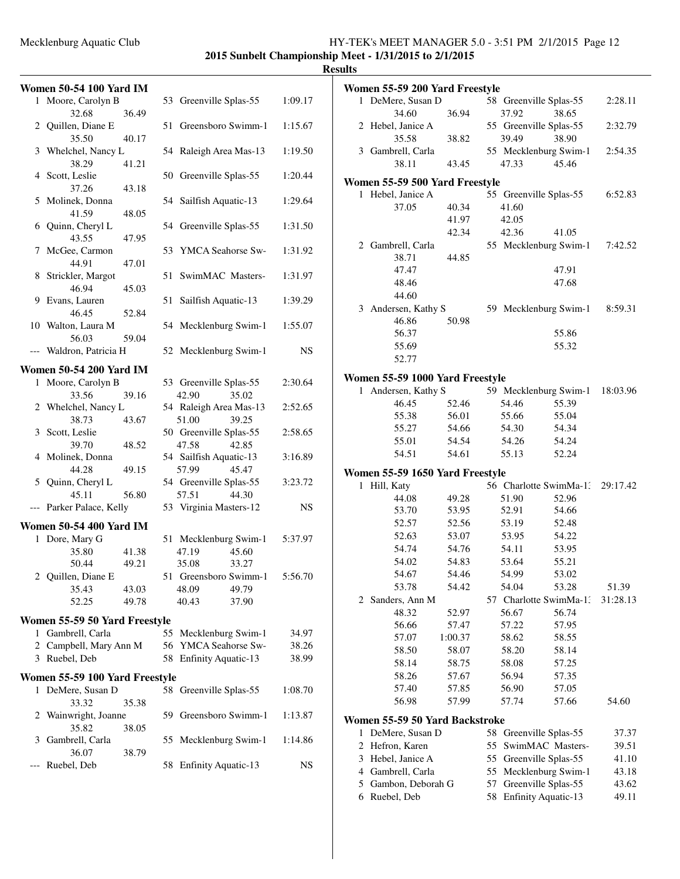# **2015 Sunbelt Championship Meet - 1/31/2015 to 2/1/2015**

| ш<br>sı |
|---------|
|---------|

| <b>Women 50-54 100 Yard IM</b>          |                                          |             | Women 55-59 200 Yard Freestyle      |                                          |          |
|-----------------------------------------|------------------------------------------|-------------|-------------------------------------|------------------------------------------|----------|
| 1 Moore, Carolyn B                      | 53 Greenville Splas-55                   | 1:09.17     | 1 DeMere, Susan D                   | 58 Greenville Splas-55                   | 2:28.11  |
| 36.49<br>32.68                          |                                          |             | 36.94<br>34.60                      | 37.92<br>38.65                           |          |
| 2 Quillen, Diane E<br>40.17<br>35.50    | 51 Greensboro Swimm-1                    | 1:15.67     | 2 Hebel, Janice A<br>38.82<br>35.58 | 55 Greenville Splas-55<br>39.49<br>38.90 | 2:32.79  |
| 3 Whelchel, Nancy L<br>38.29<br>41.21   | 54 Raleigh Area Mas-13                   | 1:19.50     | 3 Gambrell, Carla<br>38.11<br>43.45 | 55 Mecklenburg Swim-1<br>47.33<br>45.46  | 2:54.35  |
| 4 Scott, Leslie                         | 50 Greenville Splas-55                   | 1:20.44     | Women 55-59 500 Yard Freestyle      |                                          |          |
| 37.26<br>43.18                          |                                          |             | 1 Hebel, Janice A                   | 55 Greenville Splas-55                   | 6:52.83  |
| 5 Molinek, Donna                        | 54 Sailfish Aquatic-13                   | 1:29.64     | 37.05<br>40.34                      | 41.60                                    |          |
| 48.05<br>41.59                          |                                          | 1:31.50     | 41.97                               | 42.05                                    |          |
| 6 Quinn, Cheryl L<br>47.95<br>43.55     | 54 Greenville Splas-55                   |             | 42.34                               | 42.36<br>41.05                           |          |
| 7 McGee, Carmon                         | 53 YMCA Seahorse Sw-                     | 1:31.92     | 2 Gambrell, Carla                   | 55 Mecklenburg Swim-1                    | 7:42.52  |
| 47.01<br>44.91                          |                                          |             | 38.71<br>44.85                      |                                          |          |
| 8 Strickler, Margot                     | 51 SwimMAC Masters-                      | 1:31.97     | 47.47                               | 47.91                                    |          |
| 46.94<br>45.03                          |                                          |             | 48.46                               | 47.68                                    |          |
| 9 Evans, Lauren                         | 51 Sailfish Aquatic-13                   | 1:39.29     | 44.60                               |                                          |          |
| 52.84<br>46.45                          |                                          |             | 3 Andersen, Kathy S                 | 59 Mecklenburg Swim-1                    | 8:59.31  |
| 10 Walton, Laura M                      | 54 Mecklenburg Swim-1                    | 1:55.07     | 46.86<br>50.98<br>56.37             | 55.86                                    |          |
| 59.04<br>56.03                          |                                          |             | 55.69                               | 55.32                                    |          |
| --- Waldron, Patricia H                 | 52 Mecklenburg Swim-1                    | $_{\rm NS}$ | 52.77                               |                                          |          |
| <b>Women 50-54 200 Yard IM</b>          |                                          |             |                                     |                                          |          |
| 1 Moore, Carolyn B                      | 53 Greenville Splas-55                   | 2:30.64     | Women 55-59 1000 Yard Freestyle     |                                          |          |
| 33.56<br>39.16                          | 42.90<br>35.02                           |             | 1 Andersen, Kathy S                 | 59 Mecklenburg Swim-1                    | 18:03.96 |
| 2 Whelchel, Nancy L                     | 54 Raleigh Area Mas-13                   | 2:52.65     | 46.45<br>52.46                      | 54.46<br>55.39                           |          |
| 38.73<br>43.67                          | 51.00<br>39.25                           |             | 55.38<br>56.01                      | 55.04<br>55.66                           |          |
| 3 Scott, Leslie                         | 50 Greenville Splas-55                   | 2:58.65     | 55.27<br>54.66                      | 54.34<br>54.30                           |          |
| 39.70<br>48.52                          | 47.58<br>42.85                           |             | 55.01<br>54.54<br>54.61             | 54.26<br>54.24<br>55.13<br>52.24         |          |
| 4 Molinek, Donna                        | 54 Sailfish Aquatic-13                   | 3:16.89     | 54.51                               |                                          |          |
| 44.28<br>49.15                          | 57.99<br>45.47                           | 3:23.72     | Women 55-59 1650 Yard Freestyle     |                                          |          |
| 5 Quinn, Cheryl L<br>56.80<br>45.11     | 54 Greenville Splas-55<br>57.51<br>44.30 |             | 1 Hill, Katy                        | 56 Charlotte SwimMa-1.                   | 29:17.42 |
| --- Parker Palace, Kelly                | 53 Virginia Masters-12                   | <b>NS</b>   | 49.28<br>44.08                      | 51.90<br>52.96                           |          |
|                                         |                                          |             | 53.70<br>53.95                      | 52.91<br>54.66                           |          |
| <b>Women 50-54 400 Yard IM</b>          |                                          |             | 52.57<br>52.56                      | 53.19<br>52.48<br>54.22                  |          |
| 1 Dore, Mary G                          | 51 Mecklenburg Swim-1                    | 5:37.97     | 52.63<br>53.07<br>54.74<br>54.76    | 53.95<br>53.95<br>54.11                  |          |
| 35.80<br>41.38                          | 47.19<br>45.60                           |             | 54.02<br>54.83                      | 55.21<br>53.64                           |          |
| 50.44<br>49.21<br>2<br>Quillen, Diane E | 35.08<br>33.27<br>51 Greensboro Swimm-1  | 5:56.70     | 54.67<br>54.46                      | 54.99<br>53.02                           |          |
| 35.43<br>43.03                          | 48.09<br>49.79                           |             | 53.78<br>54.42                      | 54.04<br>53.28                           | 51.39    |
| 52.25<br>49.78                          | 37.90<br>40.43                           |             | 2 Sanders, Ann M                    | 57 Charlotte SwimMa-1:                   | 31:28.13 |
|                                         |                                          |             | 48.32<br>52.97                      | 56.74<br>56.67                           |          |
| Women 55-59 50 Yard Freestyle           |                                          |             | 56.66<br>57.47                      | 57.22<br>57.95                           |          |
| 1 Gambrell, Carla                       | 55 Mecklenburg Swim-1                    | 34.97       | 57.07<br>1:00.37                    | 58.55<br>58.62                           |          |
| 2 Campbell, Mary Ann M                  | 56 YMCA Seahorse Sw-                     | 38.26       | 58.50<br>58.07                      | 58.20<br>58.14                           |          |
| 3 Ruebel, Deb                           | 58 Enfinity Aquatic-13                   | 38.99       | 58.14<br>58.75                      | 57.25<br>58.08                           |          |
| Women 55-59 100 Yard Freestyle          |                                          |             | 58.26<br>57.67                      | 56.94<br>57.35                           |          |
| 1 DeMere, Susan D<br>33.32<br>35.38     | 58 Greenville Splas-55                   | 1:08.70     | 57.40<br>57.85<br>56.98<br>57.99    | 56.90<br>57.05<br>57.74<br>57.66         | 54.60    |
| 2 Wainwright, Joanne                    | 59 Greensboro Swimm-1                    | 1:13.87     | Women 55-59 50 Yard Backstroke      |                                          |          |
| 35.82<br>38.05                          |                                          |             | 1 DeMere, Susan D                   | 58 Greenville Splas-55                   | 37.37    |
| 3 Gambrell, Carla                       | 55 Mecklenburg Swim-1                    | 1:14.86     | 2 Hefron, Karen                     | 55 SwimMAC Masters-                      | 39.51    |
| 36.07<br>38.79                          |                                          |             | 3 Hebel, Janice A                   | 55 Greenville Splas-55                   | 41.10    |
| --- Ruebel, Deb                         | 58 Enfinity Aquatic-13                   | <b>NS</b>   | Gambrell, Carla<br>4                | 55 Mecklenburg Swim-1                    | 43.18    |
|                                         |                                          |             | Gambon, Deborah G<br>5              | 57 Greenville Splas-55                   | 43.62    |
|                                         |                                          |             | 6 Ruebel, Deb                       | 58 Enfinity Aquatic-13                   | 49.11    |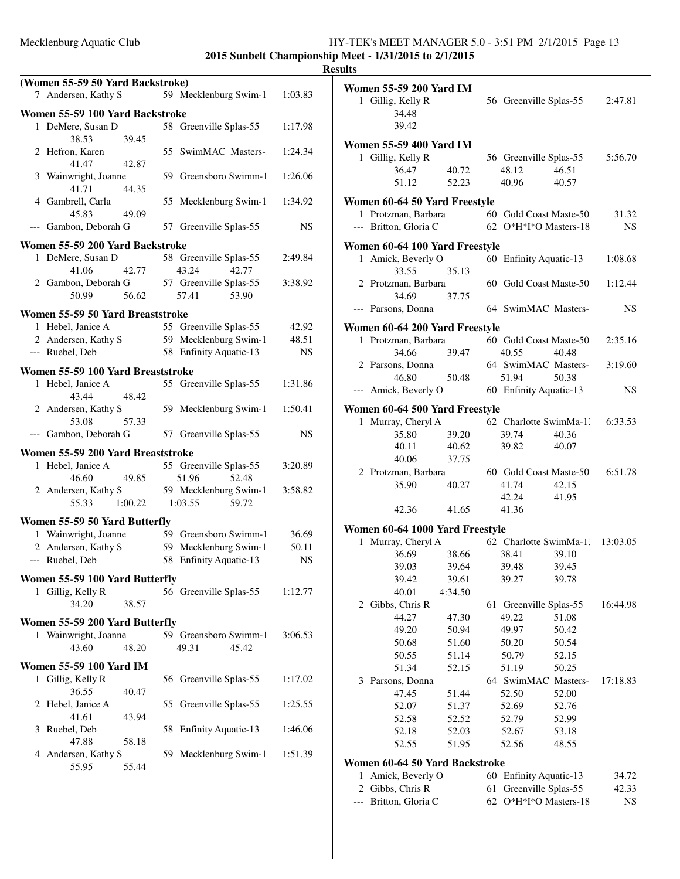**2015 Sunbelt Championship Meet - 1/31/2015 to 2/1/2015**

### **(Women 55-59 50 Yard Backstroke)** 59 Mecklenburg Swim-1 1:03.83 **Women 55-59 100 Yard Backstroke** 1 DeMere, Susan D 58 Greenville Splas-55 1:17.98 38.53 39.45 2 Hefron, Karen 55 SwimMAC Masters-1:24.34 41.47 42.87 3 Wainwright, Joanne 59 Greensboro Swimm-1 1:26.06 41.71 44.35 4 Gambrell, Carla 55 Mecklenburg Swim-1 1:34.92 45.83 49.09 --- Gambon, Deborah G 57 Greenville Splas-55 NS **Women 55-59 200 Yard Backstroke** 1 DeMere, Susan D 58 Greenville Splas-55 2:49.84 41.06 42.77 43.24 42.77 2 Gambon, Deborah G 57 Greenville Splas-55 3:38.92 50.99 56.62 57.41 53.90 **Women 55-59 50 Yard Breaststroke** 1 Hebel, Janice A 55 Greenville Splas-55 42.92 2 Andersen, Kathy S 59 Mecklenburg Swim-1 48.51 --- Ruebel, Deb 58 Enfinity Aquatic-13 NS **Women 55-59 100 Yard Breaststroke** 1 Hebel, Janice A 55 Greenville Splas-55 1:31.86 43.44 48.42 2 Andersen, Kathy S 59 Mecklenburg Swim-1 1:50.41 53.08 57.33 --- Gambon, Deborah G 57 Greenville Splas-55 NS **Women 55-59 200 Yard Breaststroke** 1 Hebel, Janice A 55 Greenville Splas-55 3:20.89 46.60 49.85 51.96 52.48 2 Andersen, Kathy S 59 Mecklenburg Swim-1 3:58.82 55.33 1:00.22 1:03.55 59.72 **Women 55-59 50 Yard Butterfly** 1 Wainwright, Joanne 59 Greensboro Swimm-1 36.69 2 Andersen, Kathy S 59 Mecklenburg Swim-1 50.11 --- Ruebel, Deb 58 Enfinity Aquatic-13 NS **Women 55-59 100 Yard Butterfly** 1 Gillig, Kelly R 56 Greenville Splas-55 1:12.77 34.20 38.57 **Women 55-59 200 Yard Butterfly** 1 Wainwright, Joanne 59 Greensboro Swimm-1 3:06.53 43.60 48.20 49.31 45.42 **Women 55-59 100 Yard IM** 1 Gillig, Kelly R 56 Greenville Splas-55 1:17.02 36.55 40.47 2 Hebel, Janice A 55 Greenville Splas-55 1:25.55 41.61 43.94 3 Ruebel, Deb 58 Enfinity Aquatic-13 1:46.06 47.88 58.18 4 Andersen, Kathy S 59 Mecklenburg Swim-1 1:51.39 55.95 55.44

| 1 Gillig, Kelly R<br>34.48                        | Women 55-59 200 Yard IM<br>39.42                            |    | 56 Greenville Splas-55                                         |                | 2:47.81      |
|---------------------------------------------------|-------------------------------------------------------------|----|----------------------------------------------------------------|----------------|--------------|
| 1 Gillig, Kelly R                                 | Women 55-59 400 Yard IM<br>40.72<br>36.47<br>51.12<br>52.23 |    | 56 Greenville Splas-55<br>48.12<br>40.96                       | 46.51<br>40.57 | 5:56.70      |
| 1 Protzman, Barbara<br>--- Britton, Gloria C      | Women 60-64 50 Yard Freestyle                               |    | 60 Gold Coast Maste-50<br>$62\;\;O*H*I*O$ Masters-18           |                | 31.32<br>NS. |
|                                                   | Women 60-64 100 Yard Freestyle                              |    |                                                                |                |              |
| 1 Amick, Beverly O<br>33.55                       | 35.13                                                       |    | 60 Enfinity Aquatic-13 1:08.68                                 |                |              |
| 2 Protzman, Barbara                               | 34.69<br>37.75                                              |    | 60 Gold Coast Maste-50                                         |                | 1:12.44      |
| --- Parsons, Donna                                |                                                             |    | 64 SwimMAC Masters-                                            |                | <b>NS</b>    |
|                                                   | Women 60-64 200 Yard Freestyle                              |    |                                                                |                |              |
| 1 Protzman, Barbara<br>34.66                      | 39.47                                                       |    | 60 Gold Coast Maste-50<br>40.55                                | 40.48          | 2:35.16      |
| 2 Parsons, Donna<br>46.80<br>--- Amick, Beverly O | 50.48                                                       |    | 64 SwimMAC Masters- 3:19.60<br>51.94<br>60 Enfinity Aquatic-13 | 50.38          | NS           |
|                                                   |                                                             |    |                                                                |                |              |
|                                                   | Women 60-64 500 Yard Freestyle                              |    |                                                                |                |              |
| 1 Murray, Cheryl A                                | 39.20                                                       |    | 62 Charlotte SwimMa-1. 6:33.53                                 |                |              |
|                                                   | 35.80<br>40.11<br>40.62                                     |    | 39.74<br>39.82 40.07                                           | 40.36          |              |
|                                                   | 40.06<br>37.75                                              |    |                                                                |                |              |
| 2 Protzman, Barbara                               |                                                             |    | 60 Gold Coast Maste-50 6:51.78                                 |                |              |
|                                                   | 35.90<br>40.27                                              |    | 41.74                                                          | 42.15          |              |
|                                                   |                                                             |    | 42.24                                                          | 41.95          |              |
|                                                   | 42.36<br>41.65                                              |    | 41.36                                                          |                |              |
|                                                   | Women 60-64 1000 Yard Freestyle                             |    |                                                                |                |              |
| 1 Murray, Cheryl A                                |                                                             |    | 62 Charlotte SwimMa-1. 13:03.05                                |                |              |
| 36.69                                             | 38.66                                                       |    | 38.41                                                          | 39.10          |              |
| 39.03                                             | 39.64                                                       |    | 39.48                                                          | 39.45          |              |
|                                                   | 39.42<br>39.61                                              |    | 39.27                                                          | 39.78          |              |
| 40.01                                             | 4:34.50                                                     |    |                                                                |                |              |
| 2 Gibbs, Chris R                                  |                                                             | 61 | Greenville Splas-55                                            |                | 16:44.98     |
| 44.27                                             | 47.30<br>50.94                                              |    | 49.22                                                          | 51.08          |              |
|                                                   | 49.20<br>50.68<br>51.60                                     |    | 49.97<br>50.20                                                 | 50.42<br>50.54 |              |
|                                                   | 50.55<br>51.14                                              |    | 50.79                                                          | 52.15          |              |
| 51.34                                             | 52.15                                                       |    | 51.19                                                          | 50.25          |              |
| 3 Parsons, Donna                                  |                                                             |    | 64 SwimMAC Masters-                                            |                | 17:18.83     |
| 47.45                                             | 51.44                                                       |    | 52.50                                                          | 52.00          |              |
|                                                   | 52.07<br>51.37                                              |    | 52.69                                                          | 52.76          |              |
|                                                   | 52.58<br>52.52                                              |    | 52.79                                                          | 52.99          |              |
|                                                   | 52.18<br>52.03                                              |    | 52.67                                                          | 53.18          |              |
|                                                   | 52.55<br>51.95                                              |    | 52.56                                                          | 48.55          |              |
|                                                   | Women 60-64 50 Yard Backstroke                              |    |                                                                |                |              |
| $\mathbf{1}$                                      | Amick, Beverly O                                            |    | 60 Enfinity Aquatic-13                                         |                | 34.72        |
|                                                   |                                                             |    | Greenville Splas-55                                            |                | 42.33        |
| 2 Gibbs, Chris R                                  |                                                             | 61 |                                                                |                |              |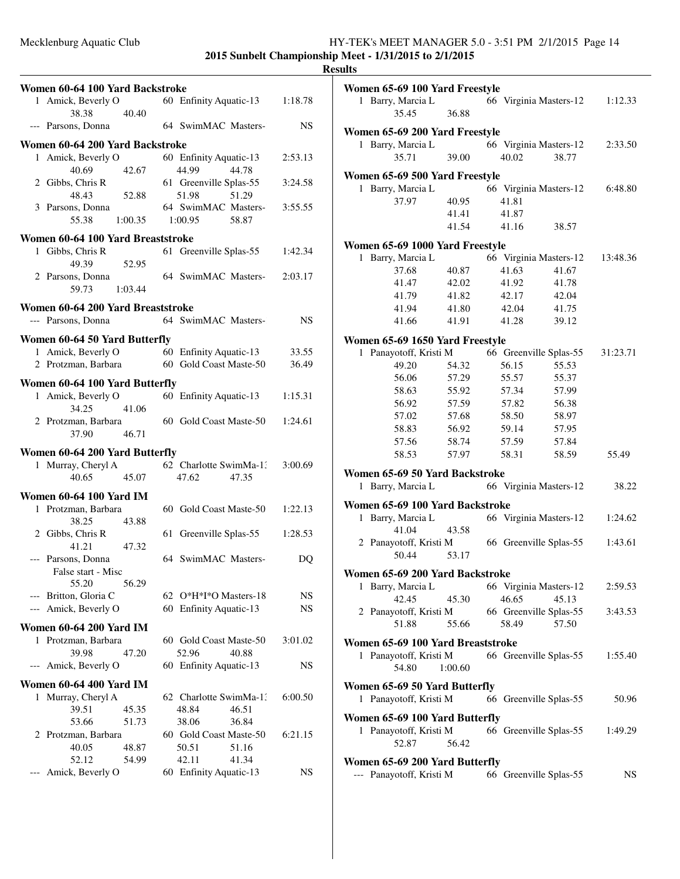|       | Women 60-64 100 Yard Backstroke          |         |                                 |       |           |
|-------|------------------------------------------|---------|---------------------------------|-------|-----------|
|       | 1 Amick, Beverly O                       |         | 60 Enfinity Aquatic-13          |       | 1:18.78   |
|       | 38.38                                    | 40.40   |                                 |       |           |
|       | --- Parsons, Donna                       |         | 64 SwimMAC Masters-             |       | NS        |
|       | Women 60-64 200 Yard Backstroke          |         |                                 |       |           |
|       | 1 Amick, Beverly O                       |         | 60 Enfinity Aquatic-13          |       | 2:53.13   |
|       | 40.69                                    | 42.67   | 44.99                           | 44.78 |           |
|       | 2 Gibbs, Chris R<br>48.43                | 52.88   | 61 Greenville Splas-55<br>51.98 | 51.29 | 3:24.58   |
|       | 3 Parsons, Donna                         |         | 64 SwimMAC Masters-             |       | 3:55.55   |
|       | 55.38                                    | 1:00.35 | 1:00.95                         | 58.87 |           |
|       | Women 60-64 100 Yard Breaststroke        |         |                                 |       |           |
|       | 1 Gibbs, Chris R                         |         | 61 Greenville Splas-55          |       | 1:42.34   |
|       | 49.39                                    | 52.95   |                                 |       |           |
|       | 2 Parsons, Donna                         |         | 64 SwimMAC Masters-             |       | 2:03.17   |
|       | 59.73                                    | 1:03.44 |                                 |       |           |
|       | Women 60-64 200 Yard Breaststroke        |         |                                 |       |           |
|       | --- Parsons, Donna                       |         | 64 SwimMAC Masters-             |       | <b>NS</b> |
|       | Women 60-64 50 Yard Butterfly            |         |                                 |       |           |
|       | 1 Amick, Beverly O                       |         | 60 Enfinity Aquatic-13          |       | 33.55     |
|       | 2 Protzman, Barbara                      |         | 60 Gold Coast Maste-50          |       | 36.49     |
|       | Women 60-64 100 Yard Butterfly           |         |                                 |       |           |
|       | 1 Amick, Beverly O                       |         | 60 Enfinity Aquatic-13          |       | 1:15.31   |
|       | 34.25                                    | 41.06   |                                 |       |           |
|       | 2 Protzman, Barbara                      |         | 60 Gold Coast Maste-50          |       | 1:24.61   |
|       | 37.90                                    | 46.71   |                                 |       |           |
|       | Women 60-64 200 Yard Butterfly           |         |                                 |       |           |
|       | 1 Murray, Cheryl A                       |         | 62 Charlotte SwimMa-13          |       | 3:00.69   |
|       | 40.65                                    | 45.07   | 47.62                           | 47.35 |           |
|       | <b>Women 60-64 100 Yard IM</b>           |         |                                 |       |           |
|       | 1 Protzman, Barbara                      |         | 60 Gold Coast Maste-50          |       | 1:22.13   |
|       | 38.25                                    | 43.88   |                                 |       |           |
|       | 2 Gibbs, Chris R                         | 61      | Greenville Splas-55             |       | 1:28.53   |
|       | 41.21                                    | 47.32   |                                 |       |           |
|       | --- Parsons, Donna<br>False start - Misc |         | 64 SwimMAC Masters-             |       | DQ        |
|       | 55.20                                    | 56.29   |                                 |       |           |
|       | --- Britton, Gloria C                    |         | 62 O*H*I*O Masters-18           |       | NS        |
| $---$ | Amick, Beverly O                         |         | 60 Enfinity Aquatic-13          |       | NS        |
|       | <b>Women 60-64 200 Yard IM</b>           |         |                                 |       |           |
| 1     | Protzman, Barbara                        |         | 60 Gold Coast Maste-50          |       | 3:01.02   |
|       | 39.98                                    | 47.20   | 52.96                           | 40.88 |           |
| $---$ | Amick, Beverly O                         |         | 60 Enfinity Aquatic-13          |       | NS        |
|       | <b>Women 60-64 400 Yard IM</b>           |         |                                 |       |           |
|       | 1 Murray, Cheryl A                       |         | 62 Charlotte SwimMa-1:          |       | 6:00.50   |
|       | 39.51                                    | 45.35   | 48.84                           | 46.51 |           |
|       | 53.66                                    | 51.73   | 38.06                           | 36.84 |           |
|       | 2 Protzman, Barbara                      |         | 60 Gold Coast Maste-50          |       | 6:21.15   |
|       | 40.05                                    | 48.87   | 50.51                           | 51.16 |           |
|       | 52.12                                    | 54.99   | 42.11                           | 41.34 |           |
| $---$ | Amick, Beverly O                         | 60      | <b>Enfinity Aquatic-13</b>      |       | NS        |

| 11 L.S                                                    |         |       |                        |          |
|-----------------------------------------------------------|---------|-------|------------------------|----------|
| Women 65-69 100 Yard Freestyle<br>1 Barry, Marcia L       |         |       | 66 Virginia Masters-12 | 1:12.33  |
| 35.45                                                     | 36.88   |       |                        |          |
| Women 65-69 200 Yard Freestyle                            |         |       |                        |          |
| 1 Barry, Marcia L                                         |         |       | 66 Virginia Masters-12 | 2:33.50  |
| 35.71                                                     | 39.00   | 40.02 | 38.77                  |          |
| Women 65-69 500 Yard Freestyle                            |         |       |                        |          |
| 1 Barry, Marcia L                                         |         |       | 66 Virginia Masters-12 | 6:48.80  |
| 37.97                                                     | 40.95   | 41.81 |                        |          |
|                                                           | 41.41   | 41.87 |                        |          |
|                                                           | 41.54   | 41.16 | 38.57                  |          |
| Women 65-69 1000 Yard Freestyle                           |         |       |                        |          |
| Barry, Marcia L<br>1                                      |         |       | 66 Virginia Masters-12 | 13:48.36 |
| 37.68                                                     | 40.87   | 41.63 | 41.67                  |          |
| 41.47                                                     | 42.02   | 41.92 | 41.78                  |          |
| 41.79                                                     | 41.82   | 42.17 | 42.04                  |          |
| 41.94                                                     | 41.80   | 42.04 | 41.75                  |          |
| 41.66                                                     | 41.91   | 41.28 | 39.12                  |          |
|                                                           |         |       |                        |          |
| Women 65-69 1650 Yard Freestyle<br>1 Panayotoff, Kristi M |         |       | 66 Greenville Splas-55 | 31:23.71 |
| 49.20                                                     | 54.32   | 56.15 | 55.53                  |          |
| 56.06                                                     | 57.29   | 55.57 | 55.37                  |          |
| 58.63                                                     | 55.92   | 57.34 | 57.99                  |          |
| 56.92                                                     | 57.59   | 57.82 | 56.38                  |          |
| 57.02                                                     | 57.68   | 58.50 | 58.97                  |          |
| 58.83                                                     | 56.92   | 59.14 | 57.95                  |          |
| 57.56                                                     | 58.74   | 57.59 | 57.84                  |          |
| 58.53                                                     | 57.97   | 58.31 | 58.59                  | 55.49    |
| Women 65-69 50 Yard Backstroke                            |         |       |                        |          |
| 1 Barry, Marcia L                                         |         |       | 66 Virginia Masters-12 | 38.22    |
|                                                           |         |       |                        |          |
| Women 65-69 100 Yard Backstroke<br>Barry, Marcia L<br>1   |         |       | 66 Virginia Masters-12 | 1:24.62  |
| 41.04                                                     | 43.58   |       |                        |          |
| 2 Panayotoff, Kristi M                                    |         |       | 66 Greenville Splas-55 | 1:43.61  |
| 50.44                                                     | 53.17   |       |                        |          |
|                                                           |         |       |                        |          |
| Women 65-69 200 Yard Backstroke<br>1 Barry, Marcia L      |         |       | 66 Virginia Masters-12 | 2:59.53  |
| 42.45                                                     | 45.30   | 46.65 | 45.13                  |          |
| 2 Panayotoff, Kristi M                                    |         |       | 66 Greenville Splas-55 | 3:43.53  |
| 51.88                                                     | 55.66   | 58.49 | 57.50                  |          |
|                                                           |         |       |                        |          |
| Women 65-69 100 Yard Breaststroke                         |         |       |                        |          |
| 1 Panayotoff, Kristi M<br>54.80                           | 1:00.60 |       | 66 Greenville Splas-55 | 1:55.40  |
| Women 65-69 50 Yard Butterfly                             |         |       |                        |          |
| 1 Panayotoff, Kristi M                                    |         |       | 66 Greenville Splas-55 | 50.96    |
| Women 65-69 100 Yard Butterfly                            |         |       |                        |          |
| 1 Panayotoff, Kristi M<br>52.87                           | 56.42   |       | 66 Greenville Splas-55 | 1:49.29  |
| Women 65-69 200 Yard Butterfly                            |         |       |                        |          |
| --- Panayotoff, Kristi M                                  |         |       | 66 Greenville Splas-55 | NS       |
|                                                           |         |       |                        |          |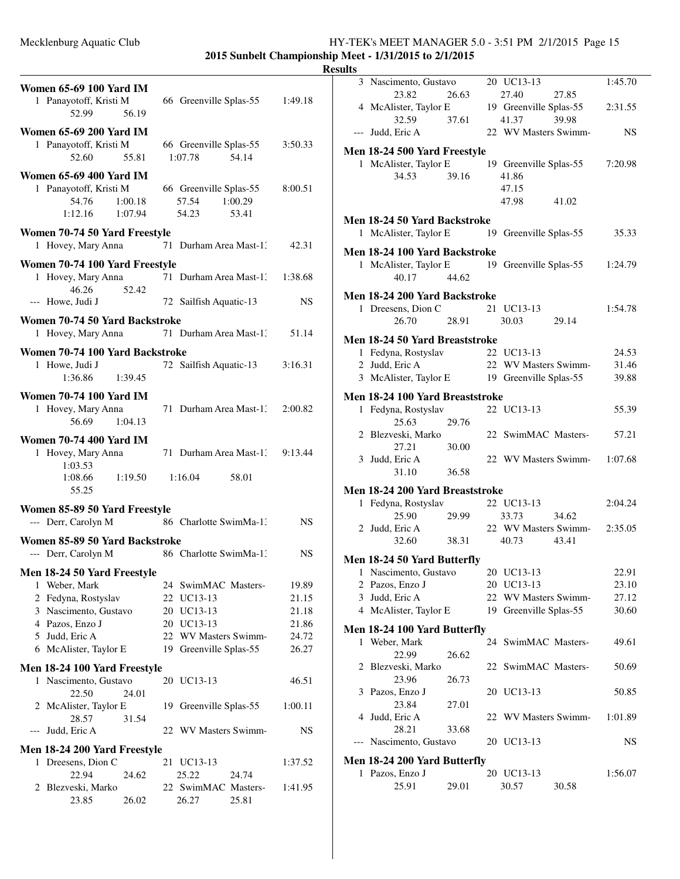**2015 Sunbelt Championship Meet - 1/31/2015 to 2/1/2015**

| <b>Women 65-69 100 Yard IM</b><br>1 Panayotoff, Kristi M<br>52.99                       | 56.19   | 66 Greenville Splas-55                                       | 1:49.18        |
|-----------------------------------------------------------------------------------------|---------|--------------------------------------------------------------|----------------|
| <b>Women 65-69 200 Yard IM</b><br>1 Panayotoff, Kristi M<br>52.60                       | 55.81   | 66 Greenville Splas-55<br>1:07.78<br>54.14                   | 3:50.33        |
| <b>Women 65-69 400 Yard IM</b><br>1 Panayotoff, Kristi M<br>54.76<br>1:12.16<br>1:07.94 | 1:00.18 | 66 Greenville Splas-55<br>1:00.29<br>57.54<br>54.23<br>53.41 | 8:00.51        |
| Women 70-74 50 Yard Freestyle<br>1 Hovey, Mary Anna                                     |         | 71 Durham Area Mast-1.                                       | 42.31          |
| Women 70-74 100 Yard Freestyle<br>1 Hovey, Mary Anna<br>46.26                           | 52.42   | 71 Durham Area Mast-1:                                       | 1:38.68        |
| --- Howe, Judi J                                                                        |         | 72 Sailfish Aquatic-13                                       | NS             |
| Women 70-74 50 Yard Backstroke<br>1 Hovey, Mary Anna                                    |         | 71 Durham Area Mast-13                                       | 51.14          |
| Women 70-74 100 Yard Backstroke<br>1 Howe, Judi J<br>1:36.86                            | 1:39.45 | 72 Sailfish Aquatic-13                                       | 3:16.31        |
| <b>Women 70-74 100 Yard IM</b><br>1 Hovey, Mary Anna<br>56.69                           | 1:04.13 | 71 Durham Area Mast-1.                                       | 2:00.82        |
| <b>Women 70-74 400 Yard IM</b><br>1 Hovey, Mary Anna<br>1:03.53<br>1:08.66              | 1:19.50 | 71 Durham Area Mast-1:<br>1:16.04<br>58.01                   | 9:13.44        |
| 55.25                                                                                   |         |                                                              |                |
| Women 85-89 50 Yard Freestyle<br>--- Derr, Carolyn M                                    |         | 86 Charlotte SwimMa-1:                                       | NS             |
| Women 85-89 50 Yard Backstroke<br>--- Derr, Carolyn M                                   |         | 86 Charlotte SwimMa-1.                                       | NS             |
| Men 18-24 50 Yard Freestyle                                                             |         |                                                              |                |
| Weber, Mark<br>1                                                                        |         | 24 SwimMAC Masters-                                          | 19.89          |
| 2 Fedyna, Rostyslav                                                                     |         | 22 UC13-13                                                   | 21.15          |
| 3 Nascimento, Gustavo<br>4 Pazos, Enzo J                                                |         | 20 UC13-13<br>20 UC13-13                                     | 21.18<br>21.86 |
| 5 Judd, Eric A                                                                          |         | 22 WV Masters Swimm-                                         | 24.72          |
| 6 McAlister, Taylor E                                                                   |         | 19 Greenville Splas-55                                       | 26.27          |
| Men 18-24 100 Yard Freestyle                                                            |         |                                                              |                |
| 1 Nascimento, Gustavo<br>22.50                                                          | 24.01   | 20 UC13-13                                                   | 46.51          |
| 2 McAlister, Taylor E<br>28.57                                                          | 31.54   | 19 Greenville Splas-55                                       | 1:00.11        |
| Judd, Eric A<br>$---$                                                                   |         | 22 WV Masters Swimm-                                         | NS             |
| Men 18-24 200 Yard Freestyle                                                            |         |                                                              |                |
| 1 Dreesens, Dion C                                                                      | 21      | UC13-13                                                      | 1:37.52        |
| 22.94<br>2 Blezveski, Marko                                                             | 24.62   | 25.22<br>24.74<br>22 SwimMAC Masters-                        | 1:41.95        |
| 23.85                                                                                   | 26.02   | 26.27<br>25.81                                               |                |

|       | 3 Nascimento, Gustavo                        |       | 20 UC13-13                  |       | 1:45.70   |
|-------|----------------------------------------------|-------|-----------------------------|-------|-----------|
|       | 23.82                                        | 26.63 | 27.40                       | 27.85 |           |
|       | 4 McAlister, Taylor E                        |       | 19 Greenville Splas-55      |       | 2:31.55   |
|       | 32.59                                        | 37.61 | 41.37                       | 39.98 |           |
|       | --- Judd, Eric A                             |       | 22 WV Masters Swimm-        |       | <b>NS</b> |
|       | Men 18-24 500 Yard Freestyle                 |       |                             |       |           |
|       | 1 McAlister, Taylor E                        |       | 19 Greenville Splas-55      |       | 7:20.98   |
|       | 34.53                                        | 39.16 | 41.86                       |       |           |
|       |                                              |       | 47.15                       |       |           |
|       |                                              |       | 47.98                       | 41.02 |           |
|       | Men 18-24 50 Yard Backstroke                 |       |                             |       |           |
|       | 1 McAlister, Taylor E 19 Greenville Splas-55 |       |                             |       | 35.33     |
|       | Men 18-24 100 Yard Backstroke                |       |                             |       |           |
|       | 1 McAlister, Taylor E 19 Greenville Splas-55 |       |                             |       | 1:24.79   |
|       | 40.17                                        | 44.62 |                             |       |           |
|       | Men 18-24 200 Yard Backstroke                |       |                             |       |           |
|       | 1 Dreesens, Dion C                           |       | 21 UC13-13                  |       | 1:54.78   |
|       | 26.70                                        | 28.91 | 30.03                       | 29.14 |           |
|       |                                              |       |                             |       |           |
|       | Men 18-24 50 Yard Breaststroke               |       |                             |       |           |
|       | 1 Fedyna, Rostyslav                          |       | 22 UC13-13                  |       | 24.53     |
|       | 2 Judd, Eric A                               |       | 22 WV Masters Swimm-        |       | 31.46     |
|       | 3 McAlister, Taylor E 19 Greenville Splas-55 |       |                             |       | 39.88     |
|       | Men 18-24 100 Yard Breaststroke              |       |                             |       |           |
|       | 1 Fedyna, Rostyslav                          |       | 22 UC13-13                  |       | 55.39     |
|       | 25.63                                        | 29.76 |                             |       |           |
|       | 2 Blezveski, Marko                           |       | 22 SwimMAC Masters-         |       | 57.21     |
|       | 27.21                                        | 30.00 |                             |       |           |
|       | 3 Judd, Eric A                               |       | 22 WV Masters Swimm-1:07.68 |       |           |
|       | 31.10                                        | 36.58 |                             |       |           |
|       | Men 18-24 200 Yard Breaststroke              |       |                             |       |           |
|       | 1 Fedyna, Rostyslav                          |       | 22 UC13-13                  |       | 2:04.24   |
|       | 25.90                                        |       |                             |       |           |
|       |                                              | 29.99 | 33.73                       | 34.62 |           |
|       | 2 Judd, Eric A                               |       | 22 WV Masters Swimm-2:35.05 |       |           |
|       | 32.60                                        | 38.31 | 40.73                       | 43.41 |           |
|       | Men 18-24 50 Yard Butterfly                  |       |                             |       |           |
|       | 1 Nascimento, Gustavo 20 UC13-13             |       |                             |       | 22.91     |
|       | 2 Pazos, Enzo J                              |       | 20 UC13-13                  |       | 23.10     |
|       | 3 Judd, Eric A                               |       | 22 WV Masters Swimm-        |       | 27.12     |
|       | 4 McAlister, Taylor E                        |       | 19 Greenville Splas-55      |       | 30.60     |
|       | Men 18-24 100 Yard Butterfly                 |       |                             |       |           |
| 1     | Weber, Mark                                  |       | 24 SwimMAC Masters-         |       | 49.61     |
|       | 22.99                                        | 26.62 |                             |       |           |
| 2     | Blezveski, Marko                             |       | 22 SwimMAC Masters-         |       | 50.69     |
|       | 23.96                                        | 26.73 |                             |       |           |
| 3     | Pazos, Enzo J                                |       | 20 UC13-13                  |       | 50.85     |
|       | 23.84                                        | 27.01 |                             |       |           |
| 4     | Judd, Eric A                                 |       | 22 WV Masters Swimm-        |       | 1:01.89   |
|       | 28.21                                        | 33.68 |                             |       |           |
| $---$ | Nascimento, Gustavo                          |       | 20 UC13-13                  |       | NS.       |
|       |                                              |       |                             |       |           |
|       | Men 18-24 200 Yard Butterfly                 |       |                             |       |           |
| 1     | Pazos, Enzo J                                |       | 20 UC13-13                  |       | 1:56.07   |
|       | 25.91                                        | 29.01 | 30.57                       | 30.58 |           |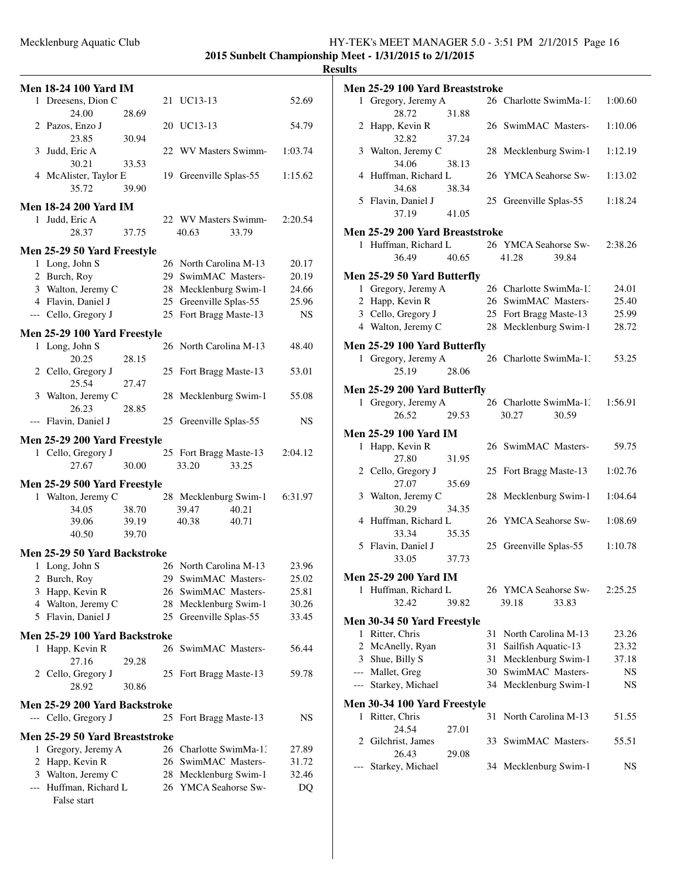**2015 Sunbelt Championship Meet - 1/31/2015 to 2/1/2015**

| 1 Dreesens, Dion C<br>21 UC13-13<br>52.69<br>24.00<br>28.69<br>2 Pazos, Enzo J<br>20 UC13-13<br>54.79<br>23.85<br>30.94<br>22 WV Masters Swimm-<br>3 Judd, Eric A<br>1:03.74<br>30.21<br>33.53<br>4 McAlister, Taylor E<br>19 Greenville Splas-55<br>1:15.62<br>35.72<br>39.90<br><b>Men 18-24 200 Yard IM</b><br>1 Judd, Eric A<br>22 WV Masters Swimm-<br>2:20.54<br>28.37<br>40.63<br>33.79<br>37.75<br>Men 25-29 50 Yard Freestyle<br>1 Long, John S<br>26 North Carolina M-13<br>20.17<br>2 Burch, Roy<br>29 SwimMAC Masters-<br>20.19<br>3 Walton, Jeremy C<br>28 Mecklenburg Swim-1<br>24.66<br>4 Flavin, Daniel J<br>25 Greenville Splas-55<br>25.96<br>25 Fort Bragg Maste-13<br>--- Cello, Gregory J<br><b>NS</b><br>Men 25-29 100 Yard Freestyle<br>1 Long, John S<br>26 North Carolina M-13<br>48.40<br>20.25<br>28.15<br>2 Cello, Gregory J<br>25 Fort Bragg Maste-13<br>53.01<br>25.54<br>27.47<br>3 Walton, Jeremy C<br>28 Mecklenburg Swim-1<br>55.08<br>26.23<br>28.85<br>--- Flavin, Daniel J<br>25 Greenville Splas-55<br>NS<br>Men 25-29 200 Yard Freestyle<br>1 Cello, Gregory J<br>25 Fort Bragg Maste-13<br>2:04.12<br>27.67<br>33.20<br>33.25<br>30.00<br>Men 25-29 500 Yard Freestyle<br>1 Walton, Jeremy C<br>28 Mecklenburg Swim-1<br>6:31.97<br>34.05<br>38.70<br>39.47<br>40.21<br>39.06<br>39.19<br>40.38<br>40.71<br>40.50<br>39.70<br><b>Men 25-29 50 Yard Backstroke</b><br>1 Long, John S<br>26 North Carolina M-13<br>23.96<br>SwimMAC Masters-<br>25.02<br>2 Burch, Roy<br>29.<br>SwimMAC Masters-<br>25.81<br>3<br>Happ, Kevin R<br>26<br>4 Walton, Jeremy C<br>28<br>Mecklenburg Swim-1<br>30.26<br>5 Flavin, Daniel J<br>Greenville Splas-55<br>33.45<br>25<br>Men 25-29 100 Yard Backstroke<br>SwimMAC Masters-<br>Happ, Kevin R<br>26<br>56.44<br>1<br>27.16<br>29.28<br>2 Cello, Gregory J<br>25 Fort Bragg Maste-13<br>59.78<br>28.92<br>30.86<br>Men 25-29 200 Yard Backstroke<br>--- Cello, Gregory J<br>25<br>Fort Bragg Maste-13<br>NS<br>Men 25-29 50 Yard Breaststroke<br>Gregory, Jeremy A<br>26 Charlotte SwimMa-1:<br>1<br>27.89<br>2 Happ, Kevin R<br>26 SwimMAC Masters-<br>31.72<br>3 Walton, Jeremy C<br>28 Mecklenburg Swim-1<br>32.46<br>--- Huffman, Richard L<br>26 YMCA Seahorse Sw-<br>DQ<br>False start | <b>Men 18-24 100 Yard IM</b> |  |  |  |
|------------------------------------------------------------------------------------------------------------------------------------------------------------------------------------------------------------------------------------------------------------------------------------------------------------------------------------------------------------------------------------------------------------------------------------------------------------------------------------------------------------------------------------------------------------------------------------------------------------------------------------------------------------------------------------------------------------------------------------------------------------------------------------------------------------------------------------------------------------------------------------------------------------------------------------------------------------------------------------------------------------------------------------------------------------------------------------------------------------------------------------------------------------------------------------------------------------------------------------------------------------------------------------------------------------------------------------------------------------------------------------------------------------------------------------------------------------------------------------------------------------------------------------------------------------------------------------------------------------------------------------------------------------------------------------------------------------------------------------------------------------------------------------------------------------------------------------------------------------------------------------------------------------------------------------------------------------------------------------------------------------------------------------------------------------------------------------------------------------------------------------------------------------------------------------------------------------------------------------------------------------------------|------------------------------|--|--|--|
|                                                                                                                                                                                                                                                                                                                                                                                                                                                                                                                                                                                                                                                                                                                                                                                                                                                                                                                                                                                                                                                                                                                                                                                                                                                                                                                                                                                                                                                                                                                                                                                                                                                                                                                                                                                                                                                                                                                                                                                                                                                                                                                                                                                                                                                                        |                              |  |  |  |
|                                                                                                                                                                                                                                                                                                                                                                                                                                                                                                                                                                                                                                                                                                                                                                                                                                                                                                                                                                                                                                                                                                                                                                                                                                                                                                                                                                                                                                                                                                                                                                                                                                                                                                                                                                                                                                                                                                                                                                                                                                                                                                                                                                                                                                                                        |                              |  |  |  |
|                                                                                                                                                                                                                                                                                                                                                                                                                                                                                                                                                                                                                                                                                                                                                                                                                                                                                                                                                                                                                                                                                                                                                                                                                                                                                                                                                                                                                                                                                                                                                                                                                                                                                                                                                                                                                                                                                                                                                                                                                                                                                                                                                                                                                                                                        |                              |  |  |  |
|                                                                                                                                                                                                                                                                                                                                                                                                                                                                                                                                                                                                                                                                                                                                                                                                                                                                                                                                                                                                                                                                                                                                                                                                                                                                                                                                                                                                                                                                                                                                                                                                                                                                                                                                                                                                                                                                                                                                                                                                                                                                                                                                                                                                                                                                        |                              |  |  |  |
|                                                                                                                                                                                                                                                                                                                                                                                                                                                                                                                                                                                                                                                                                                                                                                                                                                                                                                                                                                                                                                                                                                                                                                                                                                                                                                                                                                                                                                                                                                                                                                                                                                                                                                                                                                                                                                                                                                                                                                                                                                                                                                                                                                                                                                                                        |                              |  |  |  |
|                                                                                                                                                                                                                                                                                                                                                                                                                                                                                                                                                                                                                                                                                                                                                                                                                                                                                                                                                                                                                                                                                                                                                                                                                                                                                                                                                                                                                                                                                                                                                                                                                                                                                                                                                                                                                                                                                                                                                                                                                                                                                                                                                                                                                                                                        |                              |  |  |  |
|                                                                                                                                                                                                                                                                                                                                                                                                                                                                                                                                                                                                                                                                                                                                                                                                                                                                                                                                                                                                                                                                                                                                                                                                                                                                                                                                                                                                                                                                                                                                                                                                                                                                                                                                                                                                                                                                                                                                                                                                                                                                                                                                                                                                                                                                        |                              |  |  |  |
|                                                                                                                                                                                                                                                                                                                                                                                                                                                                                                                                                                                                                                                                                                                                                                                                                                                                                                                                                                                                                                                                                                                                                                                                                                                                                                                                                                                                                                                                                                                                                                                                                                                                                                                                                                                                                                                                                                                                                                                                                                                                                                                                                                                                                                                                        |                              |  |  |  |
|                                                                                                                                                                                                                                                                                                                                                                                                                                                                                                                                                                                                                                                                                                                                                                                                                                                                                                                                                                                                                                                                                                                                                                                                                                                                                                                                                                                                                                                                                                                                                                                                                                                                                                                                                                                                                                                                                                                                                                                                                                                                                                                                                                                                                                                                        |                              |  |  |  |
|                                                                                                                                                                                                                                                                                                                                                                                                                                                                                                                                                                                                                                                                                                                                                                                                                                                                                                                                                                                                                                                                                                                                                                                                                                                                                                                                                                                                                                                                                                                                                                                                                                                                                                                                                                                                                                                                                                                                                                                                                                                                                                                                                                                                                                                                        |                              |  |  |  |
|                                                                                                                                                                                                                                                                                                                                                                                                                                                                                                                                                                                                                                                                                                                                                                                                                                                                                                                                                                                                                                                                                                                                                                                                                                                                                                                                                                                                                                                                                                                                                                                                                                                                                                                                                                                                                                                                                                                                                                                                                                                                                                                                                                                                                                                                        |                              |  |  |  |
|                                                                                                                                                                                                                                                                                                                                                                                                                                                                                                                                                                                                                                                                                                                                                                                                                                                                                                                                                                                                                                                                                                                                                                                                                                                                                                                                                                                                                                                                                                                                                                                                                                                                                                                                                                                                                                                                                                                                                                                                                                                                                                                                                                                                                                                                        |                              |  |  |  |
|                                                                                                                                                                                                                                                                                                                                                                                                                                                                                                                                                                                                                                                                                                                                                                                                                                                                                                                                                                                                                                                                                                                                                                                                                                                                                                                                                                                                                                                                                                                                                                                                                                                                                                                                                                                                                                                                                                                                                                                                                                                                                                                                                                                                                                                                        |                              |  |  |  |
|                                                                                                                                                                                                                                                                                                                                                                                                                                                                                                                                                                                                                                                                                                                                                                                                                                                                                                                                                                                                                                                                                                                                                                                                                                                                                                                                                                                                                                                                                                                                                                                                                                                                                                                                                                                                                                                                                                                                                                                                                                                                                                                                                                                                                                                                        |                              |  |  |  |
|                                                                                                                                                                                                                                                                                                                                                                                                                                                                                                                                                                                                                                                                                                                                                                                                                                                                                                                                                                                                                                                                                                                                                                                                                                                                                                                                                                                                                                                                                                                                                                                                                                                                                                                                                                                                                                                                                                                                                                                                                                                                                                                                                                                                                                                                        |                              |  |  |  |
|                                                                                                                                                                                                                                                                                                                                                                                                                                                                                                                                                                                                                                                                                                                                                                                                                                                                                                                                                                                                                                                                                                                                                                                                                                                                                                                                                                                                                                                                                                                                                                                                                                                                                                                                                                                                                                                                                                                                                                                                                                                                                                                                                                                                                                                                        |                              |  |  |  |
|                                                                                                                                                                                                                                                                                                                                                                                                                                                                                                                                                                                                                                                                                                                                                                                                                                                                                                                                                                                                                                                                                                                                                                                                                                                                                                                                                                                                                                                                                                                                                                                                                                                                                                                                                                                                                                                                                                                                                                                                                                                                                                                                                                                                                                                                        |                              |  |  |  |
|                                                                                                                                                                                                                                                                                                                                                                                                                                                                                                                                                                                                                                                                                                                                                                                                                                                                                                                                                                                                                                                                                                                                                                                                                                                                                                                                                                                                                                                                                                                                                                                                                                                                                                                                                                                                                                                                                                                                                                                                                                                                                                                                                                                                                                                                        |                              |  |  |  |
|                                                                                                                                                                                                                                                                                                                                                                                                                                                                                                                                                                                                                                                                                                                                                                                                                                                                                                                                                                                                                                                                                                                                                                                                                                                                                                                                                                                                                                                                                                                                                                                                                                                                                                                                                                                                                                                                                                                                                                                                                                                                                                                                                                                                                                                                        |                              |  |  |  |
|                                                                                                                                                                                                                                                                                                                                                                                                                                                                                                                                                                                                                                                                                                                                                                                                                                                                                                                                                                                                                                                                                                                                                                                                                                                                                                                                                                                                                                                                                                                                                                                                                                                                                                                                                                                                                                                                                                                                                                                                                                                                                                                                                                                                                                                                        |                              |  |  |  |
|                                                                                                                                                                                                                                                                                                                                                                                                                                                                                                                                                                                                                                                                                                                                                                                                                                                                                                                                                                                                                                                                                                                                                                                                                                                                                                                                                                                                                                                                                                                                                                                                                                                                                                                                                                                                                                                                                                                                                                                                                                                                                                                                                                                                                                                                        |                              |  |  |  |
|                                                                                                                                                                                                                                                                                                                                                                                                                                                                                                                                                                                                                                                                                                                                                                                                                                                                                                                                                                                                                                                                                                                                                                                                                                                                                                                                                                                                                                                                                                                                                                                                                                                                                                                                                                                                                                                                                                                                                                                                                                                                                                                                                                                                                                                                        |                              |  |  |  |
|                                                                                                                                                                                                                                                                                                                                                                                                                                                                                                                                                                                                                                                                                                                                                                                                                                                                                                                                                                                                                                                                                                                                                                                                                                                                                                                                                                                                                                                                                                                                                                                                                                                                                                                                                                                                                                                                                                                                                                                                                                                                                                                                                                                                                                                                        |                              |  |  |  |
|                                                                                                                                                                                                                                                                                                                                                                                                                                                                                                                                                                                                                                                                                                                                                                                                                                                                                                                                                                                                                                                                                                                                                                                                                                                                                                                                                                                                                                                                                                                                                                                                                                                                                                                                                                                                                                                                                                                                                                                                                                                                                                                                                                                                                                                                        |                              |  |  |  |
|                                                                                                                                                                                                                                                                                                                                                                                                                                                                                                                                                                                                                                                                                                                                                                                                                                                                                                                                                                                                                                                                                                                                                                                                                                                                                                                                                                                                                                                                                                                                                                                                                                                                                                                                                                                                                                                                                                                                                                                                                                                                                                                                                                                                                                                                        |                              |  |  |  |
|                                                                                                                                                                                                                                                                                                                                                                                                                                                                                                                                                                                                                                                                                                                                                                                                                                                                                                                                                                                                                                                                                                                                                                                                                                                                                                                                                                                                                                                                                                                                                                                                                                                                                                                                                                                                                                                                                                                                                                                                                                                                                                                                                                                                                                                                        |                              |  |  |  |
|                                                                                                                                                                                                                                                                                                                                                                                                                                                                                                                                                                                                                                                                                                                                                                                                                                                                                                                                                                                                                                                                                                                                                                                                                                                                                                                                                                                                                                                                                                                                                                                                                                                                                                                                                                                                                                                                                                                                                                                                                                                                                                                                                                                                                                                                        |                              |  |  |  |
|                                                                                                                                                                                                                                                                                                                                                                                                                                                                                                                                                                                                                                                                                                                                                                                                                                                                                                                                                                                                                                                                                                                                                                                                                                                                                                                                                                                                                                                                                                                                                                                                                                                                                                                                                                                                                                                                                                                                                                                                                                                                                                                                                                                                                                                                        |                              |  |  |  |
|                                                                                                                                                                                                                                                                                                                                                                                                                                                                                                                                                                                                                                                                                                                                                                                                                                                                                                                                                                                                                                                                                                                                                                                                                                                                                                                                                                                                                                                                                                                                                                                                                                                                                                                                                                                                                                                                                                                                                                                                                                                                                                                                                                                                                                                                        |                              |  |  |  |
|                                                                                                                                                                                                                                                                                                                                                                                                                                                                                                                                                                                                                                                                                                                                                                                                                                                                                                                                                                                                                                                                                                                                                                                                                                                                                                                                                                                                                                                                                                                                                                                                                                                                                                                                                                                                                                                                                                                                                                                                                                                                                                                                                                                                                                                                        |                              |  |  |  |
|                                                                                                                                                                                                                                                                                                                                                                                                                                                                                                                                                                                                                                                                                                                                                                                                                                                                                                                                                                                                                                                                                                                                                                                                                                                                                                                                                                                                                                                                                                                                                                                                                                                                                                                                                                                                                                                                                                                                                                                                                                                                                                                                                                                                                                                                        |                              |  |  |  |
|                                                                                                                                                                                                                                                                                                                                                                                                                                                                                                                                                                                                                                                                                                                                                                                                                                                                                                                                                                                                                                                                                                                                                                                                                                                                                                                                                                                                                                                                                                                                                                                                                                                                                                                                                                                                                                                                                                                                                                                                                                                                                                                                                                                                                                                                        |                              |  |  |  |
|                                                                                                                                                                                                                                                                                                                                                                                                                                                                                                                                                                                                                                                                                                                                                                                                                                                                                                                                                                                                                                                                                                                                                                                                                                                                                                                                                                                                                                                                                                                                                                                                                                                                                                                                                                                                                                                                                                                                                                                                                                                                                                                                                                                                                                                                        |                              |  |  |  |
|                                                                                                                                                                                                                                                                                                                                                                                                                                                                                                                                                                                                                                                                                                                                                                                                                                                                                                                                                                                                                                                                                                                                                                                                                                                                                                                                                                                                                                                                                                                                                                                                                                                                                                                                                                                                                                                                                                                                                                                                                                                                                                                                                                                                                                                                        |                              |  |  |  |
|                                                                                                                                                                                                                                                                                                                                                                                                                                                                                                                                                                                                                                                                                                                                                                                                                                                                                                                                                                                                                                                                                                                                                                                                                                                                                                                                                                                                                                                                                                                                                                                                                                                                                                                                                                                                                                                                                                                                                                                                                                                                                                                                                                                                                                                                        |                              |  |  |  |
|                                                                                                                                                                                                                                                                                                                                                                                                                                                                                                                                                                                                                                                                                                                                                                                                                                                                                                                                                                                                                                                                                                                                                                                                                                                                                                                                                                                                                                                                                                                                                                                                                                                                                                                                                                                                                                                                                                                                                                                                                                                                                                                                                                                                                                                                        |                              |  |  |  |
|                                                                                                                                                                                                                                                                                                                                                                                                                                                                                                                                                                                                                                                                                                                                                                                                                                                                                                                                                                                                                                                                                                                                                                                                                                                                                                                                                                                                                                                                                                                                                                                                                                                                                                                                                                                                                                                                                                                                                                                                                                                                                                                                                                                                                                                                        |                              |  |  |  |
|                                                                                                                                                                                                                                                                                                                                                                                                                                                                                                                                                                                                                                                                                                                                                                                                                                                                                                                                                                                                                                                                                                                                                                                                                                                                                                                                                                                                                                                                                                                                                                                                                                                                                                                                                                                                                                                                                                                                                                                                                                                                                                                                                                                                                                                                        |                              |  |  |  |
|                                                                                                                                                                                                                                                                                                                                                                                                                                                                                                                                                                                                                                                                                                                                                                                                                                                                                                                                                                                                                                                                                                                                                                                                                                                                                                                                                                                                                                                                                                                                                                                                                                                                                                                                                                                                                                                                                                                                                                                                                                                                                                                                                                                                                                                                        |                              |  |  |  |
|                                                                                                                                                                                                                                                                                                                                                                                                                                                                                                                                                                                                                                                                                                                                                                                                                                                                                                                                                                                                                                                                                                                                                                                                                                                                                                                                                                                                                                                                                                                                                                                                                                                                                                                                                                                                                                                                                                                                                                                                                                                                                                                                                                                                                                                                        |                              |  |  |  |
|                                                                                                                                                                                                                                                                                                                                                                                                                                                                                                                                                                                                                                                                                                                                                                                                                                                                                                                                                                                                                                                                                                                                                                                                                                                                                                                                                                                                                                                                                                                                                                                                                                                                                                                                                                                                                                                                                                                                                                                                                                                                                                                                                                                                                                                                        |                              |  |  |  |
|                                                                                                                                                                                                                                                                                                                                                                                                                                                                                                                                                                                                                                                                                                                                                                                                                                                                                                                                                                                                                                                                                                                                                                                                                                                                                                                                                                                                                                                                                                                                                                                                                                                                                                                                                                                                                                                                                                                                                                                                                                                                                                                                                                                                                                                                        |                              |  |  |  |
|                                                                                                                                                                                                                                                                                                                                                                                                                                                                                                                                                                                                                                                                                                                                                                                                                                                                                                                                                                                                                                                                                                                                                                                                                                                                                                                                                                                                                                                                                                                                                                                                                                                                                                                                                                                                                                                                                                                                                                                                                                                                                                                                                                                                                                                                        |                              |  |  |  |
|                                                                                                                                                                                                                                                                                                                                                                                                                                                                                                                                                                                                                                                                                                                                                                                                                                                                                                                                                                                                                                                                                                                                                                                                                                                                                                                                                                                                                                                                                                                                                                                                                                                                                                                                                                                                                                                                                                                                                                                                                                                                                                                                                                                                                                                                        |                              |  |  |  |
|                                                                                                                                                                                                                                                                                                                                                                                                                                                                                                                                                                                                                                                                                                                                                                                                                                                                                                                                                                                                                                                                                                                                                                                                                                                                                                                                                                                                                                                                                                                                                                                                                                                                                                                                                                                                                                                                                                                                                                                                                                                                                                                                                                                                                                                                        |                              |  |  |  |
|                                                                                                                                                                                                                                                                                                                                                                                                                                                                                                                                                                                                                                                                                                                                                                                                                                                                                                                                                                                                                                                                                                                                                                                                                                                                                                                                                                                                                                                                                                                                                                                                                                                                                                                                                                                                                                                                                                                                                                                                                                                                                                                                                                                                                                                                        |                              |  |  |  |
|                                                                                                                                                                                                                                                                                                                                                                                                                                                                                                                                                                                                                                                                                                                                                                                                                                                                                                                                                                                                                                                                                                                                                                                                                                                                                                                                                                                                                                                                                                                                                                                                                                                                                                                                                                                                                                                                                                                                                                                                                                                                                                                                                                                                                                                                        |                              |  |  |  |
|                                                                                                                                                                                                                                                                                                                                                                                                                                                                                                                                                                                                                                                                                                                                                                                                                                                                                                                                                                                                                                                                                                                                                                                                                                                                                                                                                                                                                                                                                                                                                                                                                                                                                                                                                                                                                                                                                                                                                                                                                                                                                                                                                                                                                                                                        |                              |  |  |  |
|                                                                                                                                                                                                                                                                                                                                                                                                                                                                                                                                                                                                                                                                                                                                                                                                                                                                                                                                                                                                                                                                                                                                                                                                                                                                                                                                                                                                                                                                                                                                                                                                                                                                                                                                                                                                                                                                                                                                                                                                                                                                                                                                                                                                                                                                        |                              |  |  |  |

|   | Men 25-29 100 Yard Breaststroke |       |    |                                          |         |
|---|---------------------------------|-------|----|------------------------------------------|---------|
|   | 1 Gregory, Jeremy A<br>28.72    | 31.88 |    | 26 Charlotte SwimMa-1:                   | 1:00.60 |
|   | 2 Happ, Kevin R<br>32.82        | 37.24 |    | 26 SwimMAC Masters-                      | 1:10.06 |
|   | 3 Walton, Jeremy C<br>34.06     | 38.13 |    | 28 Mecklenburg Swim-1                    | 1:12.19 |
|   | 4 Huffman, Richard L<br>34.68   | 38.34 |    | 26 YMCA Seahorse Sw-                     | 1:13.02 |
|   | 5 Flavin, Daniel J<br>37.19     | 41.05 |    | 25 Greenville Splas-55                   | 1:18.24 |
|   |                                 |       |    |                                          |         |
|   | Men 25-29 200 Yard Breaststroke |       |    |                                          |         |
|   | 1 Huffman, Richard L<br>36.49   | 40.65 |    | 26 YMCA Seahorse Sw-<br>41.28<br>39.84   | 2:38.26 |
|   | Men 25-29 50 Yard Butterfly     |       |    |                                          |         |
|   | 1 Gregory, Jeremy A             |       |    | 26 Charlotte SwimMa-13                   | 24.01   |
|   | 2 Happ, Kevin R                 |       |    | 26 SwimMAC Masters-                      | 25.40   |
|   | 3 Cello, Gregory J              |       |    | 25 Fort Bragg Maste-13                   | 25.99   |
|   | 4 Walton, Jeremy C              |       |    | 28 Mecklenburg Swim-1                    | 28.72   |
|   |                                 |       |    |                                          |         |
|   | Men 25-29 100 Yard Butterfly    |       |    |                                          |         |
|   | 1 Gregory, Jeremy A<br>25.19    | 28.06 |    | 26 Charlotte SwimMa-13                   | 53.25   |
|   | Men 25-29 200 Yard Butterfly    |       |    |                                          |         |
|   | 1 Gregory, Jeremy A<br>26.52    | 29.53 |    | 26 Charlotte SwimMa-13<br>30.27<br>30.59 | 1:56.91 |
|   | Men 25-29 100 Yard IM           |       |    |                                          |         |
|   | 1 Happ, Kevin R<br>27.80        | 31.95 |    | 26 SwimMAC Masters-                      | 59.75   |
|   | 2 Cello, Gregory J<br>27.07     | 35.69 |    | 25 Fort Bragg Maste-13                   | 1:02.76 |
|   | 3 Walton, Jeremy C<br>30.29     | 34.35 |    | 28 Mecklenburg Swim-1                    | 1:04.64 |
|   | 4 Huffman, Richard L<br>33.34   | 35.35 |    | 26 YMCA Seahorse Sw-                     | 1:08.69 |
|   | 5 Flavin, Daniel J<br>33.05     | 37.73 |    | 25 Greenville Splas-55                   | 1:10.78 |
|   | <b>Men 25-29 200 Yard IM</b>    |       |    |                                          |         |
| 1 | Huffman, Richard L<br>32.42     | 39.82 |    | 26 YMCA Seahorse Sw-<br>39.18<br>33.83   | 2:25.25 |
|   |                                 |       |    |                                          |         |
|   | Men 30-34 50 Yard Freestyle     |       |    |                                          |         |
|   | 1 Ritter, Chris                 |       | 31 | North Carolina M-13                      | 23.26   |
|   | 2 McAnelly, Ryan                |       | 31 | Sailfish Aquatic-13                      | 23.32   |
|   | 3 Shue, Billy S                 |       | 31 | Mecklenburg Swim-1                       | 37.18   |
|   | --- Mallet, Greg                |       | 30 | SwimMAC Masters-                         | NS      |
|   | --- Starkey, Michael            |       |    | 34 Mecklenburg Swim-1                    | NS      |
|   | Men 30-34 100 Yard Freestyle    |       |    |                                          |         |
| 1 | Ritter, Chris                   |       | 31 | North Carolina M-13                      | 51.55   |
|   | 24.54                           | 27.01 |    |                                          |         |
| 2 | Gilchrist, James<br>26.43       |       | 33 | SwimMAC Masters-                         | 55.51   |
|   | Starkey, Michael                | 29.08 |    | 34 Mecklenburg Swim-1                    | NS      |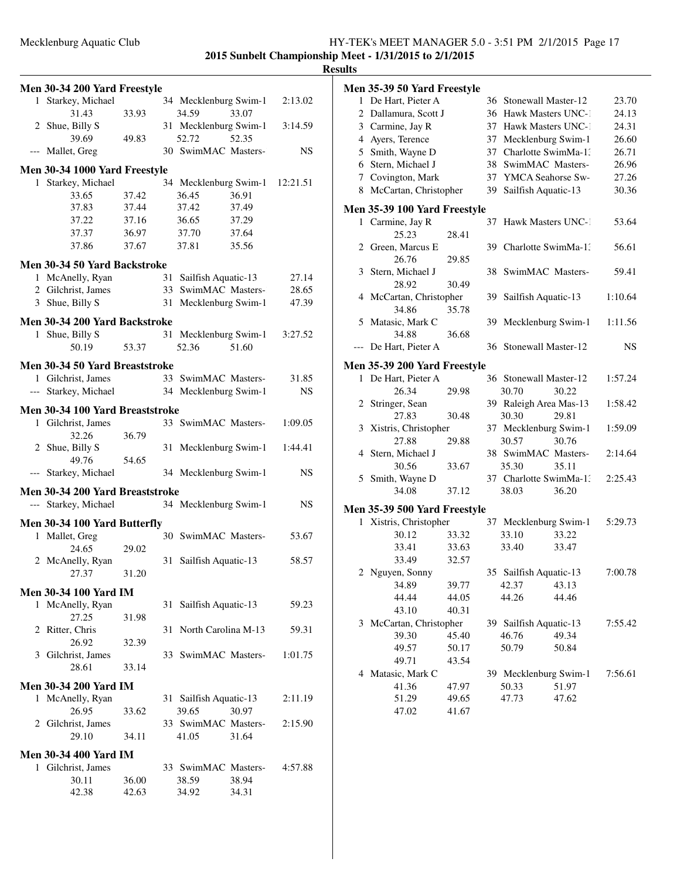| Men 30-34 200 Yard Freestyle                     |       |    |                        |       |           |
|--------------------------------------------------|-------|----|------------------------|-------|-----------|
| 1 Starkey, Michael                               |       |    | 34 Mecklenburg Swim-1  |       | 2:13.02   |
| 31.43                                            | 33.93 |    | 34.59                  | 33.07 |           |
| 2 Shue, Billy S                                  |       |    | 31 Mecklenburg Swim-1  |       | 3:14.59   |
| 39.69                                            | 49.83 |    | 52.72                  | 52.35 |           |
| --- Mallet, Greg                                 |       |    | 30 SwimMAC Masters-    |       | NS        |
| Men 30-34 1000 Yard Freestyle                    |       |    |                        |       |           |
| 1 Starkey, Michael                               |       |    | 34 Mecklenburg Swim-1  |       | 12:21.51  |
| 33.65                                            | 37.42 |    | 36.45                  | 36.91 |           |
| 37.83                                            | 37.44 |    | 37.42                  | 37.49 |           |
| 37.22                                            | 37.16 |    | 36.65                  | 37.29 |           |
| 37.37                                            | 36.97 |    | 37.70                  | 37.64 |           |
| 37.86                                            | 37.67 |    | 37.81                  | 35.56 |           |
| Men 30-34 50 Yard Backstroke                     |       |    |                        |       |           |
| 1 McAnelly, Ryan                                 |       | 31 | Sailfish Aquatic-13    |       | 27.14     |
| 2 Gilchrist, James                               |       |    | 33 SwimMAC Masters-    |       | 28.65     |
| 3 Shue, Billy S                                  |       |    | 31 Mecklenburg Swim-1  |       | 47.39     |
|                                                  |       |    |                        |       |           |
| Men 30-34 200 Yard Backstroke<br>1 Shue, Billy S |       |    | 31 Mecklenburg Swim-1  |       | 3:27.52   |
| 50.19                                            | 53.37 |    | 52.36                  | 51.60 |           |
|                                                  |       |    |                        |       |           |
| Men 30-34 50 Yard Breaststroke                   |       |    |                        |       |           |
| 1 Gilchrist, James                               |       |    | 33 SwimMAC Masters-    |       | 31.85     |
| --- Starkey, Michael                             |       |    | 34 Mecklenburg Swim-1  |       | <b>NS</b> |
| Men 30-34 100 Yard Breaststroke                  |       |    |                        |       |           |
| 1 Gilchrist, James                               |       |    | 33 SwimMAC Masters-    |       | 1:09.05   |
| 32.26                                            | 36.79 |    |                        |       |           |
| 2 Shue, Billy S                                  |       |    | 31 Mecklenburg Swim-1  |       | 1:44.41   |
| 49.76                                            | 54.65 |    |                        |       |           |
| --- Starkey, Michael                             |       |    | 34 Mecklenburg Swim-1  |       | NS        |
| Men 30-34 200 Yard Breaststroke                  |       |    |                        |       |           |
| --- Starkey, Michael                             |       |    | 34 Mecklenburg Swim-1  |       | NS        |
| Men 30-34 100 Yard Butterfly                     |       |    |                        |       |           |
| 1 Mallet, Greg                                   |       |    | 30 SwimMAC Masters-    |       | 53.67     |
| 24.65                                            | 29.02 |    |                        |       |           |
| 2 McAnelly, Ryan                                 |       | 31 | Sailfish Aquatic-13    |       | 58.57     |
| 27.37                                            | 31.20 |    |                        |       |           |
| <b>Men 30-34 100 Yard IM</b>                     |       |    |                        |       |           |
| 1 McAnelly, Ryan                                 |       | 31 | Sailfish Aquatic-13    |       | 59.23     |
| 27.25                                            | 31.98 |    |                        |       |           |
| 2 Ritter, Chris                                  |       |    | 31 North Carolina M-13 |       | 59.31     |
| 26.92                                            | 32.39 |    |                        |       |           |
| 3 Gilchrist, James                               |       |    | 33 SwimMAC Masters-    |       | 1:01.75   |
| 28.61                                            | 33.14 |    |                        |       |           |
| <b>Men 30-34 200 Yard IM</b>                     |       |    |                        |       |           |
| 1 McAnelly, Ryan                                 |       | 31 | Sailfish Aquatic-13    |       | 2:11.19   |
| 26.95                                            | 33.62 |    | 39.65                  | 30.97 |           |
| 2 Gilchrist, James                               |       |    | 33 SwimMAC Masters-    |       | 2:15.90   |
| 29.10                                            | 34.11 |    | 41.05                  | 31.64 |           |
| <b>Men 30-34 400 Yard IM</b>                     |       |    |                        |       |           |
| 1 Gilchrist, James                               |       |    | 33 SwimMAC Masters-    |       | 4:57.88   |
| 30.11                                            | 36.00 |    | 38.59                  | 38.94 |           |
| 42.38                                            | 42.63 |    | 34.92                  | 34.31 |           |

|              | Men 35-39 50 Yard Freestyle         |       |    |                        |       |           |
|--------------|-------------------------------------|-------|----|------------------------|-------|-----------|
| $\mathbf{1}$ | De Hart, Pieter A                   |       |    | 36 Stonewall Master-12 |       | 23.70     |
|              | 2 Dallamura, Scott J                |       |    | 36 Hawk Masters UNC-1  |       | 24.13     |
|              | 3 Carmine, Jay R                    |       | 37 | Hawk Masters UNC-1     |       | 24.31     |
|              | 4 Ayers, Terence                    |       | 37 | Mecklenburg Swim-1     |       | 26.60     |
|              | 5 Smith, Wayne D                    |       | 37 | Charlotte SwimMa-1:    |       | 26.71     |
|              | 6 Stern, Michael J                  |       |    | 38 SwimMAC Masters-    |       | 26.96     |
|              | 7 Covington, Mark                   |       |    | 37 YMCA Seahorse Sw-   |       | 27.26     |
| 8            | McCartan, Christopher               |       | 39 | Sailfish Aquatic-13    |       | 30.36     |
|              | <b>Men 35-39 100 Yard Freestyle</b> |       |    |                        |       |           |
|              | 1 Carmine, Jay R                    |       | 37 | Hawk Masters UNC-1     |       | 53.64     |
|              | 25.23                               | 28.41 |    |                        |       |           |
|              | 2 Green, Marcus E                   |       | 39 | Charlotte SwimMa-1.    |       | 56.61     |
|              | 26.76                               | 29.85 |    |                        |       |           |
|              | 3 Stern, Michael J                  |       |    | 38 SwimMAC Masters-    |       | 59.41     |
|              | 28.92                               | 30.49 |    |                        |       |           |
| 4            | McCartan, Christopher               |       |    | 39 Sailfish Aquatic-13 |       | 1:10.64   |
|              | 34.86                               | 35.78 |    |                        |       |           |
|              | 5 Matasic, Mark C                   |       |    | 39 Mecklenburg Swim-1  |       | 1:11.56   |
|              | 34.88                               | 36.68 |    |                        |       |           |
|              | De Hart, Pieter A                   |       | 36 | Stonewall Master-12    |       | <b>NS</b> |
|              |                                     |       |    |                        |       |           |
|              | Men 35-39 200 Yard Freestyle        |       |    |                        |       |           |
|              | 1 De Hart, Pieter A                 |       |    | 36 Stonewall Master-12 |       | 1:57.24   |
|              | 26.34                               | 29.98 |    | 30.70                  | 30.22 |           |
|              | 2 Stringer, Sean                    |       |    | 39 Raleigh Area Mas-13 |       | 1:58.42   |
|              | 27.83                               | 30.48 |    | 30.30                  | 29.81 |           |
| 3            | Xistris, Christopher                |       |    | 37 Mecklenburg Swim-1  |       | 1:59.09   |
|              | 27.88                               | 29.88 |    | 30.57                  | 30.76 |           |
|              | 4 Stern, Michael J                  |       |    | 38 SwimMAC Masters-    |       | 2:14.64   |
|              | 30.56                               | 33.67 |    | 35.30                  | 35.11 |           |
|              | 5 Smith, Wayne D                    |       |    | 37 Charlotte SwimMa-1: |       | 2:25.43   |
|              | 34.08                               | 37.12 |    | 38.03                  | 36.20 |           |
|              | Men 35-39 500 Yard Freestyle        |       |    |                        |       |           |
|              | 1 Xistris, Christopher              |       |    | 37 Mecklenburg Swim-1  |       | 5:29.73   |
|              | 30.12                               | 33.32 |    | 33.10                  | 33.22 |           |
|              | 33.41                               | 33.63 |    | 33.40                  | 33.47 |           |
|              | 33.49                               | 32.57 |    |                        |       |           |
|              | 2 Nguyen, Sonny                     |       |    | 35 Sailfish Aquatic-13 |       | 7:00.78   |
|              | 34.89                               | 39.77 |    | 42.37                  | 43.13 |           |
|              | 44.44                               | 44.05 |    | 44.26                  | 44.46 |           |
|              | 43.10                               | 40.31 |    |                        |       |           |
| 3            | McCartan, Christopher               |       |    | 39 Sailfish Aquatic-13 |       | 7:55.42   |
|              | 39.30                               | 45.40 |    | 46.76                  | 49.34 |           |
|              | 49.57                               | 50.17 |    | 50.79                  | 50.84 |           |
|              | 49.71                               | 43.54 |    |                        |       |           |
|              | 4 Matasic, Mark C                   |       |    | 39 Mecklenburg Swim-1  |       | 7:56.61   |
|              | 41.36                               | 47.97 |    | 50.33                  | 51.97 |           |
|              | 51.29                               | 49.65 |    | 47.73                  | 47.62 |           |
|              | 47.02                               | 41.67 |    |                        |       |           |
|              |                                     |       |    |                        |       |           |
|              |                                     |       |    |                        |       |           |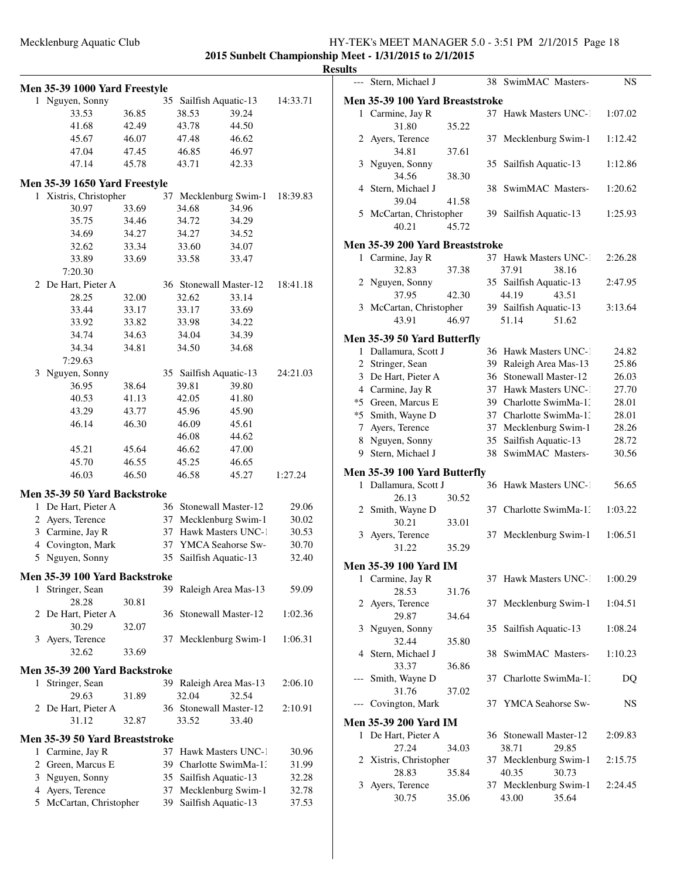**2015 Sunbelt Championship Meet - 1/31/2015 to 2/1/2015**

|   |                                |       |    |                        |                        |          | <b>Results</b> |
|---|--------------------------------|-------|----|------------------------|------------------------|----------|----------------|
|   | Men 35-39 1000 Yard Freestyle  |       |    |                        |                        |          |                |
|   | 1 Nguyen, Sonny                |       |    | 35 Sailfish Aquatic-13 |                        | 14:33.71 | Me             |
|   | 33.53                          | 36.85 |    | 38.53                  | 39.24                  |          |                |
|   | 41.68                          | 42.49 |    | 43.78                  | 44.50                  |          |                |
|   | 45.67                          | 46.07 |    | 47.48                  | 46.62                  |          |                |
|   | 47.04                          | 47.45 |    | 46.85                  | 46.97                  |          |                |
|   | 47.14                          | 45.78 |    | 43.71                  | 42.33                  |          |                |
|   | Men 35-39 1650 Yard Freestyle  |       |    |                        |                        |          |                |
|   | 1 Xistris, Christopher         |       |    |                        | 37 Mecklenburg Swim-1  | 18:39.83 |                |
|   | 30.97                          | 33.69 |    | 34.68                  | 34.96                  |          |                |
|   | 35.75                          | 34.46 |    | 34.72                  | 34.29                  |          |                |
|   | 34.69                          | 34.27 |    | 34.27                  | 34.52                  |          |                |
|   | 32.62                          | 33.34 |    | 33.60                  | 34.07                  |          | Me             |
|   | 33.89                          | 33.69 |    | 33.58                  | 33.47                  |          |                |
|   | 7:20.30                        |       |    |                        |                        |          |                |
|   | 2 De Hart, Pieter A            |       |    | 36 Stonewall Master-12 |                        | 18:41.18 |                |
|   | 28.25                          | 32.00 |    | 32.62                  | 33.14                  |          |                |
|   | 33.44                          | 33.17 |    | 33.17                  | 33.69                  |          |                |
|   | 33.92                          | 33.82 |    | 33.98                  | 34.22                  |          |                |
|   | 34.74                          | 34.63 |    | 34.04                  | 34.39                  |          | Me             |
|   | 34.34                          | 34.81 |    | 34.50                  | 34.68                  |          |                |
|   | 7:29.63                        |       |    |                        |                        |          |                |
|   | 3 Nguyen, Sonny                |       |    | 35 Sailfish Aquatic-13 |                        | 24:21.03 |                |
|   | 36.95                          | 38.64 |    | 39.81                  | 39.80                  |          |                |
|   | 40.53                          | 41.13 |    | 42.05                  | 41.80                  |          | ∗              |
|   | 43.29                          | 43.77 |    | 45.96                  | 45.90                  |          | $\ast$         |
|   | 46.14                          | 46.30 |    | 46.09                  | 45.61                  |          |                |
|   |                                |       |    | 46.08                  | 44.62                  |          |                |
|   | 45.21                          | 45.64 |    | 46.62                  | 47.00                  |          |                |
|   | 45.70                          | 46.55 |    | 45.25                  | 46.65                  |          |                |
|   | 46.03                          | 46.50 |    | 46.58                  | 45.27                  | 1:27.24  | Me             |
|   | Men 35-39 50 Yard Backstroke   |       |    |                        |                        |          |                |
|   | 1 De Hart, Pieter A            |       |    | 36 Stonewall Master-12 |                        | 29.06    |                |
|   | 2 Ayers, Terence               |       |    |                        | 37 Mecklenburg Swim-1  | 30.02    |                |
|   | 3 Carmine, Jay R               |       |    |                        | 37 Hawk Masters UNC-1  | 30.53    |                |
|   | 4 Covington, Mark              |       |    |                        | 37 YMCA Seahorse Sw-   | 30.70    |                |
|   | 5 Nguyen, Sonny                |       |    | 35 Sailfish Aquatic-13 |                        | 32.40    | Me             |
|   | Men 35-39 100 Yard Backstroke  |       |    |                        |                        |          |                |
| 1 | Stringer, Sean                 |       |    |                        | 39 Raleigh Area Mas-13 | 59.09    |                |
|   | 28.28                          | 30.81 |    |                        |                        |          |                |
|   | 2 De Hart, Pieter A            |       |    | 36 Stonewall Master-12 |                        | 1:02.36  |                |
|   | 30.29                          | 32.07 |    |                        |                        |          |                |
|   | 3 Ayers, Terence               |       |    |                        | 37 Mecklenburg Swim-1  | 1:06.31  |                |
|   | 32.62                          | 33.69 |    |                        |                        |          |                |
|   | Men 35-39 200 Yard Backstroke  |       |    |                        |                        |          |                |
| 1 | Stringer, Sean                 |       |    |                        | 39 Raleigh Area Mas-13 | 2:06.10  |                |
|   | 29.63                          | 31.89 |    | 32.04                  | 32.54                  |          |                |
|   | 2 De Hart, Pieter A            |       |    | 36 Stonewall Master-12 |                        | 2:10.91  |                |
|   | 31.12                          | 32.87 |    | 33.52                  | 33.40                  |          | Me             |
|   | Men 35-39 50 Yard Breaststroke |       |    |                        |                        |          |                |
|   | 1 Carmine, Jay R               |       |    |                        | 37 Hawk Masters UNC-1  | 30.96    |                |
|   | 2 Green, Marcus E              |       |    |                        | 39 Charlotte SwimMa-1: | 31.99    |                |
|   | 3 Nguyen, Sonny                |       |    | 35 Sailfish Aquatic-13 |                        | 32.28    |                |
|   | 4 Ayers, Terence               |       | 37 |                        | Mecklenburg Swim-1     | 32.78    |                |
|   | 5 McCartan, Christopher        |       | 39 | Sailfish Aquatic-13    |                        | 37.53    |                |
|   |                                |       |    |                        |                        |          |                |

| uits  |                                 |       |    |                           |         |
|-------|---------------------------------|-------|----|---------------------------|---------|
| $---$ | Stern. Michael J                |       |    | 38 SwimMAC Masters-       | NS      |
|       | Men 35-39 100 Yard Breaststroke |       |    |                           |         |
|       | 1 Carmine, Jay R                |       |    | 37 Hawk Masters UNC-1     | 1:07.02 |
|       | 31.80                           | 35.22 |    |                           |         |
|       | 2 Ayers, Terence                |       | 37 | Mecklenburg Swim-1        | 1:12.42 |
|       | 34.81                           | 37.61 |    |                           |         |
|       | 3 Nguyen, Sonny                 |       | 35 | Sailfish Aquatic-13       | 1:12.86 |
|       | 34.56                           | 38.30 |    |                           |         |
|       | 4 Stern, Michael J              |       |    | 38 SwimMAC Masters-       | 1:20.62 |
|       | 39.04                           | 41.58 |    |                           |         |
|       | 5 McCartan, Christopher         |       |    |                           | 1:25.93 |
|       |                                 |       |    | 39 Sailfish Aquatic-13    |         |
|       | 40.21                           | 45.72 |    |                           |         |
|       | Men 35-39 200 Yard Breaststroke |       |    |                           |         |
|       | 1 Carmine, Jay R                |       |    | 37 Hawk Masters UNC-1     | 2:26.28 |
|       | 32.83                           | 37.38 |    | 37.91<br>38.16            |         |
|       | 2 Nguyen, Sonny                 |       |    | 35 Sailfish Aquatic-13    | 2:47.95 |
|       | 37.95                           | 42.30 |    | 44.19<br>43.51            |         |
|       | 3 McCartan, Christopher         |       |    | 39 Sailfish Aquatic-13    | 3:13.64 |
|       | 43.91                           | 46.97 |    | 51.14<br>51.62            |         |
|       |                                 |       |    |                           |         |
|       | Men 35-39 50 Yard Butterfly     |       |    |                           |         |
| 1     | Dallamura, Scott J              |       | 36 | <b>Hawk Masters UNC-1</b> | 24.82   |
|       | 2 Stringer, Sean                |       | 39 | Raleigh Area Mas-13       | 25.86   |
|       | 3 De Hart, Pieter A             |       | 36 | Stonewall Master-12       | 26.03   |
|       | 4 Carmine, Jay R                |       | 37 | Hawk Masters UNC-1        | 27.70   |
|       | *5 Green, Marcus E              |       |    | 39 Charlotte SwimMa-1.    | 28.01   |
|       | *5 Smith, Wayne D               |       |    | 37 Charlotte SwimMa-1.    | 28.01   |
|       | 7 Ayers, Terence                |       | 37 | Mecklenburg Swim-1        | 28.26   |
|       | 8 Nguyen, Sonny                 |       | 35 | Sailfish Aquatic-13       | 28.72   |
|       | 9 Stern, Michael J              |       | 38 | SwimMAC Masters-          | 30.56   |
|       |                                 |       |    |                           |         |
|       | Men 35-39 100 Yard Butterfly    |       |    |                           |         |
|       | 1 Dallamura, Scott J            |       |    | 36 Hawk Masters UNC-1     | 56.65   |
|       | 26.13                           | 30.52 |    |                           |         |
|       | 2 Smith, Wayne D                |       | 37 | Charlotte SwimMa-1.       | 1:03.22 |
|       | 30.21                           | 33.01 |    |                           |         |
| 3     | Ayers, Terence                  |       | 37 | Mecklenburg Swim-1        | 1:06.51 |
|       | 31.22                           | 35.29 |    |                           |         |
|       | Men 35-39 100 Yard IM           |       |    |                           |         |
|       |                                 |       |    |                           |         |
|       | 1 Carmine, Jay R<br>28.53       |       | 37 | <b>Hawk Masters UNC-1</b> | 1:00.29 |
|       |                                 | 31.76 |    |                           |         |
| 2     | Ayers, Terence                  |       | 37 | Mecklenburg Swim-1        | 1:04.51 |
|       | 29.87                           | 34.64 |    |                           |         |
| 3     | Nguyen, Sonny                   |       |    | 35 Sailfish Aquatic-13    | 1:08.24 |
|       | 32.44                           | 35.80 |    |                           |         |
|       | 4 Stern, Michael J              |       | 38 | SwimMAC Masters-          | 1:10.23 |
|       | 33.37                           | 36.86 |    |                           |         |
| ---   | Smith, Wayne D                  |       |    | 37 Charlotte SwimMa-1.    | DQ      |
|       | 31.76                           | 37.02 |    |                           |         |
|       | Covington, Mark                 |       |    | 37 YMCA Seahorse Sw-      | NS      |
|       | <b>Men 35-39 200 Yard IM</b>    |       |    |                           |         |
| 1     | De Hart, Pieter A               |       |    | 36 Stonewall Master-12    | 2:09.83 |
|       | 27.24                           | 34.03 |    | 38.71<br>29.85            |         |
|       | 2 Xistris, Christopher          |       |    | 37 Mecklenburg Swim-1     | 2:15.75 |
|       | 28.83                           | 35.84 |    | 40.35<br>30.73            |         |
| 3     | Ayers, Terence                  |       |    | 37 Mecklenburg Swim-1     | 2:24.45 |
|       | 30.75                           | 35.06 |    | 43.00<br>35.64            |         |
|       |                                 |       |    |                           |         |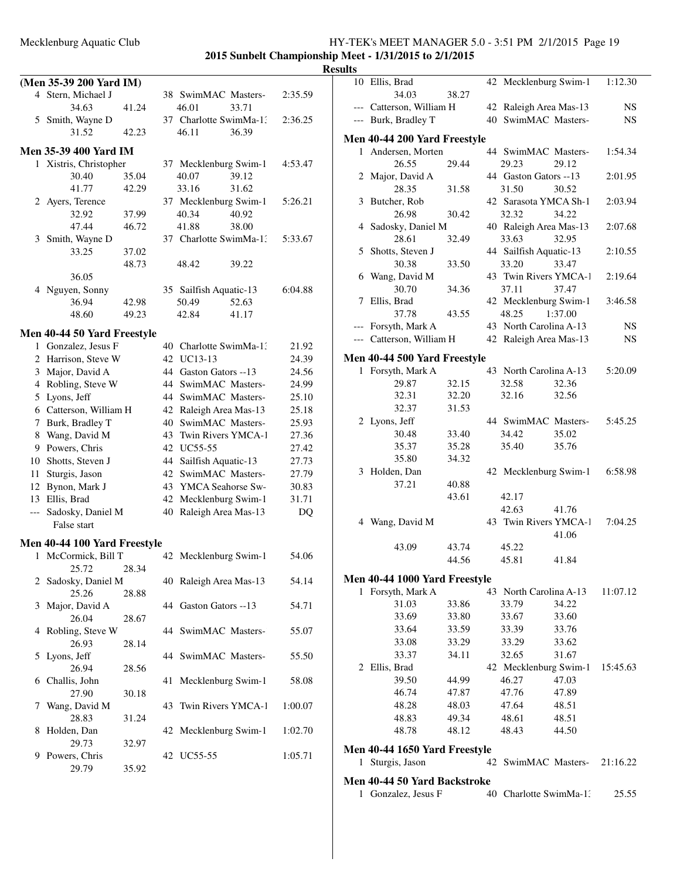|              | (Men 35-39 200 Yard IM)      |       |    |                        |       |         |
|--------------|------------------------------|-------|----|------------------------|-------|---------|
|              | 4 Stern, Michael J           |       | 38 | SwimMAC Masters-       |       | 2:35.59 |
|              | 34.63                        | 41.24 |    | 46.01                  | 33.71 |         |
|              | 5 Smith, Wayne D             |       |    | 37 Charlotte SwimMa-1: |       | 2:36.25 |
|              | 31.52                        | 42.23 |    | 46.11                  | 36.39 |         |
|              |                              |       |    |                        |       |         |
|              | Men 35-39 400 Yard IM        |       |    |                        |       |         |
|              | 1 Xistris, Christopher       |       |    | 37 Mecklenburg Swim-1  |       | 4:53.47 |
|              | 30.40                        | 35.04 |    | 40.07                  | 39.12 |         |
|              | 41.77                        | 42.29 |    | 33.16                  | 31.62 |         |
| $\mathbf{2}$ | Ayers, Terence               |       |    | 37 Mecklenburg Swim-1  |       | 5:26.21 |
|              | 32.92                        | 37.99 |    | 40.34                  | 40.92 |         |
|              | 47.44                        | 46.72 |    | 41.88                  | 38.00 |         |
| 3            | Smith, Wayne D               |       |    | 37 Charlotte SwimMa-1: |       | 5:33.67 |
|              | 33.25                        | 37.02 |    |                        |       |         |
|              |                              | 48.73 |    | 48.42                  | 39.22 |         |
|              | 36.05                        |       |    |                        |       |         |
|              | 4 Nguyen, Sonny              |       |    | 35 Sailfish Aquatic-13 |       | 6:04.88 |
|              | 36.94                        | 42.98 |    | 50.49                  | 52.63 |         |
|              | 48.60                        | 49.23 |    | 42.84                  | 41.17 |         |
|              |                              |       |    |                        |       |         |
|              | Men 40-44 50 Yard Freestyle  |       |    |                        |       |         |
| 1            | Gonzalez, Jesus F            |       |    | 40 Charlotte SwimMa-13 |       | 21.92   |
|              | 2 Harrison, Steve W          |       |    | 42 UC13-13             |       | 24.39   |
|              | 3 Major, David A             |       |    | 44 Gaston Gators --13  |       | 24.56   |
|              | 4 Robling, Steve W           |       |    | 44 SwimMAC Masters-    |       | 24.99   |
|              |                              |       |    | 44 SwimMAC Masters-    |       |         |
|              | 5 Lyons, Jeff                |       |    |                        |       | 25.10   |
|              | 6 Catterson, William H       |       |    | 42 Raleigh Area Mas-13 |       | 25.18   |
| 7            | Burk, Bradley T              |       | 40 | SwimMAC Masters-       |       | 25.93   |
| 8            | Wang, David M                |       | 43 | Twin Rivers YMCA-1     |       | 27.36   |
| 9            | Powers, Chris                |       |    | 42 UC55-55             |       | 27.42   |
| 10           | Shotts, Steven J             |       | 44 | Sailfish Aquatic-13    |       | 27.73   |
| 11           | Sturgis, Jason               |       | 42 | SwimMAC Masters-       |       | 27.79   |
| 12           | Bynon, Mark J                |       |    | 43 YMCA Seahorse Sw-   |       | 30.83   |
|              | 13 Ellis, Brad               |       | 42 | Mecklenburg Swim-1     |       | 31.71   |
| ---          | Sadosky, Daniel M            |       | 40 | Raleigh Area Mas-13    |       | DQ      |
|              | False start                  |       |    |                        |       |         |
|              |                              |       |    |                        |       |         |
|              | Men 40-44 100 Yard Freestyle |       |    |                        |       |         |
| $\mathbf{1}$ | McCormick, Bill T            |       |    | 42 Mecklenburg Swim-1  |       | 54.06   |
|              | 25.72                        | 28.34 |    |                        |       |         |
| 2            | Sadosky, Daniel M            |       |    | 40 Raleigh Area Mas-13 |       | 54.14   |
|              | 25.26                        | 28.88 |    |                        |       |         |
| 3            | Major, David A               |       |    | 44 Gaston Gators --13  |       | 54.71   |
|              | 26.04                        | 28.67 |    |                        |       |         |
| 4            | Robling, Steve W             |       |    | 44 SwimMAC Masters-    |       | 55.07   |
|              | 26.93                        | 28.14 |    |                        |       |         |
| 5            | Lyons, Jeff                  |       |    | 44 SwimMAC Masters-    |       | 55.50   |
|              | 26.94                        | 28.56 |    |                        |       |         |
|              | Challis, John                |       |    | Mecklenburg Swim-1     |       |         |
| 6            |                              |       | 41 |                        |       | 58.08   |
|              | 27.90                        | 30.18 |    |                        |       |         |
| 7            | Wang, David M                |       |    | 43 Twin Rivers YMCA-1  |       | 1:00.07 |
|              | 28.83                        | 31.24 |    |                        |       |         |
| 8            | Holden, Dan                  |       |    | 42 Mecklenburg Swim-1  |       | 1:02.70 |
|              | 29.73                        | 32.97 |    |                        |       |         |
| 9            | Powers, Chris                |       |    | 42 UC55-55             |       | 1:05.71 |
|              | 29.79                        | 35.92 |    |                        |       |         |

| ılts |                                     |       |                        |         |           |
|------|-------------------------------------|-------|------------------------|---------|-----------|
|      | 10 Ellis, Brad                      |       | 42 Mecklenburg Swim-1  |         | 1:12.30   |
|      | 34.03                               | 38.27 |                        |         |           |
|      | --- Catterson, William H            |       | 42 Raleigh Area Mas-13 |         | NS.       |
|      | --- Burk, Bradley T                 |       | 40 SwimMAC Masters-    |         | <b>NS</b> |
|      | <b>Men 40-44 200 Yard Freestyle</b> |       |                        |         |           |
|      | 1 Andersen, Morten                  |       | 44 SwimMAC Masters-    |         | 1:54.34   |
|      | 26.55                               | 29.44 | 29.23                  | 29.12   |           |
|      | 2 Major, David A                    |       | 44 Gaston Gators --13  |         | 2:01.95   |
|      | 28.35                               | 31.58 | 31.50                  | 30.52   |           |
|      | 3 Butcher, Rob                      |       | 42 Sarasota YMCA Sh-1  |         | 2:03.94   |
|      | 26.98                               | 30.42 | 32.32                  | 34.22   |           |
|      | 4 Sadosky, Daniel M                 |       | 40 Raleigh Area Mas-13 |         | 2:07.68   |
|      | 28.61                               | 32.49 | 33.63                  | 32.95   |           |
| 5    | Shotts, Steven J                    |       | 44 Sailfish Aquatic-13 |         | 2:10.55   |
|      | 30.38                               | 33.50 | 33.20                  | 33.47   |           |
| 6    | Wang, David M                       |       | 43 Twin Rivers YMCA-1  |         | 2:19.64   |
|      | 30.70                               | 34.36 | 37.11                  | 37.47   |           |
|      | 7 Ellis, Brad                       |       | 42 Mecklenburg Swim-1  |         | 3:46.58   |
|      | 37.78                               | 43.55 | 48.25                  | 1:37.00 |           |
|      | --- Forsyth, Mark A                 |       | 43 North Carolina A-13 |         | NS        |
|      | --- Catterson, William H            |       | 42 Raleigh Area Mas-13 |         | <b>NS</b> |
|      | <b>Men 40-44 500 Yard Freestyle</b> |       |                        |         |           |
|      | 1 Forsyth, Mark A                   |       | 43 North Carolina A-13 |         | 5:20.09   |
|      | 29.87                               | 32.15 | 32.58                  | 32.36   |           |
|      | 32.31                               | 32.20 | 32.16                  | 32.56   |           |
|      | 32.37                               | 31.53 |                        |         |           |
|      | 2 Lyons, Jeff                       |       | 44 SwimMAC Masters-    |         | 5:45.25   |
|      | 30.48                               | 33.40 | 34.42                  | 35.02   |           |
|      | 35.37                               | 35.28 | 35.40                  | 35.76   |           |
|      | 35.80                               | 34.32 |                        |         |           |
|      | 3 Holden, Dan                       |       | 42 Mecklenburg Swim-1  |         | 6:58.98   |
|      | 37.21                               | 40.88 |                        |         |           |
|      |                                     | 43.61 | 42.17                  |         |           |
|      |                                     |       | 42.63                  | 41.76   |           |
|      | 4 Wang, David M                     |       | 43 Twin Rivers YMCA-1  |         | 7:04.25   |
|      |                                     |       |                        | 41.06   |           |
|      | 43.09                               | 43.74 | 45.22                  |         |           |
|      |                                     | 44.56 | 45.81                  | 41.84   |           |
|      | Men 40-44 1000 Yard Freestyle       |       |                        |         |           |
|      | 1 Forsyth, Mark A                   |       | 43 North Carolina A-13 |         | 11:07.12  |
|      | 31.03                               | 33.86 | 33.79                  | 34.22   |           |
|      | 33.69                               | 33.80 | 33.67                  | 33.60   |           |
|      | 33.64                               | 33.59 | 33.39                  | 33.76   |           |
|      | 33.08                               | 33.29 | 33.29                  | 33.62   |           |
|      | 33.37                               | 34.11 | 32.65                  | 31.67   |           |
|      | 2 Ellis, Brad                       |       | 42 Mecklenburg Swim-1  |         | 15:45.63  |
|      | 39.50                               | 44.99 | 46.27                  | 47.03   |           |
|      | 46.74                               | 47.87 | 47.76                  | 47.89   |           |
|      | 48.28                               | 48.03 | 47.64                  | 48.51   |           |
|      | 48.83                               | 49.34 | 48.61                  | 48.51   |           |
|      | 48.78                               | 48.12 | 48.43                  | 44.50   |           |
|      | Men 40-44 1650 Yard Freestyle       |       |                        |         |           |
| 1    | Sturgis, Jason                      |       | 42 SwimMAC Masters-    |         | 21:16.22  |
|      | Men 40-44 50 Yard Backstroke        |       |                        |         |           |
| 1    | Gonzalez, Jesus F                   |       | 40 Charlotte SwimMa-1. |         | 25.55     |
|      |                                     |       |                        |         |           |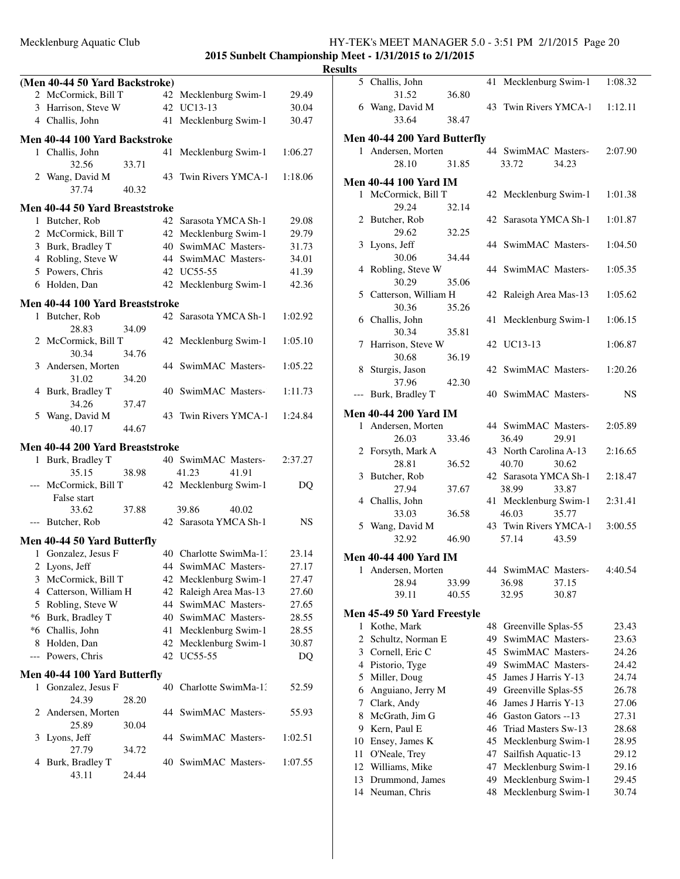### Mecklenburg Aquatic Club HY-TEK's MEET MANAGER 5.0 - 3:51 PM 2/1/2015 Page 20 **2015 Sunbelt Championship Meet - 1/31/2015 to 2/1/2015**

|                          |                                 |       |                        |         | <u>ແບບແມເວ</u> |
|--------------------------|---------------------------------|-------|------------------------|---------|----------------|
|                          | (Men 40-44 50 Yard Backstroke)  |       |                        |         |                |
|                          | 2 McCormick, Bill T             |       | 42 Mecklenburg Swim-1  | 29.49   |                |
|                          | 3 Harrison, Steve W             |       | 42 UC13-13             | 30.04   |                |
|                          | 4 Challis, John                 |       | 41 Mecklenburg Swim-1  | 30.47   |                |
|                          | Men 40-44 100 Yard Backstroke   |       |                        |         | Me             |
|                          | 1 Challis, John                 |       | 41 Mecklenburg Swim-1  | 1:06.27 |                |
|                          | 32.56                           | 33.71 |                        |         |                |
|                          | 2 Wang, David M                 |       | 43 Twin Rivers YMCA-1  | 1:18.06 |                |
|                          | 37.74                           | 40.32 |                        |         | Me             |
|                          | Men 40-44 50 Yard Breaststroke  |       |                        |         |                |
|                          | 1 Butcher, Rob                  |       | 42 Sarasota YMCA Sh-1  | 29.08   |                |
|                          | 2 McCormick, Bill T             |       | 42 Mecklenburg Swim-1  | 29.79   |                |
|                          | 3 Burk, Bradley T               |       | 40 SwimMAC Masters-    | 31.73   |                |
|                          |                                 |       |                        |         |                |
|                          | 4 Robling, Steve W              |       | 44 SwimMAC Masters-    | 34.01   |                |
|                          | 5 Powers, Chris                 |       | 42 UC55-55             | 41.39   |                |
|                          | 6 Holden, Dan                   |       | 42 Mecklenburg Swim-1  | 42.36   |                |
|                          | Men 40-44 100 Yard Breaststroke |       |                        |         |                |
|                          | 1 Butcher, Rob                  |       | 42 Sarasota YMCA Sh-1  | 1:02.92 |                |
|                          | 28.83                           | 34.09 |                        |         |                |
|                          | 2 McCormick, Bill T             |       | 42 Mecklenburg Swim-1  | 1:05.10 |                |
|                          | 30.34                           | 34.76 |                        |         |                |
|                          | 3 Andersen, Morten              |       | 44 SwimMAC Masters-    | 1:05.22 |                |
|                          | 31.02                           | 34.20 |                        |         |                |
|                          |                                 |       | 40 SwimMAC Masters-    |         |                |
|                          | 4 Burk, Bradley T               |       |                        | 1:11.73 |                |
|                          | 34.26                           | 37.47 |                        |         | Me             |
|                          | 5 Wang, David M                 |       | 43 Twin Rivers YMCA-1  | 1:24.84 |                |
|                          | 40.17                           | 44.67 |                        |         |                |
|                          | Men 40-44 200 Yard Breaststroke |       |                        |         |                |
|                          | 1 Burk, Bradley T               |       | 40 SwimMAC Masters-    | 2:37.27 |                |
|                          | 35.15                           | 38.98 | 41.23<br>41.91         |         |                |
|                          | --- McCormick, Bill T           |       | 42 Mecklenburg Swim-1  | DQ      |                |
|                          | False start                     |       |                        |         |                |
|                          |                                 |       |                        |         |                |
|                          | 33.62                           | 37.88 | 39.86<br>40.02         |         |                |
|                          | --- Butcher, Rob                |       | 42 Sarasota YMCA Sh-1  | NS.     |                |
|                          | Men 40-44 50 Yard Butterfly     |       |                        |         |                |
|                          | 1 Gonzalez, Jesus F             |       | 40 Charlotte SwimMa-1: | 23.14   | Me             |
|                          | 2 Lyons, Jeff                   |       | 44 SwimMAC Masters-    | 27.17   |                |
|                          | 3 McCormick, Bill T             |       | 42 Mecklenburg Swim-1  | 27.47   |                |
|                          | 4 Catterson, William H          |       | 42 Raleigh Area Mas-13 | 27.60   |                |
|                          | 5 Robling, Steve W              |       | 44 SwimMAC Masters-    | 27.65   |                |
|                          |                                 |       |                        |         | Me             |
|                          | *6 Burk, Bradley T              |       | 40 SwimMAC Masters-    | 28.55   |                |
|                          | *6 Challis, John                |       | 41 Mecklenburg Swim-1  | 28.55   |                |
|                          | 8 Holden, Dan                   |       | 42 Mecklenburg Swim-1  | 30.87   |                |
| $\overline{\phantom{a}}$ | Powers, Chris                   |       | 42 UC55-55             | DQ      |                |
|                          | Men 40-44 100 Yard Butterfly    |       |                        |         |                |
|                          | 1 Gonzalez, Jesus F             |       | 40 Charlotte SwimMa-1: | 52.59   |                |
|                          | 24.39                           | 28.20 |                        |         |                |
|                          |                                 |       |                        |         |                |
| 2                        | Andersen, Morten                |       | 44 SwimMAC Masters-    | 55.93   |                |
|                          | 25.89                           | 30.04 |                        |         |                |
| 3                        | Lyons, Jeff                     |       | 44 SwimMAC Masters-    | 1:02.51 | 1              |
|                          | 27.79                           | 34.72 |                        |         | 1              |
| 4                        | Burk, Bradley T                 |       | 40 SwimMAC Masters-    | 1:07.55 | 1              |
|                          | 43.11                           | 24.44 |                        |         | 1              |
|                          |                                 |       |                        |         | 1              |
|                          |                                 |       |                        |         |                |

| 11 L.S       |                                     |                |          |                                      |                |                |
|--------------|-------------------------------------|----------------|----------|--------------------------------------|----------------|----------------|
|              | 5 Challis, John                     |                | 41       | Mecklenburg Swim-1                   |                | 1:08.32        |
|              | 31.52                               | 36.80          |          |                                      |                |                |
|              | 6 Wang, David M                     |                |          | 43 Twin Rivers YMCA-1                |                | 1:12.11        |
|              | 33.64                               | 38.47          |          |                                      |                |                |
|              | Men 40-44 200 Yard Butterfly        |                |          |                                      |                |                |
| 1            | Andersen, Morten                    |                |          | 44 SwimMAC Masters-                  |                | 2:07.90        |
|              | 28.10                               | 31.85          |          | 33.72                                | 34.23          |                |
|              | <b>Men 40-44 100 Yard IM</b>        |                |          |                                      |                |                |
|              | 1 McCormick, Bill T                 |                |          | 42 Mecklenburg Swim-1                |                | 1:01.38        |
|              | 29.24                               | 32.14          |          |                                      |                |                |
|              | 2 Butcher, Rob                      |                |          | 42 Sarasota YMCA Sh-1                |                | 1:01.87        |
|              | 29.62                               | 32.25          |          |                                      |                |                |
|              | 3 Lyons, Jeff<br>30.06              | 34.44          |          | 44 SwimMAC Masters-                  |                | 1:04.50        |
|              | 4 Robling, Steve W                  |                |          | 44 SwimMAC Masters-                  |                | 1:05.35        |
|              | 30.29                               | 35.06          |          |                                      |                |                |
|              | 5 Catterson, William H              |                | 42       | Raleigh Area Mas-13                  |                | 1:05.62        |
|              | 30.36                               | 35.26          |          |                                      |                |                |
|              | 6 Challis, John                     |                | 41       | Mecklenburg Swim-1                   |                | 1:06.15        |
|              | 30.34                               | 35.81          |          |                                      |                |                |
|              | 7 Harrison, Steve W                 |                |          | 42 UC13-13                           |                | 1:06.87        |
|              | 30.68                               | 36.19          |          | 42 SwimMAC Masters-                  |                |                |
|              | 8 Sturgis, Jason<br>37.96           | 42.30          |          |                                      |                | 1:20.26        |
| ---          | Burk, Bradley T                     |                |          | 40 SwimMAC Masters-                  |                | NS.            |
|              |                                     |                |          |                                      |                |                |
|              | <b>Men 40-44 200 Yard IM</b>        |                |          |                                      |                |                |
| $\mathbf{1}$ | Andersen, Morten<br>26.03           | 33.46          |          | 44 SwimMAC Masters-<br>36.49         | 29.91          | 2:05.89        |
|              | 2 Forsyth, Mark A                   |                |          | 43 North Carolina A-13               |                | 2:16.65        |
|              | 28.81                               | 36.52          |          | 40.70                                | 30.62          |                |
|              | 3 Butcher, Rob                      |                |          | 42 Sarasota YMCA Sh-1                |                | 2:18.47        |
|              | 27.94                               | 37.67          |          | 38.99                                | 33.87          |                |
|              | 4 Challis, John                     |                |          | 41 Mecklenburg Swim-1                |                | 2:31.41        |
|              | 33.03                               | 36.58          |          | 46.03                                | 35.77          |                |
|              | 5 Wang, David M                     |                |          | 43 Twin Rivers YMCA-1                |                | 3:00.55        |
|              | 32.92                               | 46.90          |          | 57.14                                | 43.59          |                |
|              | <b>Men 40-44 400 Yard IM</b>        |                |          |                                      |                |                |
|              | 1 Andersen, Morten                  |                |          | 44 SwimMAC Masters-                  |                | 4:40.54        |
|              | 28.94<br>39.11                      | 33.99<br>40.55 |          | 36.98<br>32.95                       | 37.15<br>30.87 |                |
|              |                                     |                |          |                                      |                |                |
|              | Men 45-49 50 Yard Freestyle         |                |          |                                      |                |                |
| 1            | Kothe, Mark                         |                | 48       | Greenville Splas-55                  |                | 23.43          |
| 2            | Schultz, Norman E                   |                | 49       | SwimMAC Masters-                     |                | 23.63          |
| 3            | Cornell, Eric C<br>4 Pistorio, Tyge |                | 45<br>49 | SwimMAC Masters-<br>SwimMAC Masters- |                | 24.26<br>24.42 |
| 5            | Miller, Doug                        |                | 45       | James J Harris Y-13                  |                | 24.74          |
| 6            | Anguiano, Jerry M                   |                | 49       | Greenville Splas-55                  |                | 26.78          |
| 7            | Clark, Andy                         |                | 46       | James J Harris Y-13                  |                | 27.06          |
| 8            | McGrath, Jim G                      |                | 46       | Gaston Gators --13                   |                | 27.31          |
| 9            | Kern, Paul E                        |                | 46       | Triad Masters Sw-13                  |                | 28.68          |
| 10           | Ensey, James K                      |                | 45       | Mecklenburg Swim-1                   |                | 28.95          |
| 11           | O'Neale, Trey                       |                | 47       | Sailfish Aquatic-13                  |                | 29.12          |
| 12           | Williams, Mike                      |                | 47       | Mecklenburg Swim-1                   |                | 29.16          |
| 13           | Drummond, James                     |                | 49       | Mecklenburg Swim-1                   |                | 29.45          |
| 14           | Neuman, Chris                       |                | 48       | Mecklenburg Swim-1                   |                | 30.74          |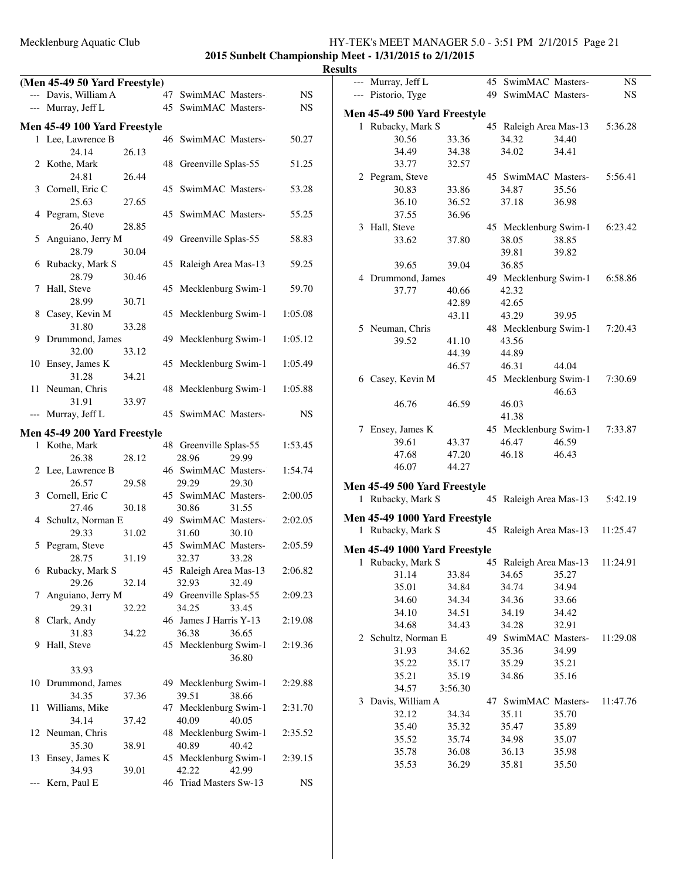| (Men 45-49 50 Yard Freestyle) |       |                        |             | --- Murray, Jeff L            |         | 45 SwimMAC Masters-             |       | $_{\rm NS}$ |
|-------------------------------|-------|------------------------|-------------|-------------------------------|---------|---------------------------------|-------|-------------|
| --- Davis, William A          |       | 47 SwimMAC Masters-    | <b>NS</b>   | --- Pistorio, Tyge            |         | 49 SwimMAC Masters-             |       | $_{\rm NS}$ |
| --- Murray, Jeff L            |       | 45 SwimMAC Masters-    | <b>NS</b>   | Men 45-49 500 Yard Freestyle  |         |                                 |       |             |
| Men 45-49 100 Yard Freestyle  |       |                        |             | 1 Rubacky, Mark S             |         | 45 Raleigh Area Mas-13          |       | 5:36.28     |
| 1 Lee, Lawrence B             |       | 46 SwimMAC Masters-    | 50.27       | 30.56                         | 33.36   | 34.32                           | 34.40 |             |
| 24.14                         | 26.13 |                        |             | 34.49                         | 34.38   | 34.02                           | 34.41 |             |
| 2 Kothe, Mark                 |       | 48 Greenville Splas-55 | 51.25       | 33.77                         | 32.57   |                                 |       |             |
| 24.81                         | 26.44 |                        |             | 2 Pegram, Steve               |         | 45 SwimMAC Masters-             |       | 5:56.41     |
| 3 Cornell, Eric C             |       | 45 SwimMAC Masters-    | 53.28       | 30.83                         | 33.86   | 34.87                           | 35.56 |             |
| 25.63                         | 27.65 |                        |             | 36.10                         | 36.52   | 37.18                           | 36.98 |             |
| 4 Pegram, Steve               |       | 45 SwimMAC Masters-    | 55.25       | 37.55                         | 36.96   |                                 |       |             |
| 26.40                         | 28.85 |                        |             | 3 Hall, Steve                 |         | 45 Mecklenburg Swim-1           |       | 6:23.42     |
| 5 Anguiano, Jerry M           |       | 49 Greenville Splas-55 | 58.83       | 33.62                         | 37.80   | 38.05                           | 38.85 |             |
| 28.79                         | 30.04 |                        |             |                               |         | 39.81                           | 39.82 |             |
| 6 Rubacky, Mark S             |       | 45 Raleigh Area Mas-13 | 59.25       | 39.65                         | 39.04   | 36.85                           |       |             |
| 28.79                         | 30.46 |                        |             | 4 Drummond, James             |         | 49 Mecklenburg Swim-1           |       | 6:58.86     |
| 7 Hall, Steve                 |       | 45 Mecklenburg Swim-1  | 59.70       | 37.77                         | 40.66   | 42.32                           |       |             |
| 28.99                         | 30.71 |                        |             |                               | 42.89   | 42.65                           |       |             |
| 8 Casey, Kevin M              |       | 45 Mecklenburg Swim-1  | 1:05.08     |                               |         | 43.29                           | 39.95 |             |
| 31.80                         | 33.28 |                        |             |                               | 43.11   |                                 |       |             |
| 9 Drummond, James             |       | 49 Mecklenburg Swim-1  | 1:05.12     | 5 Neuman, Chris               |         | 48 Mecklenburg Swim-1           |       | 7:20.43     |
| 32.00                         | 33.12 |                        |             | 39.52                         | 41.10   | 43.56                           |       |             |
|                               |       |                        |             |                               | 44.39   | 44.89                           |       |             |
| 10 Ensey, James K<br>31.28    |       | 45 Mecklenburg Swim-1  | 1:05.49     |                               | 46.57   | 46.31                           | 44.04 |             |
|                               | 34.21 |                        |             | 6 Casey, Kevin M              |         | 45 Mecklenburg Swim-1           |       | 7:30.69     |
| 11 Neuman, Chris              |       | 48 Mecklenburg Swim-1  | 1:05.88     |                               |         |                                 | 46.63 |             |
| 31.91                         | 33.97 |                        |             | 46.76                         | 46.59   | 46.03                           |       |             |
| --- Murray, Jeff L            |       | 45 SwimMAC Masters-    | <b>NS</b>   |                               |         | 41.38                           |       |             |
| Men 45-49 200 Yard Freestyle  |       |                        |             | 7 Ensey, James K              |         | 45 Mecklenburg Swim-1           |       | 7:33.87     |
| 1 Kothe, Mark                 |       | 48 Greenville Splas-55 | 1:53.45     | 39.61                         | 43.37   | 46.47                           | 46.59 |             |
| 26.38                         | 28.12 | 28.96<br>29.99         |             | 47.68                         | 47.20   | 46.18                           | 46.43 |             |
| 2 Lee, Lawrence B             |       | 46 SwimMAC Masters-    | 1:54.74     | 46.07                         | 44.27   |                                 |       |             |
| 26.57                         | 29.58 | 29.30<br>29.29         |             | Men 45-49 500 Yard Freestyle  |         |                                 |       |             |
| 3 Cornell, Eric C             |       | 45 SwimMAC Masters-    | 2:00.05     | 1 Rubacky, Mark S             |         |                                 |       | 5:42.19     |
| 27.46                         | 30.18 | 30.86<br>31.55         |             |                               |         | 45 Raleigh Area Mas-13          |       |             |
| 4 Schultz, Norman E           |       | 49 SwimMAC Masters-    | 2:02.05     | Men 45-49 1000 Yard Freestyle |         |                                 |       |             |
| 29.33                         | 31.02 | 31.60<br>30.10         |             | 1 Rubacky, Mark S             |         | 45 Raleigh Area Mas-13          |       | 11:25.47    |
| 5 Pegram, Steve               |       | 45 SwimMAC Masters-    | 2:05.59     |                               |         |                                 |       |             |
| 28.75                         | 31.19 | 32.37<br>33.28         |             | Men 45-49 1000 Yard Freestyle |         |                                 |       |             |
| 6 Rubacky, Mark S             |       | 45 Raleigh Area Mas-13 | 2:06.82     | 1 Rubacky, Mark S             |         | 45 Raleigh Area Mas-13 11:24.91 |       |             |
| 29.26                         | 32.14 | 32.93<br>32.49         |             | 31.14                         | 33.84   | 34.65                           | 35.27 |             |
| 7 Anguiano, Jerry M           |       | 49 Greenville Splas-55 | 2:09.23     | 35.01                         | 34.84   | 34.74                           | 34.94 |             |
| 29.31                         | 32.22 | 34.25<br>33.45         |             | 34.60                         | 34.34   | 34.36                           | 33.66 |             |
| 8 Clark, Andy                 |       | 46 James J Harris Y-13 | 2:19.08     | 34.10                         | 34.51   | 34.19                           | 34.42 |             |
| 31.83                         | 34.22 | 36.38<br>36.65         |             | 34.68                         | 34.43   | 34.28                           | 32.91 |             |
| 9 Hall, Steve                 |       | 45 Mecklenburg Swim-1  | 2:19.36     | 2 Schultz, Norman E           |         | 49 SwimMAC Masters-             |       | 11:29.08    |
|                               |       | 36.80                  |             | 31.93                         | 34.62   | 35.36                           | 34.99 |             |
| 33.93                         |       |                        |             | 35.22                         | 35.17   | 35.29                           | 35.21 |             |
| 10 Drummond, James            |       | 49 Mecklenburg Swim-1  | 2:29.88     | 35.21                         | 35.19   | 34.86                           | 35.16 |             |
|                               |       |                        |             | 34.57                         | 3:56.30 |                                 |       |             |
| 34.35                         | 37.36 | 39.51<br>38.66         |             | 3 Davis, William A            |         | 47 SwimMAC Masters-             |       | 11:47.76    |
| 11 Williams, Mike             |       | 47 Mecklenburg Swim-1  | 2:31.70     | 32.12                         | 34.34   | 35.11                           | 35.70 |             |
| 34.14                         | 37.42 | 40.09<br>40.05         |             | 35.40                         | 35.32   | 35.47                           | 35.89 |             |
| 12 Neuman, Chris              |       | 48 Mecklenburg Swim-1  | 2:35.52     | 35.52                         | 35.74   | 34.98                           | 35.07 |             |
| 35.30                         | 38.91 | 40.89<br>40.42         |             | 35.78                         | 36.08   | 36.13                           | 35.98 |             |
| 13 Ensey, James K             |       | 45 Mecklenburg Swim-1  | 2:39.15     | 35.53                         | 36.29   | 35.81                           | 35.50 |             |
| 34.93                         | 39.01 | 42.22<br>42.99         |             |                               |         |                                 |       |             |
| --- Kern, Paul E              |       | 46 Triad Masters Sw-13 | $_{\rm NS}$ |                               |         |                                 |       |             |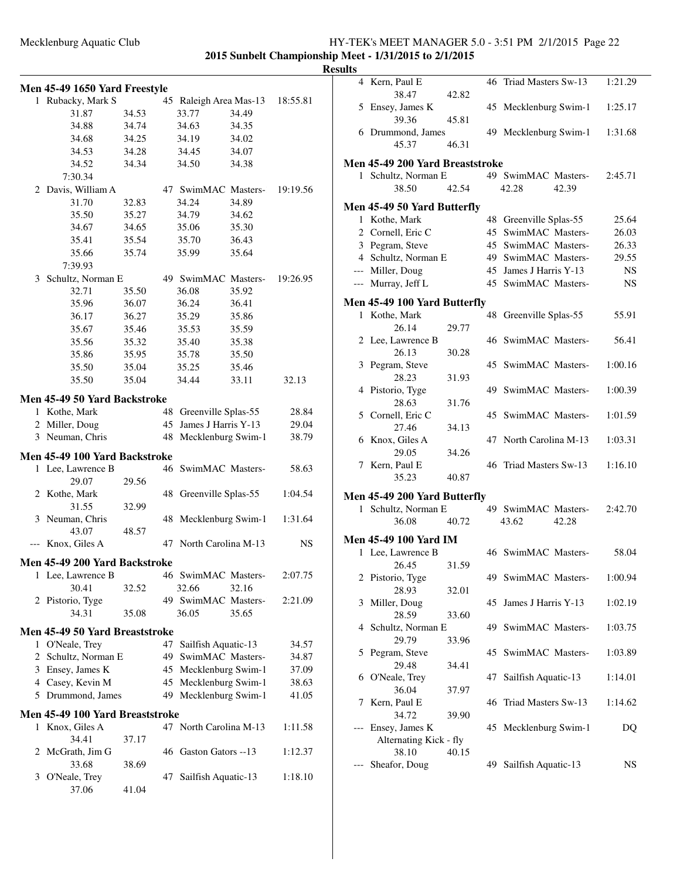|   | Men 45-49 1650 Yard Freestyle   |       |    |                        |       |          |
|---|---------------------------------|-------|----|------------------------|-------|----------|
|   | 1 Rubacky, Mark S               |       |    | 45 Raleigh Area Mas-13 |       | 18:55.81 |
|   | 31.87                           | 34.53 |    | 33.77                  | 34.49 |          |
|   | 34.88                           | 34.74 |    | 34.63                  | 34.35 |          |
|   | 34.68                           | 34.25 |    | 34.19                  | 34.02 |          |
|   | 34.53                           | 34.28 |    | 34.45                  | 34.07 |          |
|   | 34.52                           | 34.34 |    | 34.50                  | 34.38 |          |
|   | 7:30.34                         |       |    |                        |       |          |
| 2 | Davis, William A                |       |    | 47 SwimMAC Masters-    |       | 19:19.56 |
|   | 31.70                           | 32.83 |    | 34.24                  | 34.89 |          |
|   | 35.50                           | 35.27 |    | 34.79                  | 34.62 |          |
|   | 34.67                           | 34.65 |    | 35.06                  | 35.30 |          |
|   | 35.41                           | 35.54 |    | 35.70                  | 36.43 |          |
|   | 35.66                           | 35.74 |    | 35.99                  | 35.64 |          |
|   | 7:39.93                         |       |    |                        |       |          |
| 3 | Schultz, Norman E               |       |    | 49 SwimMAC Masters-    |       | 19:26.95 |
|   | 32.71                           | 35.50 |    | 36.08                  | 35.92 |          |
|   | 35.96                           | 36.07 |    | 36.24                  | 36.41 |          |
|   | 36.17                           | 36.27 |    | 35.29                  | 35.86 |          |
|   | 35.67                           | 35.46 |    | 35.53                  | 35.59 |          |
|   | 35.56                           | 35.32 |    | 35.40                  | 35.38 |          |
|   | 35.86                           | 35.95 |    | 35.78                  | 35.50 |          |
|   |                                 |       |    |                        |       |          |
|   | 35.50<br>35.50                  | 35.04 |    | 35.25                  | 35.46 |          |
|   |                                 | 35.04 |    | 34.44                  | 33.11 | 32.13    |
|   | Men 45-49 50 Yard Backstroke    |       |    |                        |       |          |
|   | 1 Kothe, Mark                   |       | 48 | Greenville Splas-55    |       | 28.84    |
|   | 2 Miller, Doug                  |       | 45 | James J Harris Y-13    |       | 29.04    |
|   | 3 Neuman, Chris                 |       | 48 | Mecklenburg Swim-1     |       | 38.79    |
|   | Men 45-49 100 Yard Backstroke   |       |    |                        |       |          |
|   | 1 Lee, Lawrence B               |       |    | 46 SwimMAC Masters-    |       | 58.63    |
|   | 29.07                           | 29.56 |    |                        |       |          |
|   | 2 Kothe, Mark                   |       | 48 | Greenville Splas-55    |       | 1:04.54  |
|   | 31.55                           | 32.99 |    |                        |       |          |
| 3 | Neuman, Chris                   |       | 48 | Mecklenburg Swim-1     |       | 1:31.64  |
|   | 43.07                           | 48.57 |    |                        |       |          |
|   | --- Knox, Giles A               |       | 47 | North Carolina M-13    |       | NS       |
|   |                                 |       |    |                        |       |          |
|   | Men 45-49 200 Yard Backstroke   |       |    |                        |       |          |
| 1 | Lee, Lawrence B                 |       |    | 46 SwimMAC Masters-    |       | 2:07.75  |
|   | 30.41                           | 32.52 |    | 32.66                  | 32.16 |          |
|   | 2 Pistorio, Tyge                |       |    | 49 SwimMAC Masters-    |       | 2:21.09  |
|   | 34.31                           | 35.08 |    | 36.05                  | 35.65 |          |
|   | Men 45-49 50 Yard Breaststroke  |       |    |                        |       |          |
|   | 1 O'Neale, Trey                 |       | 47 | Sailfish Aquatic-13    |       | 34.57    |
|   | 2 Schultz, Norman E             |       | 49 | SwimMAC Masters-       |       | 34.87    |
|   | 3 Ensey, James K                |       | 45 | Mecklenburg Swim-1     |       | 37.09    |
|   | 4 Casey, Kevin M                |       | 45 | Mecklenburg Swim-1     |       | 38.63    |
|   | 5 Drummond, James               |       |    | 49 Mecklenburg Swim-1  |       | 41.05    |
|   | Men 45-49 100 Yard Breaststroke |       |    |                        |       |          |
| 1 | Knox, Giles A                   |       |    | 47 North Carolina M-13 |       | 1:11.58  |
|   | 34.41                           | 37.17 |    |                        |       |          |
| 2 | McGrath, Jim G                  |       |    | 46 Gaston Gators --13  |       | 1:12.37  |
|   | 33.68                           | 38.69 |    |                        |       |          |
| 3 | O'Neale, Trey                   |       | 47 | Sailfish Aquatic-13    |       | 1:18.10  |
|   | 37.06                           | 41.04 |    |                        |       |          |
|   |                                 |       |    |                        |       |          |

| ults |                                                     |       |    |                        |       |           |
|------|-----------------------------------------------------|-------|----|------------------------|-------|-----------|
|      | 4 Kern, Paul E<br>38.47                             | 42.82 |    | 46 Triad Masters Sw-13 |       | 1:21.29   |
|      | 5 Ensey, James K                                    |       |    | 45 Mecklenburg Swim-1  |       | 1:25.17   |
|      | 39.36<br>6 Drummond, James                          | 45.81 |    | 49 Mecklenburg Swim-1  |       | 1:31.68   |
|      | 45.37                                               | 46.31 |    |                        |       |           |
|      | Men 45-49 200 Yard Breaststroke                     |       |    |                        |       |           |
|      | 1 Schultz, Norman E                                 |       |    | 49 SwimMAC Masters-    |       | 2:45.71   |
|      | 38.50                                               | 42.54 |    | 42.28                  | 42.39 |           |
|      | Men 45-49 50 Yard Butterfly                         |       |    |                        |       |           |
|      | 1 Kothe, Mark                                       |       | 48 | Greenville Splas-55    |       | 25.64     |
|      | 2 Cornell, Eric C                                   |       |    | 45 SwimMAC Masters-    |       | 26.03     |
|      | 3 Pegram, Steve                                     |       |    | 45 SwimMAC Masters-    |       | 26.33     |
|      | 4 Schultz, Norman E                                 |       |    | 49 SwimMAC Masters-    |       | 29.55     |
|      | --- Miller, Doug                                    |       |    | 45 James J Harris Y-13 |       | <b>NS</b> |
|      | --- Murray, Jeff L                                  |       |    | 45 SwimMAC Masters-    |       | NS        |
|      |                                                     |       |    |                        |       |           |
|      | Men 45-49 100 Yard Butterfly                        |       |    |                        |       |           |
|      | 1 Kothe, Mark<br>26.14                              | 29.77 |    | 48 Greenville Splas-55 |       | 55.91     |
|      | 2 Lee, Lawrence B                                   |       |    | 46 SwimMAC Masters-    |       | 56.41     |
|      | 26.13                                               | 30.28 |    |                        |       |           |
|      | 3 Pegram, Steve                                     |       |    | 45 SwimMAC Masters-    |       | 1:00.16   |
|      | 28.23                                               | 31.93 |    |                        |       |           |
|      | 4 Pistorio, Tyge                                    |       |    | 49 SwimMAC Masters-    |       | 1:00.39   |
|      | 28.63                                               | 31.76 |    |                        |       |           |
|      | 5 Cornell, Eric C                                   |       |    | 45 SwimMAC Masters-    |       | 1:01.59   |
|      | 27.46                                               | 34.13 |    |                        |       |           |
|      | 6 Knox, Giles A                                     |       |    | 47 North Carolina M-13 |       | 1:03.31   |
|      | 29.05                                               | 34.26 |    |                        |       |           |
|      | 7 Kern, Paul E                                      |       |    | 46 Triad Masters Sw-13 |       | 1:16.10   |
|      | 35.23                                               | 40.87 |    |                        |       |           |
|      |                                                     |       |    |                        |       |           |
|      | Men 45-49 200 Yard Butterfly<br>1 Schultz, Norman E |       |    | 49 SwimMAC Masters-    |       |           |
|      | 36.08                                               | 40.72 |    |                        | 42.28 | 2:42.70   |
|      |                                                     |       |    | 43.62                  |       |           |
|      | <b>Men 45-49 100 Yard IM</b>                        |       |    |                        |       |           |
|      | 1 Lee, Lawrence B                                   |       |    | 46 SwimMAC Masters-    |       | 58.04     |
|      | 26.45                                               | 31.59 |    |                        |       |           |
|      | 2 Pistorio, Tyge                                    |       |    | 49 SwimMAC Masters-    |       | 1:00.94   |
|      | 28.93                                               | 32.01 |    |                        |       |           |
| 3    | Miller, Doug                                        |       | 45 | James J Harris Y-13    |       | 1:02.19   |
|      | 28.59                                               | 33.60 |    | 49 SwimMAC Masters-    |       |           |
|      | 4 Schultz, Norman E                                 |       |    |                        |       | 1:03.75   |
|      | 29.79                                               | 33.96 |    | 45 SwimMAC Masters-    |       |           |
| 5    | Pegram, Steve<br>29.48                              |       |    |                        |       | 1:03.89   |
|      | 6 O'Neale, Trey                                     | 34.41 | 47 | Sailfish Aquatic-13    |       | 1:14.01   |
|      | 36.04                                               |       |    |                        |       |           |
| 7    | Kern, Paul E                                        | 37.97 | 46 | Triad Masters Sw-13    |       | 1:14.62   |
|      |                                                     |       |    |                        |       |           |
|      | 34.72<br>Ensey, James K                             | 39.90 | 45 |                        |       |           |
|      | Alternating Kick - fly                              |       |    | Mecklenburg Swim-1     |       | DQ        |
|      | 38.10                                               | 40.15 |    |                        |       |           |
|      | Sheafor, Doug                                       |       |    | 49 Sailfish Aquatic-13 |       | NS        |
|      |                                                     |       |    |                        |       |           |
|      |                                                     |       |    |                        |       |           |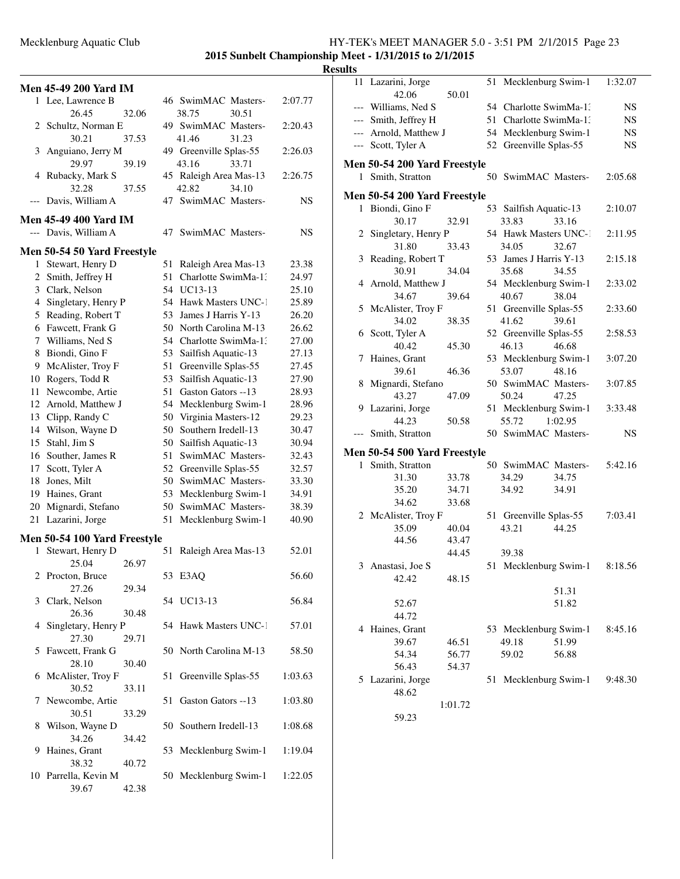### Mecklenburg Aquatic Club HY-TEK's MEET MANAGER 5.0 - 3:51 PM 2/1/2015 Page 23 **2015 Sunbelt Championship Meet - 1/31/2015 to 2/1/2015**

#### **Results Men 45-49 200 Yard IM** 1 Lee, Lawrence B 46 SwimMAC Masters-2:07.77 26.45 32.06 38.75 30.51 2 Schultz, Norman E 49 SwimMAC Masters-2:20.43 30.21 37.53 41.46 31.23 3 Anguiano, Jerry M 49 Greenville Splas-55 2:26.03 29.97 39.19 43.16 33.71 4 Rubacky, Mark S 45 Raleigh Area Mas-13 2:26.75 32.28 37.55 42.82 34.10 --- Davis, William A 47 SwimMAC Masters-13 NS **Men 45-49 400 Yard IM** --- Davis, William A 47 SwimMAC Masters- NS **Men 50-54 50 Yard Freestyle** 1 Stewart, Henry D 51 Raleigh Area Mas-13 23.38 2 Smith, Jeffrey H 51 Charlotte SwimMa-13 24.97 3 Clark, Nelson 54 UC13-13 25.10 4 Singletary, Henry P 54 Hawk Masters UNC-1 25.89 5 Reading, Robert T 53 James J Harris Y-13 26.20 6 Fawcett, Frank G 50 North Carolina M-13 26.62 7 Williams, Ned S 54 Charlotte SwimMa-13 27.00 8 Biondi, Gino F 53 Sailfish Aquatic-13 27.13 9 McAlister, Troy F 51 Greenville Splas-55 27.45 10 Rogers, Todd R 53 Sailfish Aquatic-13 27.90 11 Newcombe, Artie 51 Gaston Gators --13 28.93 12 Arnold, Matthew J 54 Mecklenburg Swim-1 28.96 13 Clipp, Randy C 50 Virginia Masters-12 29.23 14 Wilson, Wayne D 50 Southern Iredell-13 30.47 15 Stahl, Jim S 50 Sailfish Aquatic-13 30.94 16 Souther, James R 51 SwimMAC Masters- 32.43 17 Scott, Tyler A 52 Greenville Splas-55 32.57 18 Jones, Milt 50 SwimMAC Masters-133.30 19 Haines, Grant 53 Mecklenburg Swim-1 34.91 20 Mignardi, Stefano 50 SwimMAC Masters-138.39 21 Lazarini, Jorge 51 Mecklenburg Swim-1 40.90 **Men 50-54 100 Yard Freestyle** 1 Stewart, Henry D 51 Raleigh Area Mas-13 52.01 25.04 26.97 2 Procton, Bruce 53 E3AQ 56.60 27.26 29.34 3 Clark, Nelson 54 UC13-13 56.84 26.36 30.48 4 Singletary, Henry P 54 Hawk Masters UNC-1 57.01 27.30 29.71 5 Fawcett, Frank G 50 North Carolina M-13 58.50 28.10 30.40 6 McAlister, Troy F 51 Greenville Splas-55 1:03.63 30.52 33.11 7 Newcombe, Artie 51 Gaston Gators --13 1:03.80 30.51 33.29 8 Wilson, Wayne D 50 Southern Iredell-13 1:08.68 34.26 34.42 9 Haines, Grant 53 Mecklenburg Swim-1 1:19.04 38.32 40.72 10 Parrella, Kevin M 50 Mecklenburg Swim-1 1:22.05 39.67 42.38 11 Lazarini, Jorge 51 Mecklenburg Swim-1 1:32.07 42.06 50.01 --- Williams, Ned S 54 Charlotte SwimMa-1: NS --- Smith, Jeffrey H 51 Charlotte SwimMa-1: NS --- Arnold, Matthew J 54 Mecklenburg Swim-1 NS Scott, Tyler A 52 Greenville Splas-55 NS **Men 50-54 200 Yard Freestyle** 1 Smith, Stratton 50 SwimMAC Masters-2:05.68 **Men 50-54 200 Yard Freestyle** 1 Biondi, Gino F 53 Sailfish Aquatic-13 2:10.07 30.17 32.91 33.83 33.16 2 Singletary, Henry P 54 Hawk Masters UNC-1 2:11.95 31.80 33.43 34.05 32.67 3 Reading, Robert T 53 James J Harris Y-13 2:15.18 30.91 34.04 35.68 34.55 4 Arnold, Matthew J 54 Mecklenburg Swim-1 2:33.02 34.67 39.64 40.67 38.04 5 McAlister, Troy F 51 Greenville Splas-55 2:33.60 34.02 38.35 41.62 39.61 6 Scott, Tyler A 52 Greenville Splas-55 2:58.53 40.42 45.30 46.13 46.68 7 Haines, Grant 53 Mecklenburg Swim-1 3:07.20 39.61 46.36 53.07 48.16 8 Mignardi, Stefano 50 SwimMAC Masters-3:07.85 43.27 47.09 50.24 47.25 9 Lazarini, Jorge 51 Mecklenburg Swim-1 3:33.48 44.23 50.58 55.72 1:02.95 --- Smith, Stratton 50 SwimMAC Masters- NS **Men 50-54 500 Yard Freestyle** 1 Smith, Stratton 50 SwimMAC Masters-5:42.16 31.30 33.78 34.29 34.75 35.20 34.71 34.92 34.91 34.62 33.68 2 McAlister, Troy F 51 Greenville Splas-55 7:03.41 35.09 40.04 43.21 44.25 44.56 43.47 44.45 39.38 3 Anastasi, Joe S 51 Mecklenburg Swim-1 8:18.56 42.42 48.15 51.31 52.67 51.82 44.72 4 Haines, Grant 53 Mecklenburg Swim-1 8:45.16 39.67 46.51 49.18 51.99 54.34 56.77 59.02 56.88 56.43 54.37 5 Lazarini, Jorge 51 Mecklenburg Swim-1 9:48.30 48.62 1:01.72 59.23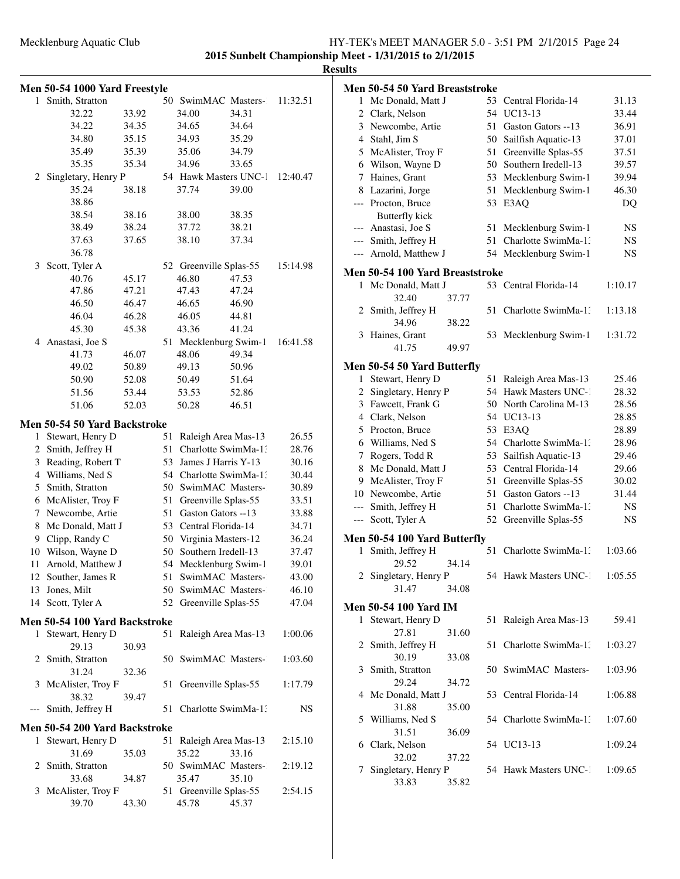| 2015 Sunbelt Championship Meet - 1/31/2015 to 2/1/2015 |  |  |  |  |  |  |
|--------------------------------------------------------|--|--|--|--|--|--|
| <b>Results</b>                                         |  |  |  |  |  |  |

|              | Men 50-54 1000 Yard Freestyle        |       |          |                                               |       |                |
|--------------|--------------------------------------|-------|----------|-----------------------------------------------|-------|----------------|
| $\mathbf{1}$ | Smith, Stratton                      |       | 50       | SwimMAC Masters-                              |       | 11:32.51       |
|              | 32.22                                | 33.92 |          | 34.00                                         | 34.31 |                |
|              | 34.22                                | 34.35 |          | 34.65                                         | 34.64 |                |
|              | 34.80                                | 35.15 |          | 34.93                                         | 35.29 |                |
|              | 35.49                                | 35.39 |          | 35.06                                         | 34.79 |                |
|              | 35.35                                | 35.34 |          | 34.96                                         | 33.65 |                |
| 2            | Singletary, Henry P                  |       |          | 54 Hawk Masters UNC-1                         |       | 12:40.47       |
|              | 35.24                                | 38.18 |          | 37.74                                         | 39.00 |                |
|              | 38.86                                |       |          |                                               |       |                |
|              | 38.54                                | 38.16 |          | 38.00                                         | 38.35 |                |
|              | 38.49                                | 38.24 |          | 37.72                                         | 38.21 |                |
|              | 37.63                                | 37.65 |          | 38.10                                         | 37.34 |                |
|              | 36.78                                |       |          |                                               |       |                |
|              | 3 Scott, Tyler A                     |       |          | 52 Greenville Splas-55                        |       | 15:14.98       |
|              | 40.76                                | 45.17 |          | 46.80                                         | 47.53 |                |
|              | 47.86                                | 47.21 |          | 47.43                                         | 47.24 |                |
|              | 46.50                                | 46.47 |          | 46.65                                         | 46.90 |                |
|              | 46.04                                | 46.28 |          | 46.05                                         | 44.81 |                |
|              | 45.30                                | 45.38 |          | 43.36                                         | 41.24 |                |
|              | 4 Anastasi, Joe S                    |       |          | 51 Mecklenburg Swim-1                         |       | 16:41.58       |
|              | 41.73                                | 46.07 |          | 48.06                                         | 49.34 |                |
|              | 49.02                                | 50.89 |          | 49.13                                         | 50.96 |                |
|              | 50.90                                | 52.08 |          | 50.49                                         | 51.64 |                |
|              | 51.56                                | 53.44 |          | 53.53                                         | 52.86 |                |
|              | 51.06                                | 52.03 |          | 50.28                                         | 46.51 |                |
|              |                                      |       |          |                                               |       |                |
| 1            | Men 50-54 50 Yard Backstroke         |       | 51       |                                               |       | 26.55          |
| 2            | Stewart, Henry D<br>Smith, Jeffrey H |       | 51       | Raleigh Area Mas-13<br>Charlotte SwimMa-13    |       | 28.76          |
| 3            | Reading, Robert T                    |       | 53       | James J Harris Y-13                           |       |                |
|              | 4 Williams, Ned S                    |       |          | 54 Charlotte SwimMa-1.                        |       | 30.16          |
|              | 5 Smith, Stratton                    |       |          | 50 SwimMAC Masters-                           |       | 30.44<br>30.89 |
|              | 6 McAlister, Troy F                  |       |          |                                               |       |                |
| 7            | Newcombe, Artie                      |       | 51<br>51 | Greenville Splas-55<br>Gaston Gators --13     |       | 33.51          |
|              | Mc Donald, Matt J                    |       |          | 53 Central Florida-14                         |       | 33.88          |
| 8            |                                      |       |          |                                               |       | 34.71          |
| 9            | Clipp, Randy C<br>Wilson, Wayne D    |       | 50       | 50 Virginia Masters-12<br>Southern Iredell-13 |       | 36.24          |
| 10           |                                      |       |          |                                               |       | 37.47          |
|              | 11 Arnold, Matthew J                 |       |          | 54 Mecklenburg Swim-1                         |       | 39.01          |
|              | 12 Souther, James R                  |       | 51       | SwimMAC Masters-                              |       | 43.00          |
| 13           | Jones, Milt                          |       | 50       | SwimMAC Masters-                              |       | 46.10          |
|              | 14 Scott, Tyler A                    |       | 52       | Greenville Splas-55                           |       | 47.04          |
|              | Men 50-54 100 Yard Backstroke        |       |          |                                               |       |                |
| 1            | Stewart, Henry D                     |       | 51       | Raleigh Area Mas-13                           |       | 1:00.06        |
|              | 29.13                                | 30.93 |          |                                               |       |                |
|              | 2 Smith, Stratton                    |       | 50       | SwimMAC Masters-                              |       | 1:03.60        |
|              | 31.24                                | 32.36 |          |                                               |       |                |
| 3            | McAlister, Troy F                    |       | 51       | Greenville Splas-55                           |       | 1:17.79        |
|              | 38.32                                | 39.47 |          |                                               |       |                |
| $---$        | Smith, Jeffrey H                     |       | 51       | Charlotte SwimMa-1.                           |       | NS             |
|              | Men 50-54 200 Yard Backstroke        |       |          |                                               |       |                |
| 1            | Stewart, Henry D                     |       | 51       | Raleigh Area Mas-13                           |       | 2:15.10        |
|              | 31.69                                | 35.03 |          | 35.22                                         | 33.16 |                |
| 2            | Smith, Stratton                      |       |          | 50 SwimMAC Masters-                           |       | 2:19.12        |
|              | 33.68                                | 34.87 |          | 35.47                                         | 35.10 |                |
| 3            | McAlister, Troy F                    |       |          | 51 Greenville Splas-55                        |       | 2:54.15        |
|              | 39.70                                | 43.30 |          | 45.78                                         | 45.37 |                |

|              | Men 50-54 50 Yard Breaststroke  |       |    |                        |         |
|--------------|---------------------------------|-------|----|------------------------|---------|
| 1.           | Mc Donald, Matt J               |       |    | 53 Central Florida-14  | 31.13   |
|              | 2 Clark, Nelson                 |       |    | 54 UC13-13             | 33.44   |
|              | 3 Newcombe, Artie               |       |    | 51 Gaston Gators --13  | 36.91   |
|              | 4 Stahl, Jim S                  |       |    | 50 Sailfish Aquatic-13 | 37.01   |
|              | 5 McAlister, Troy F             |       | 51 | Greenville Splas-55    | 37.51   |
|              | 6 Wilson, Wayne D               |       |    | 50 Southern Iredell-13 | 39.57   |
|              | 7 Haines, Grant                 |       |    | 53 Mecklenburg Swim-1  | 39.94   |
|              | 8 Lazarini, Jorge               |       | 51 | Mecklenburg Swim-1     | 46.30   |
|              | --- Procton, Bruce              |       | 53 | E3AQ                   | DO      |
|              | <b>Butterfly kick</b>           |       |    |                        |         |
|              | --- Anastasi, Joe S             |       | 51 | Mecklenburg Swim-1     | NS.     |
|              | --- Smith, Jeffrey H            |       |    | 51 Charlotte SwimMa-1. | NS.     |
|              | --- Arnold, Matthew J           |       |    | 54 Mecklenburg Swim-1  | NS      |
|              | Men 50-54 100 Yard Breaststroke |       |    |                        |         |
| $\mathbf{1}$ | Mc Donald, Matt J               |       |    | 53 Central Florida-14  | 1:10.17 |
|              | 32.40                           | 37.77 |    |                        |         |
| 2            | Smith, Jeffrey H                |       | 51 | Charlotte SwimMa-1.    | 1:13.18 |
|              | 34.96                           | 38.22 |    |                        |         |
|              | 3 Haines, Grant                 |       |    | 53 Mecklenburg Swim-1  | 1:31.72 |
|              | 41.75                           | 49.97 |    |                        |         |
|              | Men 50-54 50 Yard Butterfly     |       |    |                        |         |
| $\mathbf{1}$ | Stewart, Henry D                |       | 51 | Raleigh Area Mas-13    | 25.46   |
|              | 2 Singletary, Henry P           |       |    | 54 Hawk Masters UNC-1  | 28.32   |
|              | 3 Fawcett, Frank G              |       |    | 50 North Carolina M-13 | 28.56   |
|              | 4 Clark, Nelson                 |       |    | 54 UC13-13             | 28.85   |
|              | 5 Procton, Bruce                |       |    | 53 E3AQ                | 28.89   |
|              | 6 Williams, Ned S               |       |    | 54 Charlotte SwimMa-13 | 28.96   |
|              | 7 Rogers, Todd R                |       |    | 53 Sailfish Aquatic-13 | 29.46   |
|              | 8 Mc Donald, Matt J             |       |    | 53 Central Florida-14  | 29.66   |
|              | 9 McAlister, Troy F             |       |    | 51 Greenville Splas-55 | 30.02   |
|              | 10 Newcombe, Artie              |       | 51 | Gaston Gators --13     | 31.44   |
|              | --- Smith, Jeffrey H            |       | 51 | Charlotte SwimMa-1.    | NS.     |
|              | --- Scott, Tyler A              |       |    | 52 Greenville Splas-55 | NS      |
|              |                                 |       |    |                        |         |
|              | Men 50-54 100 Yard Butterfly    |       |    |                        |         |
| 1            | Smith, Jeffrey H                |       | 51 | Charlotte SwimMa-1.    | 1:03.66 |
|              | 29.52                           | 34.14 |    |                        |         |
|              | 2 Singletary, Henry P           |       |    | 54 Hawk Masters UNC-1  | 1:05.55 |
|              | 31.47                           | 34.08 |    |                        |         |
|              | <b>Men 50-54 100 Yard IM</b>    |       |    |                        |         |
|              | 1 Stewart, Henry D              |       | 51 | Raleigh Area Mas-13    | 59.41   |
|              | 27.81                           | 31.60 |    |                        |         |
|              | 2 Smith, Jeffrey H              |       | 51 | Charlotte SwimMa-1.    | 1:03.27 |
|              | 30.19                           | 33.08 |    |                        |         |
|              | 3 Smith, Stratton               |       |    | 50 SwimMAC Masters-    | 1:03.96 |
|              | 29.24                           | 34.72 |    |                        |         |
|              | 4 Mc Donald, Matt J             |       |    | 53 Central Florida-14  | 1:06.88 |
|              | 31.88                           | 35.00 |    |                        |         |
| 5            | Williams, Ned S                 |       |    | 54 Charlotte SwimMa-1. | 1:07.60 |
|              | 31.51                           | 36.09 |    |                        |         |
| 6.           | Clark, Nelson                   |       |    | 54 UC13-13             | 1:09.24 |
|              | 32.02                           | 37.22 |    |                        |         |
| 7            | Singletary, Henry P             |       |    | 54 Hawk Masters UNC-1  | 1:09.65 |
|              | 33.83                           | 35.82 |    |                        |         |
|              |                                 |       |    |                        |         |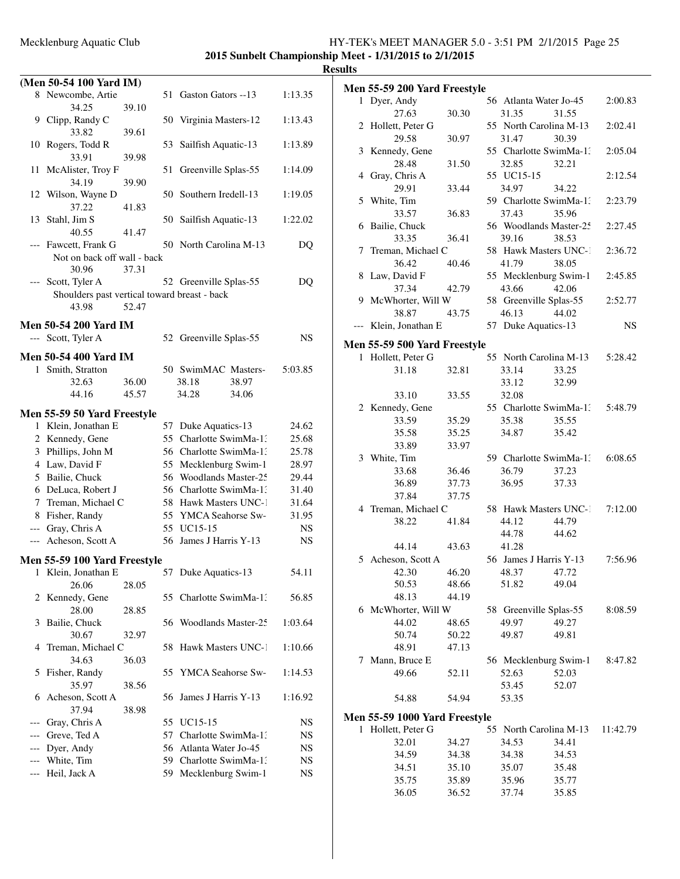### Mecklenburg Aquatic Club HY-TEK's MEET MANAGER 5.0 - 3:51 PM 2/1/2015 Page 25 **2015 Sunbelt Championship Meet - 1/31/2015 to 2/1/2015**

|              | (Men 50-54 100 Yard IM)                      |       |    |                        |       |           |
|--------------|----------------------------------------------|-------|----|------------------------|-------|-----------|
|              | 8 Newcombe, Artie                            |       |    | 51 Gaston Gators --13  |       | 1:13.35   |
|              | 34.25                                        | 39.10 |    |                        |       |           |
|              | 9 Clipp, Randy C                             |       |    | 50 Virginia Masters-12 |       | 1:13.43   |
|              | 33.82                                        | 39.61 |    |                        |       |           |
| 10           | Rogers, Todd R                               |       |    | 53 Sailfish Aquatic-13 |       | 1:13.89   |
|              | 33.91                                        | 39.98 |    |                        |       |           |
| 11           | McAlister, Troy F                            |       | 51 | Greenville Splas-55    |       | 1:14.09   |
|              | 34.19                                        | 39.90 |    |                        |       |           |
|              | 12 Wilson, Wayne D                           |       |    | 50 Southern Iredell-13 |       | 1:19.05   |
|              | 37.22                                        | 41.83 |    |                        |       |           |
| 13           | Stahl, Jim S                                 |       |    | 50 Sailfish Aquatic-13 |       | 1:22.02   |
|              | 40.55                                        | 41.47 |    |                        |       |           |
| $---$        | Fawcett, Frank G                             |       |    | 50 North Carolina M-13 |       | DQ        |
|              | Not on back off wall - back                  |       |    |                        |       |           |
|              | 30.96                                        | 37.31 |    |                        |       |           |
| ---          | Scott, Tyler A                               |       |    | 52 Greenville Splas-55 |       | DQ        |
|              | Shoulders past vertical toward breast - back |       |    |                        |       |           |
|              | 43.98                                        | 52.47 |    |                        |       |           |
|              | Men 50-54 200 Yard IM                        |       |    |                        |       |           |
|              | --- Scott, Tyler A                           |       |    | 52 Greenville Splas-55 |       | NS        |
|              | <b>Men 50-54 400 Yard IM</b>                 |       |    |                        |       |           |
| $\mathbf{1}$ | Smith, Stratton                              |       |    | 50 SwimMAC Masters-    |       | 5:03.85   |
|              | 32.63                                        | 36.00 |    | 38.18                  | 38.97 |           |
|              | 44.16                                        | 45.57 |    | 34.28                  | 34.06 |           |
|              |                                              |       |    |                        |       |           |
|              | <b>Men 55-59 50 Yard Freestyle</b>           |       |    |                        |       |           |
|              | 1 Klein, Jonathan E                          |       |    | 57 Duke Aquatics-13    |       | 24.62     |
|              | 2 Kennedy, Gene                              |       |    | 55 Charlotte SwimMa-1: |       | 25.68     |
|              | 3 Phillips, John M                           |       |    | 56 Charlotte SwimMa-1: |       | 25.78     |
|              | 4 Law, David F                               |       |    | 55 Mecklenburg Swim-1  |       | 28.97     |
|              | 5 Bailie, Chuck                              |       |    | 56 Woodlands Master-25 |       | 29.44     |
|              | 6 DeLuca, Robert J                           |       |    | 56 Charlotte SwimMa-1. |       | 31.40     |
|              | 7 Treman, Michael C                          |       |    | 58 Hawk Masters UNC-1  |       | 31.64     |
|              | 8 Fisher, Randy                              |       |    | 55 YMCA Seahorse Sw-   |       | 31.95     |
|              | --- Gray, Chris A                            |       |    | 55 UC15-15             |       | <b>NS</b> |
|              | --- Acheson, Scott A                         |       |    | 56 James J Harris Y-13 |       | NS        |
|              | Men 55-59 100 Yard Freestyle                 |       |    |                        |       |           |
|              | 1 Klein, Jonathan E                          |       |    | 57 Duke Aquatics-13    |       | 54.11     |
|              | 26.06                                        | 28.05 |    |                        |       |           |
| 2            | Kennedy, Gene                                |       | 55 | Charlotte SwimMa-1:    |       | 56.85     |
|              | 28.00                                        | 28.85 |    |                        |       |           |
| 3            | Bailie, Chuck                                |       | 56 | Woodlands Master-25    |       | 1:03.64   |
|              | 30.67                                        | 32.97 |    |                        |       |           |
| 4            | Treman, Michael C                            |       | 58 | Hawk Masters UNC-1     |       | 1:10.66   |
|              | 34.63                                        | 36.03 |    |                        |       |           |
| 5            | Fisher, Randy                                |       | 55 | YMCA Seahorse Sw-      |       | 1:14.53   |
|              | 35.97                                        | 38.56 |    |                        |       |           |
| 6            | Acheson, Scott A                             |       | 56 | James J Harris Y-13    |       | 1:16.92   |
|              | 37.94                                        | 38.98 |    |                        |       |           |
| ---          | Gray, Chris A                                |       |    | 55 UC15-15             |       | NS        |
|              | Greve, Ted A                                 |       |    | 57 Charlotte SwimMa-1: |       | NS        |
|              | Dyer, Andy                                   |       |    | 56 Atlanta Water Jo-45 |       | NS        |
|              | White, Tim                                   |       |    | 59 Charlotte SwimMa-1: |       | NS        |
|              | Heil, Jack A                                 |       | 59 | Mecklenburg Swim-1     |       | NS        |
|              |                                              |       |    |                        |       |           |

|   | <b>Men 55-59 200 Yard Freestyle</b>               |       |    |                        |                |          |
|---|---------------------------------------------------|-------|----|------------------------|----------------|----------|
|   | 1 Dyer, Andy                                      |       |    | 56 Atlanta Water Jo-45 |                | 2:00.83  |
|   | 27.63                                             | 30.30 |    | 31.35                  | 31.55          |          |
|   | 2 Hollett, Peter G                                |       |    | 55 North Carolina M-13 |                | 2:02.41  |
|   | 29.58                                             | 30.97 |    | 31.47                  | 30.39          |          |
|   | 3 Kennedy, Gene                                   |       |    | 55 Charlotte SwimMa-1: |                | 2:05.04  |
|   | 28.48                                             | 31.50 |    | 32.85                  | 32.21          |          |
|   | 4 Gray, Chris A                                   |       |    | 55 UC15-15             |                | 2:12.54  |
|   | 29.91                                             | 33.44 |    | 34.97                  | 34.22          |          |
| 5 | White, Tim                                        |       |    | 59 Charlotte SwimMa-1. |                | 2:23.79  |
|   | 33.57                                             | 36.83 |    | 37.43                  | 35.96          |          |
| 6 | Bailie, Chuck                                     |       |    | 56 Woodlands Master-25 |                | 2:27.45  |
|   | 33.35                                             | 36.41 |    | 39.16                  | 38.53          |          |
| 7 | Treman, Michael C                                 |       |    | 58 Hawk Masters UNC-1  |                | 2:36.72  |
|   | 36.42                                             | 40.46 |    | 41.79                  | 38.05          |          |
| 8 | Law, David F                                      |       |    | 55 Mecklenburg Swim-1  |                | 2:45.85  |
|   | 37.34                                             | 42.79 |    | 43.66                  | 42.06          |          |
|   | 9 McWhorter, Will W                               |       |    | 58 Greenville Splas-55 |                | 2:52.77  |
|   | 38.87                                             | 43.75 |    | 46.13                  | 44.02          |          |
|   | Klein, Jonathan E                                 |       |    | 57 Duke Aquatics-13    |                | NS.      |
|   | <b>Men 55-59 500 Yard Freestyle</b>               |       |    |                        |                |          |
|   | 1 Hollett, Peter G                                |       |    | 55 North Carolina M-13 |                | 5:28.42  |
|   | 31.18                                             | 32.81 |    | 33.14                  | 33.25          |          |
|   |                                                   |       |    | 33.12                  | 32.99          |          |
|   | 33.10                                             | 33.55 |    | 32.08                  |                |          |
|   | 2 Kennedy, Gene                                   |       |    | 55 Charlotte SwimMa-1: |                | 5:48.79  |
|   | 33.59                                             | 35.29 |    | 35.38                  | 35.55          |          |
|   | 35.58                                             | 35.25 |    | 34.87                  | 35.42          |          |
|   | 33.89                                             | 33.97 |    |                        |                |          |
|   | 3 White, Tim                                      |       |    | 59 Charlotte SwimMa-1: |                | 6:08.65  |
|   | 33.68                                             | 36.46 |    | 36.79                  | 37.23          |          |
|   | 36.89                                             | 37.73 |    | 36.95                  | 37.33          |          |
|   | 37.84                                             | 37.75 |    |                        |                |          |
|   | 4 Treman, Michael C                               |       |    | 58 Hawk Masters UNC-1  |                | 7:12.00  |
|   | 38.22                                             | 41.84 |    | 44.12<br>44.78         | 44.79<br>44.62 |          |
|   | 44.14                                             | 43.63 |    | 41.28                  |                |          |
| 5 | Acheson, Scott A                                  |       |    | 56 James J Harris Y-13 |                | 7:56.96  |
|   | 42.30                                             | 46.20 |    | 48.37                  | 47.72          |          |
|   | 50.53                                             | 48.66 |    | 51.82                  | 49.04          |          |
|   | 48.13                                             | 44.19 |    |                        |                |          |
|   | 6 McWhorter, Will W                               |       |    | 58 Greenville Splas-55 |                | 8:08.59  |
|   | 44.02                                             | 48.65 |    | 49.97                  | 49.27          |          |
|   | 50.74                                             | 50.22 |    | 49.87                  | 49.81          |          |
|   | 48.91                                             | 47.13 |    |                        |                |          |
| 7 | Mann, Bruce E                                     |       |    | 56 Mecklenburg Swim-1  |                | 8:47.82  |
|   | 49.66                                             | 52.11 |    | 52.63                  | 52.03          |          |
|   |                                                   |       |    | 53.45                  | 52.07          |          |
|   | 54.88                                             | 54.94 |    | 53.35                  |                |          |
|   |                                                   |       |    |                        |                |          |
| 1 | Men 55-59 1000 Yard Freestyle<br>Hollett, Peter G |       | 55 | North Carolina M-13    |                | 11:42.79 |
|   | 32.01                                             | 34.27 |    | 34.53                  | 34.41          |          |
|   | 34.59                                             | 34.38 |    | 34.38                  | 34.53          |          |
|   | 34.51                                             | 35.10 |    | 35.07                  | 35.48          |          |
|   | 35.75                                             | 35.89 |    | 35.96                  | 35.77          |          |
|   | 36.05                                             | 36.52 |    | 37.74                  | 35.85          |          |
|   |                                                   |       |    |                        |                |          |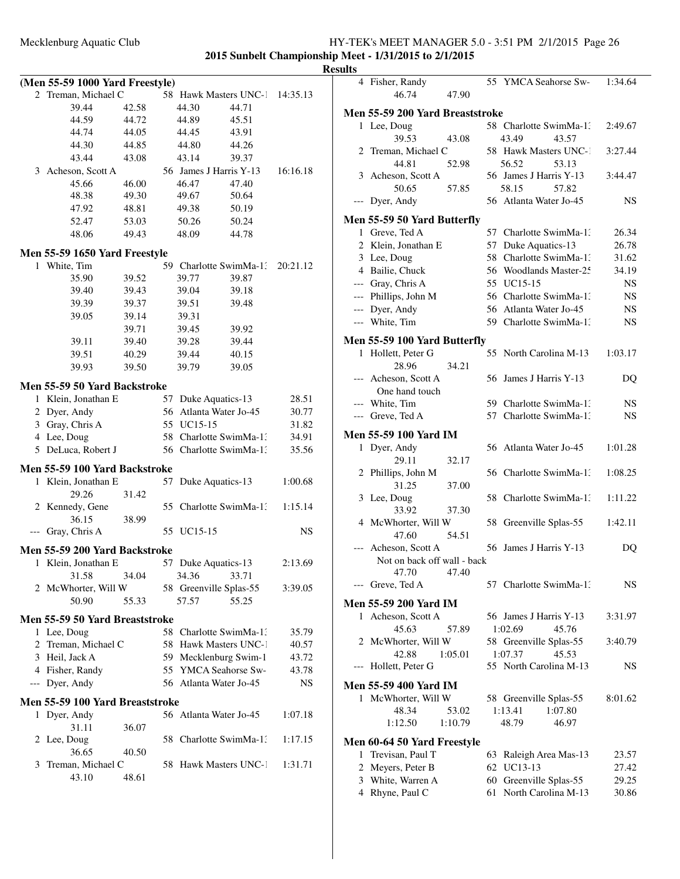|   | (Men 55-59 1000 Yard Freestyle)         |       |    |                        |       |          |
|---|-----------------------------------------|-------|----|------------------------|-------|----------|
| 2 | Treman, Michael C                       |       |    | 58 Hawk Masters UNC-1  |       | 14:35.13 |
|   | 39.44                                   | 42.58 |    | 44.30                  | 44.71 |          |
|   | 44.59                                   | 44.72 |    | 44.89                  | 45.51 |          |
|   | 44.74                                   | 44.05 |    | 44.45                  | 43.91 |          |
|   | 44.30                                   | 44.85 |    | 44.80                  | 44.26 |          |
|   | 43.44                                   | 43.08 |    | 43.14                  | 39.37 |          |
|   | 3 Acheson, Scott A                      |       |    | 56 James J Harris Y-13 |       | 16:16.18 |
|   | 45.66                                   | 46.00 |    | 46.47                  | 47.40 |          |
|   | 48.38                                   | 49.30 |    | 49.67                  | 50.64 |          |
|   | 47.92                                   | 48.81 |    | 49.38                  | 50.19 |          |
|   |                                         |       |    |                        |       |          |
|   | 52.47                                   | 53.03 |    | 50.26                  | 50.24 |          |
|   | 48.06                                   | 49.43 |    | 48.09                  | 44.78 |          |
|   | Men 55-59 1650 Yard Freestyle           |       |    |                        |       |          |
| 1 | White, Tim                              |       |    | 59 Charlotte SwimMa-13 |       | 20:21.12 |
|   | 35.90                                   | 39.52 |    | 39.77                  | 39.87 |          |
|   | 39.40                                   | 39.43 |    | 39.04                  | 39.18 |          |
|   | 39.39                                   | 39.37 |    | 39.51                  | 39.48 |          |
|   | 39.05                                   | 39.14 |    | 39.31                  |       |          |
|   |                                         | 39.71 |    | 39.45                  | 39.92 |          |
|   |                                         |       |    |                        |       |          |
|   | 39.11                                   | 39.40 |    | 39.28                  | 39.44 |          |
|   | 39.51                                   | 40.29 |    | 39.44                  | 40.15 |          |
|   | 39.93                                   | 39.50 |    | 39.79                  | 39.05 |          |
|   | Men 55-59 50 Yard Backstroke            |       |    |                        |       |          |
|   | 1 Klein, Jonathan E                     |       |    | 57 Duke Aquatics-13    |       | 28.51    |
|   | 2 Dyer, Andy                            |       |    | 56 Atlanta Water Jo-45 |       | 30.77    |
|   | 3 Gray, Chris A                         |       |    | 55 UC15-15             |       | 31.82    |
|   | 4 Lee, Doug                             |       |    | 58 Charlotte SwimMa-1: |       | 34.91    |
|   | 5 DeLuca, Robert J                      |       |    | 56 Charlotte SwimMa-1: |       | 35.56    |
|   |                                         |       |    |                        |       |          |
|   | Men 55-59 100 Yard Backstroke           |       |    |                        |       |          |
| 1 | Klein, Jonathan E                       |       | 57 | Duke Aquatics-13       |       | 1:00.68  |
|   | 29.26                                   | 31.42 |    |                        |       |          |
|   | 2 Kennedy, Gene                         |       |    | 55 Charlotte SwimMa-1: |       | 1:15.14  |
|   | 36.15                                   | 38.99 |    |                        |       |          |
|   | Gray, Chris A                           |       | 55 | UC15-15                |       | NS       |
|   |                                         |       |    |                        |       |          |
|   | Men 55-59 200 Yard Backstroke           |       |    |                        |       |          |
|   | 1 Klein, Jonathan E 57 Duke Aquatics-13 |       |    |                        |       | 2:13.69  |
|   | 31.58                                   | 34.04 |    | 34.36                  | 33.71 |          |
|   | 2 McWhorter, Will W                     |       |    | 58 Greenville Splas-55 |       | 3:39.05  |
|   | 50.90                                   | 55.33 |    | 57.57                  | 55.25 |          |
|   | Men 55-59 50 Yard Breaststroke          |       |    |                        |       |          |
|   | 1 Lee, Doug                             |       |    | 58 Charlotte SwimMa-1: |       | 35.79    |
|   | 2 Treman, Michael C                     |       |    | 58 Hawk Masters UNC-1  |       | 40.57    |
|   | 3 Heil, Jack A                          |       |    | 59 Mecklenburg Swim-1  |       | 43.72    |
|   | 4 Fisher, Randy                         |       |    | 55 YMCA Seahorse Sw-   |       | 43.78    |
|   | --- Dyer, Andy                          |       |    | 56 Atlanta Water Jo-45 |       | NS       |
|   |                                         |       |    |                        |       |          |
|   | Men 55-59 100 Yard Breaststroke         |       |    |                        |       |          |
| 1 | Dyer, Andy                              |       |    | 56 Atlanta Water Jo-45 |       | 1:07.18  |
|   | 31.11                                   | 36.07 |    |                        |       |          |
|   | 2 Lee, Doug                             |       |    | 58 Charlotte SwimMa-1: |       | 1:17.15  |
|   | 36.65                                   | 40.50 |    |                        |       |          |
| 3 | Treman, Michael C                       |       | 58 | Hawk Masters UNC-1     |       | 1:31.71  |
|   | 43.10                                   | 48.61 |    |                        |       |          |
|   |                                         |       |    |                        |       |          |

| யக    |                                      |         |                                         |           |
|-------|--------------------------------------|---------|-----------------------------------------|-----------|
|       | 4 Fisher, Randy<br>46.74             | 47.90   | 55 YMCA Seahorse Sw-                    | 1:34.64   |
|       | Men 55-59 200 Yard Breaststroke      |         |                                         |           |
|       | 1 Lee, Doug                          |         | 58 Charlotte SwimMa-1.                  | 2:49.67   |
|       | 39.53                                | 43.08   | 43.49<br>43.57<br>58 Hawk Masters UNC-1 | 3:27.44   |
|       | 2 Treman, Michael C<br>44.81         | 52.98   | 56.52<br>53.13                          |           |
|       | 3 Acheson, Scott A                   |         | 56 James J Harris Y-13                  | 3:44.47   |
|       | 50.65                                | 57.85   | 58.15<br>57.82                          |           |
|       | --- Dyer, Andy                       |         | 56 Atlanta Water Jo-45                  | NS        |
|       | Men 55-59 50 Yard Butterfly          |         |                                         |           |
|       | 1 Greve, Ted A                       |         | 57 Charlotte SwimMa-1.                  | 26.34     |
|       | 2 Klein, Jonathan E                  |         | 57 Duke Aquatics-13                     | 26.78     |
|       | 3 Lee, Doug                          |         | 58 Charlotte SwimMa-1:                  | 31.62     |
|       | 4 Bailie, Chuck                      |         | 56 Woodlands Master-25                  | 34.19     |
|       | --- Gray, Chris A                    |         | 55 UC15-15                              | NS        |
|       | --- Phillips, John M                 |         | 56 Charlotte SwimMa-1.                  | <b>NS</b> |
|       | --- Dyer, Andy                       |         | 56 Atlanta Water Jo-45                  | <b>NS</b> |
|       | --- White, Tim                       |         | 59 Charlotte SwimMa-1.                  | NS.       |
|       | Men 55-59 100 Yard Butterfly         |         |                                         |           |
|       | 1 Hollett, Peter G                   |         | 55 North Carolina M-13                  | 1:03.17   |
|       | 28.96                                | 34.21   |                                         |           |
|       | --- Acheson, Scott A                 |         | 56 James J Harris Y-13                  | DQ        |
|       | One hand touch                       |         |                                         |           |
|       | --- White, Tim                       |         | 59 Charlotte SwimMa-1.                  | NS        |
|       | --- Greve, Ted A                     |         | 57 Charlotte SwimMa-1.                  | NS        |
|       | <b>Men 55-59 100 Yard IM</b>         |         |                                         |           |
|       | 1 Dyer, Andy                         |         | 56 Atlanta Water Jo-45                  | 1:01.28   |
|       | 29.11                                | 32.17   |                                         |           |
|       | 2 Phillips, John M                   |         | 56 Charlotte SwimMa-1.                  | 1:08.25   |
|       | 31.25                                | 37.00   |                                         |           |
|       | 3 Lee, Doug                          | 58      | Charlotte SwimMa-1.                     | 1:11.22   |
|       | 33.92                                | 37.30   |                                         |           |
|       | 4 McWhorter, Will W                  | 58      | Greenville Splas-55                     | 1:42.11   |
|       | 47.60                                | 54.51   |                                         |           |
|       | Acheson, Scott A                     |         | 56 James J Harris Y-13                  | DQ        |
|       | Not on back off wall - back<br>47.70 | 47.40   |                                         |           |
|       | Greve, Ted A                         |         | 57 Charlotte SwimMa-1.                  | NS        |
|       |                                      |         |                                         |           |
|       | <b>Men 55-59 200 Yard IM</b>         |         |                                         |           |
| 1     | Acheson, Scott A                     |         | 56 James J Harris Y-13                  | 3:31.97   |
|       | 45.63                                | 57.89   | 1:02.69<br>45.76                        |           |
|       | 2 McWhorter, Will W                  |         | 58 Greenville Splas-55                  | 3:40.79   |
|       | 42.88                                | 1:05.01 | 1:07.37<br>45.53                        |           |
| $---$ | Hollett, Peter G                     |         | 55 North Carolina M-13                  | NS        |
|       | Men 55-59 400 Yard IM                |         |                                         |           |
|       | 1 McWhorter, Will W                  |         | 58 Greenville Splas-55                  | 8:01.62   |
|       | 48.34                                | 53.02   | 1:13.41<br>1:07.80                      |           |
|       | 1:12.50                              | 1:10.79 | 48.79<br>46.97                          |           |
|       | Men 60-64 50 Yard Freestyle          |         |                                         |           |
| 1     | Trevisan, Paul T                     |         | 63 Raleigh Area Mas-13                  | 23.57     |
|       | 2 Meyers, Peter B                    |         | 62 UC13-13                              | 27.42     |
|       | 3 White, Warren A                    | 60      | Greenville Splas-55                     | 29.25     |
|       | 4 Rhyne, Paul C                      | 61      | North Carolina M-13                     | 30.86     |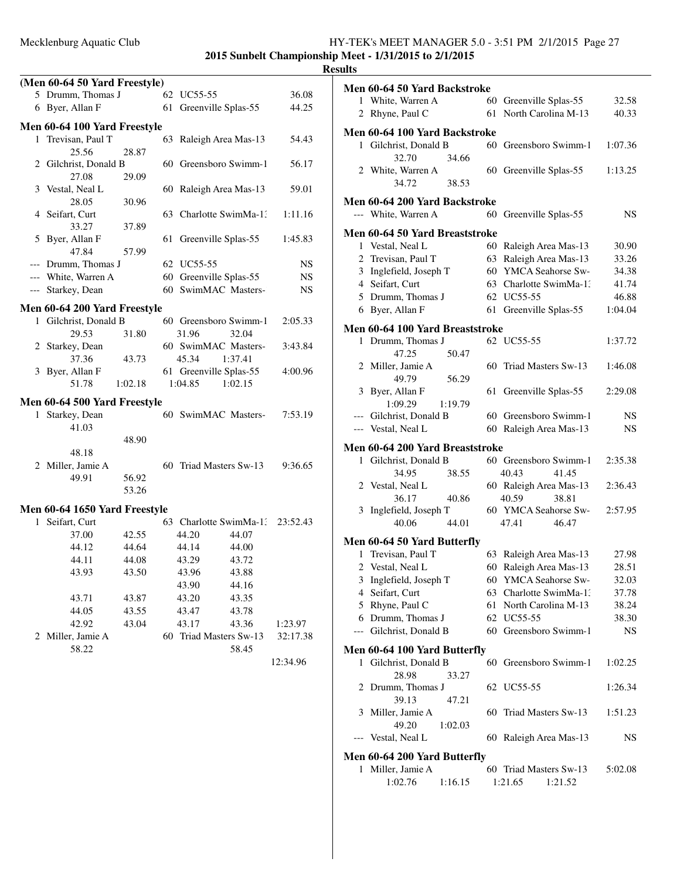# **2015 Sunbelt Championship Meet - 1/31/2015 to 2/1/2015**

|   | (Men 60-64 50 Yard Freestyle) |         |    |                        |         |          |
|---|-------------------------------|---------|----|------------------------|---------|----------|
|   | 5 Drumm, Thomas J             |         | 62 | UC55-55                |         | 36.08    |
|   | 6 Byer, Allan F               |         | 61 | Greenville Splas-55    |         | 44.25    |
|   |                               |         |    |                        |         |          |
|   | Men 60-64 100 Yard Freestyle  |         |    |                        |         |          |
| 1 | Trevisan, Paul T              |         | 63 | Raleigh Area Mas-13    |         | 54.43    |
|   | 25.56                         | 28.87   |    |                        |         |          |
|   | 2 Gilchrist, Donald B         |         |    | 60 Greensboro Swimm-1  |         | 56.17    |
|   | 27.08                         | 29.09   |    |                        |         |          |
|   | 3 Vestal, Neal L<br>28.05     |         |    | 60 Raleigh Area Mas-13 |         | 59.01    |
|   | 4 Seifart, Curt               | 30.96   | 63 | Charlotte SwimMa-1:    |         |          |
|   | 33.27                         | 37.89   |    |                        |         | 1:11.16  |
| 5 | Byer, Allan F                 |         | 61 | Greenville Splas-55    |         | 1:45.83  |
|   | 47.84                         | 57.99   |    |                        |         |          |
|   | --- Drumm, Thomas J           |         |    | 62 UC55-55             |         | NS       |
|   | --- White, Warren A           |         |    | 60 Greenville Splas-55 |         | NS       |
|   | --- Starkey, Dean             |         | 60 | SwimMAC Masters-       |         | NS       |
|   |                               |         |    |                        |         |          |
|   | Men 60-64 200 Yard Freestyle  |         |    |                        |         |          |
|   | 1 Gilchrist, Donald B         |         |    | 60 Greensboro Swimm-1  |         | 2:05.33  |
|   | 29.53                         | 31.80   |    | 31.96                  | 32.04   |          |
|   | 2 Starkey, Dean               |         |    | 60 SwimMAC Masters-    |         | 3:43.84  |
|   | 37.36                         | 43.73   |    | 45.34                  | 1:37.41 |          |
|   | 3 Byer, Allan F               |         |    | 61 Greenville Splas-55 |         | 4:00.96  |
|   | 51.78                         | 1:02.18 |    | 1:04.85                | 1:02.15 |          |
|   | Men 60-64 500 Yard Freestyle  |         |    |                        |         |          |
|   | 1 Starkey, Dean               |         |    | 60 SwimMAC Masters-    |         | 7:53.19  |
|   | 41.03                         |         |    |                        |         |          |
|   |                               | 48.90   |    |                        |         |          |
|   | 48.18                         |         |    |                        |         |          |
|   | 2 Miller, Jamie A             |         |    | 60 Triad Masters Sw-13 |         | 9:36.65  |
|   | 49.91                         | 56.92   |    |                        |         |          |
|   |                               | 53.26   |    |                        |         |          |
|   | Men 60-64 1650 Yard Freestyle |         |    |                        |         |          |
| 1 | Seifart, Curt                 |         |    | 63 Charlotte SwimMa-1. |         | 23:52.43 |
|   | 37.00                         | 42.55   |    | 44.20                  | 44.07   |          |
|   | 44.12                         | 44.64   |    | 44.14                  | -44.00  |          |
|   | 44.11                         | 44.08   |    | 43.29                  | 43.72   |          |
|   | 43.93                         | 43.50   |    | 43.96                  | 43.88   |          |
|   |                               |         |    | 43.90                  | 44.16   |          |
|   | 43.71                         | 43.87   |    | 43.20                  | 43.35   |          |
|   | 44.05                         | 43.55   |    | 43.47                  | 43.78   |          |
|   | 42.92                         | 43.04   |    | 43.17                  | 43.36   | 1:23.97  |
|   | 2 Miller, Jamie A             |         |    | 60 Triad Masters Sw-13 |         | 32:17.38 |
|   | 58.22                         |         |    |                        | 58.45   |          |
|   |                               |         |    |                        |         | 12:34.96 |
|   |                               |         |    |                        |         |          |

|              | Men 60-64 50 Yard Backstroke    |         |                        |         |
|--------------|---------------------------------|---------|------------------------|---------|
|              | 1 White, Warren A               | 60      | Greenville Splas-55    | 32.58   |
|              | 2 Rhyne, Paul C                 | 61      | North Carolina M-13    | 40.33   |
|              |                                 |         |                        |         |
|              | Men 60-64 100 Yard Backstroke   |         |                        |         |
| $\mathbf{1}$ | Gilchrist, Donald B             | 60      | Greensboro Swimm-1     | 1:07.36 |
|              | 32.70                           | 34.66   |                        |         |
|              | 2 White, Warren A<br>34.72      |         | 60 Greenville Splas-55 | 1:13.25 |
|              |                                 | 38.53   |                        |         |
|              | Men 60-64 200 Yard Backstroke   |         |                        |         |
|              | --- White, Warren A             | 60      | Greenville Splas-55    | NS      |
|              | Men 60-64 50 Yard Breaststroke  |         |                        |         |
|              | 1 Vestal, Neal L                |         | 60 Raleigh Area Mas-13 | 30.90   |
|              | 2 Trevisan, Paul T              |         | 63 Raleigh Area Mas-13 | 33.26   |
|              | 3 Inglefield, Joseph T          |         | 60 YMCA Seahorse Sw-   | 34.38   |
|              | 4 Seifart, Curt                 |         | 63 Charlotte SwimMa-13 | 41.74   |
|              | 5 Drumm, Thomas J               |         | 62 UC55-55             | 46.88   |
|              | 6 Byer, Allan F                 | 61      | Greenville Splas-55    | 1:04.04 |
|              |                                 |         |                        |         |
|              | Men 60-64 100 Yard Breaststroke |         |                        |         |
|              | 1 Drumm, Thomas J               |         | 62 UC55-55             | 1:37.72 |
|              | 47.25                           | 50.47   |                        |         |
|              | 2 Miller, Jamie A               |         | 60 Triad Masters Sw-13 | 1:46.08 |
|              | 49.79                           | 56.29   |                        |         |
|              | 3 Byer, Allan F                 |         | 61 Greenville Splas-55 | 2:29.08 |
|              | 1:09.29                         | 1:19.79 |                        |         |
| $---$        | Gilchrist, Donald B             |         | 60 Greensboro Swimm-1  | NS      |
|              | --- Vestal, Neal L              |         | 60 Raleigh Area Mas-13 | NS      |
|              | Men 60-64 200 Yard Breaststroke |         |                        |         |
|              |                                 |         |                        |         |
| $\mathbf{1}$ | Gilchrist, Donald B             |         | 60 Greensboro Swimm-1  | 2:35.38 |
|              | 34.95                           | 38.55   | 40.43<br>41.45         |         |
|              | 2 Vestal, Neal L                |         | 60 Raleigh Area Mas-13 | 2:36.43 |
|              | 36.17                           | 40.86   | 40.59<br>38.81         |         |
|              | 3 Inglefield, Joseph T          |         | 60 YMCA Seahorse Sw-   | 2:57.95 |
|              | 40.06                           | 44.01   | 47.41<br>46.47         |         |
|              |                                 |         |                        |         |
| 1            | Men 60-64 50 Yard Butterfly     |         |                        |         |
|              | Trevisan, Paul T                | 63      | Raleigh Area Mas-13    | 27.98   |
|              | 2 Vestal, Neal L                |         | 60 Raleigh Area Mas-13 | 28.51   |
|              | 3 Inglefield, Joseph T          | 60-     | YMCA Seahorse Sw-      | 32.03   |
| 4            | Seifart, Curt                   | 63      | Charlotte SwimMa-1:    | 37.78   |
|              | 5 Rhyne, Paul C                 | 61      | North Carolina M-13    | 38.24   |
|              | 6 Drumm, Thomas J               |         | 62 UC55-55             | 38.30   |
| ---          | Gilchrist, Donald B             |         | 60 Greensboro Swimm-1  | NS      |
|              | Men 60-64 100 Yard Butterfly    |         |                        |         |
|              | 1 Gilchrist, Donald B           |         | 60 Greensboro Swimm-1  | 1:02.25 |
|              | 28.98                           | 33.27   |                        |         |
|              | 2 Drumm, Thomas J               |         | 62 UC55-55             | 1:26.34 |
|              | 39.13                           | 47.21   |                        |         |
| 3            | Miller, Jamie A                 |         | 60 Triad Masters Sw-13 | 1:51.23 |
|              | 49.20                           | 1:02.03 |                        |         |
|              | Vestal, Neal L                  |         | 60 Raleigh Area Mas-13 | NS      |
|              | Men 60-64 200 Yard Butterfly    |         |                        |         |
|              | 1 Miller, Jamie A               |         | 60 Triad Masters Sw-13 | 5:02.08 |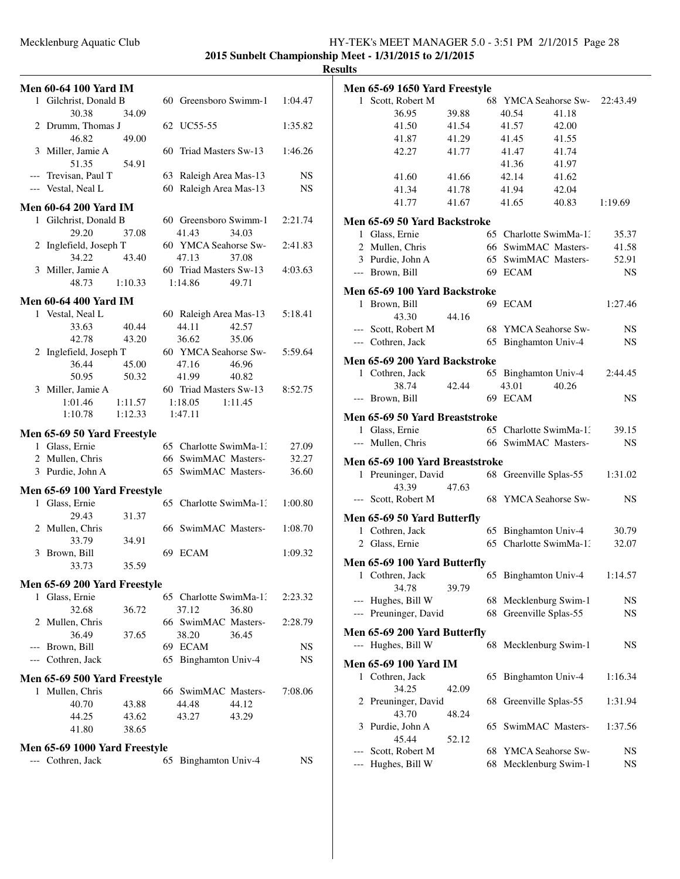### Mecklenburg Aquatic Club HY-TEK's MEET MANAGER 5.0 - 3:51 PM 2/1/2015 Page 28 **2015 Sunbelt Championship Meet - 1/31/2015 to 2/1/2015**

|   | <b>Men 60-64 100 Yard IM</b>  |                    |    |                               |         |
|---|-------------------------------|--------------------|----|-------------------------------|---------|
|   | 1 Gilchrist, Donald B         |                    |    | 60 Greensboro Swimm-1         | 1:04.47 |
|   | 30.38                         | 34.09              |    |                               |         |
|   | 2 Drumm, Thomas J             |                    |    | 62 UC55-55                    | 1:35.82 |
|   | 46.82                         | 49.00              |    |                               |         |
|   | 3 Miller, Jamie A             |                    |    | 60 Triad Masters Sw-13        | 1:46.26 |
|   | 51.35                         | 54.91              |    |                               |         |
|   | --- Trevisan, Paul T          |                    |    | 63 Raleigh Area Mas-13        | NS      |
|   | --- Vestal, Neal L            |                    |    | 60 Raleigh Area Mas-13        | NS      |
|   | <b>Men 60-64 200 Yard IM</b>  |                    |    |                               |         |
|   | 1 Gilchrist, Donald B         |                    |    | 60 Greensboro Swimm-1         | 2:21.74 |
|   | 29.20                         | 37.08              |    | 41.43<br>34.03                |         |
|   | 2 Inglefield, Joseph T        |                    |    | 60 YMCA Seahorse Sw-          | 2:41.83 |
|   | 34.22                         | 43.40              |    | 47.13<br>37.08                |         |
|   | 3 Miller, Jamie A             |                    |    | 60 Triad Masters Sw-13        | 4:03.63 |
|   | 48.73                         | 1:10.33            |    | 1:14.86<br>49.71              |         |
|   | <b>Men 60-64 400 Yard IM</b>  |                    |    |                               |         |
|   | 1 Vestal, Neal L              |                    |    | 60 Raleigh Area Mas-13        | 5:18.41 |
|   | 33.63                         | 40.44              |    | 44.11<br>42.57                |         |
|   | 42.78                         | 43.20              |    | 36.62<br>35.06                |         |
|   | 2 Inglefield, Joseph T        |                    |    | 60 YMCA Seahorse Sw-          | 5:59.64 |
|   | 36.44                         | 45.00              |    | 47.16<br>46.96                |         |
|   | 50.95                         | 50.32              |    | 41.99<br>40.82                |         |
|   | 3 Miller, Jamie A             |                    |    | 60 Triad Masters Sw-13        | 8:52.75 |
|   | 1:01.46<br>1:10.78            | 1:11.57<br>1:12.33 |    | 1:18.05<br>1:11.45<br>1:47.11 |         |
|   |                               |                    |    |                               |         |
|   | Men 65-69 50 Yard Freestyle   |                    |    |                               |         |
|   | 1 Glass, Ernie                |                    |    | 65 Charlotte SwimMa-1.        | 27.09   |
|   | 2 Mullen, Chris               |                    |    | 66 SwimMAC Masters-           | 32.27   |
|   | 3 Purdie, John A              |                    |    | 65 SwimMAC Masters-           | 36.60   |
|   | Men 65-69 100 Yard Freestyle  |                    |    |                               |         |
| 1 | Glass, Ernie                  |                    |    | 65 Charlotte SwimMa-1:        | 1:00.80 |
|   | 29.43                         | 31.37              |    |                               |         |
|   | 2 Mullen, Chris               |                    |    | 66 SwimMAC Masters-           | 1:08.70 |
|   | 33.79                         | 34.91              |    |                               |         |
|   | 3 Brown, Bill<br>33.73        | 35.59              |    | 69 ECAM                       | 1:09.32 |
|   |                               |                    |    |                               |         |
|   | Men 65-69 200 Yard Freestyle  |                    |    |                               |         |
| 1 | Glass, Ernie                  |                    |    | 65 Charlotte SwimMa-1.        | 2:23.32 |
|   | 32.68                         | 36.72              |    | 37.12<br>36.80                |         |
|   | 2 Mullen, Chris               |                    |    | 66 SwimMAC Masters-           | 2:28.79 |
|   | 36.49<br>--- Brown, Bill      | 37.65              |    | 38.20<br>36.45<br>69 ECAM     | NS      |
|   | --- Cothren, Jack             |                    |    | 65 Binghamton Univ-4          | NS      |
|   |                               |                    |    |                               |         |
|   | Men 65-69 500 Yard Freestyle  |                    |    |                               |         |
| 1 | Mullen, Chris                 |                    |    | 66 SwimMAC Masters-           | 7:08.06 |
|   | 40.70                         | 43.88              |    | 44.48<br>44.12                |         |
|   | 44.25<br>41.80                | 43.62<br>38.65     |    | 43.27<br>43.29                |         |
|   |                               |                    |    |                               |         |
|   | Men 65-69 1000 Yard Freestyle |                    |    |                               |         |
|   | --- Cothren, Jack             |                    | 65 | Binghamton Univ-4             | NS      |
|   |                               |                    |    |                               |         |

|       | Men 65-69 1650 Yard Freestyle   |       |    |                          |       |           |
|-------|---------------------------------|-------|----|--------------------------|-------|-----------|
|       | 1 Scott, Robert M               |       |    | 68 YMCA Seahorse Sw-     |       | 22:43.49  |
|       | 36.95                           | 39.88 |    | 40.54                    | 41.18 |           |
|       | 41.50                           | 41.54 |    | 41.57                    | 42.00 |           |
|       | 41.87                           | 41.29 |    | 41.45                    | 41.55 |           |
|       | 42.27                           | 41.77 |    | 41.47                    | 41.74 |           |
|       |                                 |       |    | 41.36                    | 41.97 |           |
|       | 41.60                           | 41.66 |    | 42.14                    | 41.62 |           |
|       | 41.34                           | 41.78 |    | 41.94                    | 42.04 |           |
|       | 41.77                           | 41.67 |    | 41.65                    | 40.83 | 1:19.69   |
|       |                                 |       |    |                          |       |           |
|       | Men 65-69 50 Yard Backstroke    |       |    |                          |       |           |
|       | 1 Glass, Ernie                  |       |    | 65 Charlotte SwimMa-1.   |       | 35.37     |
|       | 2 Mullen, Chris                 |       |    | 66 SwimMAC Masters-      |       | 41.58     |
|       | 3 Purdie, John A                |       |    | 65 SwimMAC Masters-      |       | 52.91     |
|       | --- Brown, Bill                 |       |    | 69 ECAM                  |       | <b>NS</b> |
|       | Men 65-69 100 Yard Backstroke   |       |    |                          |       |           |
|       | 1 Brown, Bill                   |       |    | 69 ECAM                  |       | 1:27.46   |
|       | 43.30                           | 44.16 |    |                          |       |           |
|       | --- Scott, Robert M             |       |    | 68 YMCA Seahorse Sw-     |       | NS.       |
|       | --- Cothren, Jack               |       | 65 | <b>Binghamton Univ-4</b> |       | NS.       |
|       | Men 65-69 200 Yard Backstroke   |       |    |                          |       |           |
|       | 1 Cothren, Jack                 |       |    | 65 Binghamton Univ-4     |       | 2:44.45   |
|       | 38.74                           | 42.44 |    | 43.01                    | 40.26 |           |
| $---$ | Brown, Bill                     |       |    | 69 ECAM                  |       | NS        |
|       |                                 |       |    |                          |       |           |
|       | Men 65-69 50 Yard Breaststroke  |       |    |                          |       |           |
|       | 1 Glass, Ernie                  |       |    | 65 Charlotte SwimMa-1.   |       | 39.15     |
|       | --- Mullen, Chris               |       |    | 66 SwimMAC Masters-      |       | <b>NS</b> |
|       | Men 65-69 100 Yard Breaststroke |       |    |                          |       |           |
|       | 1 Preuninger, David             |       |    | 68 Greenville Splas-55   |       | 1:31.02   |
|       | 43.39                           | 47.63 |    |                          |       |           |
|       | --- Scott, Robert M             |       |    | 68 YMCA Seahorse Sw-     |       | NS        |
|       |                                 |       |    |                          |       |           |
|       | Men 65-69 50 Yard Butterfly     |       |    |                          |       |           |
|       | 1 Cothren, Jack                 |       |    | 65 Binghamton Univ-4     |       | 30.79     |
|       | 2 Glass, Ernie                  |       |    | 65 Charlotte SwimMa-1:   |       | 32.07     |
|       | Men 65-69 100 Yard Butterfly    |       |    |                          |       |           |
|       | 1 Cothren, Jack                 |       |    | 65 Binghamton Univ-4     |       | 1:14.57   |
|       | 34.78                           | 39.79 |    |                          |       |           |
|       | --- Hughes, Bill W              |       |    | 68 Mecklenburg Swim-1    |       | NS.       |
|       | --- Preuninger, David           |       | 68 | Greenville Splas-55      |       | NS.       |
|       | Men 65-69 200 Yard Butterfly    |       |    |                          |       |           |
|       | --- Hughes, Bill W              |       |    | 68 Mecklenburg Swim-1    |       | NS        |
|       |                                 |       |    |                          |       |           |
|       | Men 65-69 100 Yard IM           |       |    |                          |       |           |
| 1     | Cothren, Jack                   |       | 65 | Binghamton Univ-4        |       | 1:16.34   |
|       | 34.25                           | 42.09 |    |                          |       |           |
|       | 2 Preuninger, David             |       | 68 | Greenville Splas-55      |       | 1:31.94   |
|       | 43.70                           | 48.24 |    |                          |       |           |
| 3     | Purdie, John A                  |       |    | 65 SwimMAC Masters-      |       | 1:37.56   |
|       | 45.44                           | 52.12 |    |                          |       |           |
| ---   | Scott, Robert M                 |       | 68 | <b>YMCA Seahorse Sw-</b> |       | NS.       |
|       | Hughes, Bill W                  |       | 68 | Mecklenburg Swim-1       |       | NS        |
|       |                                 |       |    |                          |       |           |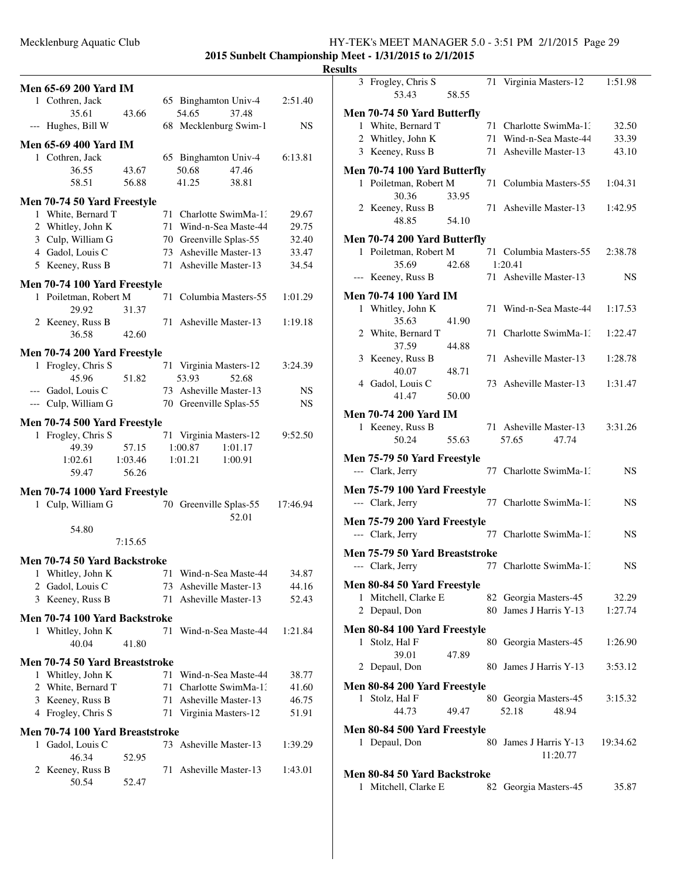### Mecklenburg Aquatic Club HY-TEK's MEET MANAGER 5.0 - 3:51 PM 2/1/2015 Page 29 **2015 Sunbelt Championship Meet - 1/31/2015 to 2/1/2015**

| <b>Men 65-69 200 Yard IM</b>                       |         |     |                                              |          |
|----------------------------------------------------|---------|-----|----------------------------------------------|----------|
| 1 Cothren, Jack                                    |         |     | 65 Binghamton Univ-4                         | 2:51.40  |
| 35.61                                              | 43.66   |     | 54.65<br>37.48                               |          |
| --- Hughes, Bill W                                 |         |     | 68 Mecklenburg Swim-1                        | NS       |
| <b>Men 65-69 400 Yard IM</b>                       |         |     |                                              |          |
| 1 Cothren, Jack                                    |         |     | 65 Binghamton Univ-4                         | 6:13.81  |
| 36.55                                              | 43.67   |     | 50.68<br>47.46                               |          |
| 58.51                                              | 56.88   |     | 41.25<br>38.81                               |          |
|                                                    |         |     |                                              |          |
| Men 70-74 50 Yard Freestyle                        |         |     |                                              |          |
| 1 White, Bernard T                                 |         | 71  | Charlotte SwimMa-1:                          | 29.67    |
| 2 Whitley, John K                                  |         | 71  | Wind-n-Sea Maste-44                          | 29.75    |
| 3 Culp, William G                                  |         |     | 70 Greenville Splas-55                       | 32.40    |
| 4 Gadol, Louis C                                   |         | 73  | Asheville Master-13                          | 33.47    |
| 5 Keeney, Russ B                                   |         | 71  | Asheville Master-13                          | 34.54    |
| Men 70-74 100 Yard Freestyle                       |         |     |                                              |          |
| 1 Poiletman, Robert M                              |         | 71  | Columbia Masters-55                          | 1:01.29  |
| 29.92                                              | 31.37   |     |                                              |          |
| 2 Keeney, Russ B                                   |         |     | 71 Asheville Master-13                       | 1:19.18  |
| 36.58                                              | 42.60   |     |                                              |          |
| Men 70-74 200 Yard Freestyle                       |         |     |                                              |          |
| 1 Frogley, Chris S                                 |         |     | 71 Virginia Masters-12                       | 3:24.39  |
| 45.96                                              | 51.82   |     | 53.93<br>52.68                               |          |
| --- Gadol, Louis C                                 |         |     | 73 Asheville Master-13                       | NS       |
| --- Culp, William G                                |         |     | 70 Greenville Splas-55                       | NS       |
|                                                    |         |     |                                              |          |
| Men 70-74 500 Yard Freestyle<br>1 Frogley, Chris S |         |     |                                              |          |
| 49.39                                              | 57.15   |     | 71 Virginia Masters-12<br>1:00.87<br>1:01.17 | 9:52.50  |
| 1:02.61                                            | 1:03.46 |     | 1:01.21<br>1:00.91                           |          |
| 59.47                                              | 56.26   |     |                                              |          |
|                                                    |         |     |                                              |          |
| Men 70-74 1000 Yard Freestyle                      |         |     |                                              |          |
| 1 Culp, William G                                  |         |     | 70 Greenville Splas-55                       | 17:46.94 |
|                                                    |         |     | 52.01                                        |          |
| 54.80                                              |         |     |                                              |          |
|                                                    | 7:15.65 |     |                                              |          |
| Men 70-74 50 Yard Backstroke                       |         |     |                                              |          |
| Whitley, John K<br>1                               |         | 71  | Wind-n-Sea Maste-44                          | 34.87    |
| Gadol, Louis C<br>2                                |         | 73  | Asheville Master-13                          | 44.16    |
| 3 Keeney, Russ B                                   |         | 71  | Asheville Master-13                          | 52.43    |
| Men 70-74 100 Yard Backstroke                      |         |     |                                              |          |
| 1 Whitley, John K                                  |         | 71  | Wind-n-Sea Maste-44                          | 1:21.84  |
| 40.04                                              | 41.80   |     |                                              |          |
|                                                    |         |     |                                              |          |
| Men 70-74 50 Yard Breaststroke                     |         |     |                                              |          |
| 1 Whitley, John K                                  |         | 71  | Wind-n-Sea Maste-44                          | 38.77    |
| 2 White, Bernard T                                 |         | 71  | Charlotte SwimMa-1:                          | 41.60    |
| 3 Keeney, Russ B                                   |         | 71  | Asheville Master-13                          | 46.75    |
| 4 Frogley, Chris S                                 |         |     | 71 Virginia Masters-12                       | 51.91    |
| Men 70-74 100 Yard Breaststroke                    |         |     |                                              |          |
| Gadol, Louis C<br>1                                |         |     | 73 Asheville Master-13                       | 1:39.29  |
| 46.34                                              | 52.95   |     |                                              |          |
| 2 Keeney, Russ B                                   |         | 71. | Asheville Master-13                          | 1:43.01  |
| 50.54                                              | 52.47   |     |                                              |          |
|                                                    |         |     |                                              |          |
|                                                    |         |     |                                              |          |

|   | 3 Frogley, Chris S<br>53.43             | 58.55 |    | 71 Virginia Masters-12                        | 1:51.98        |
|---|-----------------------------------------|-------|----|-----------------------------------------------|----------------|
|   |                                         |       |    |                                               |                |
|   | Men 70-74 50 Yard Butterfly             |       | 71 |                                               |                |
|   | 1 White, Bernard T<br>2 Whitley, John K |       |    | Charlotte SwimMa-1.<br>71 Wind-n-Sea Maste-44 | 32.50<br>33.39 |
|   | 3 Keeney, Russ B                        |       |    | 71 Asheville Master-13                        | 43.10          |
|   |                                         |       |    |                                               |                |
|   | Men 70-74 100 Yard Butterfly            |       |    |                                               |                |
|   | 1 Poiletman, Robert M                   |       |    | 71 Columbia Masters-55                        | 1:04.31        |
|   | 30.36<br>2 Keeney, Russ B               | 33.95 |    | 71 Asheville Master-13                        | 1:42.95        |
|   | 48.85                                   | 54.10 |    |                                               |                |
|   |                                         |       |    |                                               |                |
|   | Men 70-74 200 Yard Butterfly            |       |    |                                               |                |
|   | 1 Poiletman, Robert M<br>35.69          | 42.68 |    | 71 Columbia Masters-55<br>1:20.41             | 2:38.78        |
|   | --- Keeney, Russ B                      |       |    | 71 Asheville Master-13                        | NS             |
|   |                                         |       |    |                                               |                |
|   | <b>Men 70-74 100 Yard IM</b>            |       |    |                                               |                |
|   | 1 Whitley, John K                       |       |    | 71 Wind-n-Sea Maste-44                        | 1:17.53        |
|   | 35.63<br>2 White, Bernard T             | 41.90 | 71 | Charlotte SwimMa-13                           | 1:22.47        |
|   | 37.59                                   | 44.88 |    |                                               |                |
|   | 3 Keeney, Russ B                        |       |    | 71 Asheville Master-13                        | 1:28.78        |
|   | 40.07                                   | 48.71 |    |                                               |                |
|   | 4 Gadol, Louis C                        |       |    | 73 Asheville Master-13                        | 1:31.47        |
|   | 41.47                                   | 50.00 |    |                                               |                |
|   | <b>Men 70-74 200 Yard IM</b>            |       |    |                                               |                |
|   | 1 Keeney, Russ B                        |       |    | 71 Asheville Master-13                        | 3:31.26        |
|   | 50.24                                   | 55.63 |    | 57.65<br>47.74                                |                |
|   | Men 75-79 50 Yard Freestyle             |       |    |                                               |                |
|   | --- Clark, Jerry                        |       |    | 77 Charlotte SwimMa-1.                        | NS             |
|   |                                         |       |    |                                               |                |
|   | Men 75-79 100 Yard Freestyle            |       |    |                                               |                |
|   | --- Clark, Jerry                        |       |    | 77 Charlotte SwimMa-1.                        | NS             |
|   | Men 75-79 200 Yard Freestyle            |       |    |                                               |                |
|   | --- Clark, Jerry                        |       |    | 77 Charlotte SwimMa-13                        | NS             |
|   | Men 75-79 50 Yard Breaststroke          |       |    |                                               |                |
|   | --- Clark, Jerry                        |       |    | 77 Charlotte SwimMa-1.                        | NS             |
|   | Men 80-84 50 Yard Freestyle             |       |    |                                               |                |
| 1 | Mitchell, Clarke E                      |       |    | 82 Georgia Masters-45                         | 32.29          |
| 2 | Depaul, Don                             |       |    | 80 James J Harris Y-13                        | 1:27.74        |
|   |                                         |       |    |                                               |                |
|   | Men 80-84 100 Yard Freestyle            |       |    |                                               |                |
|   | 1 Stolz, Hal F                          |       |    | 80 Georgia Masters-45                         | 1:26.90        |
|   | 39.01<br>2 Depaul, Don                  | 47.89 | 80 | James J Harris Y-13                           | 3:53.12        |
|   |                                         |       |    |                                               |                |
|   | Men 80-84 200 Yard Freestyle            |       |    |                                               |                |
| 1 | Stolz, Hal F                            |       |    | 80 Georgia Masters-45                         | 3:15.32        |
|   | 44.73                                   | 49.47 |    | 52.18<br>48.94                                |                |
|   | Men 80-84 500 Yard Freestyle            |       |    |                                               |                |
|   | 1 Depaul, Don                           |       | 80 | James J Harris Y-13                           | 19:34.62       |
|   |                                         |       |    | 11:20.77                                      |                |
|   | Men 80-84 50 Yard Backstroke            |       |    |                                               |                |
| 1 | Mitchell, Clarke E                      |       | 82 | Georgia Masters-45                            | 35.87          |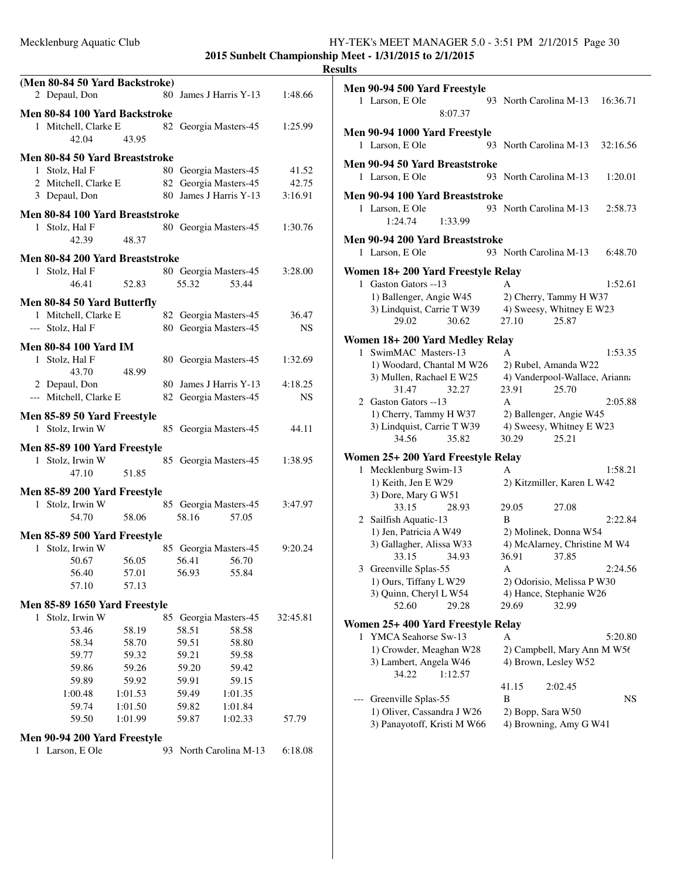|   | (Men 80-84 50 Yard Backstroke)                        |         |     |       |                        |          |
|---|-------------------------------------------------------|---------|-----|-------|------------------------|----------|
|   | 2 Depaul, Don                                         |         | 80  |       | James J Harris Y-13    | 1:48.66  |
|   |                                                       |         |     |       |                        |          |
|   | Men 80-84 100 Yard Backstroke<br>1 Mitchell, Clarke E |         |     |       |                        |          |
|   | 42.04                                                 | 43.95   |     |       | 82 Georgia Masters-45  | 1:25.99  |
|   |                                                       |         |     |       |                        |          |
|   | Men 80-84 50 Yard Breaststroke                        |         |     |       |                        |          |
|   | 1 Stolz, Hal F                                        |         |     |       | 80 Georgia Masters-45  | 41.52    |
|   | 2 Mitchell, Clarke E                                  |         |     |       | 82 Georgia Masters-45  | 42.75    |
|   | 3 Depaul, Don                                         |         | 80- |       | James J Harris Y-13    | 3:16.91  |
|   | Men 80-84 100 Yard Breaststroke                       |         |     |       |                        |          |
|   | 1 Stolz, Hal F                                        |         |     |       | 80 Georgia Masters-45  | 1:30.76  |
|   | 42.39                                                 | 48.37   |     |       |                        |          |
|   |                                                       |         |     |       |                        |          |
|   | Men 80-84 200 Yard Breaststroke                       |         |     |       |                        |          |
|   | 1 Stolz, Hal F                                        |         |     |       | 80 Georgia Masters-45  | 3:28.00  |
|   | 46.41                                                 | 52.83   |     | 55.32 | 53.44                  |          |
|   | Men 80-84 50 Yard Butterfly                           |         |     |       |                        |          |
|   | 1 Mitchell, Clarke E                                  |         |     |       | 82 Georgia Masters-45  | 36.47    |
|   | --- Stolz, Hal F                                      |         |     |       | 80 Georgia Masters-45  | NS       |
|   | <b>Men 80-84 100 Yard IM</b>                          |         |     |       |                        |          |
|   | 1 Stolz, Hal F                                        |         |     |       | 80 Georgia Masters-45  | 1:32.69  |
|   | 43.70                                                 | 48.99   |     |       |                        |          |
|   | 2 Depaul, Don                                         |         |     |       | 80 James J Harris Y-13 | 4:18.25  |
|   | --- Mitchell, Clarke E                                |         |     |       | 82 Georgia Masters-45  | NS       |
|   |                                                       |         |     |       |                        |          |
|   | Men 85-89 50 Yard Freestyle                           |         |     |       |                        |          |
|   | 1 Stolz, Irwin W                                      |         |     |       | 85 Georgia Masters-45  | 44.11    |
|   | Men 85-89 100 Yard Freestyle                          |         |     |       |                        |          |
|   | 1 Stolz, Irwin W                                      |         |     |       | 85 Georgia Masters-45  | 1:38.95  |
|   | 47.10                                                 | 51.85   |     |       |                        |          |
|   | Men 85-89 200 Yard Freestyle                          |         |     |       |                        |          |
|   | 1 Stolz, Irwin W                                      |         |     |       | 85 Georgia Masters-45  | 3:47.97  |
|   | 54.70                                                 | 58.06   |     | 58.16 | 57.05                  |          |
|   |                                                       |         |     |       |                        |          |
|   | Men 85-89 500 Yard Freestyle                          |         |     |       |                        |          |
| 1 | Stolz, Irwin W                                        |         |     |       | 85 Georgia Masters-45  | 9:20.24  |
|   | 50.67                                                 | 56.05   |     | 56.41 | 56.70                  |          |
|   | 56.40                                                 | 57.01   |     | 56.93 | 55.84                  |          |
|   | 57.10                                                 | 57.13   |     |       |                        |          |
|   | Men 85-89 1650 Yard Freestyle                         |         |     |       |                        |          |
| 1 | Stolz, Irwin W                                        |         | 85  |       | Georgia Masters-45     | 32:45.81 |
|   | 53.46                                                 | 58.19   |     | 58.51 | 58.58                  |          |
|   | 58.34                                                 | 58.70   |     | 59.51 | 58.80                  |          |
|   | 59.77                                                 | 59.32   |     | 59.21 | 59.58                  |          |
|   | 59.86                                                 | 59.26   |     | 59.20 | 59.42                  |          |
|   | 59.89                                                 | 59.92   |     | 59.91 | 59.15                  |          |
|   | 1:00.48                                               | 1:01.53 |     | 59.49 | 1:01.35                |          |
|   | 59.74                                                 | 1:01.50 |     | 59.82 | 1:01.84                |          |
|   | 59.50                                                 | 1:01.99 |     | 59.87 | 1:02.33                | 57.79    |
|   | Men 90-94 200 Yard Freestyle                          |         |     |       |                        |          |
|   | 1 Larson, E Ole                                       |         | 93  |       | North Carolina M-13    | 6:18.08  |
|   |                                                       |         |     |       |                        |          |

|   | <b>Men 90-94 500 Yard Freestyle</b>                                                                                                                                                                                                 |                                                                                                                                                                        |                    |
|---|-------------------------------------------------------------------------------------------------------------------------------------------------------------------------------------------------------------------------------------|------------------------------------------------------------------------------------------------------------------------------------------------------------------------|--------------------|
|   | 1 Larson, E Ole<br>8:07.37                                                                                                                                                                                                          | 93 North Carolina M-13                                                                                                                                                 | 16:36.71           |
|   | Men 90-94 1000 Yard Freestyle<br>1 Larson, E Ole                                                                                                                                                                                    | 93 North Carolina M-13                                                                                                                                                 | 32:16.56           |
|   | Men 90-94 50 Yard Breaststroke<br>1 Larson, E Ole                                                                                                                                                                                   | 93 North Carolina M-13                                                                                                                                                 | 1:20.01            |
|   | Men 90-94 100 Yard Breaststroke<br>1 Larson, E Ole<br>1:24.74<br>1:33.99                                                                                                                                                            | 93 North Carolina M-13                                                                                                                                                 | 2:58.73            |
|   | Men 90-94 200 Yard Breaststroke<br>1 Larson, E Ole                                                                                                                                                                                  | 93 North Carolina M-13                                                                                                                                                 | 6:48.70            |
|   | Women 18+ 200 Yard Freestyle Relay<br>1 Gaston Gators --13<br>1) Ballenger, Angie W45<br>3) Lindquist, Carrie T W39<br>29.02<br>30.62                                                                                               | A<br>2) Cherry, Tammy H W37<br>4) Sweesy, Whitney E W23<br>27.10<br>25.87                                                                                              | 1:52.61            |
|   | Women 18+200 Yard Medley Relay<br>1 SwimMAC Masters-13<br>1) Woodard, Chantal M W26<br>3) Mullen, Rachael E W25<br>31.47<br>32.27<br>2 Gaston Gators --13<br>1) Cherry, Tammy H W37<br>3) Lindquist, Carrie T W39<br>34.56<br>35.82 | A<br>2) Rubel, Amanda W22<br>4) Vanderpool-Wallace, Arianna<br>23.91<br>25.70<br>$\mathsf{A}$<br>2) Ballenger, Angie W45<br>4) Sweesy, Whitney E W23<br>30.29<br>25.21 | 1:53.35<br>2:05.88 |
| 1 | Women 25+ 200 Yard Freestyle Relay<br>Mecklenburg Swim-13<br>1) Keith, Jen E W29                                                                                                                                                    | A<br>2) Kitzmiller, Karen L W42                                                                                                                                        | 1:58.21            |
|   | 3) Dore, Mary G W51<br>33.15<br>28.93<br>2 Sailfish Aquatic-13<br>1) Jen, Patricia A W49<br>3) Gallagher, Alissa W33<br>33.15<br>34.93                                                                                              | 29.05<br>27.08<br>B<br>2) Molinek, Donna W54<br>4) McAlarney, Christine M W4<br>36.91<br>37.85                                                                         | 2:22.84            |
|   | 3 Greenville Splas-55<br>1) Ours, Tiffany L W29<br>3) Quinn, Cheryl L W54<br>52.60<br>29.28                                                                                                                                         | А<br>2) Odorisio, Melissa P W30<br>4) Hance, Stephanie W26<br>29.69<br>32.99                                                                                           | 2:24.56            |
| 1 | Women 25+ 400 Yard Freestyle Relay<br>YMCA Seahorse Sw-13<br>1) Crowder, Meaghan W28<br>3) Lambert, Angela W46<br>34.22<br>1:12.57                                                                                                  | А<br>2) Campbell, Mary Ann M W56<br>4) Brown, Lesley W52                                                                                                               | 5:20.80            |
|   | Greenville Splas-55<br>1) Oliver, Cassandra J W26<br>3) Panayotoff, Kristi M W66                                                                                                                                                    | 41.15<br>2:02.45<br>B<br>2) Bopp, Sara W50<br>4) Browning, Amy G W41                                                                                                   | NS                 |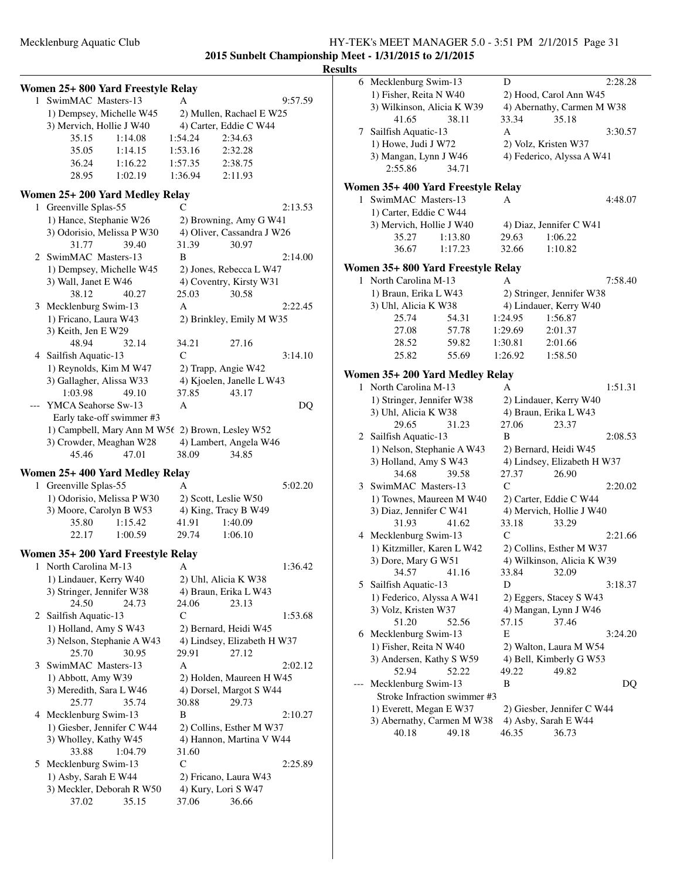# Mecklenburg Aquatic Club HY-TEK's MEET MANAGER 5.0 - 3:51 PM 2/1/2015 Page 31 **2015 Sunbelt Championship Meet - 1/31/2015 to 2/1/2015**

|              | Women 25+ 800 Yard Freestyle Relay                  |                                                      |         |
|--------------|-----------------------------------------------------|------------------------------------------------------|---------|
| 1            | SwimMAC Masters-13                                  | A                                                    | 9:57.59 |
|              | 1) Dempsey, Michelle W45                            | 2) Mullen, Rachael E W25                             |         |
|              | 3) Mervich, Hollie J W40                            | 4) Carter, Eddie C W44                               |         |
|              | 35.15<br>1:14.08                                    | 1:54.24<br>2:34.63                                   |         |
|              | 35.05<br>1:14.15                                    | 1:53.16<br>2:32.28                                   |         |
|              | 1:16.22<br>36.24                                    | 1:57.35<br>2:38.75                                   |         |
|              | 1:02.19<br>28.95                                    | 1:36.94<br>2:11.93                                   |         |
|              | Women 25+ 200 Yard Medley Relay                     |                                                      |         |
| 1            | Greenville Splas-55                                 | C                                                    | 2:13.53 |
|              | 1) Hance, Stephanie W26                             | 2) Browning, Amy G W41                               |         |
|              | 3) Odorisio, Melissa P W30                          | 4) Oliver, Cassandra J W26                           |         |
|              | 31.77<br>39.40                                      | 31.39<br>30.97                                       |         |
| 2            | SwimMAC Masters-13                                  | B                                                    | 2:14.00 |
|              | 1) Dempsey, Michelle W45                            | 2) Jones, Rebecca L W47                              |         |
|              | 3) Wall, Janet E W46                                | 4) Coventry, Kirsty W31                              |         |
| 3            | 38.12<br>40.27                                      | 25.03<br>30.58<br>A                                  | 2:22.45 |
|              | Mecklenburg Swim-13<br>1) Fricano, Laura W43        | 2) Brinkley, Emily M W35                             |         |
|              | 3) Keith, Jen E W29                                 |                                                      |         |
|              | 32.14<br>48.94                                      | 34.21<br>27.16                                       |         |
|              | 4 Sailfish Aquatic-13                               | $\mathsf{C}$                                         | 3:14.10 |
|              | 1) Reynolds, Kim M W47                              | 2) Trapp, Angie W42                                  |         |
|              | 3) Gallagher, Alissa W33                            | 4) Kjoelen, Janelle L W43                            |         |
|              | 1:03.98<br>49.10                                    | 37.85<br>43.17                                       |         |
|              | YMCA Seahorse Sw-13                                 | A                                                    | DQ      |
|              | Early take-off swimmer #3                           |                                                      |         |
|              | 1) Campbell, Mary Ann M W5t 2) Brown, Lesley W52    |                                                      |         |
|              | 3) Crowder, Meaghan W28                             | 4) Lambert, Angela W46                               |         |
|              | 45.46<br>47.01                                      | 38.09<br>34.85                                       |         |
|              | Women 25+400 Yard Medley Relay                      |                                                      |         |
| 1            | Greenville Splas-55                                 | А                                                    | 5:02.20 |
|              | 1) Odorisio, Melissa P W30                          | 2) Scott, Leslie W50                                 |         |
|              | 3) Moore, Carolyn B W53                             | 4) King, Tracy B W49                                 |         |
|              | 35.80<br>1:15.42                                    | 41.91<br>1:40.09                                     |         |
|              | 22.17<br>1:00.59                                    | 29.74<br>1:06.10                                     |         |
|              | Women 35+ 200 Yard Freestyle Relay                  |                                                      |         |
| 1            | North Carolina M-13                                 | Α                                                    | 1:36.42 |
|              | 1) Lindauer, Kerry W40                              | 2) Uhl, Alicia K W38                                 |         |
|              | 3) Stringer, Jennifer W38                           | 4) Braun, Erika L W43                                |         |
|              | 24.50<br>24.73                                      | 24.06<br>23.13                                       |         |
| $\mathbf{2}$ | Sailfish Aquatic-13                                 | C                                                    | 1:53.68 |
|              | 1) Holland, Amy S W43<br>3) Nelson, Stephanie A W43 | 2) Bernard, Heidi W45<br>4) Lindsey, Elizabeth H W37 |         |
|              | 25.70<br>30.95                                      | 29.91<br>27.12                                       |         |
| 3            | SwimMAC Masters-13                                  | A                                                    | 2:02.12 |
|              | 1) Abbott, Amy W39                                  | 2) Holden, Maureen H W45                             |         |
|              | 3) Meredith, Sara L W46                             | 4) Dorsel, Margot S W44                              |         |
|              | 35.74<br>25.77                                      | 30.88<br>29.73                                       |         |
| 4            | Mecklenburg Swim-13                                 | B                                                    | 2:10.27 |
|              | 1) Giesber, Jennifer C W44                          | 2) Collins, Esther M W37                             |         |
|              | 3) Wholley, Kathy W45                               | 4) Hannon, Martina V W44                             |         |
|              | 33.88<br>1:04.79                                    | 31.60                                                |         |
| 5            | Mecklenburg Swim-13                                 | $\mathsf{C}$                                         | 2:25.89 |
|              | 1) Asby, Sarah E W44                                | 2) Fricano, Laura W43                                |         |
|              | 3) Meckler, Deborah R W50                           | 4) Kury, Lori S W47                                  |         |
|              | 37.02<br>35.15                                      | 37.06<br>36.66                                       |         |

|    | 6 Mecklenburg Swim-13              | D                           | 2:28.28 |
|----|------------------------------------|-----------------------------|---------|
|    | 1) Fisher, Reita N W40             | 2) Hood, Carol Ann W45      |         |
|    | 3) Wilkinson, Alicia K W39         | 4) Abernathy, Carmen M W38  |         |
|    | 41.65<br>38.11                     | 33.34<br>35.18              |         |
| 7  | Sailfish Aquatic-13                | A                           | 3:30.57 |
|    | 1) Howe, Judi J W72                | 2) Volz, Kristen W37        |         |
|    | 3) Mangan, Lynn J W46              | 4) Federico, Alyssa A W41   |         |
|    | 2:55.86<br>34.71                   |                             |         |
|    |                                    |                             |         |
|    | Women 35+ 400 Yard Freestyle Relay |                             |         |
| 1  | SwimMAC Masters-13                 | А                           | 4:48.07 |
|    | 1) Carter, Eddie C W44             |                             |         |
|    | 3) Mervich, Hollie J W40           | 4) Diaz, Jennifer C W41     |         |
|    | 35.27<br>1:13.80                   | 29.63<br>1:06.22            |         |
|    | 36.67<br>1:17.23                   | 32.66<br>1:10.82            |         |
|    |                                    |                             |         |
|    | Women 35+ 800 Yard Freestyle Relay |                             |         |
| 1. | North Carolina M-13                | A                           | 7:58.40 |
|    | 1) Braun, Erika L W43              | 2) Stringer, Jennifer W38   |         |
|    | 3) Uhl, Alicia K W38               | 4) Lindauer, Kerry W40      |         |
|    | 25.74<br>54.31                     | 1:24.95<br>1:56.87          |         |
|    | 27.08<br>57.78                     | 1:29.69<br>2:01.37          |         |
|    | 28.52<br>59.82                     | 1:30.81<br>2:01.66          |         |
|    | 25.82<br>55.69                     | 1:26.92<br>1:58.50          |         |
|    | Women 35+ 200 Yard Medley Relay    |                             |         |
| 1. | North Carolina M-13                | A                           | 1:51.31 |
|    | 1) Stringer, Jennifer W38          | 2) Lindauer, Kerry W40      |         |
|    |                                    |                             |         |
|    | 3) Uhl, Alicia K W38               | 4) Braun, Erika L W43       |         |
|    | 29.65<br>31.23                     | 27.06<br>23.37              |         |
|    | 2 Sailfish Aquatic-13              | B                           | 2:08.53 |
|    | 1) Nelson, Stephanie A W43         | 2) Bernard, Heidi W45       |         |
|    | 3) Holland, Amy S W43              | 4) Lindsey, Elizabeth H W37 |         |
|    | 34.68<br>39.58                     | 26.90<br>27.37              |         |
|    | 3 SwimMAC Masters-13               | C                           | 2:20.02 |
|    | 1) Townes, Maureen M W40           | 2) Carter, Eddie C W44      |         |
|    | 3) Diaz, Jennifer C W41            | 4) Mervich, Hollie J W40    |         |
|    | 31.93<br>41.62                     | 33.18<br>33.29              |         |
|    | 4 Mecklenburg Swim-13              | $\mathcal{C}$               | 2:21.66 |
|    | 1) Kitzmiller, Karen L W42         | 2) Collins, Esther M W37    |         |
|    | 3) Dore, Mary G W51                | 4) Wilkinson, Alicia K W39  |         |
|    | 34.57<br>41.16                     | 33.84<br>32.09              |         |
| 5. | Sailfish Aquatic-13                | D                           | 3:18.37 |
|    | 1) Federico, Alyssa A W41          | 2) Eggers, Stacey S W43     |         |
|    | 3) Volz, Kristen W37               | 4) Mangan, Lynn J W46       |         |
|    | 51.20<br>52.56                     | 57.15<br>37.46              |         |
|    | 6 Mecklenburg Swim-13              | E                           | 3:24.20 |
|    | 1) Fisher, Reita N W40             | 2) Walton, Laura M W54      |         |
|    | 3) Andersen, Kathy S W59           | 4) Bell, Kimberly G W53     |         |
|    | 52.94<br>52.22                     | 49.22<br>49.82              |         |
|    | Mecklenburg Swim-13                | B                           | DQ      |
|    | Stroke Infraction swimmer #3       |                             |         |
|    | 1) Everett, Megan E W37            | 2) Giesber, Jennifer C W44  |         |
|    | 3) Abernathy, Carmen M W38         | 4) Asby, Sarah E W44        |         |
|    | 40.18<br>49.18                     | 46.35<br>36.73              |         |
|    |                                    |                             |         |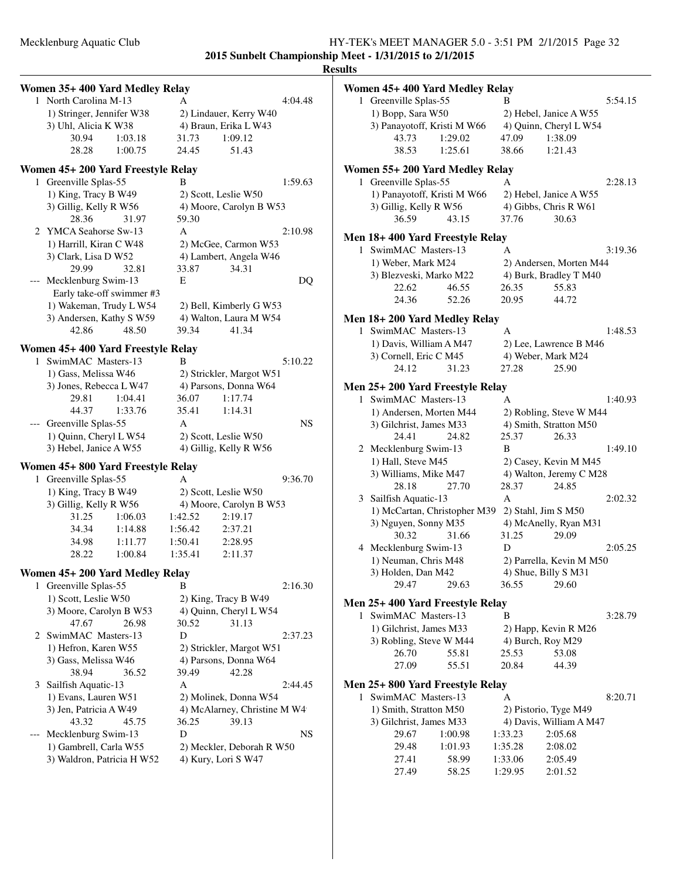**2015 Sunbelt Championship Meet - 1/31/2015 to 2/1/2015**

|                                     | Women 35+400 Yard Medley Relay                                              |         |         |                                                  |           | Women 45+ 400 Yard Medley Relay  |                                      |                                          |                                          |         |
|-------------------------------------|-----------------------------------------------------------------------------|---------|---------|--------------------------------------------------|-----------|----------------------------------|--------------------------------------|------------------------------------------|------------------------------------------|---------|
|                                     | 1 North Carolina M-13                                                       |         | A       |                                                  | 4:04.48   | 1 Greenville Splas-55            |                                      | B                                        |                                          | 5:54.15 |
|                                     | 1) Stringer, Jennifer W38                                                   |         |         | 2) Lindauer, Kerry W40                           |           | 1) Bopp, Sara W50                |                                      |                                          | 2) Hebel, Janice A W55                   |         |
|                                     | 3) Uhl, Alicia K W38                                                        |         |         | 4) Braun, Erika L W43                            |           |                                  | 3) Panayotoff, Kristi M W66          |                                          | 4) Quinn, Cheryl L W54                   |         |
|                                     | 30.94                                                                       | 1:03.18 | 31.73   | 1:09.12                                          |           | 43.73                            | 1:29.02                              | 47.09                                    | 1:38.09                                  |         |
|                                     | 28.28                                                                       | 1:00.75 | 24.45   | 51.43                                            |           | 38.53                            | 1:25.61                              | 38.66                                    | 1:21.43                                  |         |
|                                     | Women 45+ 200 Yard Freestyle Relay                                          |         |         |                                                  |           | Women 55+ 200 Yard Medley Relay  |                                      |                                          |                                          |         |
|                                     | 1 Greenville Splas-55                                                       |         | B       |                                                  | 1:59.63   | 1 Greenville Splas-55            |                                      | A                                        |                                          | 2:28.13 |
|                                     | 1) King, Tracy B W49                                                        |         |         | 2) Scott, Leslie W50                             |           |                                  | 1) Panayotoff, Kristi M W66          |                                          | 2) Hebel, Janice A W55                   |         |
|                                     | 3) Gillig, Kelly R W56                                                      |         |         | 4) Moore, Carolyn B W53                          |           | 3) Gillig, Kelly R W56           |                                      |                                          | 4) Gibbs, Chris R W61                    |         |
|                                     | 28.36                                                                       | 31.97   | 59.30   |                                                  |           | 36.59                            | 43.15                                | 37.76                                    | 30.63                                    |         |
|                                     | 2 YMCA Seahorse Sw-13                                                       |         | A       |                                                  | 2:10.98   |                                  |                                      |                                          |                                          |         |
|                                     |                                                                             |         |         |                                                  |           | Men 18+400 Yard Freestyle Relay  |                                      |                                          |                                          |         |
|                                     | 1) Harrill, Kiran C W48                                                     |         |         | 2) McGee, Carmon W53                             |           | 1 SwimMAC Masters-13             |                                      | A                                        |                                          | 3:19.36 |
|                                     | 3) Clark, Lisa D W52                                                        |         |         | 4) Lambert, Angela W46                           |           | 1) Weber, Mark M24               |                                      |                                          | 2) Andersen, Morten M44                  |         |
|                                     | 29.99                                                                       | 32.81   | 33.87   | 34.31                                            |           | 3) Blezveski, Marko M22          |                                      |                                          | 4) Burk, Bradley T M40                   |         |
|                                     | --- Mecklenburg Swim-13                                                     |         | Е       |                                                  | DQ        | 22.62                            | 46.55                                | 26.35                                    | 55.83                                    |         |
|                                     | Early take-off swimmer #3                                                   |         |         |                                                  |           | 24.36                            | 52.26                                | 20.95                                    | 44.72                                    |         |
|                                     | 1) Wakeman, Trudy L W54                                                     |         |         | 2) Bell, Kimberly G W53                          |           |                                  |                                      |                                          |                                          |         |
|                                     | 3) Andersen, Kathy S W59                                                    |         |         | 4) Walton, Laura M W54                           |           | Men 18+200 Yard Medley Relay     |                                      |                                          |                                          |         |
|                                     | 42.86                                                                       | 48.50   | 39.34   | 41.34                                            |           | 1 SwimMAC Masters-13             |                                      | A                                        |                                          | 1:48.53 |
|                                     | Women 45+ 400 Yard Freestyle Relay                                          |         |         |                                                  |           | 1) Davis, William A M47          |                                      |                                          | 2) Lee, Lawrence B M46                   |         |
|                                     | 1 SwimMAC Masters-13                                                        |         | B       |                                                  | 5:10.22   | 3) Cornell, Eric C M45           |                                      |                                          | 4) Weber, Mark M24                       |         |
|                                     | 1) Gass, Melissa W46                                                        |         |         | 2) Strickler, Margot W51                         |           | 24.12                            | 31.23                                | 27.28                                    | 25.90                                    |         |
|                                     | 3) Jones, Rebecca L W47                                                     |         |         | 4) Parsons, Donna W64                            |           |                                  |                                      |                                          |                                          |         |
|                                     | 29.81                                                                       | 1:04.41 | 36.07   | 1:17.74                                          |           | Men 25+200 Yard Freestyle Relay  |                                      |                                          |                                          | 1:40.93 |
|                                     | 44.37                                                                       | 1:33.76 | 35.41   | 1:14.31                                          |           | 1 SwimMAC Masters-13             |                                      | A                                        |                                          |         |
|                                     |                                                                             |         | A       |                                                  | <b>NS</b> | 1) Andersen, Morten M44          |                                      |                                          | 2) Robling, Steve W M44                  |         |
|                                     | --- Greenville Splas-55                                                     |         |         |                                                  |           | 3) Gilchrist, James M33          |                                      |                                          | 4) Smith, Stratton M50                   |         |
|                                     | 1) Quinn, Cheryl L W54                                                      |         |         | 2) Scott, Leslie W50                             |           | 24.41                            | 24.82                                | 25.37                                    | 26.33                                    |         |
|                                     | 3) Hebel, Janice A W55                                                      |         |         | 4) Gillig, Kelly R W56                           |           | 2 Mecklenburg Swim-13            |                                      | B                                        |                                          | 1:49.10 |
|                                     | Women 45+800 Yard Freestyle Relay                                           |         |         |                                                  |           | 1) Hall, Steve M45               |                                      |                                          | 2) Casey, Kevin M M45                    |         |
|                                     | 1 Greenville Splas-55                                                       |         | A       |                                                  | 9:36.70   | 3) Williams, Mike M47            |                                      |                                          | 4) Walton, Jeremy C M28                  |         |
|                                     | 1) King, Tracy B W49                                                        |         |         | 2) Scott, Leslie W50                             |           | 28.18                            | 27.70                                | 28.37                                    | 24.85                                    |         |
|                                     | 3) Gillig, Kelly R W56                                                      |         |         | 4) Moore, Carolyn B W53                          |           | 3 Sailfish Aquatic-13            |                                      | A                                        |                                          | 2:02.32 |
|                                     | 31.25                                                                       | 1:06.03 | 1:42.52 | 2:19.17                                          |           |                                  | 1) McCartan, Christopher M39         |                                          | 2) Stahl, Jim S M50                      |         |
|                                     | 34.34                                                                       | 1:14.88 | 1:56.42 | 2:37.21                                          |           | 3) Nguyen, Sonny M35             |                                      |                                          | 4) McAnelly, Ryan M31                    |         |
|                                     | 34.98                                                                       | 1:11.77 | 1:50.41 | 2:28.95                                          |           | 30.32                            | 31.66                                | 31.25                                    | 29.09                                    |         |
|                                     | 28.22                                                                       | 1:00.84 | 1:35.41 | 2:11.37                                          |           | 4 Mecklenburg Swim-13            |                                      | D                                        |                                          | 2:05.25 |
|                                     |                                                                             |         |         |                                                  |           | 1) Neuman, Chris M48             |                                      |                                          | 2) Parrella, Kevin M M50                 |         |
|                                     | Women 45+ 200 Yard Medley Relay                                             |         |         |                                                  |           | 3) Holden, Dan M42               |                                      |                                          | 4) Shue, Billy S M31                     |         |
|                                     | 1 Greenville Splas-55                                                       |         | B       |                                                  | 2:16.30   | 29.47                            | 29.63                                | 36.55                                    | 29.60                                    |         |
|                                     | 1) Scott, Leslie W50                                                        |         |         | 2) King, Tracy B W49                             |           | Men 25+400 Yard Freestyle Relay  |                                      |                                          |                                          |         |
|                                     | 3) Moore, Carolyn B W53                                                     |         |         | 4) Quinn, Cheryl L W54                           |           | 1 SwimMAC Masters-13             |                                      | B                                        |                                          | 3:28.79 |
|                                     | 47.67                                                                       | 26.98   | 30.52   | 31.13                                            |           |                                  |                                      |                                          |                                          |         |
|                                     | 2 SwimMAC Masters-13                                                        |         | D       |                                                  | 2:37.23   | 1) Gilchrist, James M33          |                                      |                                          | 2) Happ, Kevin R M26                     |         |
|                                     | 1) Hefron, Karen W55                                                        |         |         | 2) Strickler, Margot W51                         |           | 3) Robling, Steve W M44          |                                      |                                          | 4) Burch, Roy M29                        |         |
|                                     | 3) Gass, Melissa W46                                                        |         |         | 4) Parsons, Donna W64                            |           | 26.70                            | 55.81                                | 25.53                                    | 53.08                                    |         |
|                                     | 38.94                                                                       | 36.52   | 39.49   | 42.28                                            |           | 27.09                            | 55.51                                | 20.84                                    | 44.39                                    |         |
|                                     | 3 Sailfish Aquatic-13                                                       |         | A       |                                                  | 2:44.45   | Men 25+800 Yard Freestyle Relay  |                                      |                                          |                                          |         |
|                                     | 1) Evans, Lauren W51                                                        |         |         | 2) Molinek, Donna W54                            |           | 1 SwimMAC Masters-13             |                                      | A                                        |                                          | 8:20.71 |
|                                     | 3) Jen, Patricia A W49                                                      |         |         | 4) McAlarney, Christine M W4                     |           | 1) Smith, Stratton M50           |                                      |                                          | 2) Pistorio, Tyge M49                    |         |
|                                     | 43.32                                                                       | 45.75   | 36.25   | 39.13                                            |           | 3) Gilchrist, James M33          |                                      |                                          | 4) Davis, William A M47                  |         |
| $\hspace{0.05cm}---\hspace{0.05cm}$ |                                                                             |         |         |                                                  |           |                                  |                                      |                                          |                                          |         |
|                                     |                                                                             |         |         |                                                  |           |                                  |                                      |                                          |                                          |         |
|                                     |                                                                             |         |         |                                                  |           |                                  |                                      |                                          |                                          |         |
|                                     |                                                                             |         |         |                                                  |           |                                  |                                      |                                          |                                          |         |
|                                     |                                                                             |         |         |                                                  |           |                                  |                                      |                                          |                                          |         |
|                                     | Mecklenburg Swim-13<br>1) Gambrell, Carla W55<br>3) Waldron, Patricia H W52 |         | D       | 2) Meckler, Deborah R W50<br>4) Kury, Lori S W47 | <b>NS</b> | 29.67<br>29.48<br>27.41<br>27.49 | 1:00.98<br>1:01.93<br>58.99<br>58.25 | 1:33.23<br>1:35.28<br>1:33.06<br>1:29.95 | 2:05.68<br>2:08.02<br>2:05.49<br>2:01.52 |         |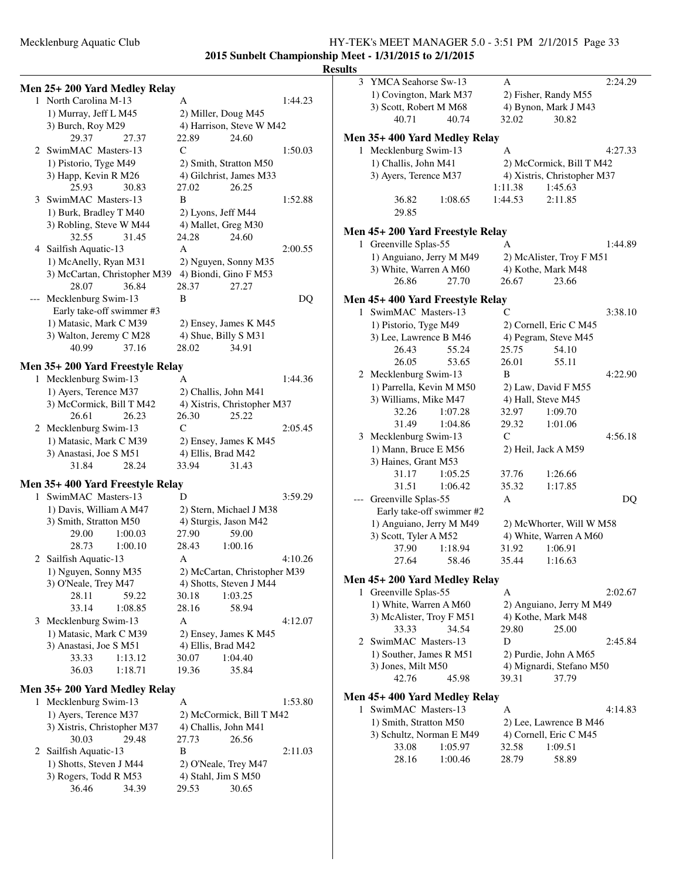### Mecklenburg Aquatic Club HY-TEK's MEET MANAGER 5.0 - 3:51 PM 2/1/2015 Page 33 **2015 Sunbelt Championship Meet - 1/31/2015 to 2/1/2015**

|   |                                                       |                                                  | ĸŧ |
|---|-------------------------------------------------------|--------------------------------------------------|----|
|   | Men 25+200 Yard Medley Relay                          |                                                  |    |
|   | 1 North Carolina M-13                                 | 1:44.23<br>А                                     |    |
|   | 1) Murray, Jeff L M45                                 | 2) Miller, Doug M45                              |    |
|   | 3) Burch, Roy M29                                     | 4) Harrison, Steve W M42                         |    |
|   | 29.37<br>27.37                                        | 22.89<br>24.60                                   |    |
|   | 2 SwimMAC Masters-13                                  | 1:50.03<br>C                                     |    |
|   |                                                       | 2) Smith, Stratton M50                           |    |
|   | 1) Pistorio, Tyge M49                                 |                                                  |    |
|   | 3) Happ, Kevin R M26<br>25.93                         | 4) Gilchrist, James M33<br>26.25                 |    |
|   | 30.83                                                 | 27.02                                            |    |
|   | 3 SwimMAC Masters-13                                  | B<br>1:52.88                                     |    |
|   | 1) Burk, Bradley T M40                                | 2) Lyons, Jeff M44                               |    |
|   | 3) Robling, Steve W M44                               | 4) Mallet, Greg M30                              |    |
|   | 32.55<br>31.45                                        | 24.60<br>24.28                                   |    |
|   | 4 Sailfish Aquatic-13                                 | A<br>2:00.55                                     |    |
|   | 1) McAnelly, Ryan M31                                 | 2) Nguyen, Sonny M35                             |    |
|   | 3) McCartan, Christopher M39                          | 4) Biondi, Gino F M53                            |    |
|   | 36.84<br>28.07                                        | 28.37<br>27.27                                   |    |
|   | Mecklenburg Swim-13                                   | B                                                | DQ |
|   | Early take-off swimmer #3                             |                                                  |    |
|   | 1) Matasic, Mark C M39                                | 2) Ensey, James K M45                            |    |
|   | 3) Walton, Jeremy C M28                               | 4) Shue, Billy S M31                             |    |
|   | 40.99<br>37.16                                        | 28.02<br>34.91                                   |    |
|   | Men 35+200 Yard Freestyle Relay                       |                                                  |    |
|   | 1 Mecklenburg Swim-13                                 | 1:44.36<br>A                                     |    |
|   | 1) Ayers, Terence M37                                 | 2) Challis, John M41                             |    |
|   | 3) McCormick, Bill T M42                              | 4) Xistris, Christopher M37                      |    |
|   | 26.61<br>26.23                                        | 26.30<br>25.22                                   |    |
|   | 2 Mecklenburg Swim-13                                 | C<br>2:05.45                                     |    |
|   | 1) Matasic, Mark C M39                                | 2) Ensey, James K M45                            |    |
|   | 3) Anastasi, Joe S M51                                | 4) Ellis, Brad M42                               |    |
|   | 31.84<br>28.24                                        | 33.94<br>31.43                                   |    |
|   |                                                       |                                                  |    |
| 1 | Men 35+400 Yard Freestyle Relay<br>SwimMAC Masters-13 | 3:59.29<br>D                                     |    |
|   |                                                       |                                                  |    |
|   | 1) Davis, William A M47<br>3) Smith, Stratton M50     | 2) Stern, Michael J M38<br>4) Sturgis, Jason M42 |    |
|   | 29.00<br>1:00.03                                      | 27.90<br>59.00                                   |    |
|   | 28.73<br>1:00.10                                      | 28.43<br>1:00.16                                 |    |
|   |                                                       |                                                  |    |
|   | 2 Sailfish Aquatic-13                                 | Α<br>4:10.26                                     |    |
|   | 1) Nguyen, Sonny M35                                  | 2) McCartan, Christopher M39                     |    |
|   | 3) O'Neale, Trey M47                                  | 4) Shotts, Steven J M44                          |    |
|   | 28.11<br>59.22<br>33.14                               | 30.18<br>1:03.25                                 |    |
|   | 1:08.85                                               | 28.16<br>58.94                                   |    |
|   | 3 Mecklenburg Swim-13                                 | А<br>4:12.07                                     |    |
|   | 1) Matasic, Mark C M39                                | 2) Ensey, James K M45                            |    |
|   | 3) Anastasi, Joe S M51<br>33.33                       | 4) Ellis, Brad M42<br>30.07                      |    |
|   | 1:13.12                                               | 1:04.40                                          |    |
|   | 36.03<br>1:18.71                                      | 19.36<br>35.84                                   |    |
|   | Men 35+200 Yard Medley Relay                          |                                                  |    |
| ı | Mecklenburg Swim-13                                   | 1:53.80<br>А                                     |    |
|   | 1) Ayers, Terence M37                                 | 2) McCormick, Bill T M42                         |    |
|   | 3) Xistris, Christopher M37                           | 4) Challis, John M41                             |    |
|   | 30.03<br>29.48                                        | 27.73<br>26.56                                   |    |
| 2 | Sailfish Aquatic-13                                   | B<br>2:11.03                                     |    |
|   | 1) Shotts, Steven J M44                               | 2) O'Neale, Trey M47                             |    |
|   | 3) Rogers, Todd R M53                                 | 4) Stahl, Jim S M50                              |    |
|   | 36.46<br>34.39                                        | 29.53<br>30.65                                   |    |
|   |                                                       |                                                  |    |

| 3  | YMCA Seahorse Sw-13              | 2:24.29<br>А                |
|----|----------------------------------|-----------------------------|
|    | 1) Covington, Mark M37           | 2) Fisher, Randy M55        |
|    | 3) Scott, Robert M M68           | 4) Bynon, Mark J M43        |
|    | 40.71<br>40.74                   | 32.02<br>30.82              |
|    | Men 35+ 400 Yard Medley Relay    |                             |
|    | 1 Mecklenburg Swim-13            | A<br>4:27.33                |
|    | 1) Challis, John M41             | 2) McCormick, Bill T M42    |
|    | 3) Ayers, Terence M37            | 4) Xistris, Christopher M37 |
|    |                                  | 1:11.38<br>1:45.63          |
|    | 36.82<br>1:08.65                 | 1:44.53<br>2:11.85          |
|    | 29.85                            |                             |
|    |                                  |                             |
|    | Men 45+ 200 Yard Freestyle Relay |                             |
| 1  | Greenville Splas-55              | 1:44.89<br>A                |
|    | 1) Anguiano, Jerry M M49         | 2) McAlister, Troy F M51    |
|    | 3) White, Warren A M60           | 4) Kothe, Mark M48          |
|    | 26.86<br>27.70                   | 26.67<br>23.66              |
|    | Men 45+ 400 Yard Freestyle Relay |                             |
| 1. | SwimMAC Masters-13               | 3:38.10<br>C                |
|    | 1) Pistorio, Tyge M49            | 2) Cornell, Eric C M45      |
|    | 3) Lee, Lawrence B M46           | 4) Pegram, Steve M45        |
|    | 26.43<br>55.24                   | 54.10<br>25.75              |
|    | 26.05<br>53.65                   | 26.01<br>55.11              |
|    | 2 Mecklenburg Swim-13            | B<br>4:22.90                |
|    | 1) Parrella, Kevin M M50         | 2) Law, David F M55         |
|    | 3) Williams, Mike M47            | 4) Hall, Steve M45          |
|    | 32.26<br>1:07.28                 | 32.97<br>1:09.70            |
|    | 31.49<br>1:04.86                 | 29.32<br>1:01.06            |
|    | 3 Mecklenburg Swim-13            | $\mathsf{C}$<br>4:56.18     |
|    | 1) Mann, Bruce E M56             | 2) Heil, Jack A M59         |
|    | 3) Haines, Grant M53             |                             |
|    | 31.17<br>1:05.25                 | 37.76<br>1:26.66            |
|    | 31.51<br>1:06.42                 | 35.32<br>1:17.85            |
|    | Greenville Splas-55              | A<br>DQ                     |
|    | Early take-off swimmer #2        |                             |
|    | 1) Anguiano, Jerry M M49         | 2) McWhorter, Will W M58    |
|    | 3) Scott, Tyler A M52            | 4) White, Warren A M60      |
|    | 1:18.94<br>37.90                 | 31.92<br>1:06.91            |
|    | 58.46<br>27.64                   | 35.44<br>1:16.63            |
|    | Men 45+ 200 Yard Medley Relay    |                             |
| 1  | Greenville Splas-55              | A<br>2:02.67                |
|    | 1) White, Warren A M60           | 2) Anguiano, Jerry M M49    |
|    | 3) McAlister, Troy F M51         | 4) Kothe, Mark M48          |
|    | 34.54<br>33.33                   | 29.80<br>25.00              |
|    | 2 SwimMAC Masters-13             | D<br>2:45.84                |
|    | 1) Souther, James R M51          | 2) Purdie, John A M65       |
|    | 3) Jones, Milt M50               | 4) Mignardi, Stefano M50    |
|    | 42.76<br>45.98                   | 39.31<br>37.79              |
|    |                                  |                             |
|    | Men 45+ 400 Yard Medley Relay    |                             |
|    | 1 SwimMAC Masters-13             | А<br>4:14.83                |
|    | 1) Smith, Stratton M50           | 2) Lee, Lawrence B M46      |
|    | 3) Schultz, Norman E M49         | 4) Cornell, Eric C M45      |
|    | 33.08<br>1:05.97                 | 32.58<br>1:09.51            |
|    | 28.16<br>1:00.46                 | 28.79<br>58.89              |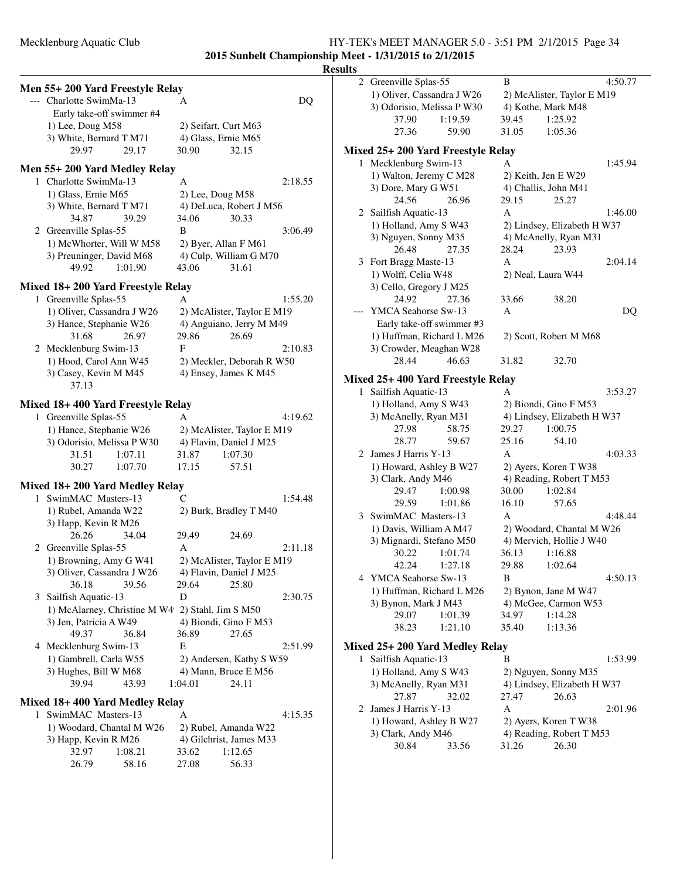**2015 Sunbelt Championship Meet - 1/31/2015 to 2/1/2015**

### **Men 55+ 200 Yard Freestyle Relay** --- Charlotte SwimMa-13 A DQ Early take-off swimmer #4 1) Lee, Doug M58 2) Seifart, Curt M63 3) White, Bernard T M71 4) Glass, Ernie M65 29.97 29.17 30.90 32.15 **Men 55+ 200 Yard Medley Relay** 1 Charlotte SwimMa-13 A 2:18.55 1) Glass, Ernie M65 2) Lee, Doug M58 3) White, Bernard T M71 4) DeLuca, Robert J M56 34.87 39.29 34.06 30.33 2 Greenville Splas-55 B 3:06.49 1) McWhorter, Will W M58 2) Byer, Allan F M61 3) Preuninger, David M68 4) Culp, William G M70 49.92 1:01.90 43.06 31.61 **Mixed 18+ 200 Yard Freestyle Relay** 1 Greenville Splas-55 A 1:55.20 1) Oliver, Cassandra J W26 2) McAlister, Taylor E M19 3) Hance, Stephanie W26 4) Anguiano, Jerry M M49 31.68 26.97 29.86 26.69 2 Mecklenburg Swim-13 F 2:10.83 1) Hood, Carol Ann W45 2) Meckler, Deborah R W50 3) Casey, Kevin M M45 4) Ensey, James K M45 37.13 **Mixed 18+ 400 Yard Freestyle Relay** 1 Greenville Splas-55 A 4:19.62 1) Hance, Stephanie W26 2) McAlister, Taylor E M19 3) Odorisio, Melissa P W30 4) Flavin, Daniel J M25 31.51 1:07.11 31.87 1:07.30 30.27 1:07.70 17.15 57.51 **Mixed 18+ 200 Yard Medley Relay** 1 SwimMAC Masters-13 C 1:54.48 1) Rubel, Amanda W22 2) Burk, Bradley T M40 3) Happ, Kevin R M26 26.26 34.04 29.49 24.69 2 Greenville Splas-55 A 2:11.18 1) Browning, Amy G W41 2) McAlister, Taylor E M19 3) Oliver, Cassandra J W26 4) Flavin, Daniel J M25 36.18 39.56 29.64 25.80 3 Sailfish Aquatic-13 D 2:30.75 1) McAlarney, Christine M W4 2) Stahl, Jim S M50 3) Jen, Patricia A W49  $\qquad$  4) Biondi, Gino F M53 49.37 36.84 36.89 27.65 4 Mecklenburg Swim-13 E 2:51.99 1) Gambrell, Carla W55 2) Andersen, Kathy S W59 3) Hughes, Bill W M68 4) Mann, Bruce E M56 39.94 43.93 1:04.01 24.11

### **Mixed 18+ 400 Yard Medley Relay**

| 1 SwimMAC Masters-13      |         | A     |                         | 4:15.35 |
|---------------------------|---------|-------|-------------------------|---------|
| 1) Woodard, Chantal M W26 |         |       | 2) Rubel, Amanda W22    |         |
| 3) Happ, Kevin R M26      |         |       | 4) Gilchrist, James M33 |         |
| 32.97                     | 1:08.21 | 33.62 | 1:12.65                 |         |
| 26.79                     | 58.16   | 27.08 | 56.33                   |         |

| <b>Results</b> |                                                     |                                               |         |
|----------------|-----------------------------------------------------|-----------------------------------------------|---------|
|                | 2 Greenville Splas-55                               | B                                             | 4:50.77 |
|                | 1) Oliver, Cassandra J W26                          | 2) McAlister, Taylor E M19                    |         |
|                | 3) Odorisio, Melissa P W30                          | 4) Kothe, Mark M48                            |         |
|                | 37.90<br>1:19.59                                    | 39.45<br>1:25.92                              |         |
|                | 27.36<br>59.90                                      | 31.05<br>1:05.36                              |         |
|                | Mixed 25+ 200 Yard Freestyle Relay                  |                                               |         |
|                | 1 Mecklenburg Swim-13                               | A                                             | 1:45.94 |
|                | 1) Walton, Jeremy C M28                             | 2) Keith, Jen E W29                           |         |
|                | 3) Dore, Mary G W51                                 | 4) Challis, John M41                          |         |
|                | 24.56<br>26.96                                      | 29.15<br>25.27                                |         |
|                | 2 Sailfish Aquatic-13                               | A                                             | 1:46.00 |
|                | 1) Holland, Amy S W43                               | 2) Lindsey, Elizabeth H W37                   |         |
|                | 3) Nguyen, Sonny M35                                | 4) McAnelly, Ryan M31                         |         |
|                | 26.48<br>27.35                                      | 28.24<br>23.93                                |         |
|                | 3 Fort Bragg Maste-13                               | A                                             | 2:04.14 |
|                | 1) Wolff, Celia W48                                 | 2) Neal, Laura W44                            |         |
|                | 3) Cello, Gregory J M25                             |                                               |         |
|                | 24.92<br>27.36                                      | 33.66<br>38.20                                |         |
|                | --- YMCA Seahorse Sw-13                             | A                                             | DQ      |
|                | Early take-off swimmer #3                           |                                               |         |
|                | 1) Huffman, Richard L M26                           | 2) Scott, Robert M M68                        |         |
|                | 3) Crowder, Meaghan W28                             |                                               |         |
|                | 28.44<br>46.63                                      | 31.82<br>32.70                                |         |
|                | Mixed 25+400 Yard Freestyle Relay                   |                                               |         |
| 1              | Sailfish Aquatic-13                                 | A                                             | 3:53.27 |
|                | 1) Holland, Amy S W43                               | 2) Biondi, Gino F M53                         |         |
|                | 3) McAnelly, Ryan M31                               | 4) Lindsey, Elizabeth H W37                   |         |
|                | 27.98<br>58.75                                      | 29.27<br>1:00.75                              |         |
|                | 28.77<br>59.67                                      | 25.16<br>54.10                                |         |
|                | 2 James J Harris Y-13                               | A                                             | 4:03.33 |
|                | 1) Howard, Ashley B W27                             | 2) Ayers, Koren T W38                         |         |
|                | 3) Clark, Andy M46                                  | 4) Reading, Robert T M53                      |         |
|                | 29.47<br>1:00.98                                    | 30.00<br>1:02.84                              |         |
|                | 29.59<br>1:01.86                                    | 16.10<br>57.65                                |         |
|                | 3 SwimMAC Masters-13                                | A                                             | 4:48.44 |
|                | 1) Davis, William A M47<br>3) Mignardi, Stefano M50 | 2) Woodard, Chantal M W26                     |         |
|                | 30.22<br>1:01.74                                    | 4) Mervich, Hollie J W40<br>36.13<br>1:16.88  |         |
|                | 42.24<br>1:27.18                                    | 29.88<br>1:02.64                              |         |
|                | 4 YMCA Seahorse Sw-13                               | В                                             | 4:50.13 |
|                | 1) Huffman, Richard L M26                           | 2) Bynon, Jane M W47                          |         |
|                | 3) Bynon, Mark J M43                                | 4) McGee, Carmon W53                          |         |
|                | 29.07<br>1:01.39                                    | 1:14.28<br>34.97                              |         |
|                | 38.23<br>1:21.10                                    | 35.40<br>1:13.36                              |         |
|                |                                                     |                                               |         |
|                | Mixed 25+ 200 Yard Medley Relay                     |                                               |         |
| 1              | Sailfish Aquatic-13                                 | В                                             | 1:53.99 |
|                | 1) Holland, Amy S W43<br>3) McAnelly, Ryan M31      | 2) Nguyen, Sonny M35                          |         |
|                | 27.87<br>32.02                                      | 4) Lindsey, Elizabeth H W37<br>26.63<br>27.47 |         |
|                |                                                     |                                               |         |

1) Howard, Ashley B W27 2) Ayers, Koren T W38 30.84 33.56 31.26 26.30

2 James J Harris Y-13 A 2:01.96 3) Clark, Andy M46 4) Reading, Robert T M53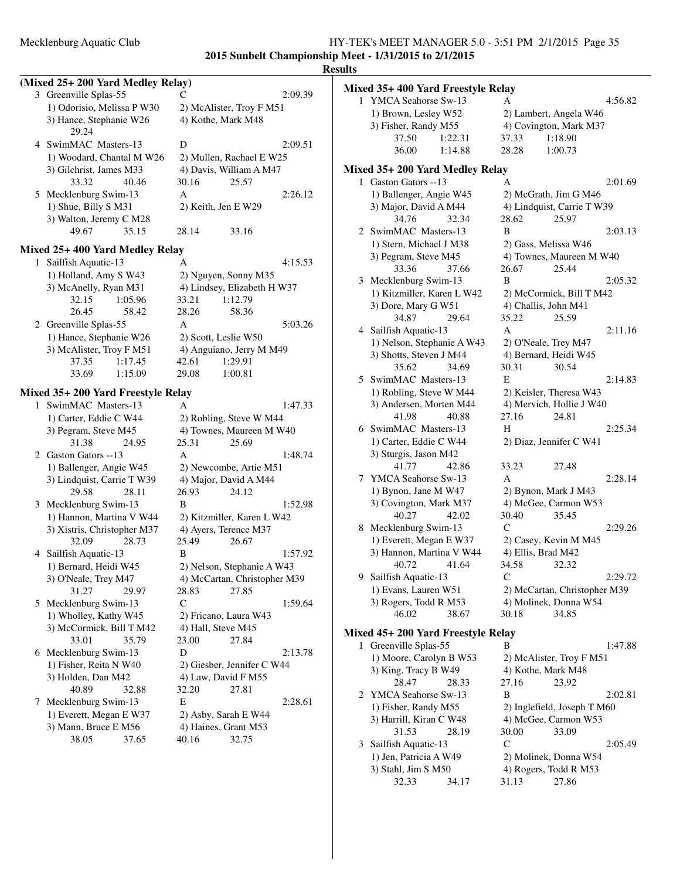**2015 Sunbelt Championship Meet - 1/31/2015 to 2/1/2015**

|              | (Mixed 25+200 Yard Medley Relay)                         |                              |  |
|--------------|----------------------------------------------------------|------------------------------|--|
|              | 3 Greenville Splas-55                                    | 2:09.39<br>С                 |  |
|              | 1) Odorisio, Melissa P W30                               | 2) McAlister, Troy F M51     |  |
|              | 3) Hance, Stephanie W26<br>29.24                         | 4) Kothe, Mark M48           |  |
|              | 4 SwimMAC Masters-13                                     | 2:09.51<br>D                 |  |
|              | 1) Woodard, Chantal M W26                                | 2) Mullen, Rachael E W25     |  |
|              | 3) Gilchrist, James M33                                  | 4) Davis, William A M47      |  |
|              | 33.32<br>40.46                                           | 25.57<br>30.16               |  |
|              | 5 Mecklenburg Swim-13                                    | A<br>2:26.12                 |  |
|              | 1) Shue, Billy S M31                                     | 2) Keith, Jen E W29          |  |
|              | 3) Walton, Jeremy C M28                                  |                              |  |
|              | 49.67<br>35.15                                           | 28.14<br>33.16               |  |
|              | Mixed 25+400 Yard Medley Relay                           |                              |  |
| $\mathbf{1}$ | Sailfish Aquatic-13                                      | 4:15.53<br>A                 |  |
|              | 1) Holland, Amy S W43                                    | 2) Nguyen, Sonny M35         |  |
|              | 3) McAnelly, Ryan M31                                    | 4) Lindsey, Elizabeth H W37  |  |
|              | 32.15<br>1:05.96                                         | 1:12.79<br>33.21             |  |
|              | 26.45<br>58.42                                           | 28.26<br>58.36               |  |
|              | 2 Greenville Splas-55                                    | A<br>5:03.26                 |  |
|              | 1) Hance, Stephanie W26                                  | 2) Scott, Leslie W50         |  |
|              | 3) McAlister, Troy F M51                                 | 4) Anguiano, Jerry M M49     |  |
|              | 37.35<br>1:17.45                                         | 42.61<br>1:29.91             |  |
|              | 33.69<br>1:15.09                                         | 29.08<br>1:00.81             |  |
|              |                                                          |                              |  |
| 1            | Mixed 35+ 200 Yard Freestyle Relay<br>SwimMAC Masters-13 | 1:47.33<br>A                 |  |
|              | 1) Carter, Eddie C W44                                   | 2) Robling, Steve W M44      |  |
|              | 3) Pegram, Steve M45                                     | 4) Townes, Maureen M W40     |  |
|              | 31.38<br>24.95                                           | 25.31<br>25.69               |  |
|              | 2 Gaston Gators --13                                     | 1:48.74<br>A                 |  |
|              | 1) Ballenger, Angie W45                                  | 2) Newcombe, Artie M51       |  |
|              | 3) Lindquist, Carrie T W39                               | 4) Major, David A M44        |  |
|              | 29.58<br>28.11                                           | 26.93<br>24.12               |  |
|              | 3 Mecklenburg Swim-13                                    | 1:52.98<br>B                 |  |
|              | 1) Hannon, Martina V W44                                 | 2) Kitzmiller, Karen L W42   |  |
|              | 3) Xistris, Christopher M37                              | 4) Ayers, Terence M37        |  |
|              | 32.09<br>28.73                                           | 25.49<br>26.67               |  |
|              | 4 Sailfish Aquatic-13                                    | 1:57.92<br>B                 |  |
|              | 1) Bernard, Heidi W45                                    | 2) Nelson, Stephanie A W43   |  |
|              | 3) O'Neale, Trey M47                                     | 4) McCartan, Christopher M39 |  |
|              | 29.97<br>31.27                                           | 28.83<br>27.85               |  |
| 5.           | Mecklenburg Swim-13                                      | C<br>1:59.64                 |  |
|              | 1) Wholley, Kathy W45                                    | 2) Fricano, Laura W43        |  |
|              | 3) McCormick, Bill T M42                                 | 4) Hall, Steve M45           |  |
|              | 35.79<br>33.01                                           | 23.00<br>27.84               |  |
| 6            | Mecklenburg Swim-13                                      | D<br>2:13.78                 |  |
|              | 1) Fisher, Reita N W40                                   | 2) Giesber, Jennifer C W44   |  |
|              | 3) Holden, Dan M42                                       | 4) Law, David F M55          |  |
|              | 40.89<br>32.88                                           | 32.20<br>27.81               |  |
| 7            | Mecklenburg Swim-13                                      | E<br>2:28.61                 |  |
|              | 1) Everett, Megan E W37                                  | 2) Asby, Sarah E W44         |  |
|              | 3) Mann, Bruce E M56                                     | 4) Haines, Grant M53         |  |
|              | 38.05<br>37.65                                           | 40.16<br>32.75               |  |
|              |                                                          |                              |  |

|   | Mixed 35+ 400 Yard Freestyle Relay      |                                                       |
|---|-----------------------------------------|-------------------------------------------------------|
|   | 1 YMCA Seahorse Sw-13                   | 4:56.82<br>A                                          |
|   | 1) Brown, Lesley W52                    | 2) Lambert, Angela W46                                |
|   | 3) Fisher, Randy M55                    | 4) Covington, Mark M37                                |
|   | 37.50<br>1:22.31                        | 37.33<br>1:18.90                                      |
|   | 36.00<br>1:14.88                        | 28.28<br>1:00.73                                      |
|   | Mixed 35+ 200 Yard Medley Relay         |                                                       |
| 1 | Gaston Gators --13                      | A<br>2:01.69                                          |
|   | 1) Ballenger, Angie W45                 | 2) McGrath, Jim G M46                                 |
|   | 3) Major, David A M44                   | 4) Lindquist, Carrie T W39                            |
|   | 34.76<br>32.34                          | 28.62<br>25.97                                        |
|   | 2 SwimMAC Masters-13                    | B<br>2:03.13                                          |
|   | 1) Stern, Michael J M38                 | 2) Gass, Melissa W46                                  |
|   | 3) Pegram, Steve M45                    | 4) Townes, Maureen M W40                              |
|   | 33.36<br>37.66                          | 26.67<br>25.44                                        |
|   | 3 Mecklenburg Swim-13                   | 2:05.32<br>B                                          |
|   | 1) Kitzmiller, Karen L W42              | 2) McCormick, Bill T M42                              |
|   | 3) Dore, Mary G W51                     | 4) Challis, John M41                                  |
|   | 34.87<br>29.64                          | 35.22<br>25.59                                        |
|   | 4 Sailfish Aquatic-13                   | A<br>2:11.16                                          |
|   | 1) Nelson, Stephanie A W43              | 2) O'Neale, Trey M47                                  |
|   | 3) Shotts, Steven J M44                 | 4) Bernard, Heidi W45                                 |
|   | 35.62<br>34.69<br>5 SwimMAC Masters-13  | 30.31<br>30.54<br>2:14.83<br>E                        |
|   | 1) Robling, Steve W M44                 |                                                       |
|   | 3) Andersen, Morten M44                 | 2) Keisler, Theresa W43<br>4) Mervich, Hollie J W40   |
|   | 41.98<br>40.88                          | 24.81<br>27.16                                        |
|   | 6 SwimMAC Masters-13                    | H<br>2:25.34                                          |
|   | 1) Carter, Eddie C W44                  | 2) Diaz, Jennifer C W41                               |
|   | 3) Sturgis, Jason M42                   |                                                       |
|   | 41.77<br>42.86                          | 33.23<br>27.48                                        |
| 7 | YMCA Seahorse Sw-13                     | A<br>2:28.14                                          |
|   | 1) Bynon, Jane M W47                    | 2) Bynon, Mark J M43                                  |
|   | 3) Covington, Mark M37                  | 4) McGee, Carmon W53                                  |
|   | 40.27<br>42.02                          | 30.40<br>35.45                                        |
| 8 | Mecklenburg Swim-13                     | 2:29.26<br>C                                          |
|   | 1) Everett, Megan E W37                 | 2) Casey, Kevin M M45                                 |
|   | 3) Hannon, Martina V W44                | 4) Ellis, Brad M42                                    |
|   | 40.72<br>41.64                          | 34.58<br>32.32                                        |
|   | 9 Sailfish Aquatic-13                   | C<br>2:29.72                                          |
|   | 1) Evans, Lauren W51                    | 2) McCartan, Christopher M39<br>4) Molinek, Donna W54 |
|   | 3) Rogers, Todd R M53<br>46.02<br>38.67 | 30.18<br>34.85                                        |
|   |                                         |                                                       |
|   | Mixed 45+ 200 Yard Freestyle Relay      |                                                       |
| 1 | Greenville Splas-55                     | 1:47.88<br>В                                          |
|   | 1) Moore, Carolyn B W53                 | 2) McAlister, Troy F M51                              |
|   | 3) King, Tracy B W49<br>28.47           | 4) Kothe, Mark M48<br>27.16                           |
| 2 | 28.33<br>YMCA Seahorse Sw-13            | 23.92<br>B<br>2:02.81                                 |
|   | 1) Fisher, Randy M55                    | 2) Inglefield, Joseph T M60                           |
|   | 3) Harrill, Kiran C W48                 | 4) McGee, Carmon W53                                  |
|   | 31.53<br>28.19                          | 30.00<br>33.09                                        |
| 3 | Sailfish Aquatic-13                     | $\mathsf{C}$<br>2:05.49                               |
|   | 1) Jen, Patricia A W49                  | 2) Molinek, Donna W54                                 |
|   | 3) Stahl, Jim S M50                     | 4) Rogers, Todd R M53                                 |
|   | 32.33<br>34.17                          | 27.86<br>31.13                                        |